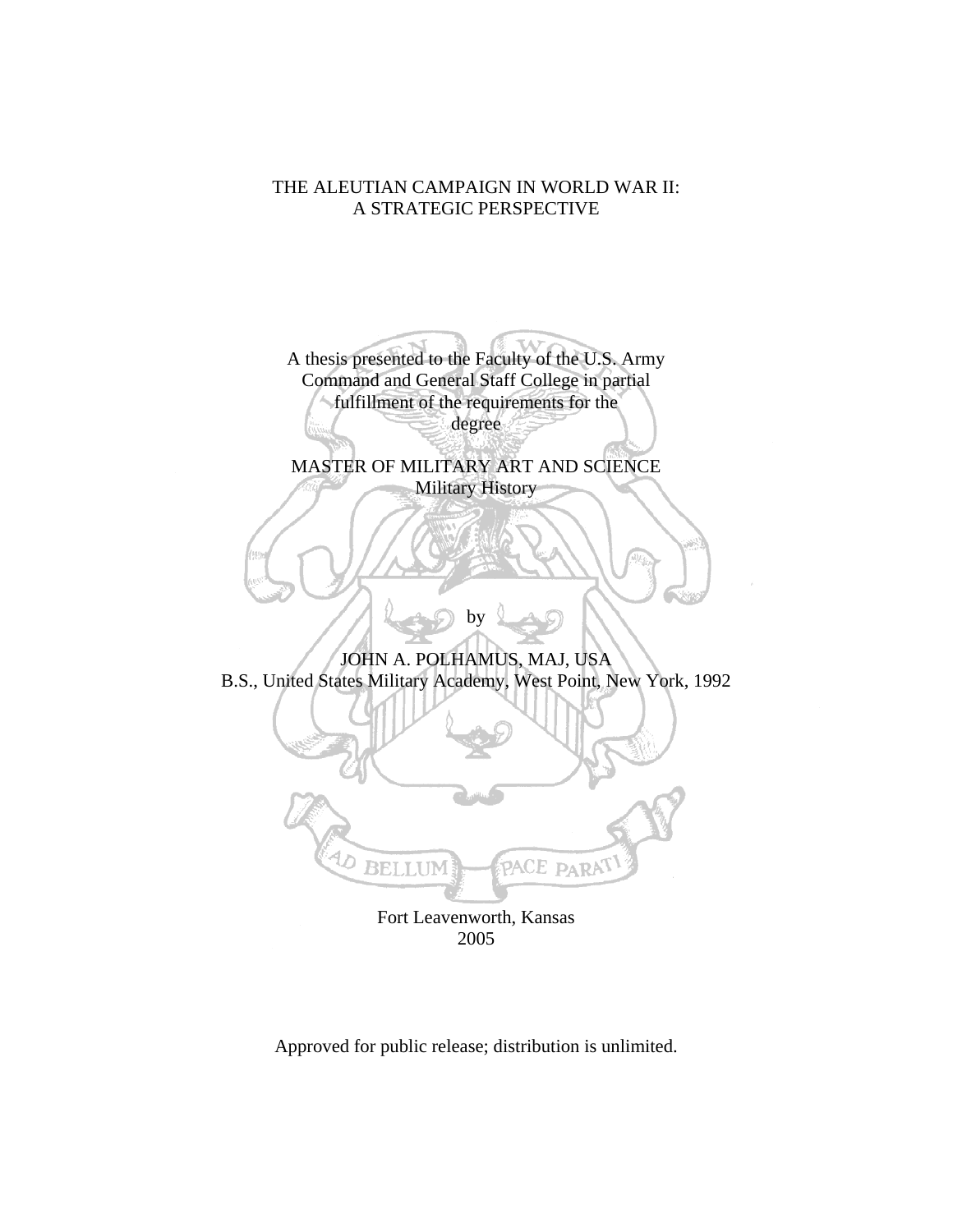## THE ALEUTIAN CAMPAIGN IN WORLD WAR II: A STRATEGIC PERSPECTIVE

A thesis presented to the Faculty of the U.S. Army Command and General Staff College in partial fulfillment of the requirements for the degree

MASTER OF MILITARY ART AND SCIENCE Military History

JOHN A. POLHAMUS, MAJ, USA B.S., United States Military Academy, West Point, New York, 1992

by



Fort Leavenworth, Kansas 2005

Approved for public release; distribution is unlimited.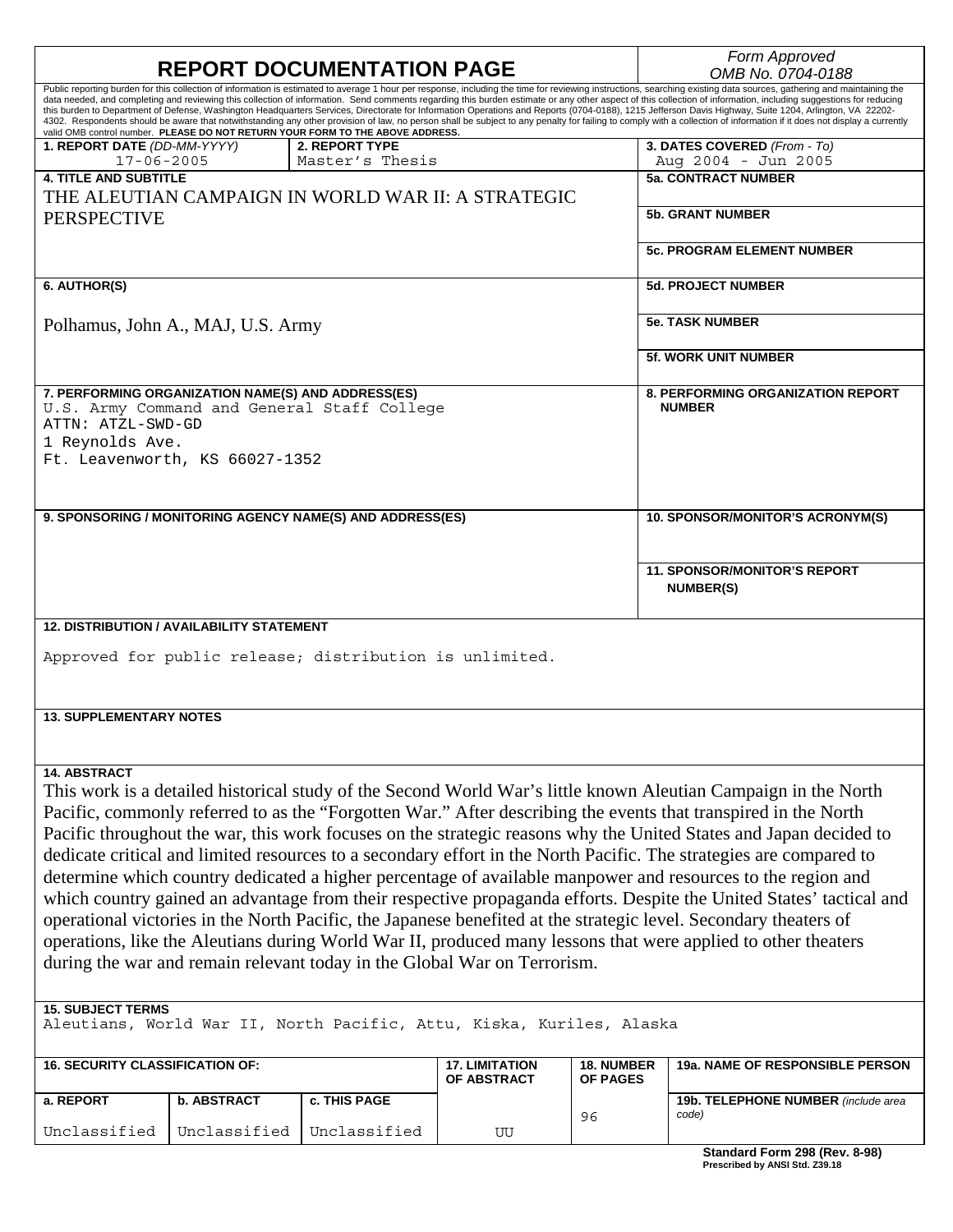| <b>REPORT DOCUMENTATION PAGE</b>                                                                                   |                                                    |                                                                                |                       |                   | Form Approved<br>OMB No. 0704-0188                                                                                                                                                                                                                                                                                                                                                                                               |  |
|--------------------------------------------------------------------------------------------------------------------|----------------------------------------------------|--------------------------------------------------------------------------------|-----------------------|-------------------|----------------------------------------------------------------------------------------------------------------------------------------------------------------------------------------------------------------------------------------------------------------------------------------------------------------------------------------------------------------------------------------------------------------------------------|--|
|                                                                                                                    |                                                    |                                                                                |                       |                   | Public reporting burden for this collection of information is estimated to average 1 hour per response, including the time for reviewing instructions, searching existing data sources, gathering and maintaining the                                                                                                                                                                                                            |  |
|                                                                                                                    |                                                    |                                                                                |                       |                   | data needed, and completing and reviewing this collection of information. Send comments regarding this burden estimate or any other aspect of this collection of information, including suggestions for reducing                                                                                                                                                                                                                 |  |
|                                                                                                                    |                                                    |                                                                                |                       |                   | this burden to Department of Defense, Washington Headquarters Services, Directorate for Information Operations and Reports (0704-0188), 1215 Jefferson Davis Highway, Suite 1204, Arlington, VA 22202-<br>4302. Respondents should be aware that notwithstanding any other provision of law, no person shall be subject to any penalty for failing to comply with a collection of information if it does not display a currently |  |
|                                                                                                                    |                                                    | valid OMB control number. PLEASE DO NOT RETURN YOUR FORM TO THE ABOVE ADDRESS. |                       |                   |                                                                                                                                                                                                                                                                                                                                                                                                                                  |  |
| 1. REPORT DATE (DD-MM-YYYY)                                                                                        |                                                    | 2. REPORT TYPE                                                                 |                       |                   | 3. DATES COVERED (From - To)                                                                                                                                                                                                                                                                                                                                                                                                     |  |
| $17 - 06 - 2005$                                                                                                   |                                                    | Master's Thesis                                                                |                       |                   | Aug 2004 - Jun 2005                                                                                                                                                                                                                                                                                                                                                                                                              |  |
| <b>4. TITLE AND SUBTITLE</b>                                                                                       |                                                    |                                                                                |                       |                   | <b>5a. CONTRACT NUMBER</b>                                                                                                                                                                                                                                                                                                                                                                                                       |  |
|                                                                                                                    |                                                    | THE ALEUTIAN CAMPAIGN IN WORLD WAR II: A STRATEGIC                             |                       |                   |                                                                                                                                                                                                                                                                                                                                                                                                                                  |  |
| <b>PERSPECTIVE</b>                                                                                                 |                                                    |                                                                                |                       |                   | <b>5b. GRANT NUMBER</b>                                                                                                                                                                                                                                                                                                                                                                                                          |  |
|                                                                                                                    |                                                    |                                                                                |                       |                   |                                                                                                                                                                                                                                                                                                                                                                                                                                  |  |
|                                                                                                                    |                                                    |                                                                                |                       |                   | <b>5c. PROGRAM ELEMENT NUMBER</b>                                                                                                                                                                                                                                                                                                                                                                                                |  |
|                                                                                                                    |                                                    |                                                                                |                       |                   |                                                                                                                                                                                                                                                                                                                                                                                                                                  |  |
|                                                                                                                    |                                                    |                                                                                |                       |                   |                                                                                                                                                                                                                                                                                                                                                                                                                                  |  |
| 6. AUTHOR(S)                                                                                                       |                                                    |                                                                                |                       |                   | <b>5d. PROJECT NUMBER</b>                                                                                                                                                                                                                                                                                                                                                                                                        |  |
|                                                                                                                    |                                                    |                                                                                |                       |                   |                                                                                                                                                                                                                                                                                                                                                                                                                                  |  |
|                                                                                                                    | Polhamus, John A., MAJ, U.S. Army                  |                                                                                |                       |                   | <b>5e. TASK NUMBER</b>                                                                                                                                                                                                                                                                                                                                                                                                           |  |
|                                                                                                                    |                                                    |                                                                                |                       |                   |                                                                                                                                                                                                                                                                                                                                                                                                                                  |  |
|                                                                                                                    |                                                    |                                                                                |                       |                   | <b>5f. WORK UNIT NUMBER</b>                                                                                                                                                                                                                                                                                                                                                                                                      |  |
|                                                                                                                    |                                                    |                                                                                |                       |                   |                                                                                                                                                                                                                                                                                                                                                                                                                                  |  |
|                                                                                                                    | 7. PERFORMING ORGANIZATION NAME(S) AND ADDRESS(ES) |                                                                                |                       |                   | <b>8. PERFORMING ORGANIZATION REPORT</b>                                                                                                                                                                                                                                                                                                                                                                                         |  |
|                                                                                                                    |                                                    | U.S. Army Command and General Staff College                                    |                       |                   | <b>NUMBER</b>                                                                                                                                                                                                                                                                                                                                                                                                                    |  |
|                                                                                                                    |                                                    |                                                                                |                       |                   |                                                                                                                                                                                                                                                                                                                                                                                                                                  |  |
| ATTN: ATZL-SWD-GD                                                                                                  |                                                    |                                                                                |                       |                   |                                                                                                                                                                                                                                                                                                                                                                                                                                  |  |
| 1 Reynolds Ave.                                                                                                    |                                                    |                                                                                |                       |                   |                                                                                                                                                                                                                                                                                                                                                                                                                                  |  |
|                                                                                                                    | Ft. Leavenworth, KS 66027-1352                     |                                                                                |                       |                   |                                                                                                                                                                                                                                                                                                                                                                                                                                  |  |
|                                                                                                                    |                                                    |                                                                                |                       |                   |                                                                                                                                                                                                                                                                                                                                                                                                                                  |  |
|                                                                                                                    |                                                    |                                                                                |                       |                   |                                                                                                                                                                                                                                                                                                                                                                                                                                  |  |
|                                                                                                                    |                                                    |                                                                                |                       |                   |                                                                                                                                                                                                                                                                                                                                                                                                                                  |  |
|                                                                                                                    |                                                    | 9. SPONSORING / MONITORING AGENCY NAME(S) AND ADDRESS(ES)                      |                       |                   | 10. SPONSOR/MONITOR'S ACRONYM(S)                                                                                                                                                                                                                                                                                                                                                                                                 |  |
|                                                                                                                    |                                                    |                                                                                |                       |                   |                                                                                                                                                                                                                                                                                                                                                                                                                                  |  |
|                                                                                                                    |                                                    |                                                                                |                       |                   |                                                                                                                                                                                                                                                                                                                                                                                                                                  |  |
|                                                                                                                    |                                                    |                                                                                |                       |                   | <b>11. SPONSOR/MONITOR'S REPORT</b>                                                                                                                                                                                                                                                                                                                                                                                              |  |
|                                                                                                                    |                                                    |                                                                                |                       |                   | <b>NUMBER(S)</b>                                                                                                                                                                                                                                                                                                                                                                                                                 |  |
|                                                                                                                    |                                                    |                                                                                |                       |                   |                                                                                                                                                                                                                                                                                                                                                                                                                                  |  |
|                                                                                                                    | <b>12. DISTRIBUTION / AVAILABILITY STATEMENT</b>   |                                                                                |                       |                   |                                                                                                                                                                                                                                                                                                                                                                                                                                  |  |
|                                                                                                                    |                                                    |                                                                                |                       |                   |                                                                                                                                                                                                                                                                                                                                                                                                                                  |  |
|                                                                                                                    |                                                    | Approved for public release; distribution is unlimited.                        |                       |                   |                                                                                                                                                                                                                                                                                                                                                                                                                                  |  |
|                                                                                                                    |                                                    |                                                                                |                       |                   |                                                                                                                                                                                                                                                                                                                                                                                                                                  |  |
|                                                                                                                    |                                                    |                                                                                |                       |                   |                                                                                                                                                                                                                                                                                                                                                                                                                                  |  |
|                                                                                                                    |                                                    |                                                                                |                       |                   |                                                                                                                                                                                                                                                                                                                                                                                                                                  |  |
| <b>13. SUPPLEMENTARY NOTES</b>                                                                                     |                                                    |                                                                                |                       |                   |                                                                                                                                                                                                                                                                                                                                                                                                                                  |  |
|                                                                                                                    |                                                    |                                                                                |                       |                   |                                                                                                                                                                                                                                                                                                                                                                                                                                  |  |
|                                                                                                                    |                                                    |                                                                                |                       |                   |                                                                                                                                                                                                                                                                                                                                                                                                                                  |  |
|                                                                                                                    |                                                    |                                                                                |                       |                   |                                                                                                                                                                                                                                                                                                                                                                                                                                  |  |
| <b>14. ABSTRACT</b>                                                                                                |                                                    |                                                                                |                       |                   |                                                                                                                                                                                                                                                                                                                                                                                                                                  |  |
|                                                                                                                    |                                                    |                                                                                |                       |                   | This work is a detailed historical study of the Second World War's little known Aleutian Campaign in the North                                                                                                                                                                                                                                                                                                                   |  |
| Pacific, commonly referred to as the "Forgotten War." After describing the events that transpired in the North     |                                                    |                                                                                |                       |                   |                                                                                                                                                                                                                                                                                                                                                                                                                                  |  |
|                                                                                                                    |                                                    |                                                                                |                       |                   |                                                                                                                                                                                                                                                                                                                                                                                                                                  |  |
| Pacific throughout the war, this work focuses on the strategic reasons why the United States and Japan decided to  |                                                    |                                                                                |                       |                   |                                                                                                                                                                                                                                                                                                                                                                                                                                  |  |
| dedicate critical and limited resources to a secondary effort in the North Pacific. The strategies are compared to |                                                    |                                                                                |                       |                   |                                                                                                                                                                                                                                                                                                                                                                                                                                  |  |
|                                                                                                                    |                                                    |                                                                                |                       |                   |                                                                                                                                                                                                                                                                                                                                                                                                                                  |  |
| determine which country dedicated a higher percentage of available manpower and resources to the region and        |                                                    |                                                                                |                       |                   |                                                                                                                                                                                                                                                                                                                                                                                                                                  |  |
|                                                                                                                    |                                                    |                                                                                |                       |                   | which country gained an advantage from their respective propaganda efforts. Despite the United States' tactical and                                                                                                                                                                                                                                                                                                              |  |
| operational victories in the North Pacific, the Japanese benefited at the strategic level. Secondary theaters of   |                                                    |                                                                                |                       |                   |                                                                                                                                                                                                                                                                                                                                                                                                                                  |  |
|                                                                                                                    |                                                    |                                                                                |                       |                   |                                                                                                                                                                                                                                                                                                                                                                                                                                  |  |
| operations, like the Aleutians during World War II, produced many lessons that were applied to other theaters      |                                                    |                                                                                |                       |                   |                                                                                                                                                                                                                                                                                                                                                                                                                                  |  |
| during the war and remain relevant today in the Global War on Terrorism.                                           |                                                    |                                                                                |                       |                   |                                                                                                                                                                                                                                                                                                                                                                                                                                  |  |
|                                                                                                                    |                                                    |                                                                                |                       |                   |                                                                                                                                                                                                                                                                                                                                                                                                                                  |  |
|                                                                                                                    |                                                    |                                                                                |                       |                   |                                                                                                                                                                                                                                                                                                                                                                                                                                  |  |
| <b>15. SUBJECT TERMS</b>                                                                                           |                                                    |                                                                                |                       |                   |                                                                                                                                                                                                                                                                                                                                                                                                                                  |  |
|                                                                                                                    |                                                    | Aleutians, World War II, North Pacific, Attu, Kiska, Kuriles, Alaska           |                       |                   |                                                                                                                                                                                                                                                                                                                                                                                                                                  |  |
|                                                                                                                    |                                                    |                                                                                |                       |                   |                                                                                                                                                                                                                                                                                                                                                                                                                                  |  |
|                                                                                                                    |                                                    |                                                                                |                       |                   |                                                                                                                                                                                                                                                                                                                                                                                                                                  |  |
| <b>16. SECURITY CLASSIFICATION OF:</b>                                                                             |                                                    |                                                                                | <b>17. LIMITATION</b> | <b>18. NUMBER</b> | 19a. NAME OF RESPONSIBLE PERSON                                                                                                                                                                                                                                                                                                                                                                                                  |  |
|                                                                                                                    |                                                    |                                                                                | OF ABSTRACT           | <b>OF PAGES</b>   |                                                                                                                                                                                                                                                                                                                                                                                                                                  |  |
| a. REPORT                                                                                                          | <b>b. ABSTRACT</b>                                 | c. THIS PAGE                                                                   |                       |                   | 19b. TELEPHONE NUMBER (include area                                                                                                                                                                                                                                                                                                                                                                                              |  |
|                                                                                                                    |                                                    |                                                                                |                       | 96                | code)                                                                                                                                                                                                                                                                                                                                                                                                                            |  |

Unclassified

Unclassified

Unclassified UU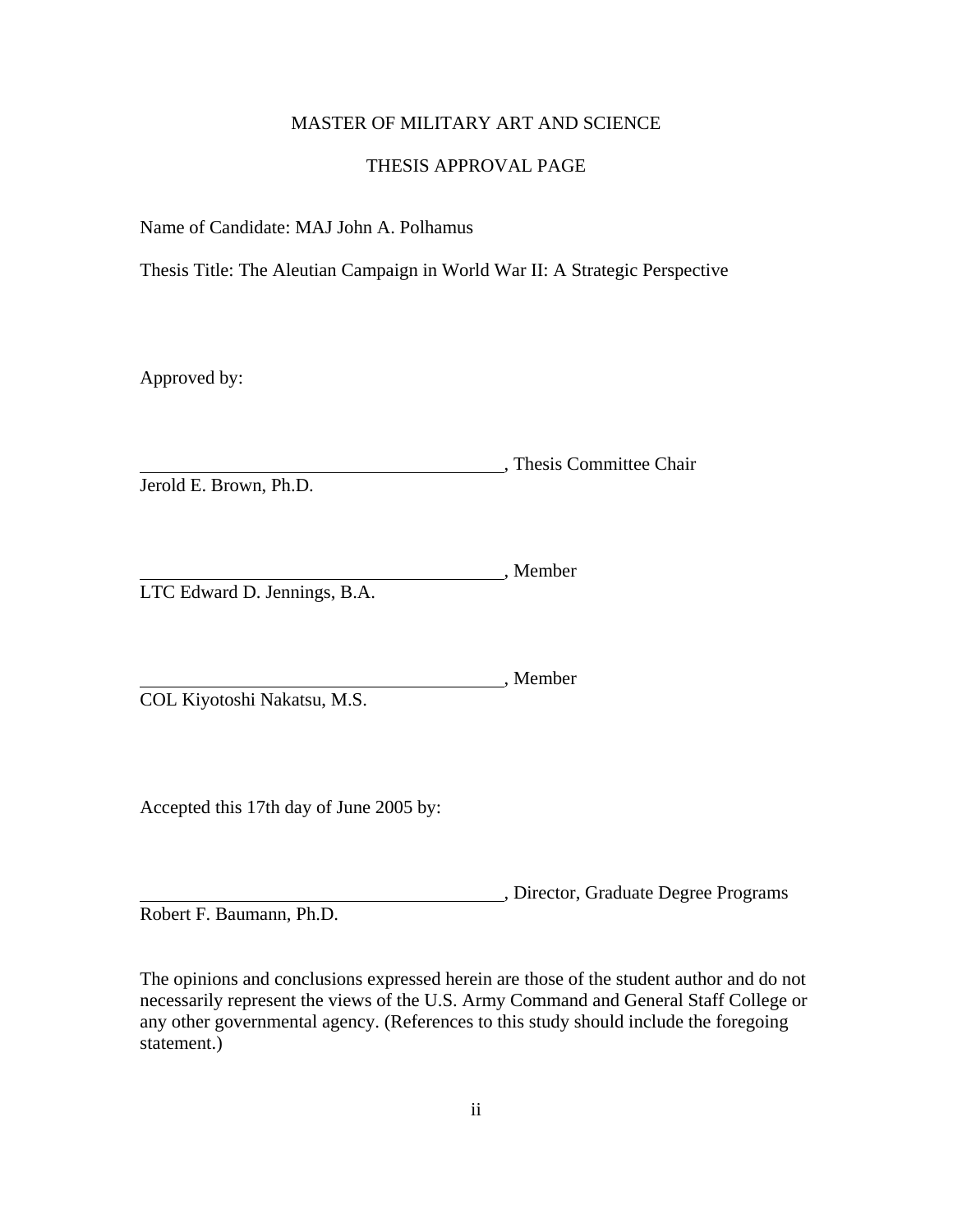## MASTER OF MILITARY ART AND SCIENCE

## THESIS APPROVAL PAGE

<span id="page-2-0"></span>Name of Candidate: MAJ John A. Polhamus

Thesis Title: The Aleutian Campaign in World War II: A Strategic Perspective

Approved by:

**Manual**, Thesis Committee Chair Jerold E. Brown, Ph.D.

Member LTC Edward D. Jennings, B.A.

, Member COL Kiyotoshi Nakatsu, M.S.

Accepted this 17th day of June 2005 by:

, Director, Graduate Degree Programs Robert F. Baumann, Ph.D.

The opinions and conclusions expressed herein are those of the student author and do not necessarily represent the views of the U.S. Army Command and General Staff College or any other governmental agency. (References to this study should include the foregoing statement.)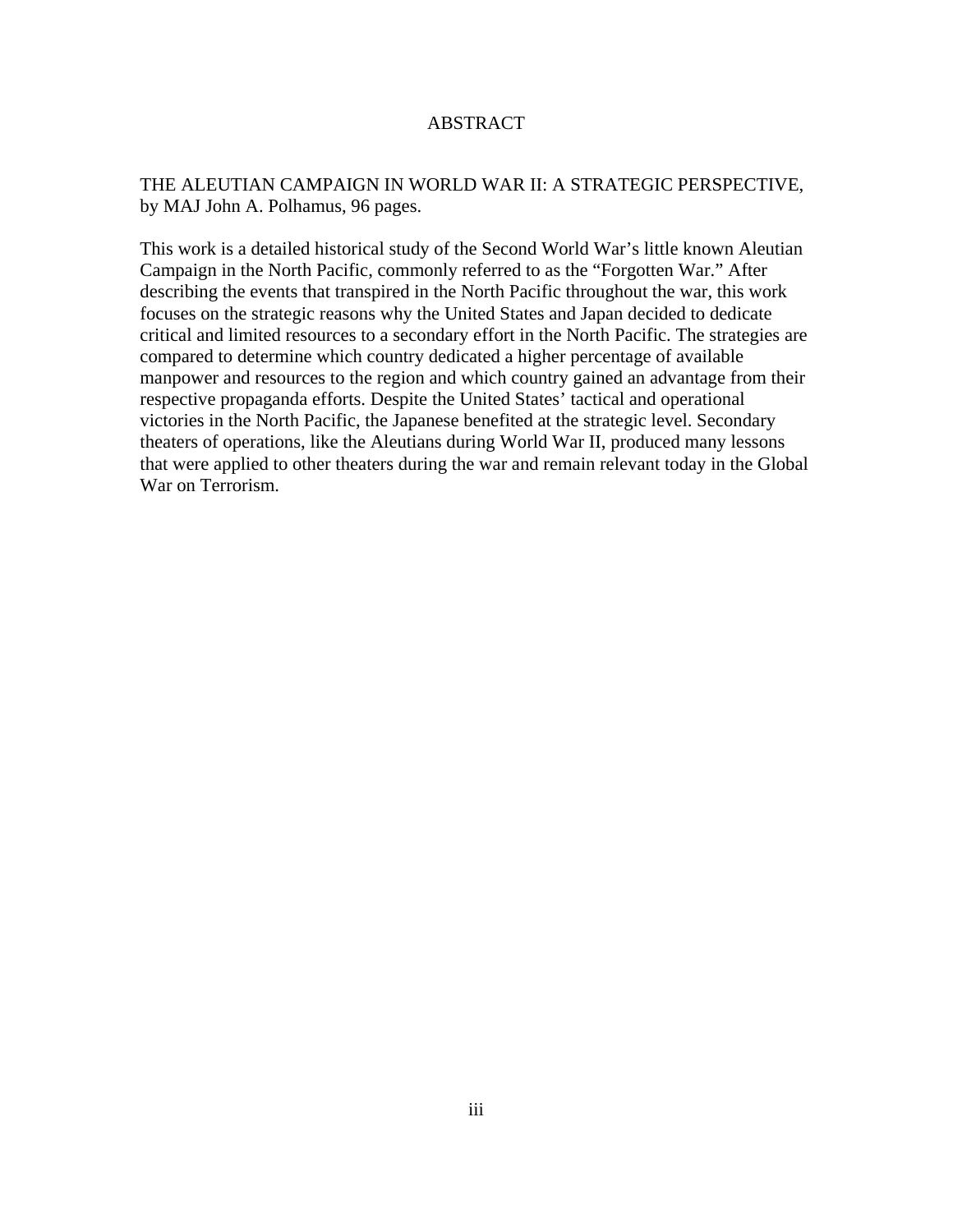### ABSTRACT

## <span id="page-3-0"></span>THE ALEUTIAN CAMPAIGN IN WORLD WAR II: A STRATEGIC PERSPECTIVE, by MAJ John A. Polhamus, 96 pages.

This work is a detailed historical study of the Second World War's little known Aleutian Campaign in the North Pacific, commonly referred to as the "Forgotten War." After describing the events that transpired in the North Pacific throughout the war, this work focuses on the strategic reasons why the United States and Japan decided to dedicate critical and limited resources to a secondary effort in the North Pacific. The strategies are compared to determine which country dedicated a higher percentage of available manpower and resources to the region and which country gained an advantage from their respective propaganda efforts. Despite the United States' tactical and operational victories in the North Pacific, the Japanese benefited at the strategic level. Secondary theaters of operations, like the Aleutians during World War II, produced many lessons that were applied to other theaters during the war and remain relevant today in the Global War on Terrorism.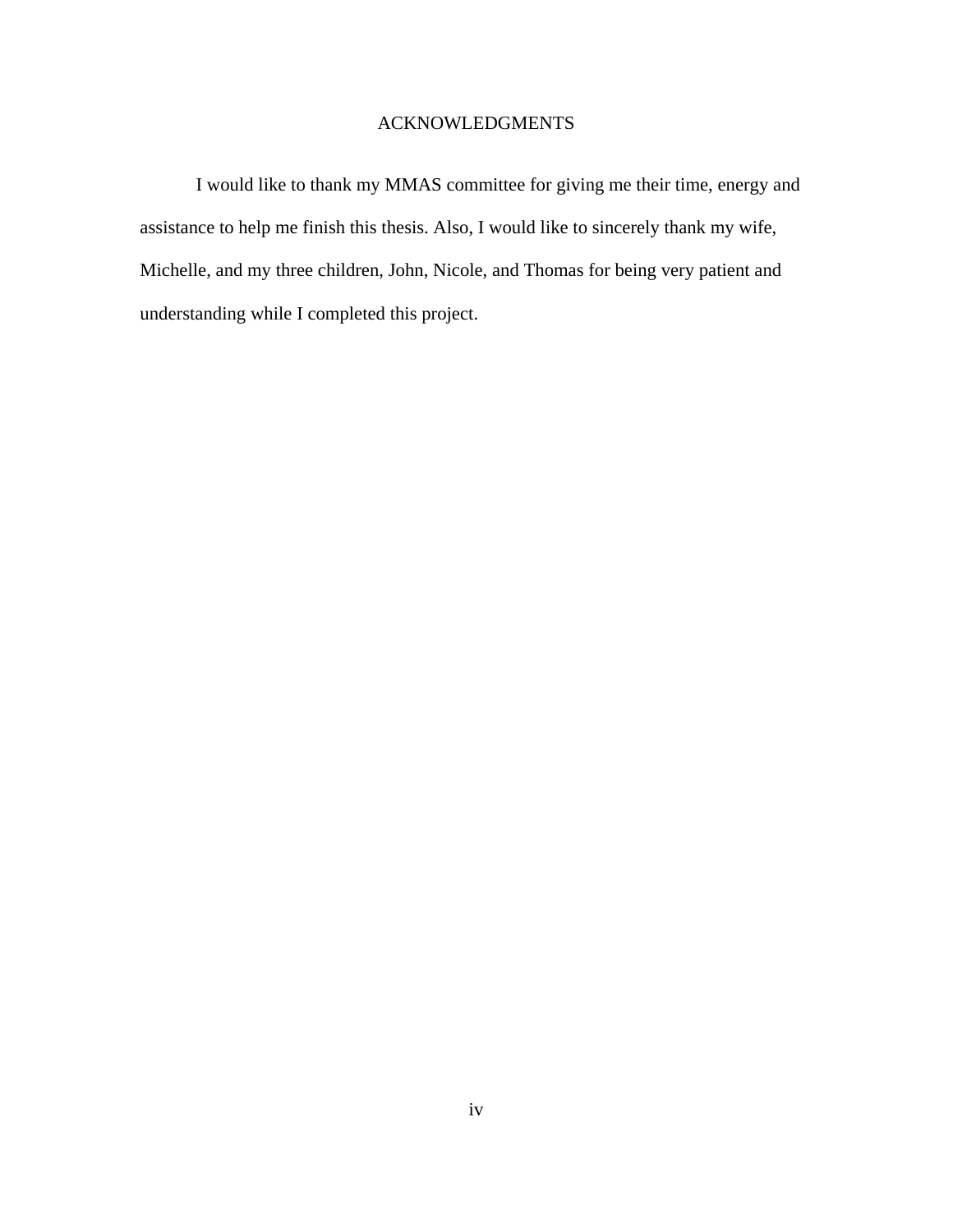## ACKNOWLEDGMENTS

<span id="page-4-0"></span>I would like to thank my MMAS committee for giving me their time, energy and assistance to help me finish this thesis. Also, I would like to sincerely thank my wife, Michelle, and my three children, John, Nicole, and Thomas for being very patient and understanding while I completed this project.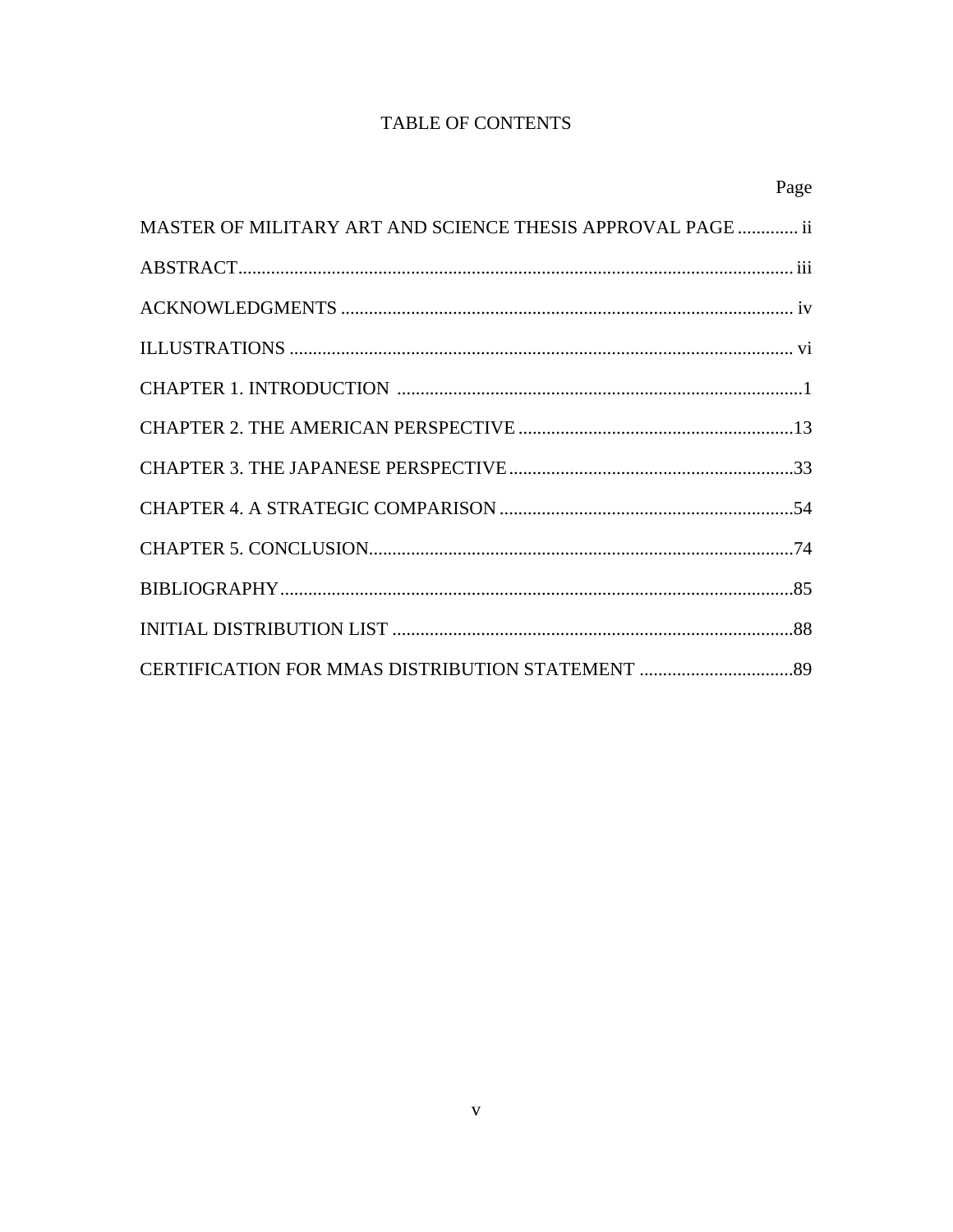# TABLE OF CONTENTS

|                                                             | Page |
|-------------------------------------------------------------|------|
| MASTER OF MILITARY ART AND SCIENCE THESIS APPROVAL PAGE  ii |      |
|                                                             |      |
|                                                             |      |
|                                                             |      |
|                                                             |      |
|                                                             |      |
|                                                             |      |
|                                                             |      |
|                                                             |      |
|                                                             |      |
|                                                             |      |
|                                                             |      |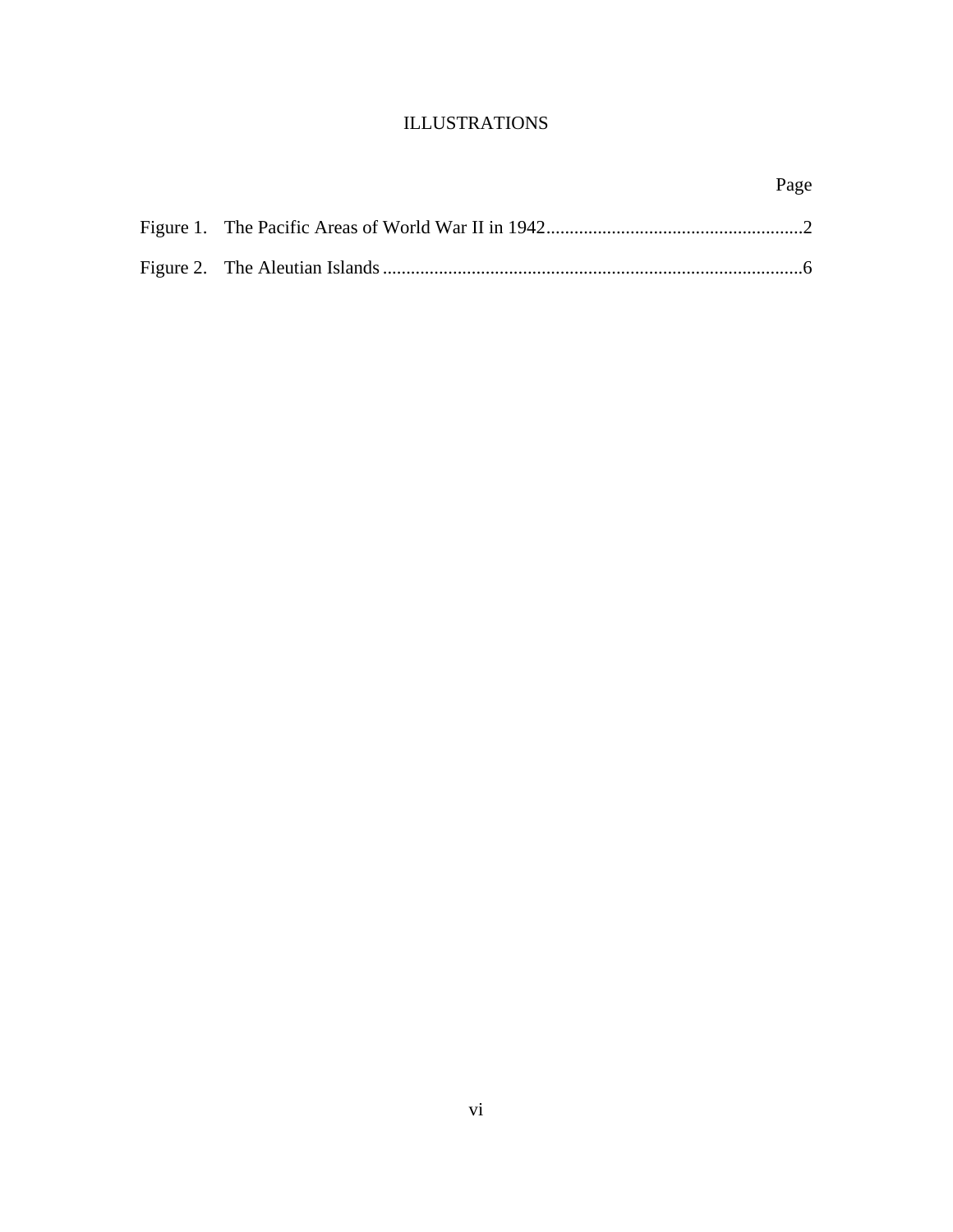## ILLUSTRATIONS

|  | Page |
|--|------|
|  |      |
|  |      |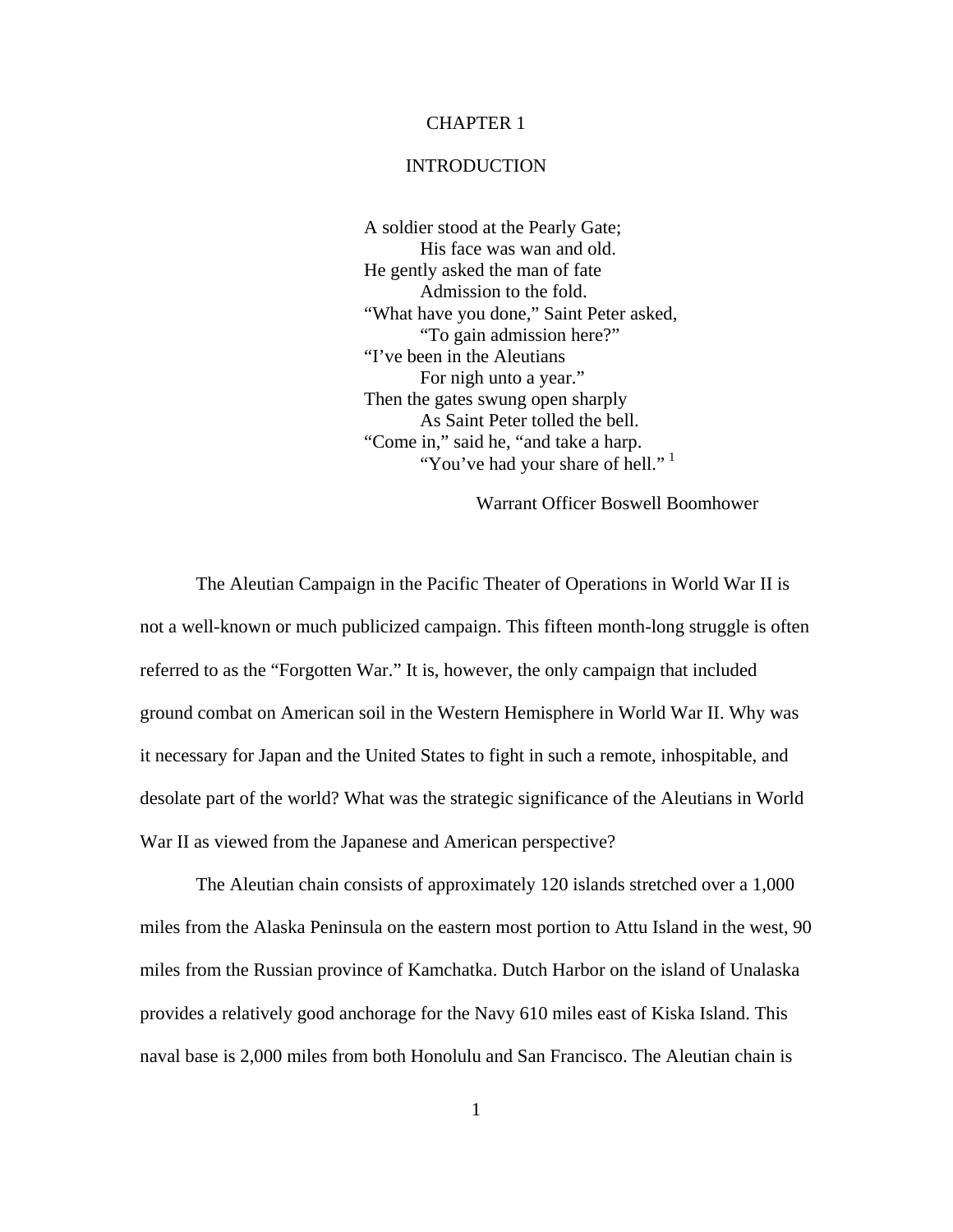### CHAPTER 1

### INTRODUCTION

<span id="page-7-0"></span>A soldier stood at the Pearly Gate; His face was wan and old. He gently asked the man of fate Admission to the fold. "What have you done," Saint Peter asked, "To gain admission here?" "I've been in the Aleutians For nigh unto a year." Then the gates swung open sharply As Saint Peter tolled the bell. "Come in," said he, "and take a harp. "You've had your share of hell."<sup>[1](#page-96-0)</sup>

Warrant Officer Boswell Boomhower

The Aleutian Campaign in the Pacific Theater of Operations in World War II is not a well-known or much publicized campaign. This fifteen month-long struggle is often referred to as the "Forgotten War." It is, however, the only campaign that included ground combat on American soil in the Western Hemisphere in World War II. Why was it necessary for Japan and the United States to fight in such a remote, inhospitable, and desolate part of the world? What was the strategic significance of the Aleutians in World War II as viewed from the Japanese and American perspective?

The Aleutian chain consists of approximately 120 islands stretched over a 1,000 miles from the Alaska Peninsula on the eastern most portion to Attu Island in the west, 90 miles from the Russian province of Kamchatka. Dutch Harbor on the island of Unalaska provides a relatively good anchorage for the Navy 610 miles east of Kiska Island. This naval base is 2,000 miles from both Honolulu and San Francisco. The Aleutian chain is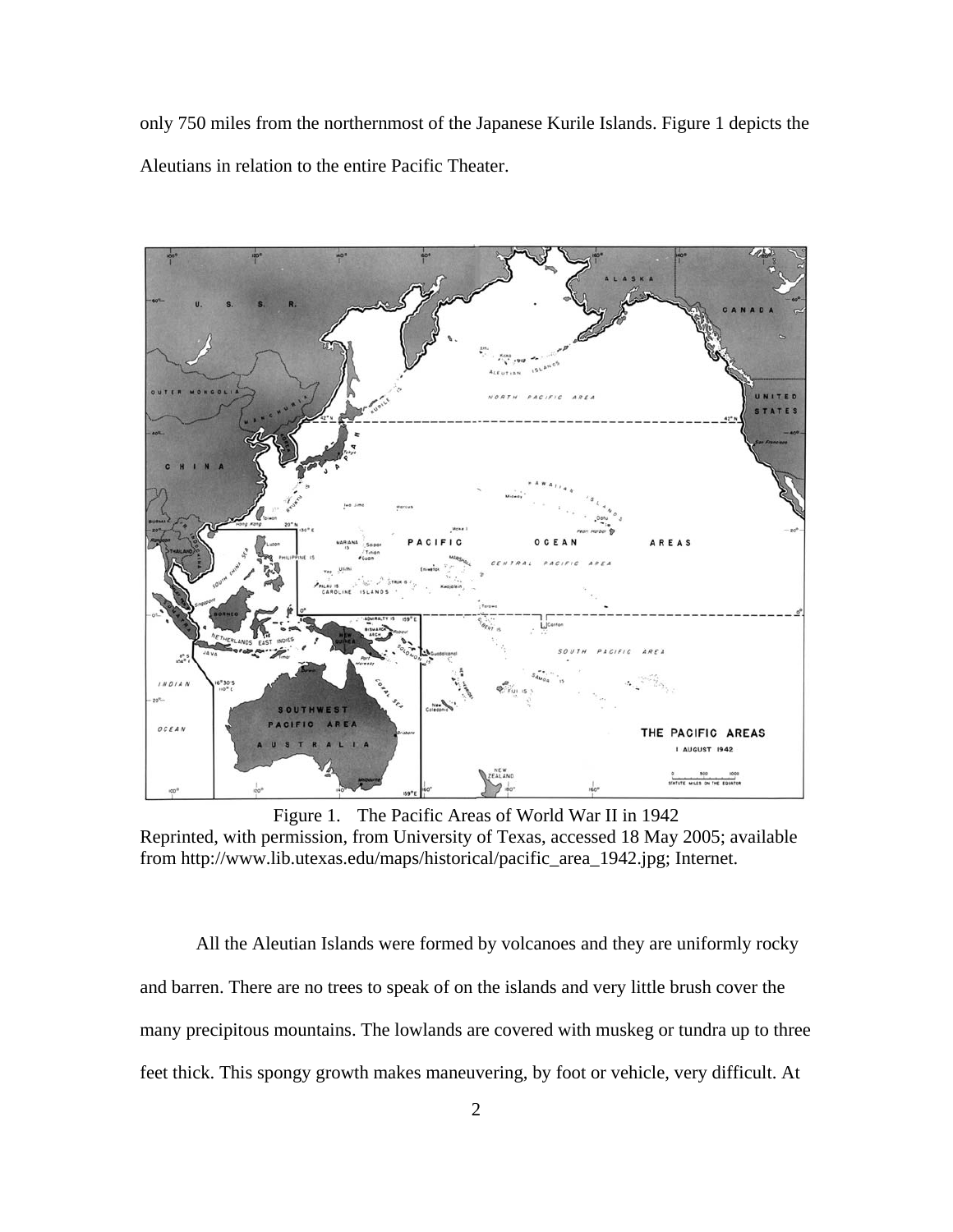<span id="page-8-0"></span>only 750 miles from the northernmost of the Japanese Kurile Islands. Figure 1 depicts the Aleutians in relation to the entire Pacific Theater.



Figure 1. The Pacific Areas of World War II in 1942 Reprinted, with permission, from University of Texas, accessed 18 May 2005; available from http://www.lib.utexas.edu/maps/historical/pacific\_area\_1942.jpg; Internet.

All the Aleutian Islands were formed by volcanoes and they are uniformly rocky and barren. There are no trees to speak of on the islands and very little brush cover the many precipitous mountains. The lowlands are covered with muskeg or tundra up to three feet thick. This spongy growth makes maneuvering, by foot or vehicle, very difficult. At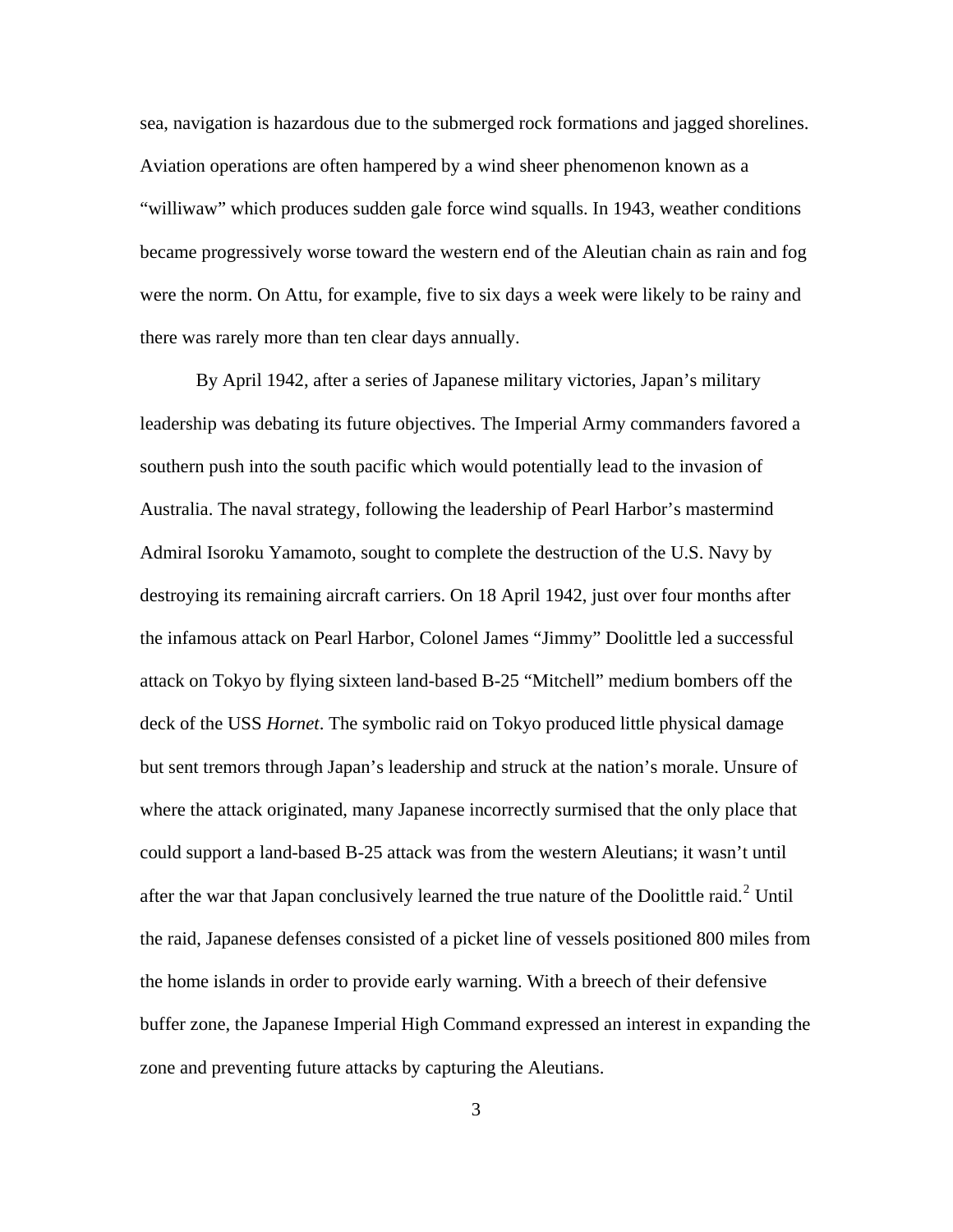sea, navigation is hazardous due to the submerged rock formations and jagged shorelines. Aviation operations are often hampered by a wind sheer phenomenon known as a "williwaw" which produces sudden gale force wind squalls. In 1943, weather conditions became progressively worse toward the western end of the Aleutian chain as rain and fog were the norm. On Attu, for example, five to six days a week were likely to be rainy and there was rarely more than ten clear days annually.

By April 1942, after a series of Japanese military victories, Japan's military leadership was debating its future objectives. The Imperial Army commanders favored a southern push into the south pacific which would potentially lead to the invasion of Australia. The naval strategy, following the leadership of Pearl Harbor's mastermind Admiral Isoroku Yamamoto, sought to complete the destruction of the U.S. Navy by destroying its remaining aircraft carriers. On 18 April 1942, just over four months after the infamous attack on Pearl Harbor, Colonel James "Jimmy" Doolittle led a successful attack on Tokyo by flying sixteen land-based B-25 "Mitchell" medium bombers off the deck of the USS *Hornet*. The symbolic raid on Tokyo produced little physical damage but sent tremors through Japan's leadership and struck at the nation's morale. Unsure of where the attack originated, many Japanese incorrectly surmised that the only place that could support a land-based B-25 attack was from the western Aleutians; it wasn't until after the war that Japan conclusively learned the true nature of the Doolittle raid. $2$  Until the raid, Japanese defenses consisted of a picket line of vessels positioned 800 miles from the home islands in order to provide early warning. With a breech of their defensive buffer zone, the Japanese Imperial High Command expressed an interest in expanding the zone and preventing future attacks by capturing the Aleutians.

3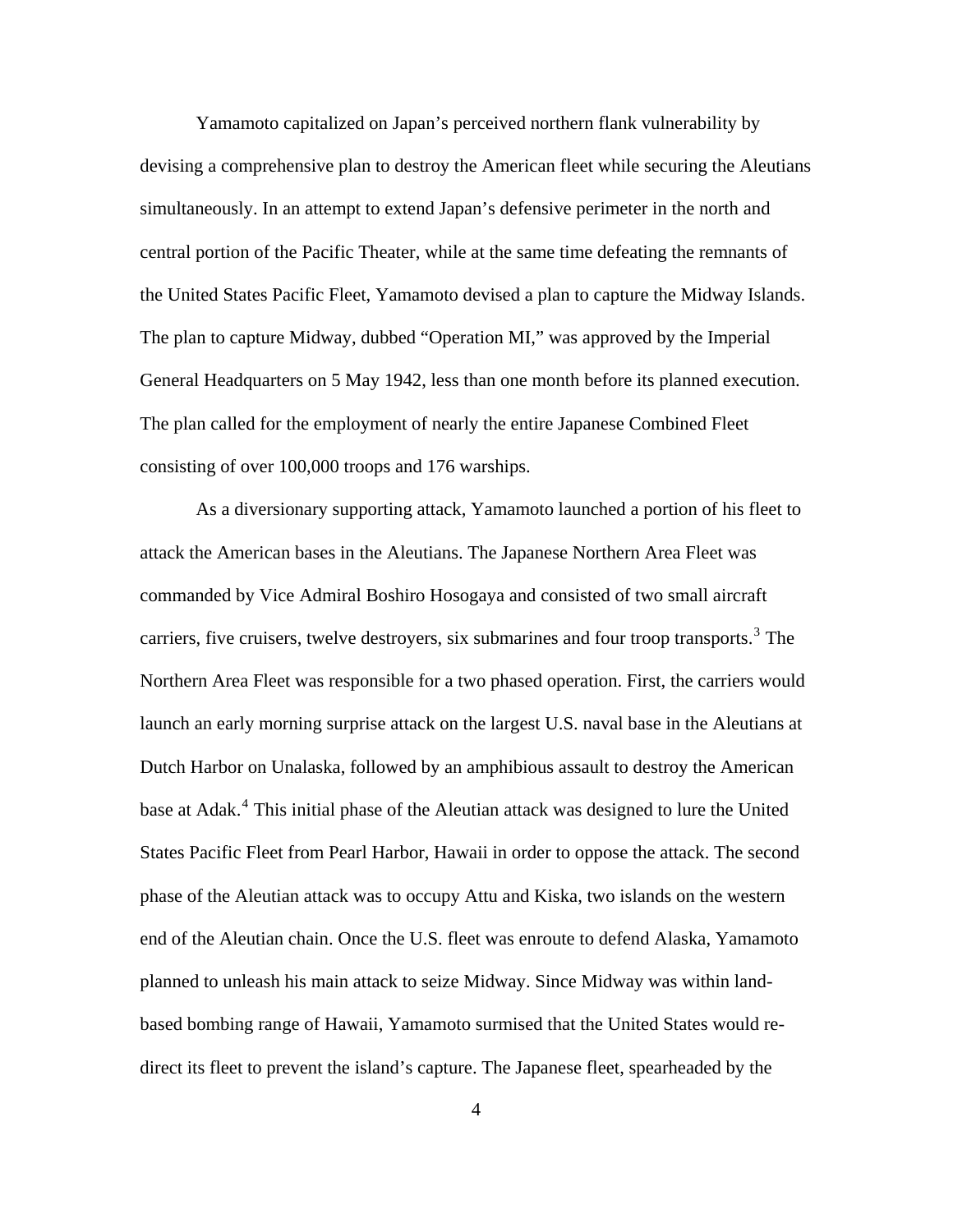Yamamoto capitalized on Japan's perceived northern flank vulnerability by devising a comprehensive plan to destroy the American fleet while securing the Aleutians simultaneously. In an attempt to extend Japan's defensive perimeter in the north and central portion of the Pacific Theater, while at the same time defeating the remnants of the United States Pacific Fleet, Yamamoto devised a plan to capture the Midway Islands. The plan to capture Midway, dubbed "Operation MI," was approved by the Imperial General Headquarters on 5 May 1942, less than one month before its planned execution. The plan called for the employment of nearly the entire Japanese Combined Fleet consisting of over 100,000 troops and 176 warships.

As a diversionary supporting attack, Yamamoto launched a portion of his fleet to attack the American bases in the Aleutians. The Japanese Northern Area Fleet was commanded by Vice Admiral Boshiro Hosogaya and consisted of two small aircraft carriers, five cruisers, twelve destroyers, six submarines and four troop transports.<sup>[3](#page-96-1)</sup> The Northern Area Fleet was responsible for a two phased operation. First, the carriers would launch an early morning surprise attack on the largest U.S. naval base in the Aleutians at Dutch Harbor on Unalaska, followed by an amphibious assault to destroy the American base at Adak.<sup>[4](#page-96-1)</sup> This initial phase of the Aleutian attack was designed to lure the United States Pacific Fleet from Pearl Harbor, Hawaii in order to oppose the attack. The second phase of the Aleutian attack was to occupy Attu and Kiska, two islands on the western end of the Aleutian chain. Once the U.S. fleet was enroute to defend Alaska, Yamamoto planned to unleash his main attack to seize Midway. Since Midway was within landbased bombing range of Hawaii, Yamamoto surmised that the United States would redirect its fleet to prevent the island's capture. The Japanese fleet, spearheaded by the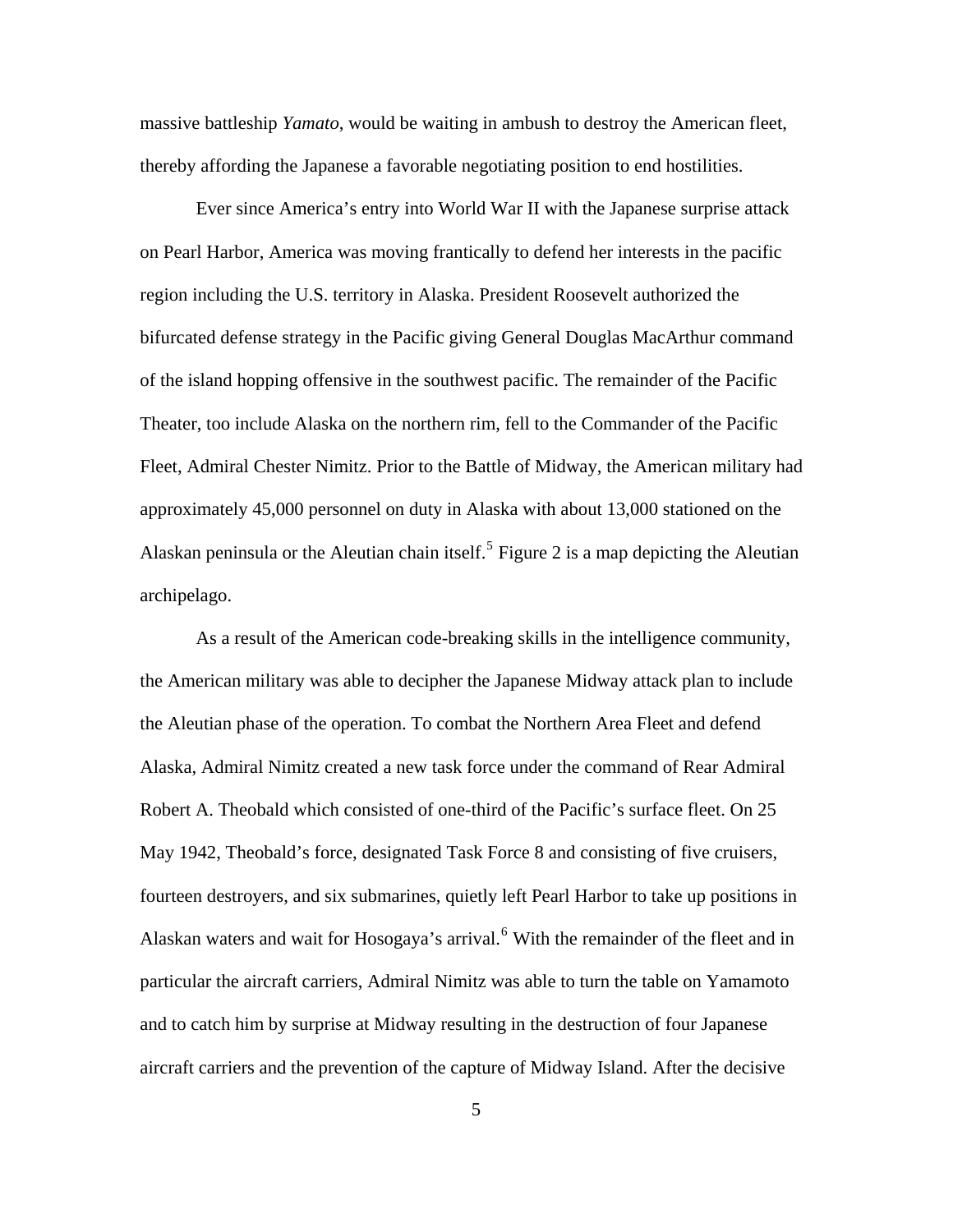massive battleship *Yamato*, would be waiting in ambush to destroy the American fleet, thereby affording the Japanese a favorable negotiating position to end hostilities.

Ever since America's entry into World War II with the Japanese surprise attack on Pearl Harbor, America was moving frantically to defend her interests in the pacific region including the U.S. territory in Alaska. President Roosevelt authorized the bifurcated defense strategy in the Pacific giving General Douglas MacArthur command of the island hopping offensive in the southwest pacific. The remainder of the Pacific Theater, too include Alaska on the northern rim, fell to the Commander of the Pacific Fleet, Admiral Chester Nimitz. Prior to the Battle of Midway, the American military had approximately 45,000 personnel on duty in Alaska with about 13,000 stationed on the Alaskan peninsula or the Aleutian chain itself.<sup>[5](#page-96-1)</sup> Figure 2 is a map depicting the Aleutian archipelago.

As a result of the American code-breaking skills in the intelligence community, the American military was able to decipher the Japanese Midway attack plan to include the Aleutian phase of the operation. To combat the Northern Area Fleet and defend Alaska, Admiral Nimitz created a new task force under the command of Rear Admiral Robert A. Theobald which consisted of one-third of the Pacific's surface fleet. On 25 May 1942, Theobald's force, designated Task Force 8 and consisting of five cruisers, fourteen destroyers, and six submarines, quietly left Pearl Harbor to take up positions in Alaskan waters and wait for Hosogaya's arrival.<sup>[6](#page-96-1)</sup> With the remainder of the fleet and in particular the aircraft carriers, Admiral Nimitz was able to turn the table on Yamamoto and to catch him by surprise at Midway resulting in the destruction of four Japanese aircraft carriers and the prevention of the capture of Midway Island. After the decisive

5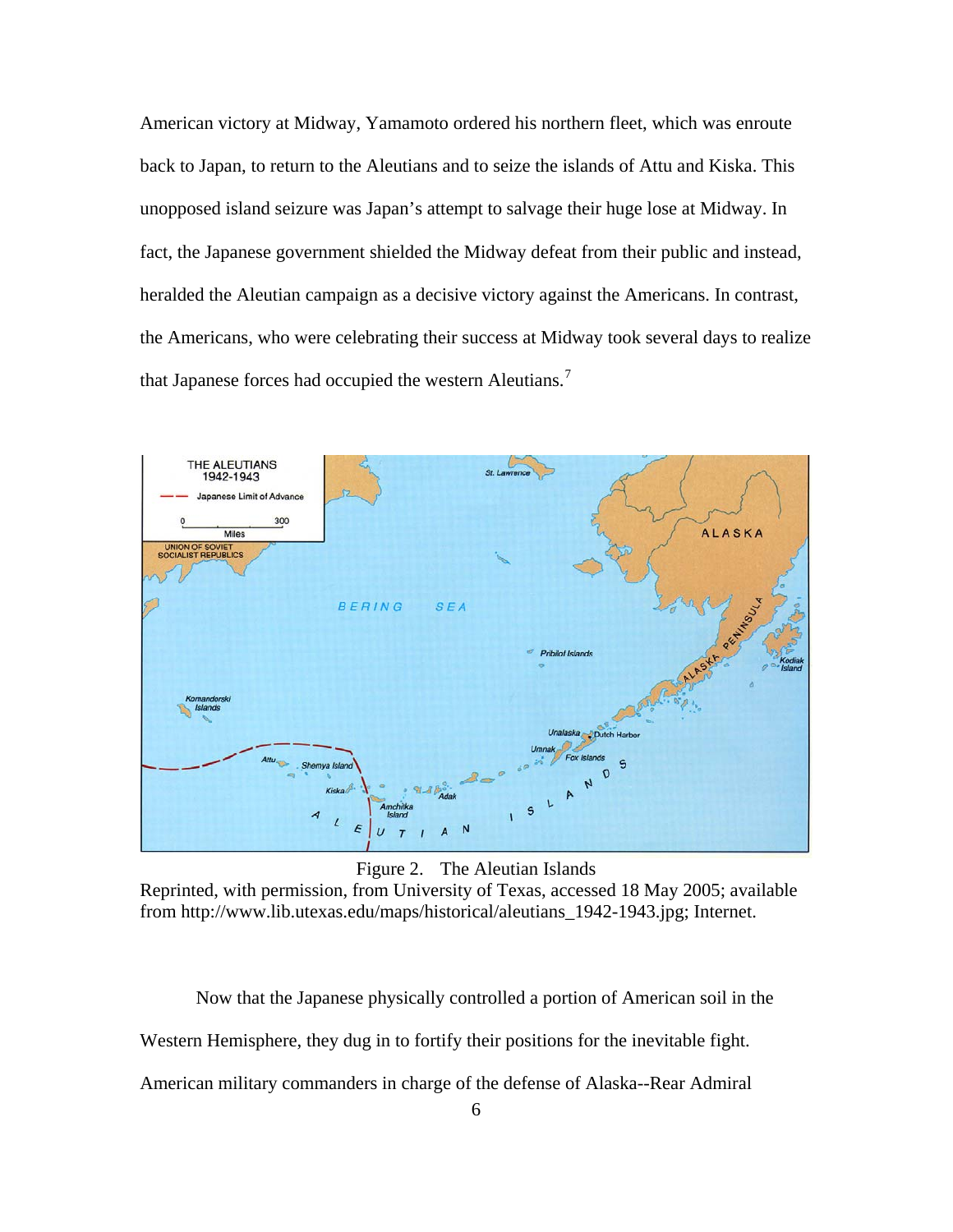<span id="page-12-0"></span>American victory at Midway, Yamamoto ordered his northern fleet, which was enroute back to Japan, to return to the Aleutians and to seize the islands of Attu and Kiska. This unopposed island seizure was Japan's attempt to salvage their huge lose at Midway. In fact, the Japanese government shielded the Midway defeat from their public and instead, heralded the Aleutian campaign as a decisive victory against the Americans. In contrast, the Americans, who were celebrating their success at Midway took several days to realize that Japanese forces had occupied the western Aleutians.<sup>[7](#page-96-1)</sup>



Figure 2. The Aleutian Islands

Reprinted, with permission, from University of Texas, accessed 18 May 2005; available from http://www.lib.utexas.edu/maps/historical/aleutians\_1942-1943.jpg; Internet.

Now that the Japanese physically controlled a portion of American soil in the Western Hemisphere, they dug in to fortify their positions for the inevitable fight. American military commanders in charge of the defense of Alaska--Rear Admiral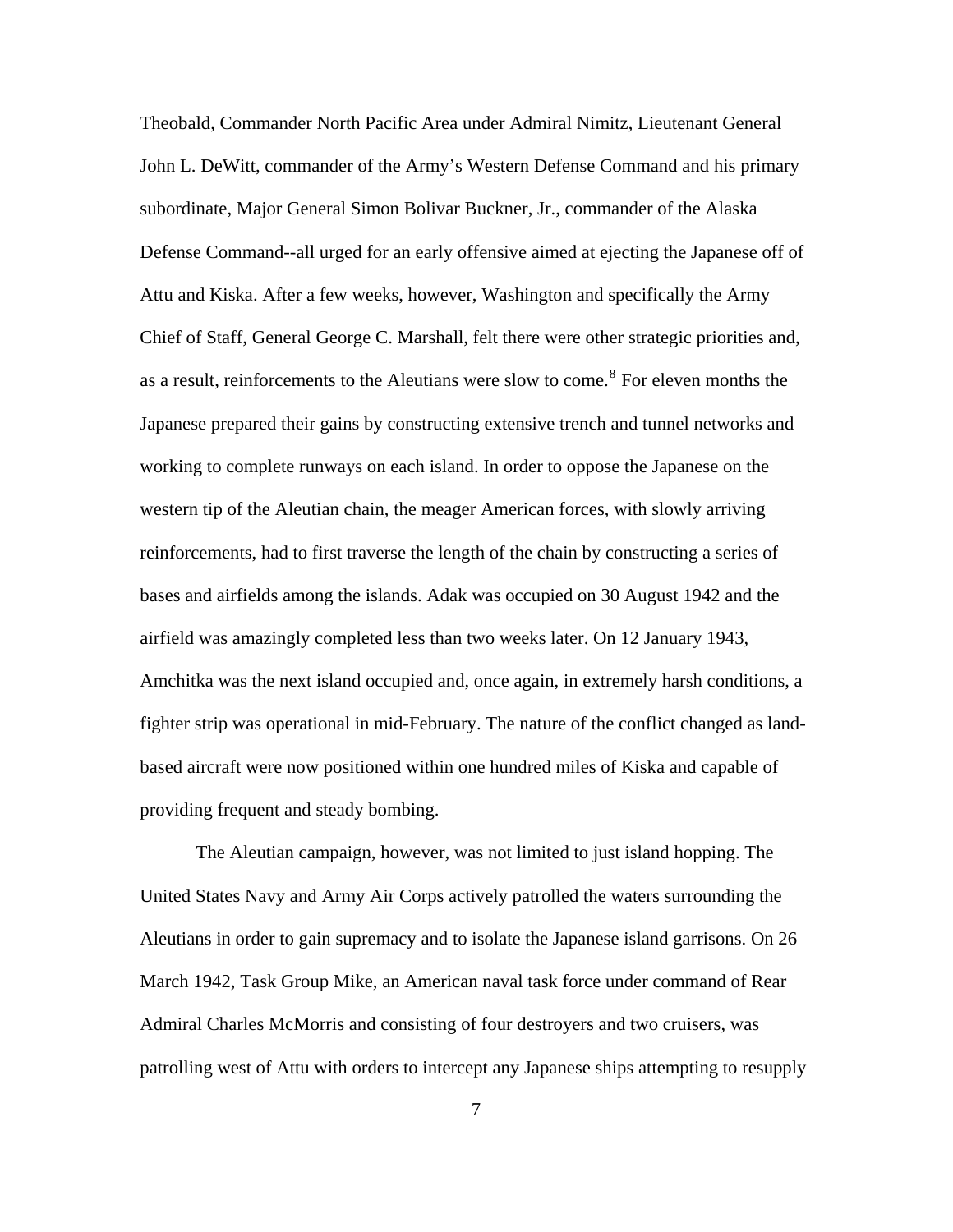Theobald, Commander North Pacific Area under Admiral Nimitz, Lieutenant General John L. DeWitt, commander of the Army's Western Defense Command and his primary subordinate, Major General Simon Bolivar Buckner, Jr., commander of the Alaska Defense Command--all urged for an early offensive aimed at ejecting the Japanese off of Attu and Kiska. After a few weeks, however, Washington and specifically the Army Chief of Staff, General George C. Marshall, felt there were other strategic priorities and, as a result, reinforcements to the Aleutians were slow to come.<sup>[8](#page-96-1)</sup> For eleven months the Japanese prepared their gains by constructing extensive trench and tunnel networks and working to complete runways on each island. In order to oppose the Japanese on the western tip of the Aleutian chain, the meager American forces, with slowly arriving reinforcements, had to first traverse the length of the chain by constructing a series of bases and airfields among the islands. Adak was occupied on 30 August 1942 and the airfield was amazingly completed less than two weeks later. On 12 January 1943, Amchitka was the next island occupied and, once again, in extremely harsh conditions, a fighter strip was operational in mid-February. The nature of the conflict changed as landbased aircraft were now positioned within one hundred miles of Kiska and capable of providing frequent and steady bombing.

The Aleutian campaign, however, was not limited to just island hopping. The United States Navy and Army Air Corps actively patrolled the waters surrounding the Aleutians in order to gain supremacy and to isolate the Japanese island garrisons. On 26 March 1942, Task Group Mike, an American naval task force under command of Rear Admiral Charles McMorris and consisting of four destroyers and two cruisers, was patrolling west of Attu with orders to intercept any Japanese ships attempting to resupply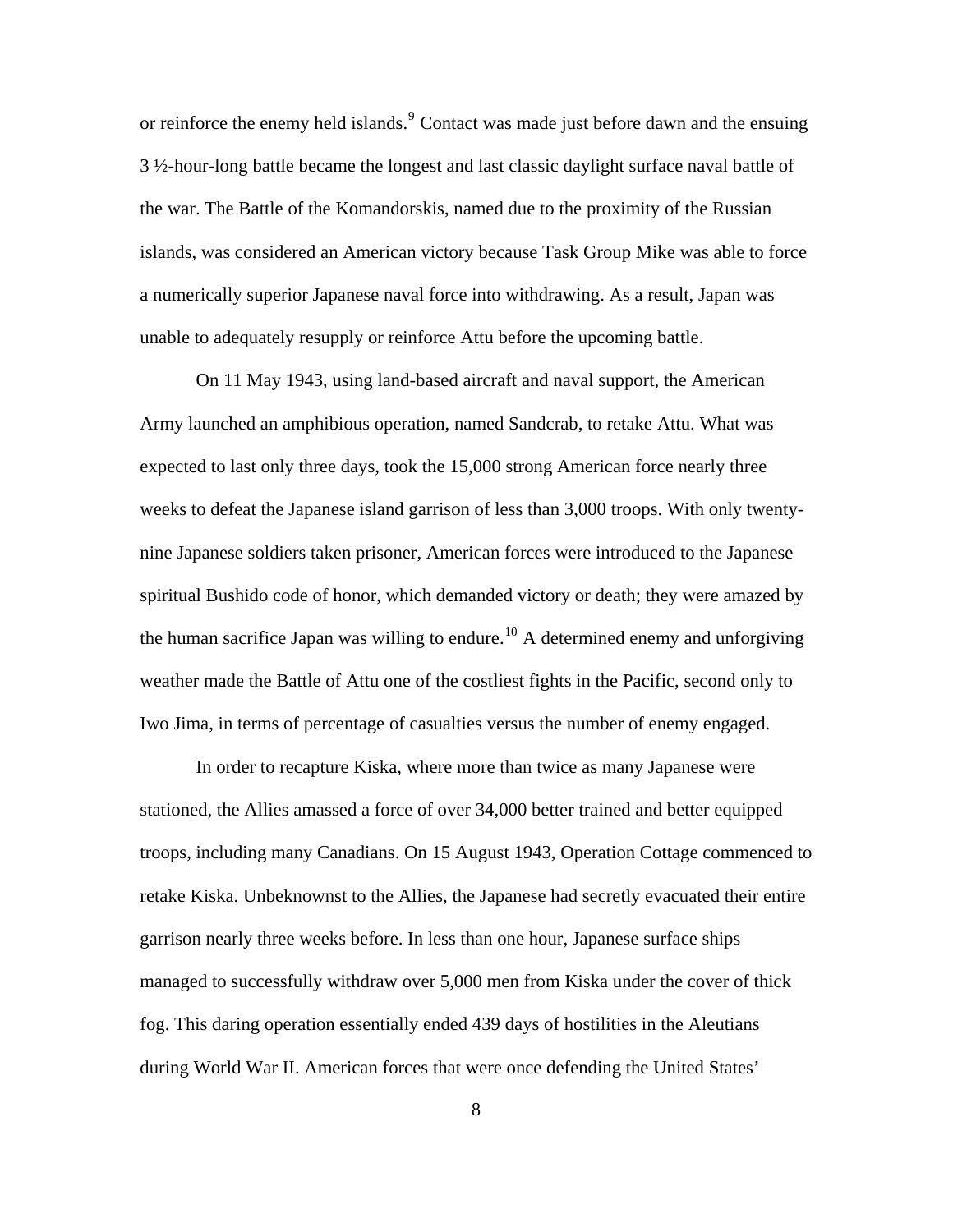or reinforce the enemy held islands.<sup>[9](#page-96-1)</sup> Contact was made just before dawn and the ensuing 3 ½-hour-long battle became the longest and last classic daylight surface naval battle of the war. The Battle of the Komandorskis, named due to the proximity of the Russian islands, was considered an American victory because Task Group Mike was able to force a numerically superior Japanese naval force into withdrawing. As a result, Japan was unable to adequately resupply or reinforce Attu before the upcoming battle.

On 11 May 1943, using land-based aircraft and naval support, the American Army launched an amphibious operation, named Sandcrab, to retake Attu. What was expected to last only three days, took the 15,000 strong American force nearly three weeks to defeat the Japanese island garrison of less than 3,000 troops. With only twentynine Japanese soldiers taken prisoner, American forces were introduced to the Japanese spiritual Bushido code of honor, which demanded victory or death; they were amazed by the human sacrifice Japan was willing to endure.<sup>[10](#page-96-1)</sup> A determined enemy and unforgiving weather made the Battle of Attu one of the costliest fights in the Pacific, second only to Iwo Jima, in terms of percentage of casualties versus the number of enemy engaged.

In order to recapture Kiska, where more than twice as many Japanese were stationed, the Allies amassed a force of over 34,000 better trained and better equipped troops, including many Canadians. On 15 August 1943, Operation Cottage commenced to retake Kiska. Unbeknownst to the Allies, the Japanese had secretly evacuated their entire garrison nearly three weeks before. In less than one hour, Japanese surface ships managed to successfully withdraw over 5,000 men from Kiska under the cover of thick fog. This daring operation essentially ended 439 days of hostilities in the Aleutians during World War II. American forces that were once defending the United States'

8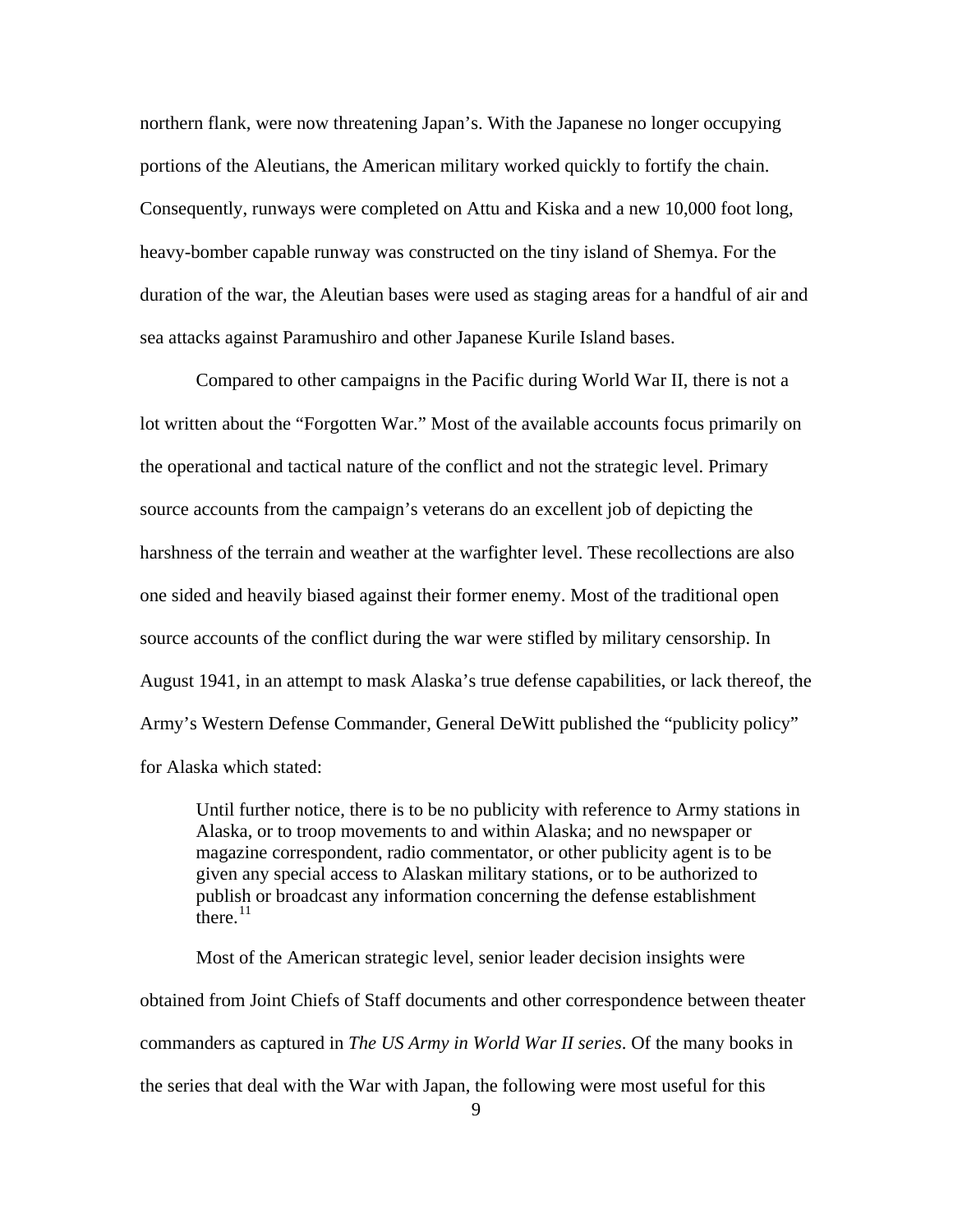northern flank, were now threatening Japan's. With the Japanese no longer occupying portions of the Aleutians, the American military worked quickly to fortify the chain. Consequently, runways were completed on Attu and Kiska and a new 10,000 foot long, heavy-bomber capable runway was constructed on the tiny island of Shemya. For the duration of the war, the Aleutian bases were used as staging areas for a handful of air and sea attacks against Paramushiro and other Japanese Kurile Island bases.

Compared to other campaigns in the Pacific during World War II, there is not a lot written about the "Forgotten War." Most of the available accounts focus primarily on the operational and tactical nature of the conflict and not the strategic level. Primary source accounts from the campaign's veterans do an excellent job of depicting the harshness of the terrain and weather at the warfighter level. These recollections are also one sided and heavily biased against their former enemy. Most of the traditional open source accounts of the conflict during the war were stifled by military censorship. In August 1941, in an attempt to mask Alaska's true defense capabilities, or lack thereof, the Army's Western Defense Commander, General DeWitt published the "publicity policy" for Alaska which stated:

Until further notice, there is to be no publicity with reference to Army stations in Alaska, or to troop movements to and within Alaska; and no newspaper or magazine correspondent, radio commentator, or other publicity agent is to be given any special access to Alaskan military stations, or to be authorized to publish or broadcast any information concerning the defense establishment there. $^{11}$  $^{11}$  $^{11}$ 

Most of the American strategic level, senior leader decision insights were obtained from Joint Chiefs of Staff documents and other correspondence between theater commanders as captured in *The US Army in World War II series*. Of the many books in the series that deal with the War with Japan, the following were most useful for this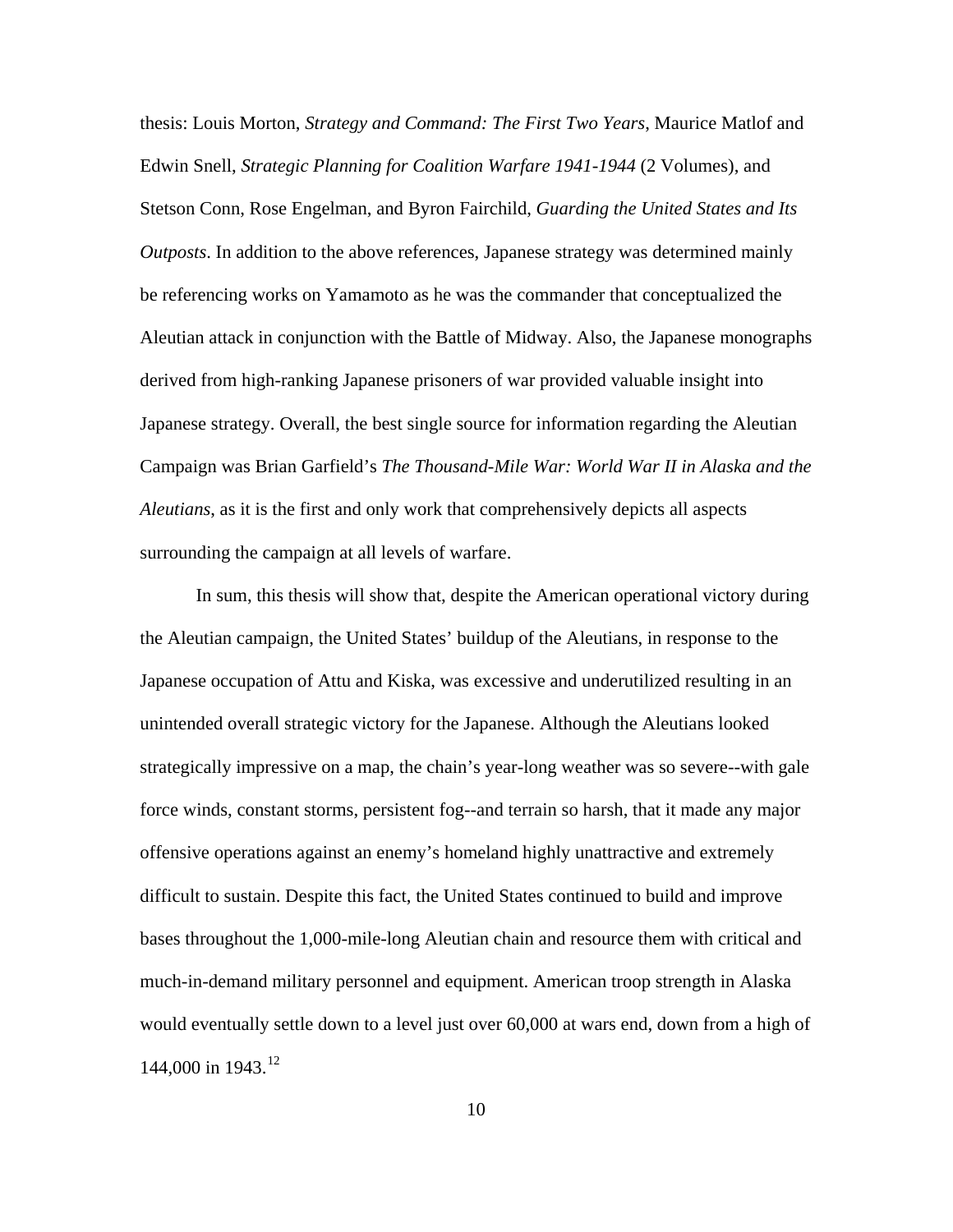thesis: Louis Morton, *Strategy and Command: The First Two Years*, Maurice Matlof and Edwin Snell, *Strategic Planning for Coalition Warfare 1941-1944* (2 Volumes), and Stetson Conn, Rose Engelman, and Byron Fairchild, *Guarding the United States and Its Outposts*. In addition to the above references, Japanese strategy was determined mainly be referencing works on Yamamoto as he was the commander that conceptualized the Aleutian attack in conjunction with the Battle of Midway. Also, the Japanese monographs derived from high-ranking Japanese prisoners of war provided valuable insight into Japanese strategy. Overall, the best single source for information regarding the Aleutian Campaign was Brian Garfield's *The Thousand-Mile War: World War II in Alaska and the Aleutians*, as it is the first and only work that comprehensively depicts all aspects surrounding the campaign at all levels of warfare.

In sum, this thesis will show that, despite the American operational victory during the Aleutian campaign, the United States' buildup of the Aleutians, in response to the Japanese occupation of Attu and Kiska, was excessive and underutilized resulting in an unintended overall strategic victory for the Japanese. Although the Aleutians looked strategically impressive on a map, the chain's year-long weather was so severe--with gale force winds, constant storms, persistent fog--and terrain so harsh, that it made any major offensive operations against an enemy's homeland highly unattractive and extremely difficult to sustain. Despite this fact, the United States continued to build and improve bases throughout the 1,000-mile-long Aleutian chain and resource them with critical and much-in-demand military personnel and equipment. American troop strength in Alaska would eventually settle down to a level just over 60,000 at wars end, down from a high of 144,000 in 1943.<sup>[12](#page-96-1)</sup>

10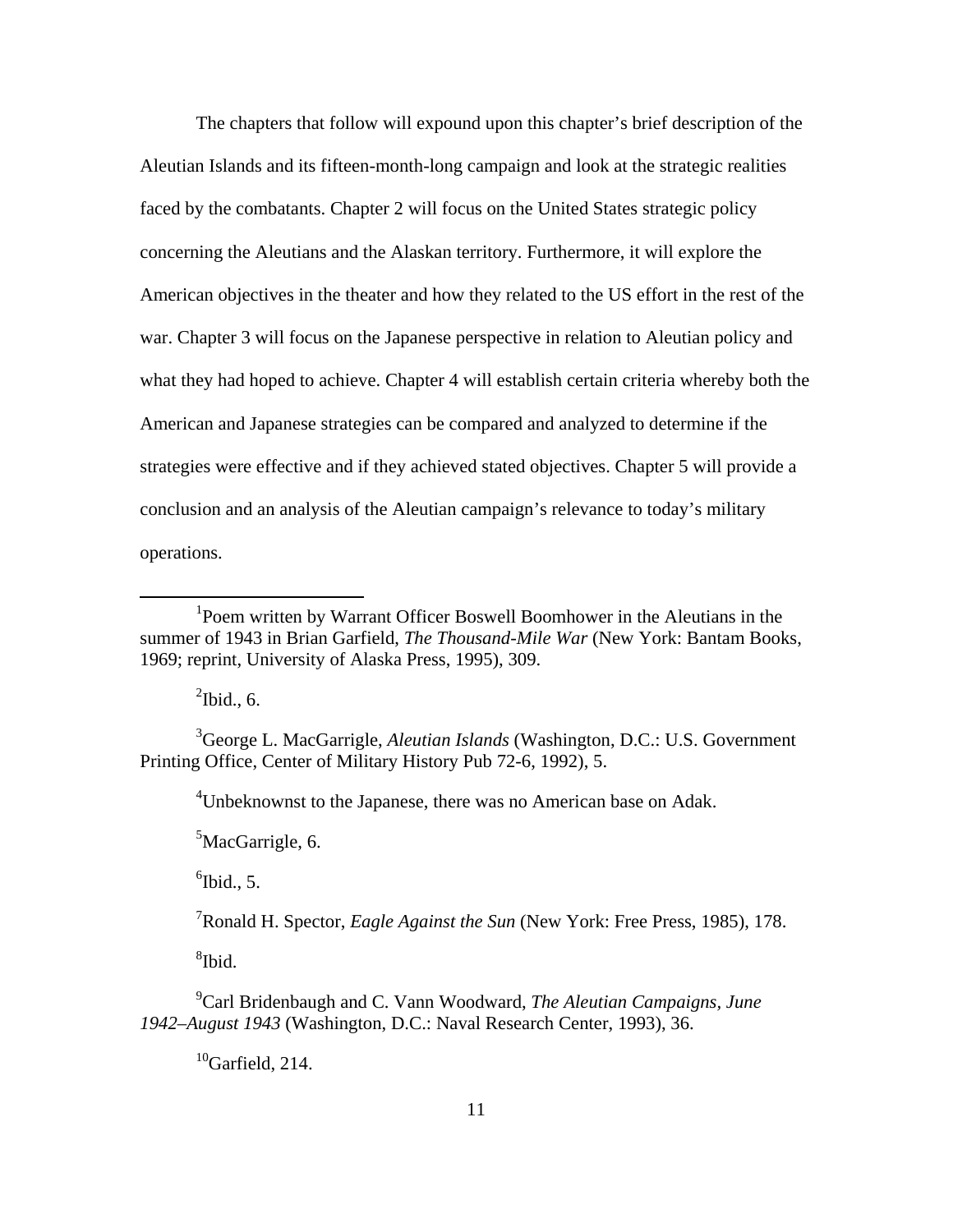The chapters that follow will expound upon this chapter's brief description of the Aleutian Islands and its fifteen-month-long campaign and look at the strategic realities faced by the combatants. Chapter 2 will focus on the United States strategic policy concerning the Aleutians and the Alaskan territory. Furthermore, it will explore the American objectives in the theater and how they related to the US effort in the rest of the war. Chapter 3 will focus on the Japanese perspective in relation to Aleutian policy and what they had hoped to achieve. Chapter 4 will establish certain criteria whereby both the American and Japanese strategies can be compared and analyzed to determine if the strategies were effective and if they achieved stated objectives. Chapter 5 will provide a conclusion and an analysis of the Aleutian campaign's relevance to today's military operations.

 $\mathrm{^{2}Ibid.}, 6.$ 

 $\overline{a}$ 

3 George L. MacGarrigle, *Aleutian Islands* (Washington, D.C.: U.S. Government Printing Office, Center of Military History Pub 72-6, 1992), 5.

<sup>4</sup>Unbeknownst to the Japanese, there was no American base on Adak.

<sup>5</sup>MacGarrigle, 6.

 $<sup>6</sup>$  Ibid., 5.</sup>

7 Ronald H. Spector, *Eagle Against the Sun* (New York: Free Press, 1985), 178.

8 Ibid.

9 Carl Bridenbaugh and C. Vann Woodward, *The Aleutian Campaigns, June 1942–August 1943* (Washington, D.C.: Naval Research Center, 1993), 36.

 $^{10}$ Garfield, 214.

<sup>&</sup>lt;sup>1</sup>Poem written by Warrant Officer Boswell Boomhower in the Aleutians in the summer of 1943 in Brian Garfield, *The Thousand-Mile War* (New York: Bantam Books, 1969; reprint, University of Alaska Press, 1995), 309.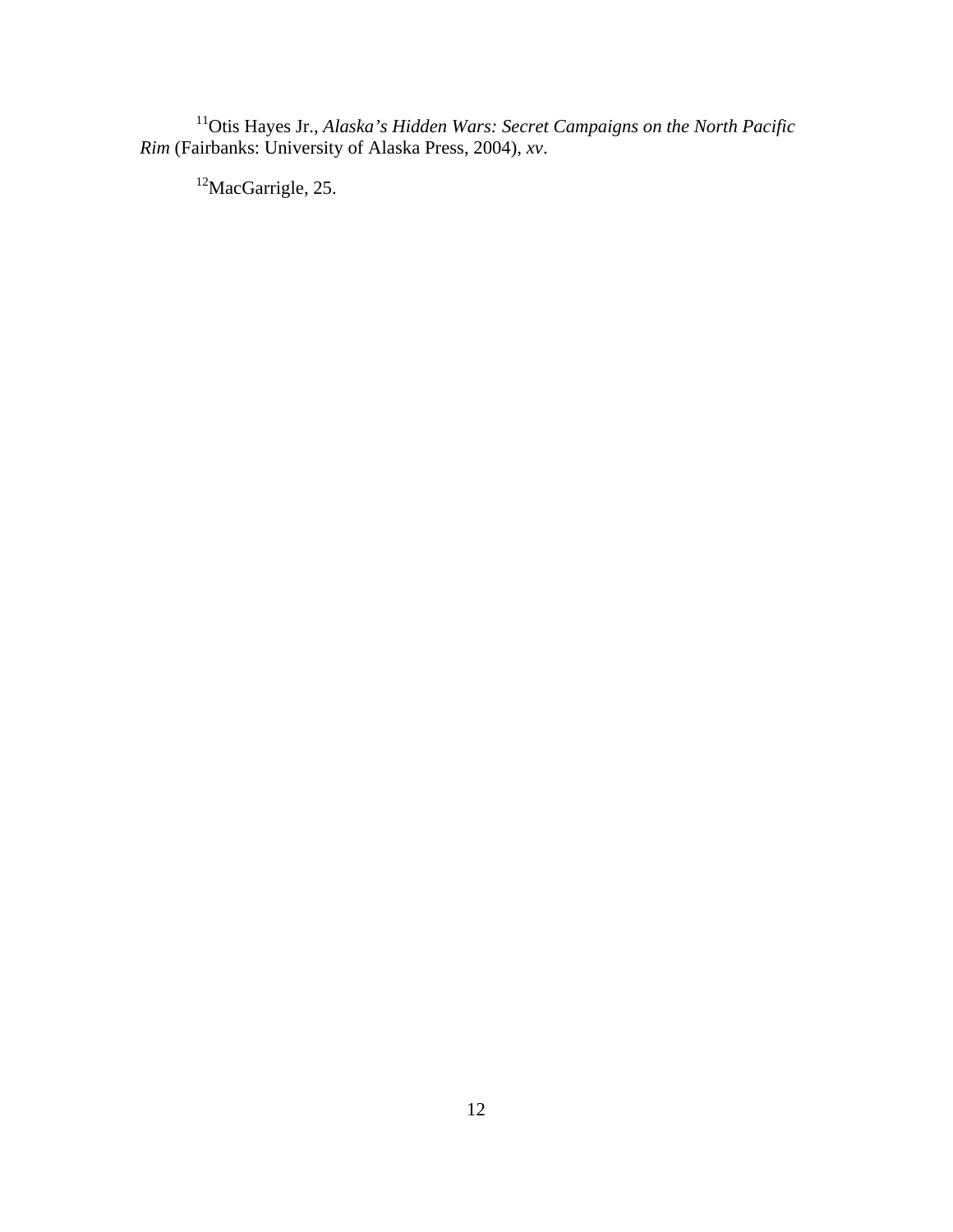<sup>11</sup>Otis Hayes Jr., *Alaska's Hidden Wars: Secret Campaigns on the North Pacific Rim* (Fairbanks: University of Alaska Press, 2004), *xv*.

12MacGarrigle, 25.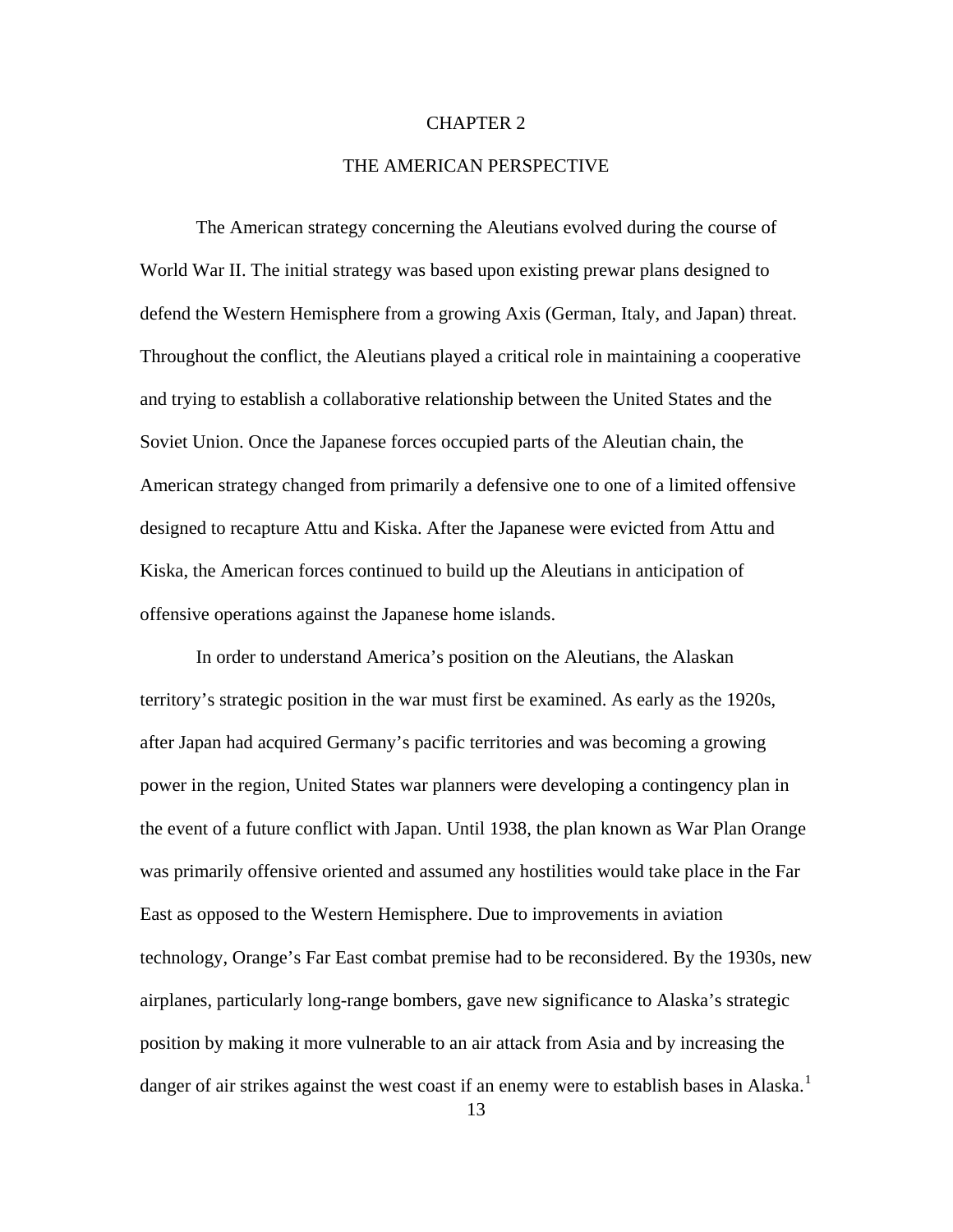#### CHAPTER 2

### THE AMERICAN PERSPECTIVE

<span id="page-19-0"></span>The American strategy concerning the Aleutians evolved during the course of World War II. The initial strategy was based upon existing prewar plans designed to defend the Western Hemisphere from a growing Axis (German, Italy, and Japan) threat. Throughout the conflict, the Aleutians played a critical role in maintaining a cooperative and trying to establish a collaborative relationship between the United States and the Soviet Union. Once the Japanese forces occupied parts of the Aleutian chain, the American strategy changed from primarily a defensive one to one of a limited offensive designed to recapture Attu and Kiska. After the Japanese were evicted from Attu and Kiska, the American forces continued to build up the Aleutians in anticipation of offensive operations against the Japanese home islands.

In order to understand America's position on the Aleutians, the Alaskan territory's strategic position in the war must first be examined. As early as the 1920s, after Japan had acquired Germany's pacific territories and was becoming a growing power in the region, United States war planners were developing a contingency plan in the event of a future conflict with Japan. Until 1938, the plan known as War Plan Orange was primarily offensive oriented and assumed any hostilities would take place in the Far East as opposed to the Western Hemisphere. Due to improvements in aviation technology, Orange's Far East combat premise had to be reconsidered. By the 1930s, new airplanes, particularly long-range bombers, gave new significance to Alaska's strategic position by making it more vulnerable to an air attack from Asia and by increasing the danger of air strikes against the west coast if an enemy were to establish bases in Alaska.<sup>[1](#page-96-1)</sup>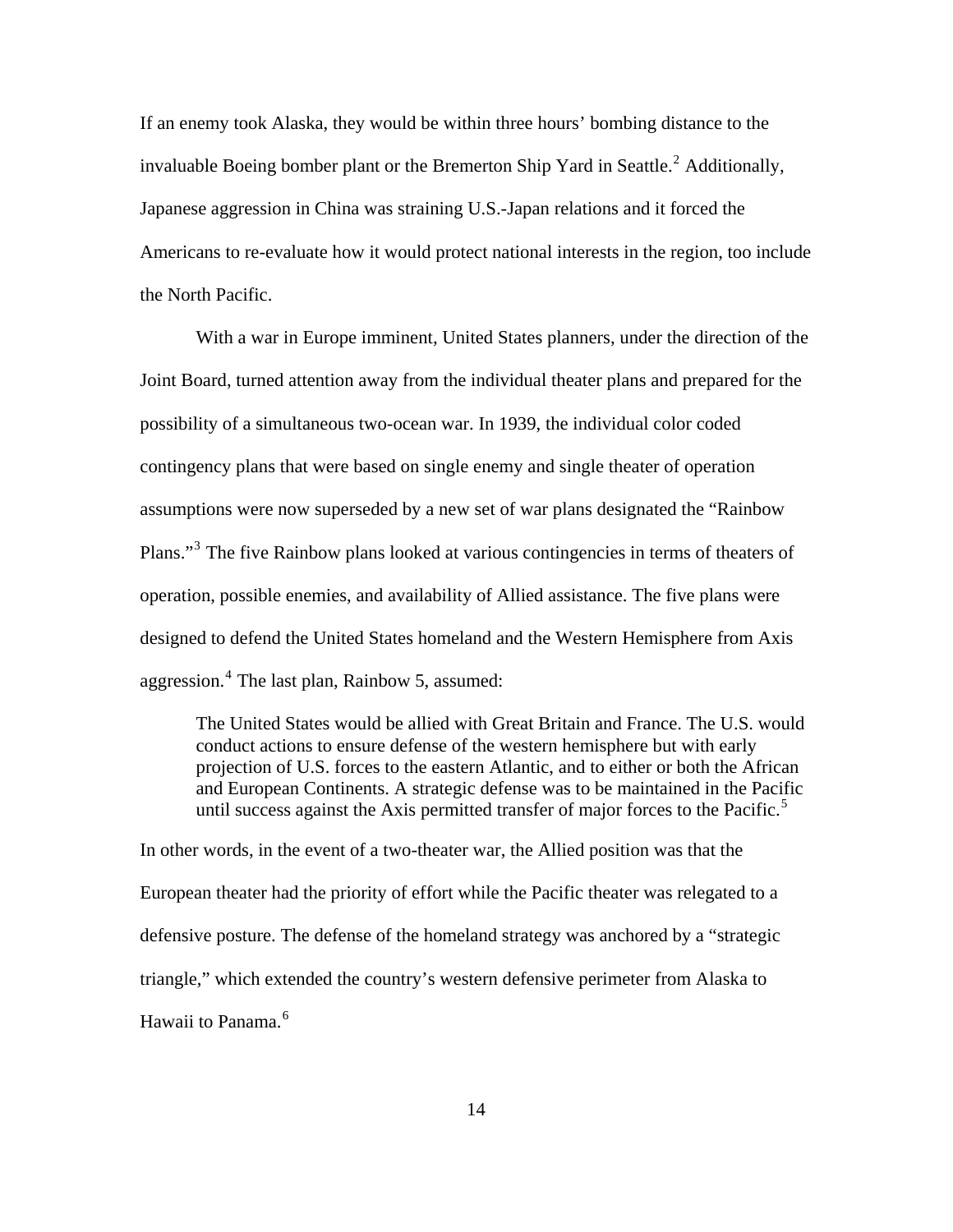If an enemy took Alaska, they would be within three hours' bombing distance to the invaluable Boeing bomber plant or the Bremerton Ship Yard in Seattle.<sup>[2](#page-96-1)</sup> Additionally, Japanese aggression in China was straining U.S.-Japan relations and it forced the Americans to re-evaluate how it would protect national interests in the region, too include the North Pacific.

With a war in Europe imminent, United States planners, under the direction of the Joint Board, turned attention away from the individual theater plans and prepared for the possibility of a simultaneous two-ocean war. In 1939, the individual color coded contingency plans that were based on single enemy and single theater of operation assumptions were now superseded by a new set of war plans designated the "Rainbow Plans."<sup>[3](#page-96-1)</sup> The five Rainbow plans looked at various contingencies in terms of theaters of operation, possible enemies, and availability of Allied assistance. The five plans were designed to defend the United States homeland and the Western Hemisphere from Axis aggression.<sup>[4](#page-96-1)</sup> The last plan, Rainbow 5, assumed:

The United States would be allied with Great Britain and France. The U.S. would conduct actions to ensure defense of the western hemisphere but with early projection of U.S. forces to the eastern Atlantic, and to either or both the African and European Continents. A strategic defense was to be maintained in the Pacific until success against the Axis permitted transfer of major forces to the Pacific. $\frac{5}{10}$  $\frac{5}{10}$  $\frac{5}{10}$ 

In other words, in the event of a two-theater war, the Allied position was that the European theater had the priority of effort while the Pacific theater was relegated to a defensive posture. The defense of the homeland strategy was anchored by a "strategic triangle," which extended the country's western defensive perimeter from Alaska to Hawaii to Panama.[6](#page-96-1)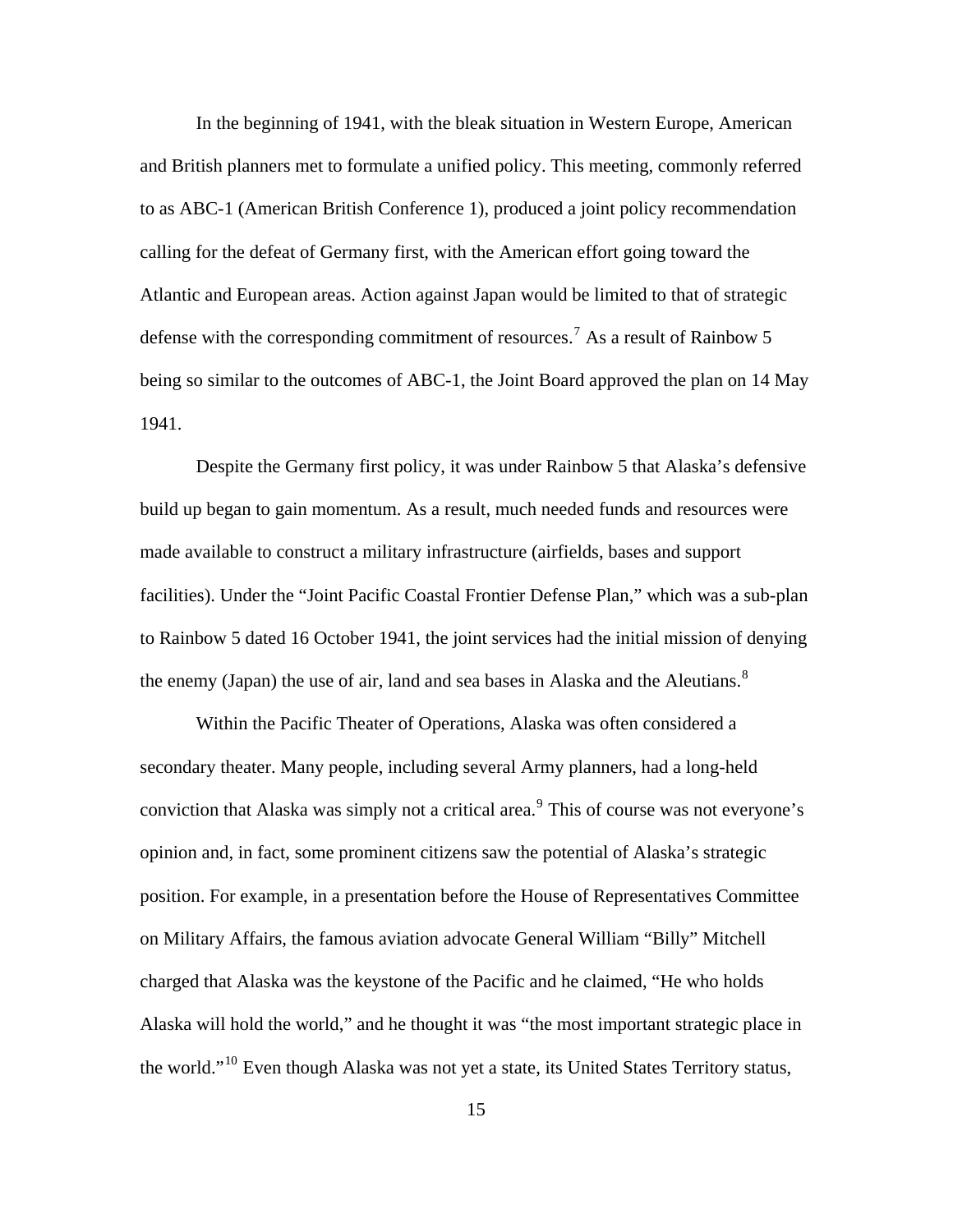In the beginning of 1941, with the bleak situation in Western Europe, American and British planners met to formulate a unified policy. This meeting, commonly referred to as ABC-1 (American British Conference 1), produced a joint policy recommendation calling for the defeat of Germany first, with the American effort going toward the Atlantic and European areas. Action against Japan would be limited to that of strategic defense with the corresponding commitment of resources.<sup>[7](#page-96-1)</sup> As a result of Rainbow 5 being so similar to the outcomes of ABC-1, the Joint Board approved the plan on 14 May 1941.

Despite the Germany first policy, it was under Rainbow 5 that Alaska's defensive build up began to gain momentum. As a result, much needed funds and resources were made available to construct a military infrastructure (airfields, bases and support facilities). Under the "Joint Pacific Coastal Frontier Defense Plan," which was a sub-plan to Rainbow 5 dated 16 October 1941, the joint services had the initial mission of denying the enemy (Japan) the use of air, land and sea bases in Alaska and the Aleutians. $8$ 

Within the Pacific Theater of Operations, Alaska was often considered a secondary theater. Many people, including several Army planners, had a long-held conviction that Alaska was simply not a critical area. $<sup>9</sup>$  $<sup>9</sup>$  $<sup>9</sup>$  This of course was not everyone's</sup> opinion and, in fact, some prominent citizens saw the potential of Alaska's strategic position. For example, in a presentation before the House of Representatives Committee on Military Affairs, the famous aviation advocate General William "Billy" Mitchell charged that Alaska was the keystone of the Pacific and he claimed, "He who holds Alaska will hold the world," and he thought it was "the most important strategic place in the world."[10](#page-96-1) Even though Alaska was not yet a state, its United States Territory status,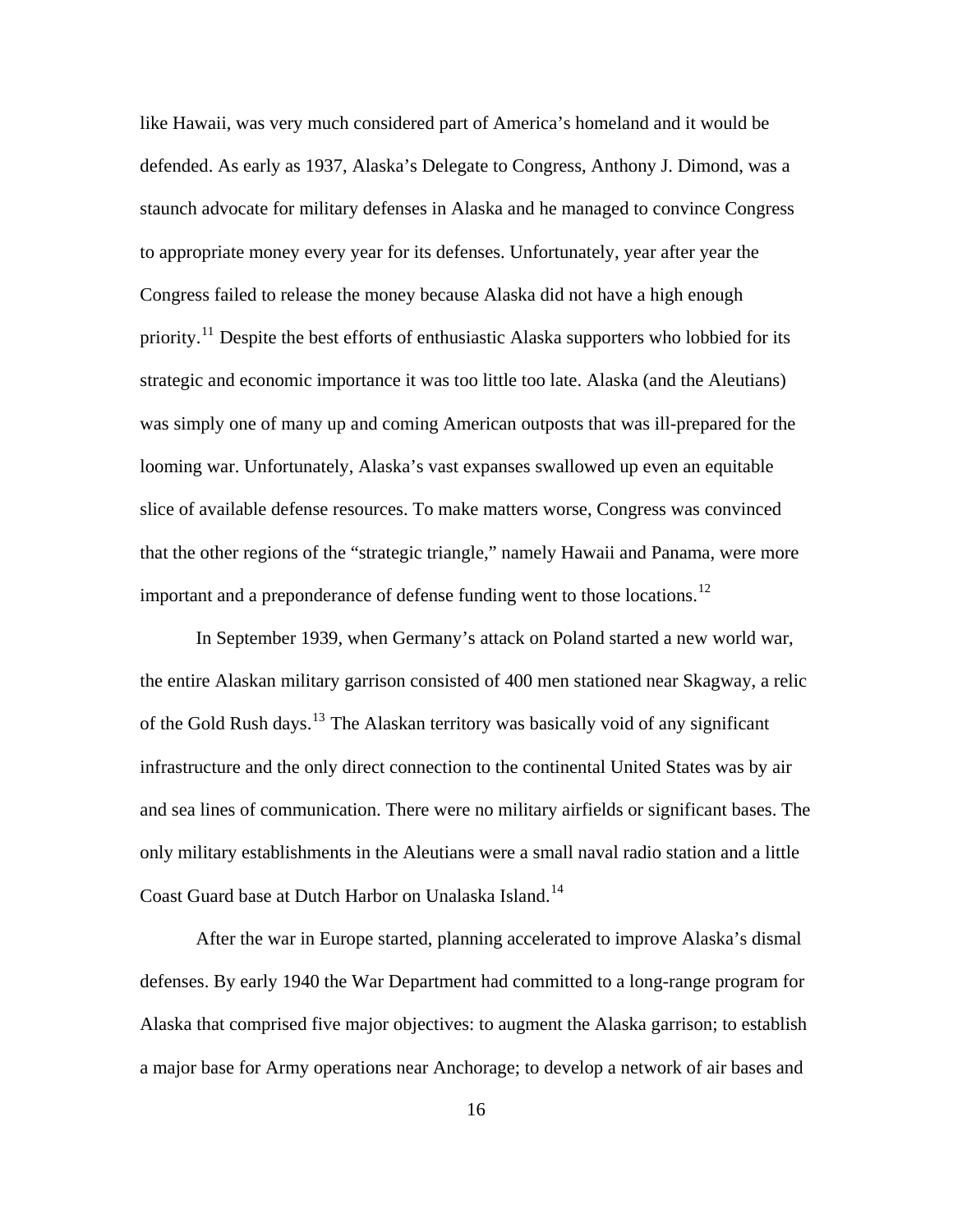like Hawaii, was very much considered part of America's homeland and it would be defended. As early as 1937, Alaska's Delegate to Congress, Anthony J. Dimond, was a staunch advocate for military defenses in Alaska and he managed to convince Congress to appropriate money every year for its defenses. Unfortunately, year after year the Congress failed to release the money because Alaska did not have a high enough priority.<sup>[11](#page-96-1)</sup> Despite the best efforts of enthusiastic Alaska supporters who lobbied for its strategic and economic importance it was too little too late. Alaska (and the Aleutians) was simply one of many up and coming American outposts that was ill-prepared for the looming war. Unfortunately, Alaska's vast expanses swallowed up even an equitable slice of available defense resources. To make matters worse, Congress was convinced that the other regions of the "strategic triangle," namely Hawaii and Panama, were more important and a preponderance of defense funding went to those locations.<sup>[12](#page-96-1)</sup>

In September 1939, when Germany's attack on Poland started a new world war, the entire Alaskan military garrison consisted of 400 men stationed near Skagway, a relic of the Gold Rush days.[13](#page-96-1) The Alaskan territory was basically void of any significant infrastructure and the only direct connection to the continental United States was by air and sea lines of communication. There were no military airfields or significant bases. The only military establishments in the Aleutians were a small naval radio station and a little Coast Guard base at Dutch Harbor on Unalaska Island.<sup>[14](#page-96-1)</sup>

After the war in Europe started, planning accelerated to improve Alaska's dismal defenses. By early 1940 the War Department had committed to a long-range program for Alaska that comprised five major objectives: to augment the Alaska garrison; to establish a major base for Army operations near Anchorage; to develop a network of air bases and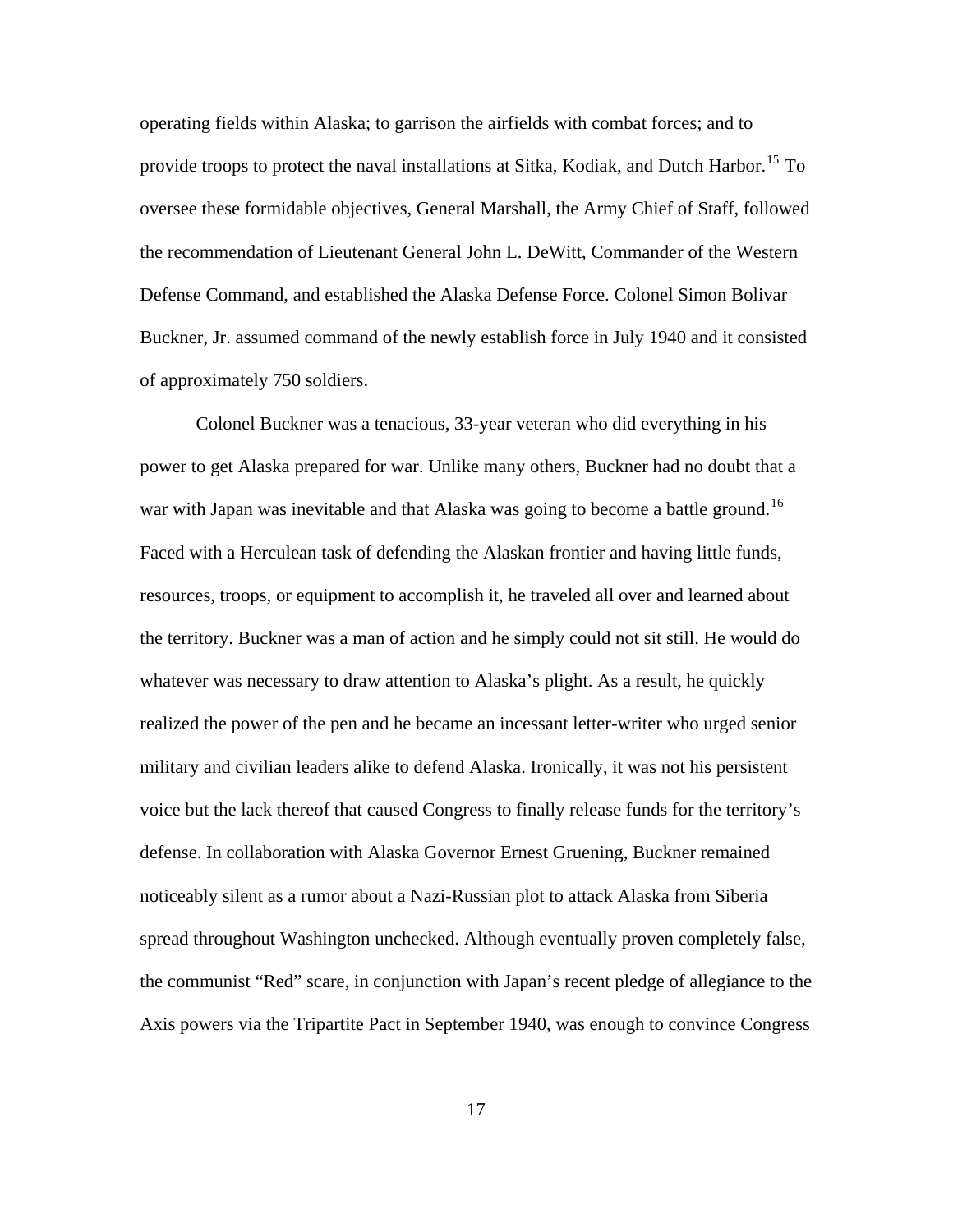operating fields within Alaska; to garrison the airfields with combat forces; and to provide troops to protect the naval installations at Sitka, Kodiak, and Dutch Harbor.<sup>[15](#page-96-1)</sup> To oversee these formidable objectives, General Marshall, the Army Chief of Staff, followed the recommendation of Lieutenant General John L. DeWitt, Commander of the Western Defense Command, and established the Alaska Defense Force. Colonel Simon Bolivar Buckner, Jr. assumed command of the newly establish force in July 1940 and it consisted of approximately 750 soldiers.

Colonel Buckner was a tenacious, 33-year veteran who did everything in his power to get Alaska prepared for war. Unlike many others, Buckner had no doubt that a war with Japan was inevitable and that Alaska was going to become a battle ground.<sup>[16](#page-96-1)</sup> Faced with a Herculean task of defending the Alaskan frontier and having little funds, resources, troops, or equipment to accomplish it, he traveled all over and learned about the territory. Buckner was a man of action and he simply could not sit still. He would do whatever was necessary to draw attention to Alaska's plight. As a result, he quickly realized the power of the pen and he became an incessant letter-writer who urged senior military and civilian leaders alike to defend Alaska. Ironically, it was not his persistent voice but the lack thereof that caused Congress to finally release funds for the territory's defense. In collaboration with Alaska Governor Ernest Gruening, Buckner remained noticeably silent as a rumor about a Nazi-Russian plot to attack Alaska from Siberia spread throughout Washington unchecked. Although eventually proven completely false, the communist "Red" scare, in conjunction with Japan's recent pledge of allegiance to the Axis powers via the Tripartite Pact in September 1940, was enough to convince Congress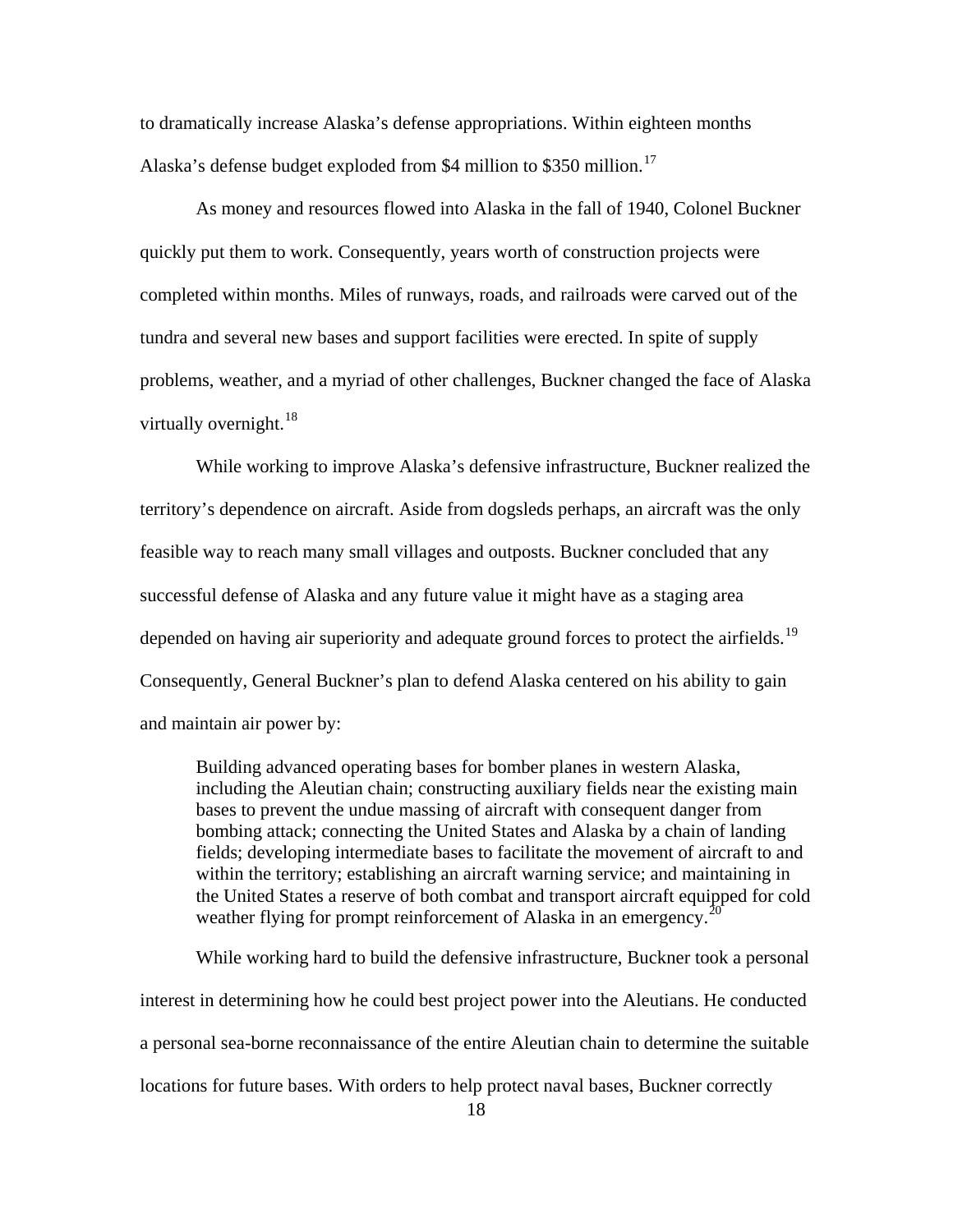to dramatically increase Alaska's defense appropriations. Within eighteen months Alaska's defense budget exploded from \$4 million to \$350 million.<sup>[17](#page-96-1)</sup>

As money and resources flowed into Alaska in the fall of 1940, Colonel Buckner quickly put them to work. Consequently, years worth of construction projects were completed within months. Miles of runways, roads, and railroads were carved out of the tundra and several new bases and support facilities were erected. In spite of supply problems, weather, and a myriad of other challenges, Buckner changed the face of Alaska virtually overnight. $^{18}$  $^{18}$  $^{18}$ 

While working to improve Alaska's defensive infrastructure, Buckner realized the territory's dependence on aircraft. Aside from dogsleds perhaps, an aircraft was the only feasible way to reach many small villages and outposts. Buckner concluded that any successful defense of Alaska and any future value it might have as a staging area depended on having air superiority and adequate ground forces to protect the airfields.<sup>[19](#page-96-1)</sup> Consequently, General Buckner's plan to defend Alaska centered on his ability to gain and maintain air power by:

Building advanced operating bases for bomber planes in western Alaska, including the Aleutian chain; constructing auxiliary fields near the existing main bases to prevent the undue massing of aircraft with consequent danger from bombing attack; connecting the United States and Alaska by a chain of landing fields; developing intermediate bases to facilitate the movement of aircraft to and within the territory; establishing an aircraft warning service; and maintaining in the United States a reserve of both combat and transport aircraft equipped for cold weather flying for prompt reinforcement of Alaska in an emergency.<sup>[20](#page-96-1)</sup>

While working hard to build the defensive infrastructure, Buckner took a personal interest in determining how he could best project power into the Aleutians. He conducted a personal sea-borne reconnaissance of the entire Aleutian chain to determine the suitable locations for future bases. With orders to help protect naval bases, Buckner correctly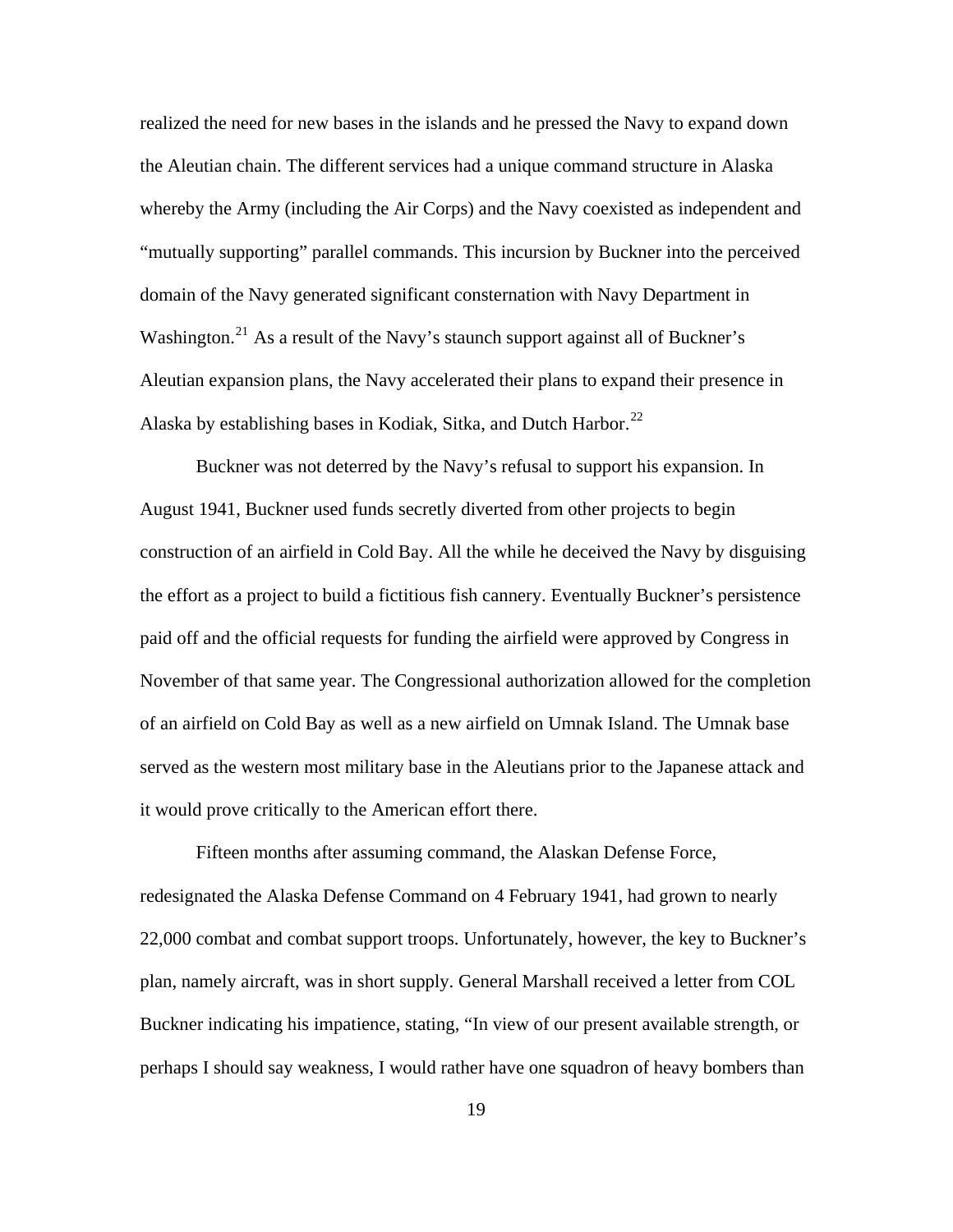realized the need for new bases in the islands and he pressed the Navy to expand down the Aleutian chain. The different services had a unique command structure in Alaska whereby the Army (including the Air Corps) and the Navy coexisted as independent and "mutually supporting" parallel commands. This incursion by Buckner into the perceived domain of the Navy generated significant consternation with Navy Department in Washington.<sup>[21](#page-96-1)</sup> As a result of the Navy's staunch support against all of Buckner's Aleutian expansion plans, the Navy accelerated their plans to expand their presence in Alaska by establishing bases in Kodiak, Sitka, and Dutch Harbor.<sup>[22](#page-96-1)</sup>

Buckner was not deterred by the Navy's refusal to support his expansion. In August 1941, Buckner used funds secretly diverted from other projects to begin construction of an airfield in Cold Bay. All the while he deceived the Navy by disguising the effort as a project to build a fictitious fish cannery. Eventually Buckner's persistence paid off and the official requests for funding the airfield were approved by Congress in November of that same year. The Congressional authorization allowed for the completion of an airfield on Cold Bay as well as a new airfield on Umnak Island. The Umnak base served as the western most military base in the Aleutians prior to the Japanese attack and it would prove critically to the American effort there.

Fifteen months after assuming command, the Alaskan Defense Force, redesignated the Alaska Defense Command on 4 February 1941, had grown to nearly 22,000 combat and combat support troops. Unfortunately, however, the key to Buckner's plan, namely aircraft, was in short supply. General Marshall received a letter from COL Buckner indicating his impatience, stating, "In view of our present available strength, or perhaps I should say weakness, I would rather have one squadron of heavy bombers than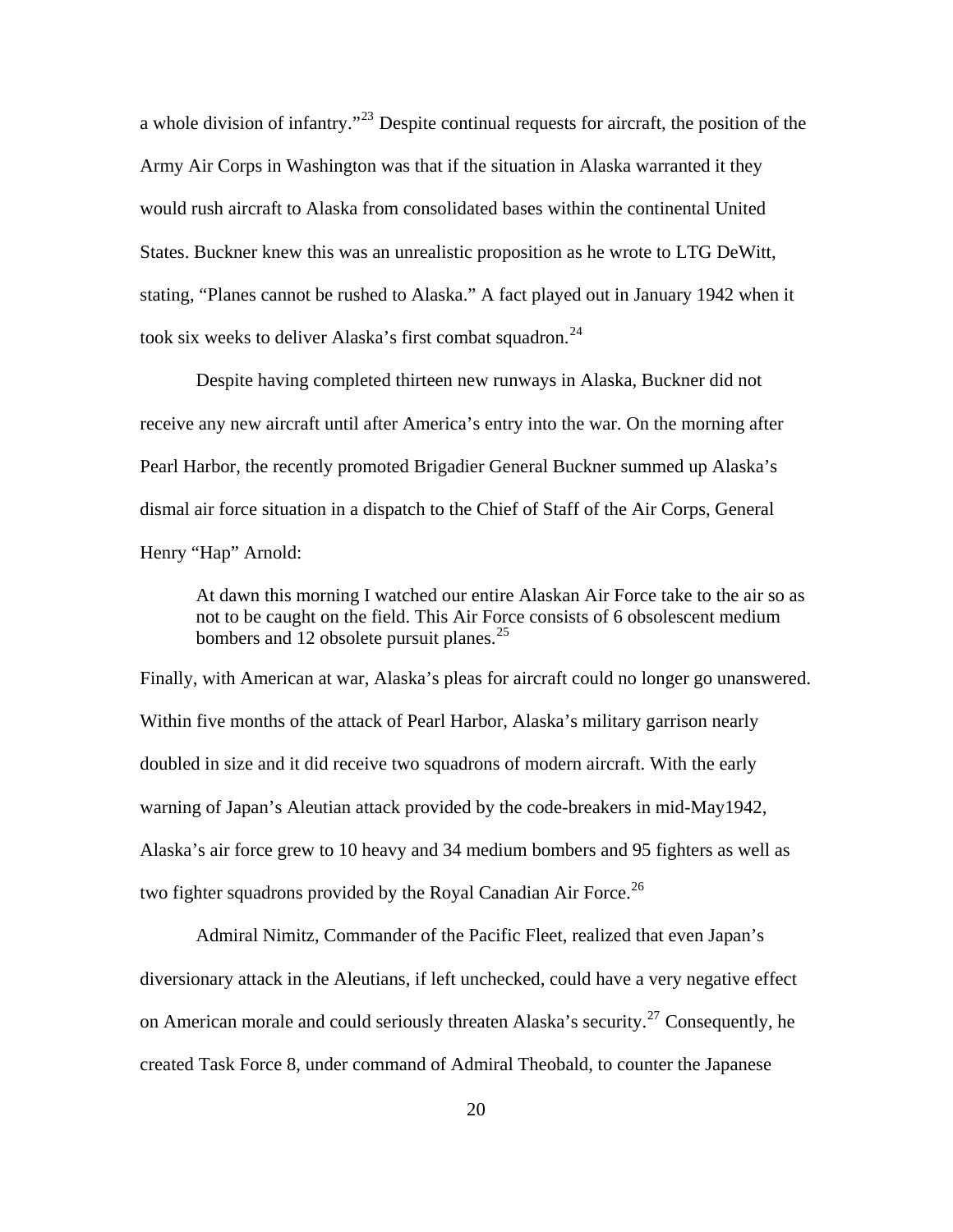a whole division of infantry."[23](#page-96-1) Despite continual requests for aircraft, the position of the Army Air Corps in Washington was that if the situation in Alaska warranted it they would rush aircraft to Alaska from consolidated bases within the continental United States. Buckner knew this was an unrealistic proposition as he wrote to LTG DeWitt, stating, "Planes cannot be rushed to Alaska." A fact played out in January 1942 when it took six weeks to deliver Alaska's first combat squadron.<sup>[24](#page-96-1)</sup>

Despite having completed thirteen new runways in Alaska, Buckner did not receive any new aircraft until after America's entry into the war. On the morning after Pearl Harbor, the recently promoted Brigadier General Buckner summed up Alaska's dismal air force situation in a dispatch to the Chief of Staff of the Air Corps, General Henry "Hap" Arnold:

At dawn this morning I watched our entire Alaskan Air Force take to the air so as not to be caught on the field. This Air Force consists of 6 obsolescent medium bombers and 12 obsolete pursuit planes. $25$ 

Finally, with American at war, Alaska's pleas for aircraft could no longer go unanswered. Within five months of the attack of Pearl Harbor, Alaska's military garrison nearly doubled in size and it did receive two squadrons of modern aircraft. With the early warning of Japan's Aleutian attack provided by the code-breakers in mid-May1942, Alaska's air force grew to 10 heavy and 34 medium bombers and 95 fighters as well as two fighter squadrons provided by the Royal Canadian Air Force.<sup>[26](#page-96-1)</sup>

Admiral Nimitz, Commander of the Pacific Fleet, realized that even Japan's diversionary attack in the Aleutians, if left unchecked, could have a very negative effect on American morale and could seriously threaten Alaska's security.<sup>[27](#page-96-1)</sup> Consequently, he created Task Force 8, under command of Admiral Theobald, to counter the Japanese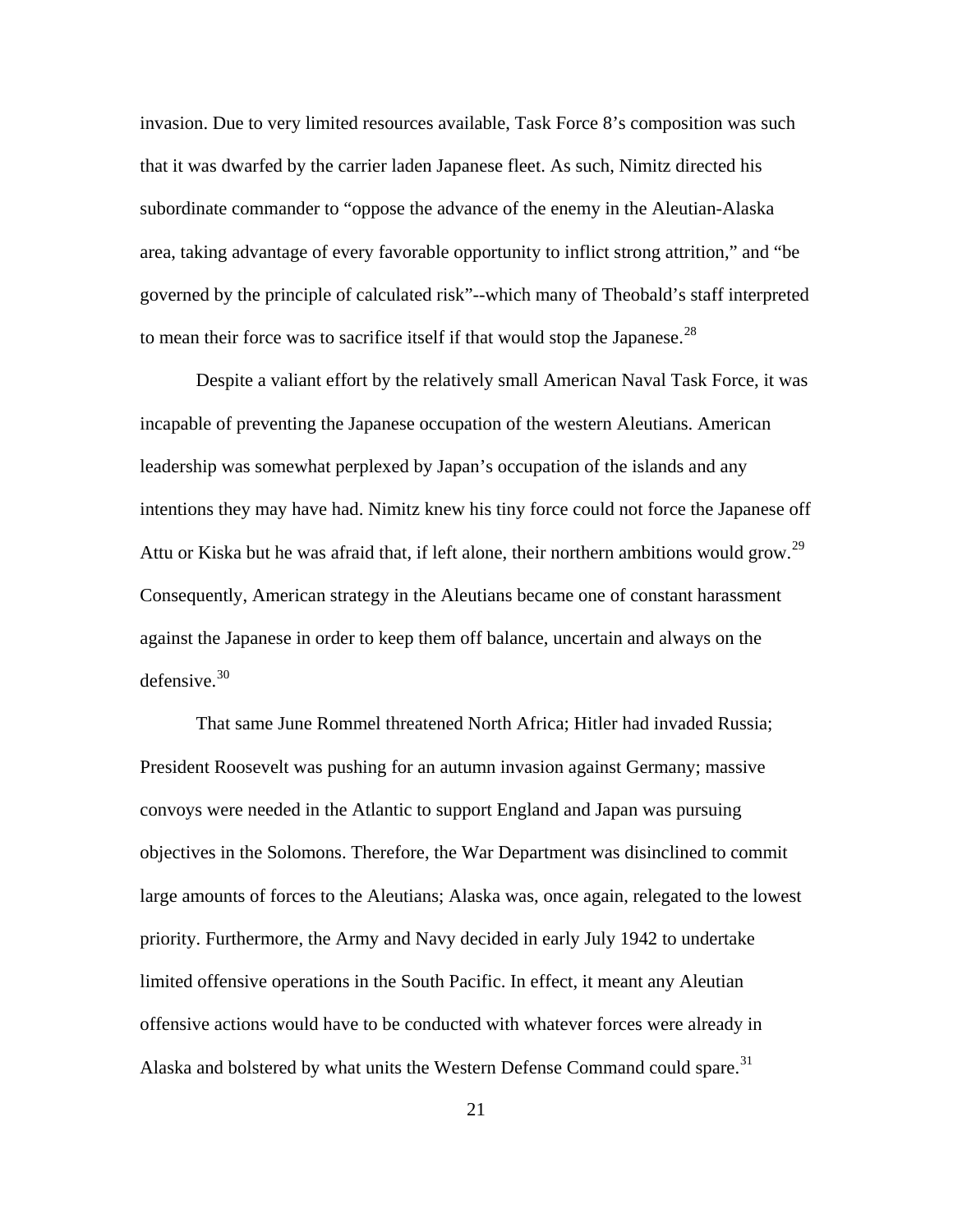invasion. Due to very limited resources available, Task Force 8's composition was such that it was dwarfed by the carrier laden Japanese fleet. As such, Nimitz directed his subordinate commander to "oppose the advance of the enemy in the Aleutian-Alaska area, taking advantage of every favorable opportunity to inflict strong attrition," and "be governed by the principle of calculated risk"--which many of Theobald's staff interpreted to mean their force was to sacrifice itself if that would stop the Japanese.<sup>[28](#page-96-1)</sup>

Despite a valiant effort by the relatively small American Naval Task Force, it was incapable of preventing the Japanese occupation of the western Aleutians. American leadership was somewhat perplexed by Japan's occupation of the islands and any intentions they may have had. Nimitz knew his tiny force could not force the Japanese off Attu or Kiska but he was afraid that, if left alone, their northern ambitions would grow.<sup>[29](#page-96-1)</sup> Consequently, American strategy in the Aleutians became one of constant harassment against the Japanese in order to keep them off balance, uncertain and always on the defensive. $30$ 

That same June Rommel threatened North Africa; Hitler had invaded Russia; President Roosevelt was pushing for an autumn invasion against Germany; massive convoys were needed in the Atlantic to support England and Japan was pursuing objectives in the Solomons. Therefore, the War Department was disinclined to commit large amounts of forces to the Aleutians; Alaska was, once again, relegated to the lowest priority. Furthermore, the Army and Navy decided in early July 1942 to undertake limited offensive operations in the South Pacific. In effect, it meant any Aleutian offensive actions would have to be conducted with whatever forces were already in Alaska and bolstered by what units the Western Defense Command could spare.<sup>[31](#page-96-1)</sup>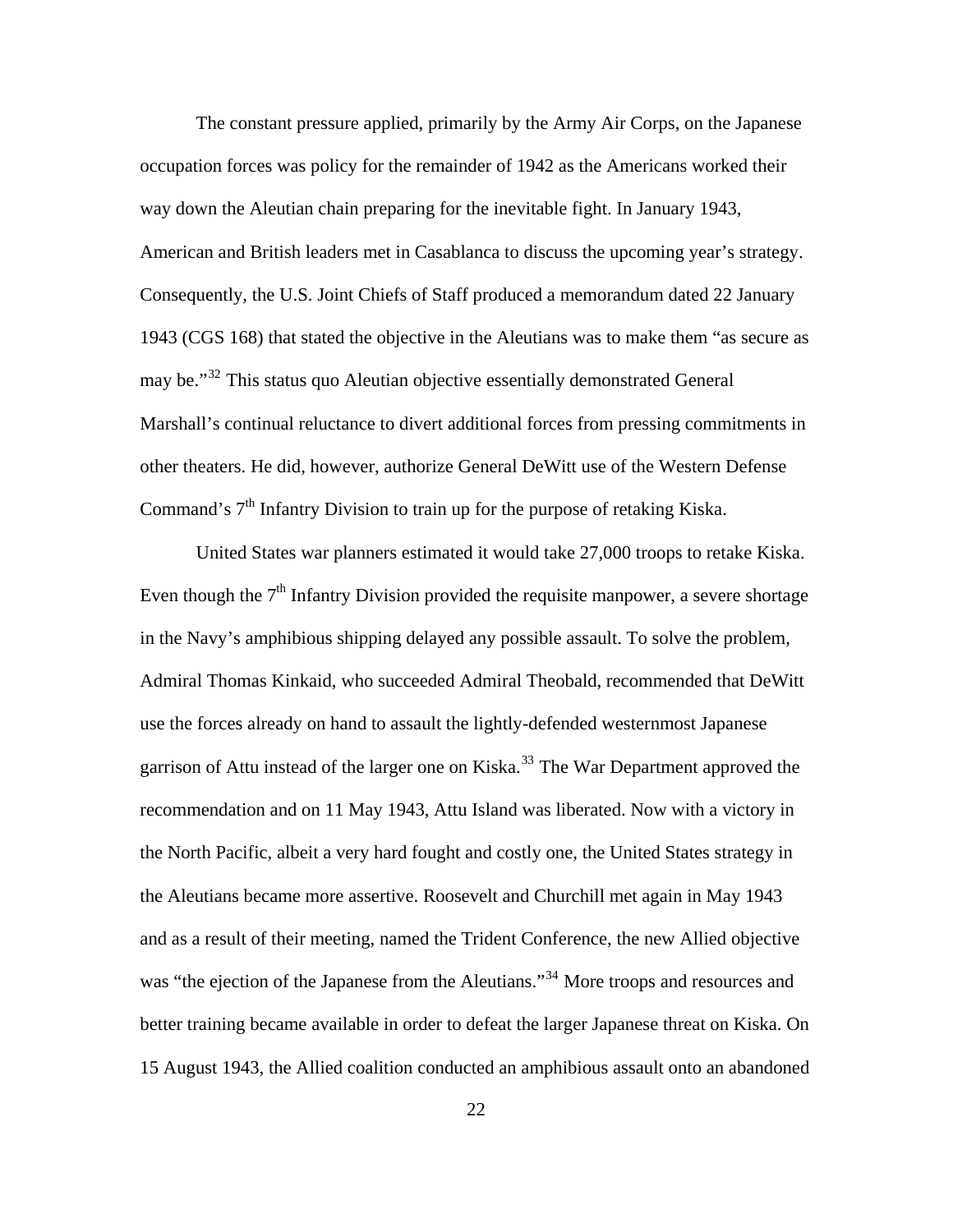The constant pressure applied, primarily by the Army Air Corps, on the Japanese occupation forces was policy for the remainder of 1942 as the Americans worked their way down the Aleutian chain preparing for the inevitable fight. In January 1943, American and British leaders met in Casablanca to discuss the upcoming year's strategy. Consequently, the U.S. Joint Chiefs of Staff produced a memorandum dated 22 January 1943 (CGS 168) that stated the objective in the Aleutians was to make them "as secure as may be."<sup>[32](#page-96-1)</sup> This status quo Aleutian objective essentially demonstrated General Marshall's continual reluctance to divert additional forces from pressing commitments in other theaters. He did, however, authorize General DeWitt use of the Western Defense Command's  $7<sup>th</sup>$  Infantry Division to train up for the purpose of retaking Kiska.

United States war planners estimated it would take 27,000 troops to retake Kiska. Even though the  $7<sup>th</sup>$  Infantry Division provided the requisite manpower, a severe shortage in the Navy's amphibious shipping delayed any possible assault. To solve the problem, Admiral Thomas Kinkaid, who succeeded Admiral Theobald, recommended that DeWitt use the forces already on hand to assault the lightly-defended westernmost Japanese garrison of Attu instead of the larger one on Kiska.<sup>[33](#page-96-1)</sup> The War Department approved the recommendation and on 11 May 1943, Attu Island was liberated. Now with a victory in the North Pacific, albeit a very hard fought and costly one, the United States strategy in the Aleutians became more assertive. Roosevelt and Churchill met again in May 1943 and as a result of their meeting, named the Trident Conference, the new Allied objective was "the ejection of the Japanese from the Aleutians."<sup>[34](#page-96-1)</sup> More troops and resources and better training became available in order to defeat the larger Japanese threat on Kiska. On 15 August 1943, the Allied coalition conducted an amphibious assault onto an abandoned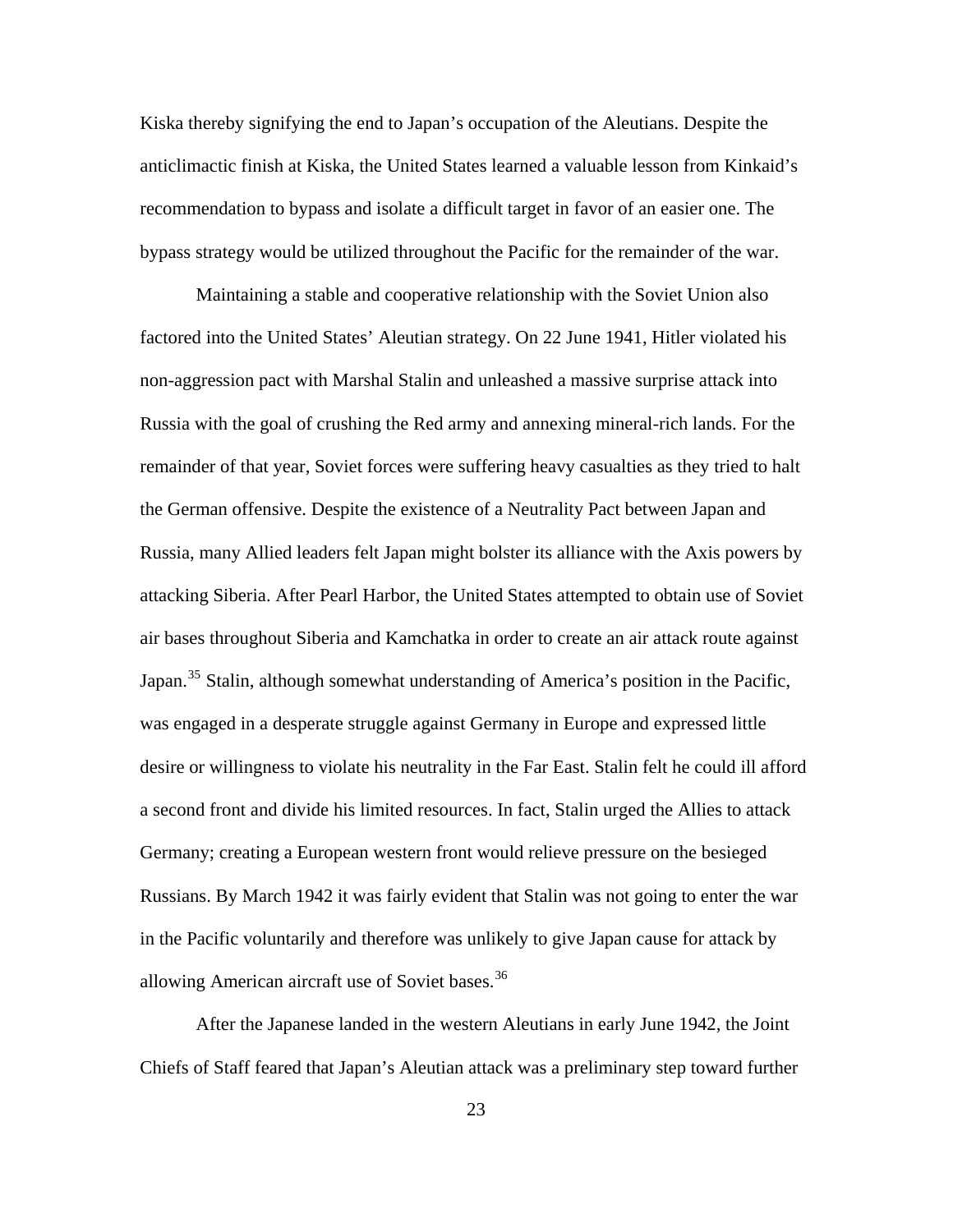Kiska thereby signifying the end to Japan's occupation of the Aleutians. Despite the anticlimactic finish at Kiska, the United States learned a valuable lesson from Kinkaid's recommendation to bypass and isolate a difficult target in favor of an easier one. The bypass strategy would be utilized throughout the Pacific for the remainder of the war.

Maintaining a stable and cooperative relationship with the Soviet Union also factored into the United States' Aleutian strategy. On 22 June 1941, Hitler violated his non-aggression pact with Marshal Stalin and unleashed a massive surprise attack into Russia with the goal of crushing the Red army and annexing mineral-rich lands. For the remainder of that year, Soviet forces were suffering heavy casualties as they tried to halt the German offensive. Despite the existence of a Neutrality Pact between Japan and Russia, many Allied leaders felt Japan might bolster its alliance with the Axis powers by attacking Siberia. After Pearl Harbor, the United States attempted to obtain use of Soviet air bases throughout Siberia and Kamchatka in order to create an air attack route against Japan.<sup>[35](#page-96-1)</sup> Stalin, although somewhat understanding of America's position in the Pacific, was engaged in a desperate struggle against Germany in Europe and expressed little desire or willingness to violate his neutrality in the Far East. Stalin felt he could ill afford a second front and divide his limited resources. In fact, Stalin urged the Allies to attack Germany; creating a European western front would relieve pressure on the besieged Russians. By March 1942 it was fairly evident that Stalin was not going to enter the war in the Pacific voluntarily and therefore was unlikely to give Japan cause for attack by allowing American aircraft use of Soviet bases.<sup>[36](#page-96-1)</sup>

After the Japanese landed in the western Aleutians in early June 1942, the Joint Chiefs of Staff feared that Japan's Aleutian attack was a preliminary step toward further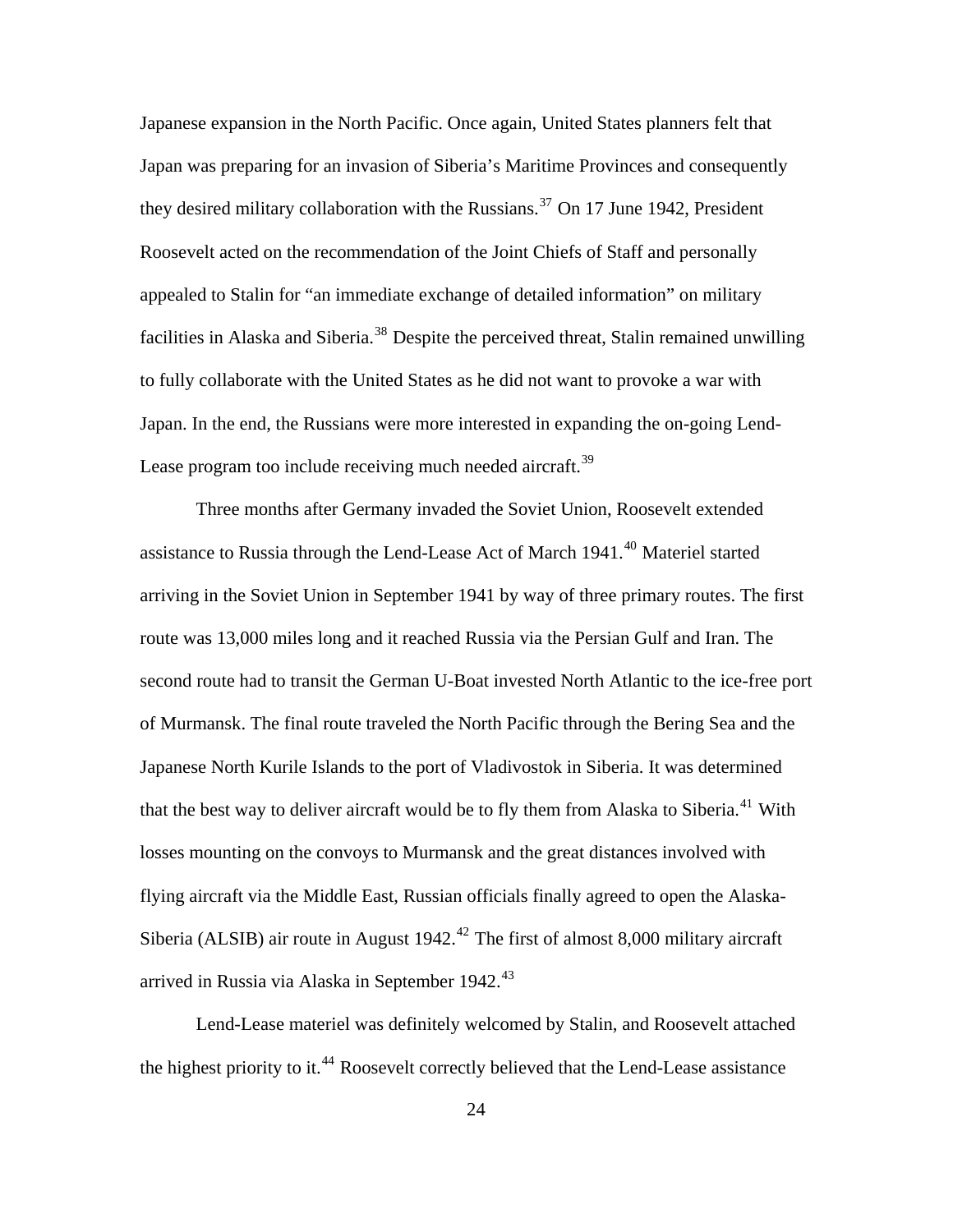Japanese expansion in the North Pacific. Once again, United States planners felt that Japan was preparing for an invasion of Siberia's Maritime Provinces and consequently they desired military collaboration with the Russians.<sup>[37](#page-96-1)</sup> On 17 June 1942, President Roosevelt acted on the recommendation of the Joint Chiefs of Staff and personally appealed to Stalin for "an immediate exchange of detailed information" on military facilities in Alaska and Siberia.<sup>[38](#page-96-1)</sup> Despite the perceived threat, Stalin remained unwilling to fully collaborate with the United States as he did not want to provoke a war with Japan. In the end, the Russians were more interested in expanding the on-going Lend-Lease program too include receiving much needed aircraft.<sup>[39](#page-96-1)</sup>

Three months after Germany invaded the Soviet Union, Roosevelt extended assistance to Russia through the Lend-Lease Act of March 1941.<sup>[40](#page-96-1)</sup> Materiel started arriving in the Soviet Union in September 1941 by way of three primary routes. The first route was 13,000 miles long and it reached Russia via the Persian Gulf and Iran. The second route had to transit the German U-Boat invested North Atlantic to the ice-free port of Murmansk. The final route traveled the North Pacific through the Bering Sea and the Japanese North Kurile Islands to the port of Vladivostok in Siberia. It was determined that the best way to deliver aircraft would be to fly them from Alaska to Siberia.<sup>[41](#page-96-1)</sup> With losses mounting on the convoys to Murmansk and the great distances involved with flying aircraft via the Middle East, Russian officials finally agreed to open the Alaska-Siberia (ALSIB) air route in August  $1942<sup>42</sup>$  $1942<sup>42</sup>$  $1942<sup>42</sup>$  The first of almost 8,000 military aircraft arrived in Russia via Alaska in September 1942.<sup>[43](#page-96-1)</sup>

Lend-Lease materiel was definitely welcomed by Stalin, and Roosevelt attached the highest priority to it.<sup>[44](#page-96-1)</sup> Roosevelt correctly believed that the Lend-Lease assistance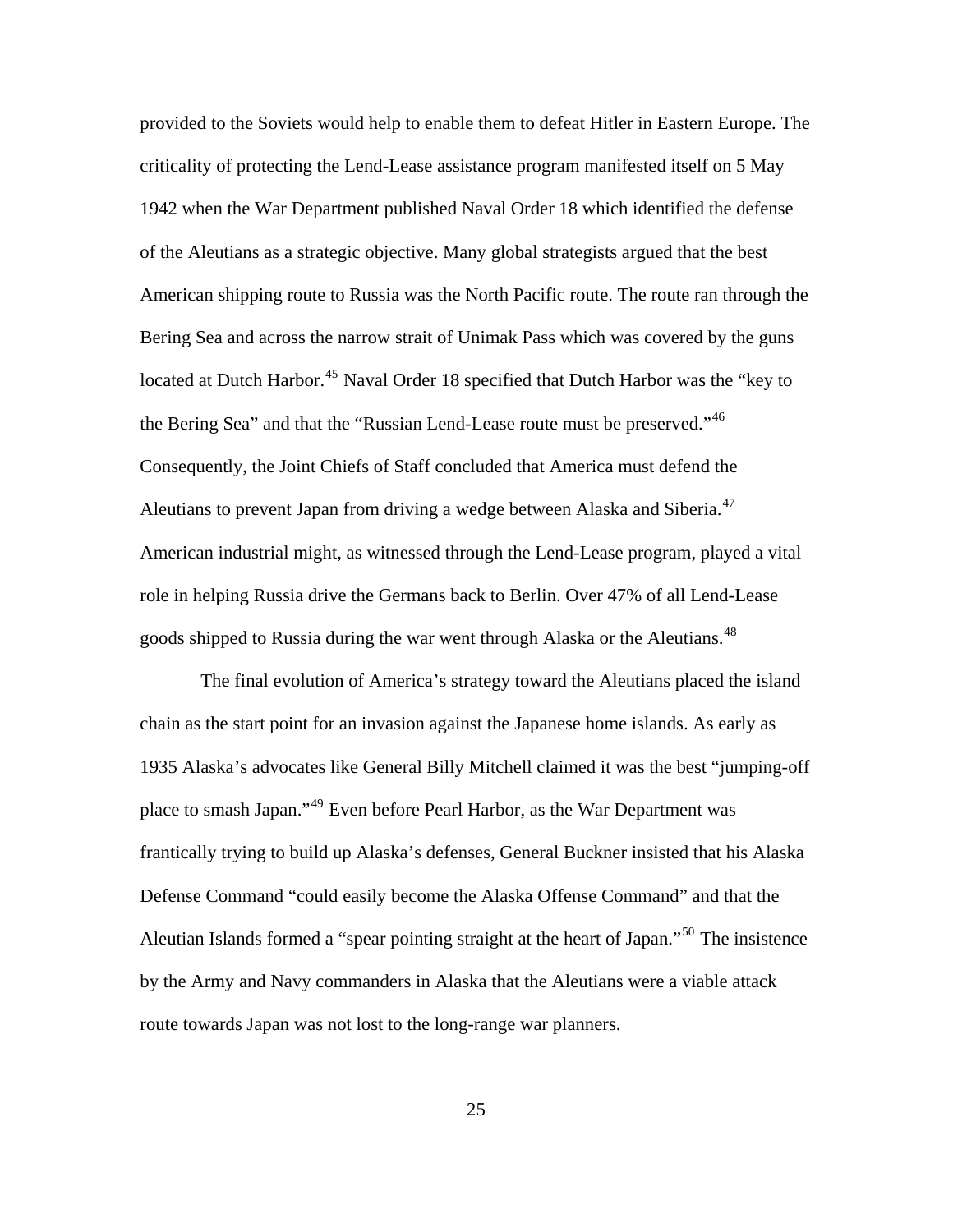provided to the Soviets would help to enable them to defeat Hitler in Eastern Europe. The criticality of protecting the Lend-Lease assistance program manifested itself on 5 May 1942 when the War Department published Naval Order 18 which identified the defense of the Aleutians as a strategic objective. Many global strategists argued that the best American shipping route to Russia was the North Pacific route. The route ran through the Bering Sea and across the narrow strait of Unimak Pass which was covered by the guns located at Dutch Harbor.<sup>[45](#page-96-1)</sup> Naval Order 18 specified that Dutch Harbor was the "key to the Bering Sea" and that the "Russian Lend-Lease route must be preserved."<sup>[46](#page-96-1)</sup> Consequently, the Joint Chiefs of Staff concluded that America must defend the Aleutians to prevent Japan from driving a wedge between Alaska and Siberia.<sup>[47](#page-96-1)</sup> American industrial might, as witnessed through the Lend-Lease program, played a vital role in helping Russia drive the Germans back to Berlin. Over 47% of all Lend-Lease goods shipped to Russia during the war went through Alaska or the Aleutians.<sup>[48](#page-96-1)</sup>

 The final evolution of America's strategy toward the Aleutians placed the island chain as the start point for an invasion against the Japanese home islands. As early as 1935 Alaska's advocates like General Billy Mitchell claimed it was the best "jumping-off place to smash Japan."[49](#page-96-1) Even before Pearl Harbor, as the War Department was frantically trying to build up Alaska's defenses, General Buckner insisted that his Alaska Defense Command "could easily become the Alaska Offense Command" and that the Aleutian Islands formed a "spear pointing straight at the heart of Japan."[50](#page-96-1) The insistence by the Army and Navy commanders in Alaska that the Aleutians were a viable attack route towards Japan was not lost to the long-range war planners.

25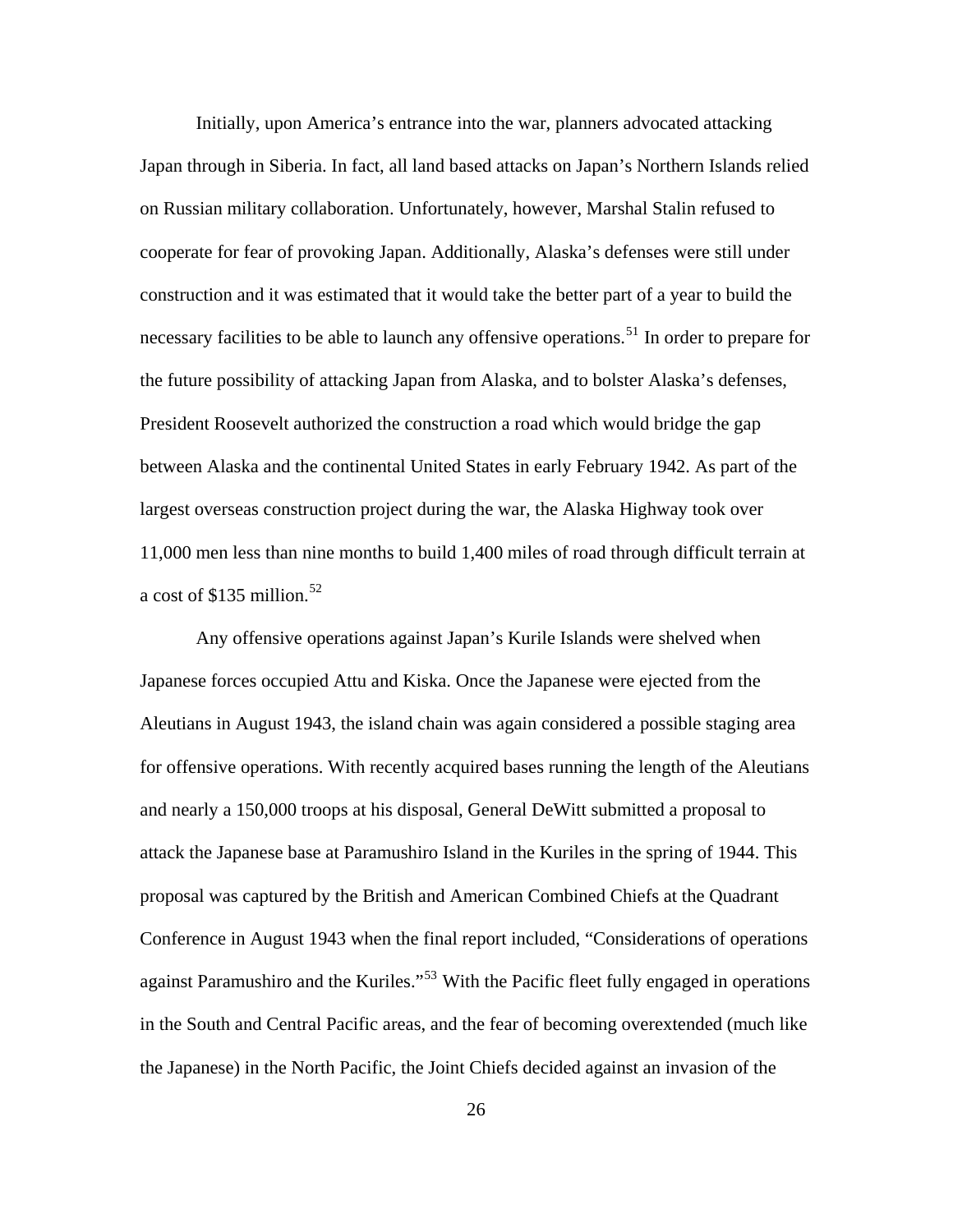Initially, upon America's entrance into the war, planners advocated attacking Japan through in Siberia. In fact, all land based attacks on Japan's Northern Islands relied on Russian military collaboration. Unfortunately, however, Marshal Stalin refused to cooperate for fear of provoking Japan. Additionally, Alaska's defenses were still under construction and it was estimated that it would take the better part of a year to build the necessary facilities to be able to launch any offensive operations.<sup>[51](#page-96-1)</sup> In order to prepare for the future possibility of attacking Japan from Alaska, and to bolster Alaska's defenses, President Roosevelt authorized the construction a road which would bridge the gap between Alaska and the continental United States in early February 1942. As part of the largest overseas construction project during the war, the Alaska Highway took over 11,000 men less than nine months to build 1,400 miles of road through difficult terrain at a cost of \$135 million.<sup>[52](#page-96-1)</sup>

Any offensive operations against Japan's Kurile Islands were shelved when Japanese forces occupied Attu and Kiska. Once the Japanese were ejected from the Aleutians in August 1943, the island chain was again considered a possible staging area for offensive operations. With recently acquired bases running the length of the Aleutians and nearly a 150,000 troops at his disposal, General DeWitt submitted a proposal to attack the Japanese base at Paramushiro Island in the Kuriles in the spring of 1944. This proposal was captured by the British and American Combined Chiefs at the Quadrant Conference in August 1943 when the final report included, "Considerations of operations against Paramushiro and the Kuriles."<sup>[53](#page-96-1)</sup> With the Pacific fleet fully engaged in operations in the South and Central Pacific areas, and the fear of becoming overextended (much like the Japanese) in the North Pacific, the Joint Chiefs decided against an invasion of the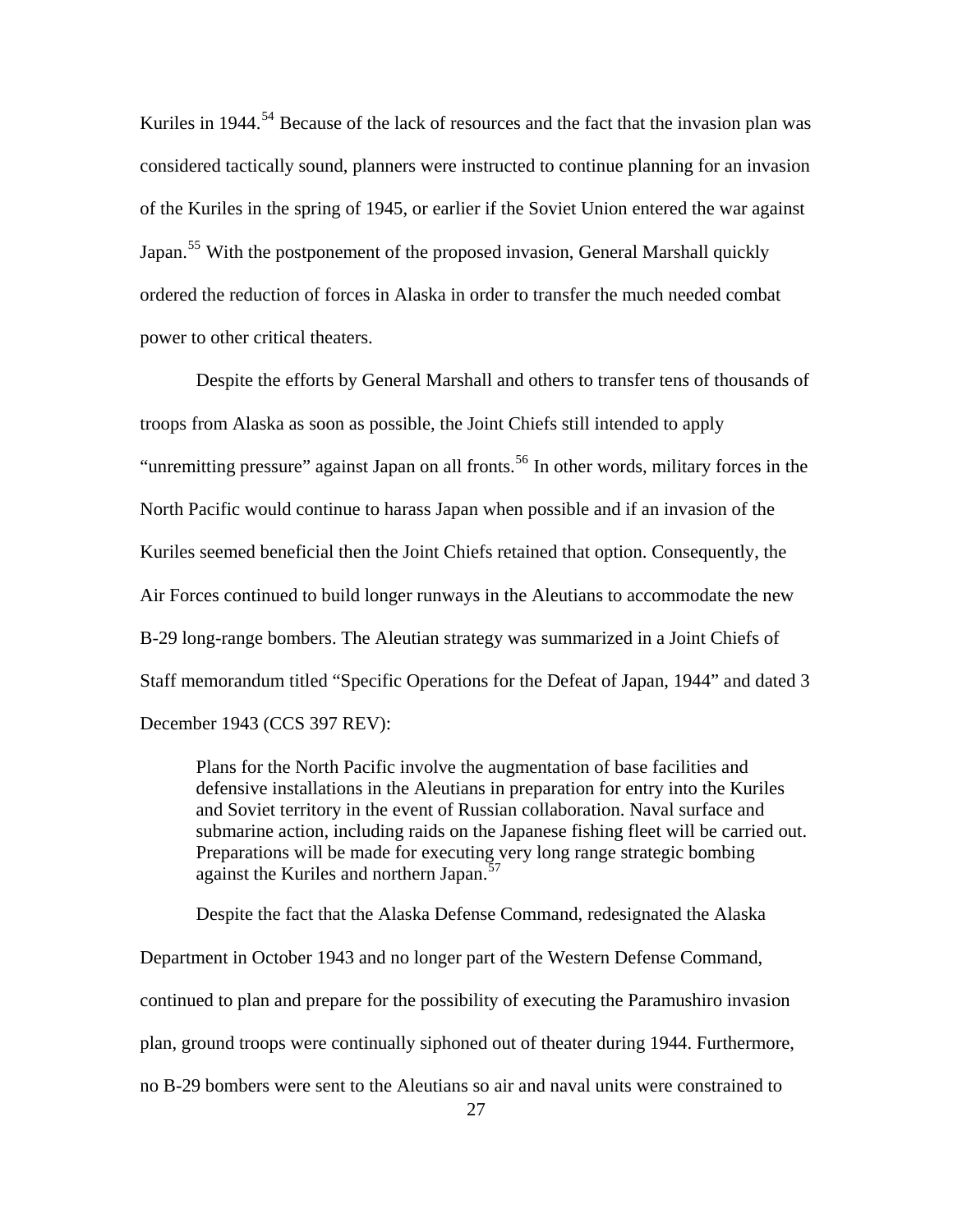Kuriles in 1944.<sup>[54](#page-96-1)</sup> Because of the lack of resources and the fact that the invasion plan was considered tactically sound, planners were instructed to continue planning for an invasion of the Kuriles in the spring of 1945, or earlier if the Soviet Union entered the war against Japan.<sup>[55](#page-96-1)</sup> With the postponement of the proposed invasion, General Marshall quickly ordered the reduction of forces in Alaska in order to transfer the much needed combat power to other critical theaters.

Despite the efforts by General Marshall and others to transfer tens of thousands of troops from Alaska as soon as possible, the Joint Chiefs still intended to apply "unremitting pressure" against Japan on all fronts.<sup>[56](#page-96-1)</sup> In other words, military forces in the North Pacific would continue to harass Japan when possible and if an invasion of the Kuriles seemed beneficial then the Joint Chiefs retained that option. Consequently, the Air Forces continued to build longer runways in the Aleutians to accommodate the new B-29 long-range bombers. The Aleutian strategy was summarized in a Joint Chiefs of Staff memorandum titled "Specific Operations for the Defeat of Japan, 1944" and dated 3 December 1943 (CCS 397 REV):

Plans for the North Pacific involve the augmentation of base facilities and defensive installations in the Aleutians in preparation for entry into the Kuriles and Soviet territory in the event of Russian collaboration. Naval surface and submarine action, including raids on the Japanese fishing fleet will be carried out. Preparations will be made for executing very long range strategic bombing against the Kuriles and northern Japan.<sup>[57](#page-96-1)</sup>

Despite the fact that the Alaska Defense Command, redesignated the Alaska

Department in October 1943 and no longer part of the Western Defense Command,

continued to plan and prepare for the possibility of executing the Paramushiro invasion

plan, ground troops were continually siphoned out of theater during 1944. Furthermore,

no B-29 bombers were sent to the Aleutians so air and naval units were constrained to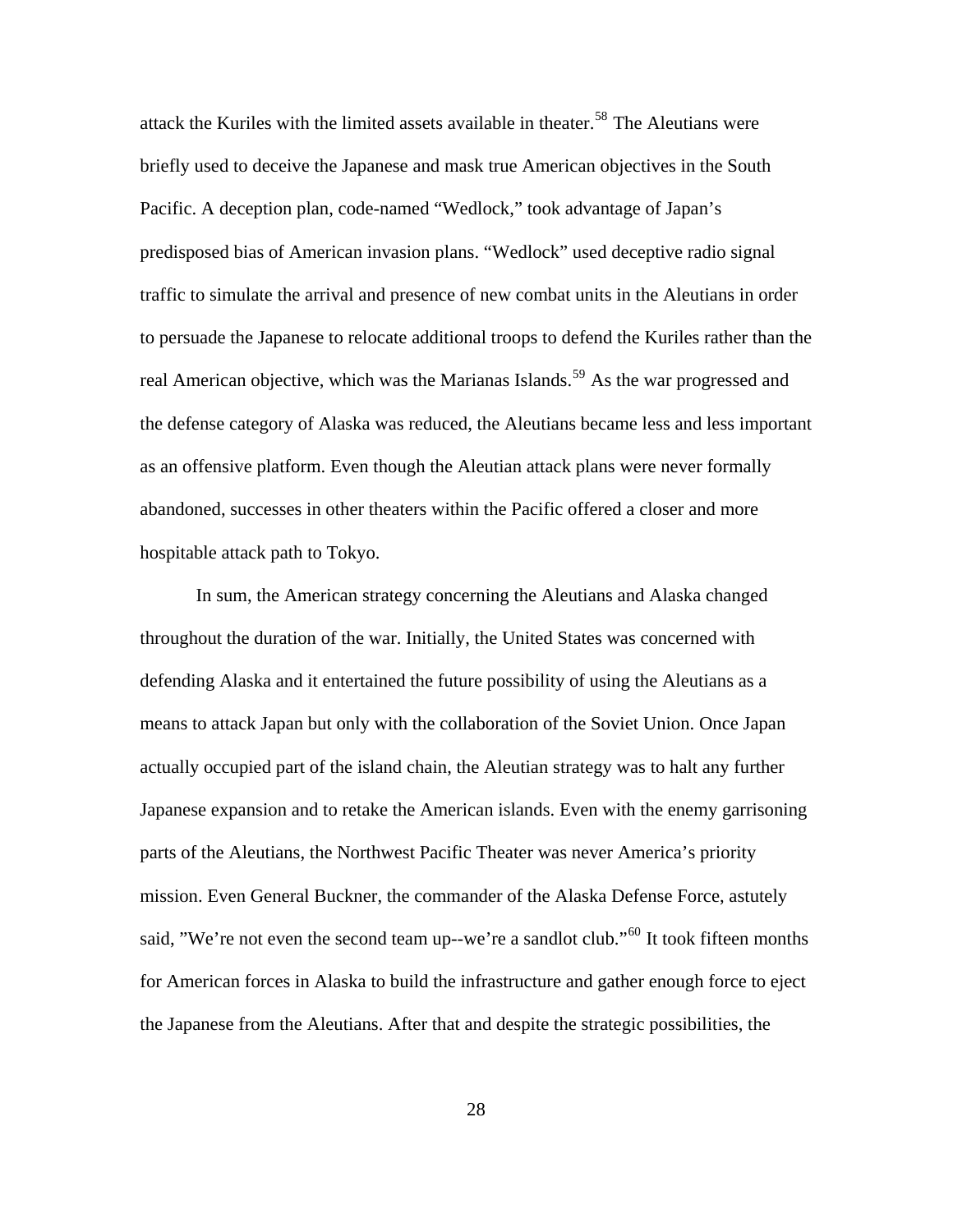attack the Kuriles with the limited assets available in theater.<sup>[58](#page-96-1)</sup> The Aleutians were briefly used to deceive the Japanese and mask true American objectives in the South Pacific. A deception plan, code-named "Wedlock," took advantage of Japan's predisposed bias of American invasion plans. "Wedlock" used deceptive radio signal traffic to simulate the arrival and presence of new combat units in the Aleutians in order to persuade the Japanese to relocate additional troops to defend the Kuriles rather than the real American objective, which was the Marianas Islands.<sup>[59](#page-96-1)</sup> As the war progressed and the defense category of Alaska was reduced, the Aleutians became less and less important as an offensive platform. Even though the Aleutian attack plans were never formally abandoned, successes in other theaters within the Pacific offered a closer and more hospitable attack path to Tokyo.

In sum, the American strategy concerning the Aleutians and Alaska changed throughout the duration of the war. Initially, the United States was concerned with defending Alaska and it entertained the future possibility of using the Aleutians as a means to attack Japan but only with the collaboration of the Soviet Union. Once Japan actually occupied part of the island chain, the Aleutian strategy was to halt any further Japanese expansion and to retake the American islands. Even with the enemy garrisoning parts of the Aleutians, the Northwest Pacific Theater was never America's priority mission. Even General Buckner, the commander of the Alaska Defense Force, astutely said, "We're not even the second team up--we're a sandlot club."<sup>[60](#page-96-1)</sup> It took fifteen months for American forces in Alaska to build the infrastructure and gather enough force to eject the Japanese from the Aleutians. After that and despite the strategic possibilities, the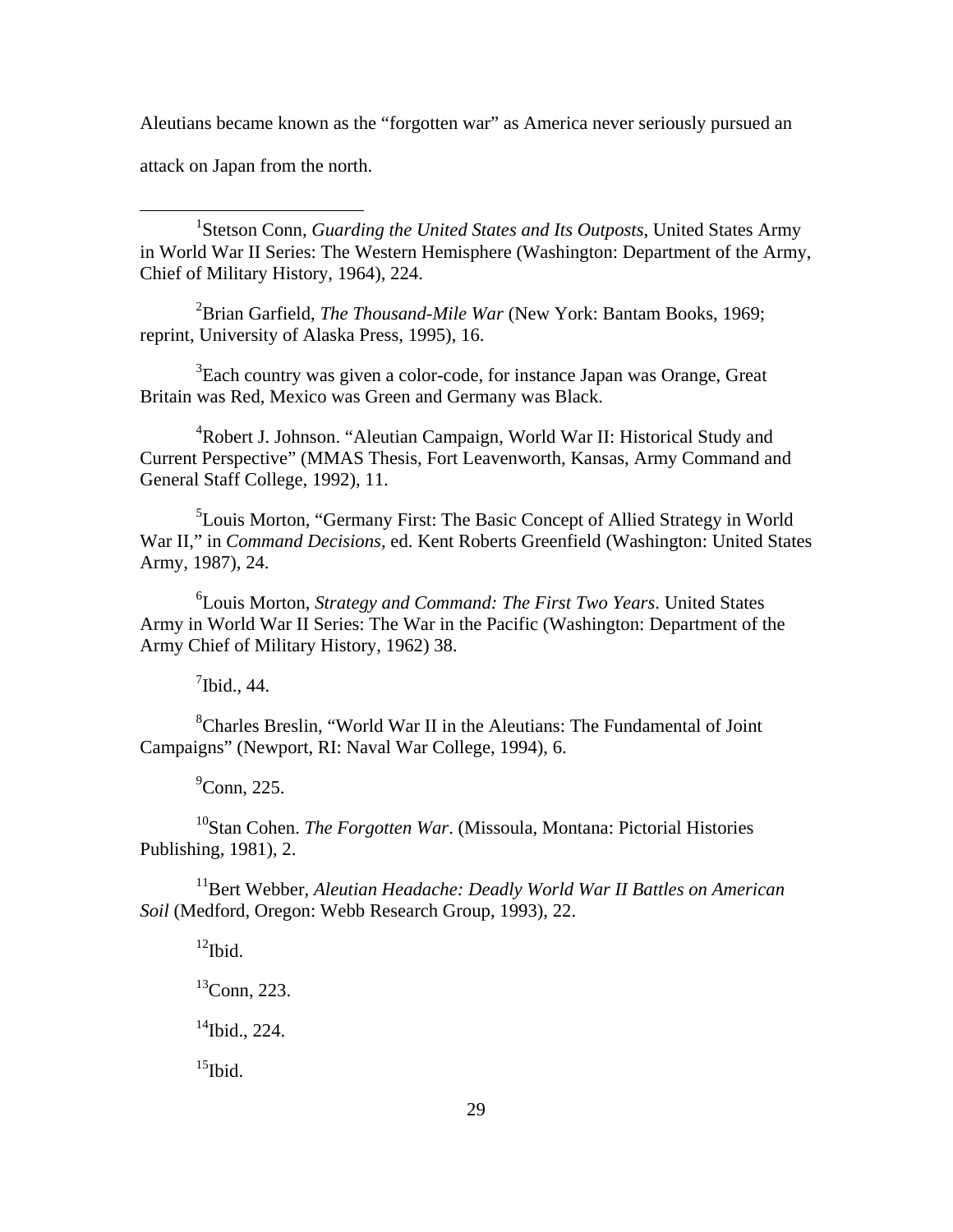Aleutians became known as the "forgotten war" as America never seriously pursued an

attack on Japan from the north.

 $\overline{a}$ 

<sup>1</sup>Stetson Conn, *Guarding the United States and Its Outposts*, United States Army in World War II Series: The Western Hemisphere (Washington: Department of the Army, Chief of Military History, 1964), 224.

2 Brian Garfield, *The Thousand-Mile War* (New York: Bantam Books, 1969; reprint, University of Alaska Press, 1995), 16.

 ${}^{3}$ Each country was given a color-code, for instance Japan was Orange, Great Britain was Red, Mexico was Green and Germany was Black.

<sup>4</sup>Robert J. Johnson. "Aleutian Campaign, World War II: Historical Study and Current Perspective" (MMAS Thesis, Fort Leavenworth, Kansas, Army Command and General Staff College, 1992), 11.

<sup>5</sup>Louis Morton, "Germany First: The Basic Concept of Allied Strategy in World War II," in *Command Decisions*, ed. Kent Roberts Greenfield (Washington: United States Army, 1987), 24.

6 Louis Morton, *Strategy and Command: The First Two Years*. United States Army in World War II Series: The War in the Pacific (Washington: Department of the Army Chief of Military History, 1962) 38.

 $<sup>7</sup>$  Ibid., 44.</sup>

<sup>8</sup>Charles Breslin, "World War II in the Aleutians: The Fundamental of Joint Campaigns" (Newport, RI: Naval War College, 1994), 6.

 $^9$ Conn, 225.

10Stan Cohen. *The Forgotten War*. (Missoula, Montana: Pictorial Histories Publishing, 1981), 2.

<sup>11</sup>Bert Webber, *Aleutian Headache: Deadly World War II Battles on American Soil* (Medford, Oregon: Webb Research Group, 1993), 22.

 $12$ Ibid.

 ${}^{13}$ Conn, 223.

 $14$ Ibid., 224.

 $^{15}$ Ibid.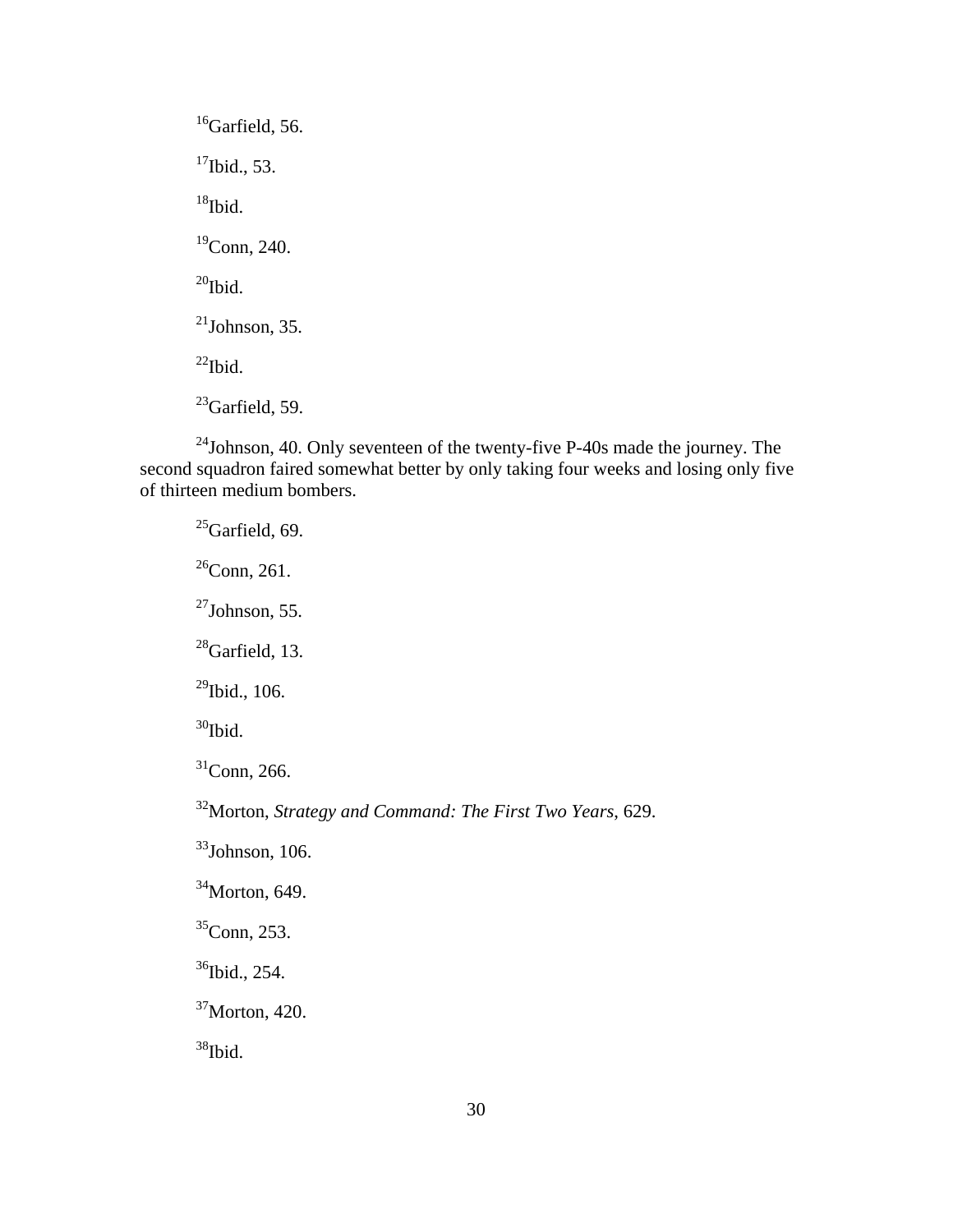$16$ Garfield, 56.  $17$ Ibid., 53.  $18$ Ibid. 19Conn, 240.  $^{20}$ Ibid.  $^{21}$ Johnson, 35.  $^{22}$ Ibid.  $^{23}$ Garfield, 59.

 $24$ Johnson, 40. Only seventeen of the twenty-five P-40s made the journey. The second squadron faired somewhat better by only taking four weeks and losing only five of thirteen medium bombers.

 $25$ Garfield, 69.  $26$ Conn, 261.  $^{27}$ Johnson, 55.  $^{28}$ Garfield, 13.  $29$ Ibid., 106.  $30$ Ibid.  $31$ Conn, 266.

32Morton, *Strategy and Command: The First Two Years*, 629.

 $33$ Johnson, 106.

 $34$ Morton, 649.

35Conn, 253.

<sup>36</sup>Ibid., 254.

 $37$ Morton, 420.

 $38$ Ibid.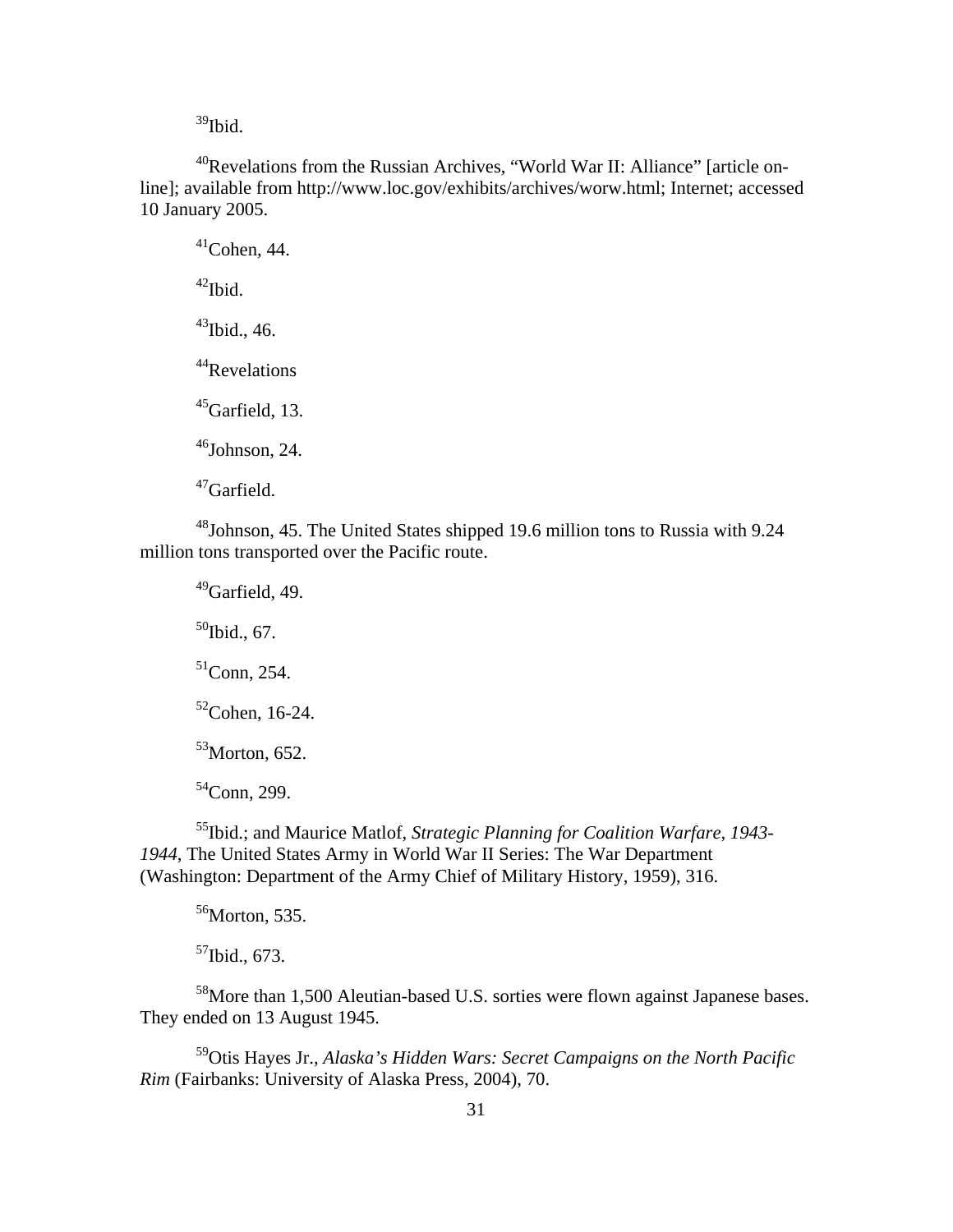$39$ Ibid.

40Revelations from the Russian Archives, "World War II: Alliance" [article online]; available from http://www.loc.gov/exhibits/archives/worw.html; Internet; accessed 10 January 2005.

 $41$ Cohen, 44.  $42$ Ibid.  $43$ Ibid., 46. <sup>44</sup>Revelations  $45$ Garfield, 13.  $46$ Johnson, 24. 47Garfield.

48Johnson, 45. The United States shipped 19.6 million tons to Russia with 9.24 million tons transported over the Pacific route.

Garfield, 49. Ibid., 67. Conn, 254. Cohen, 16-24. Morton, 652. Conn, 299.

55Ibid.; and Maurice Matlof, *Strategic Planning for Coalition Warfare, 1943- 1944*, The United States Army in World War II Series: The War Department (Washington: Department of the Army Chief of Military History, 1959), 316.

 $56$ Morton, 535.

 $57$ Ibid., 673.

<sup>58</sup>More than 1,500 Aleutian-based U.S. sorties were flown against Japanese bases. They ended on 13 August 1945.

59Otis Hayes Jr., *Alaska's Hidden Wars: Secret Campaigns on the North Pacific Rim* (Fairbanks: University of Alaska Press, 2004), 70.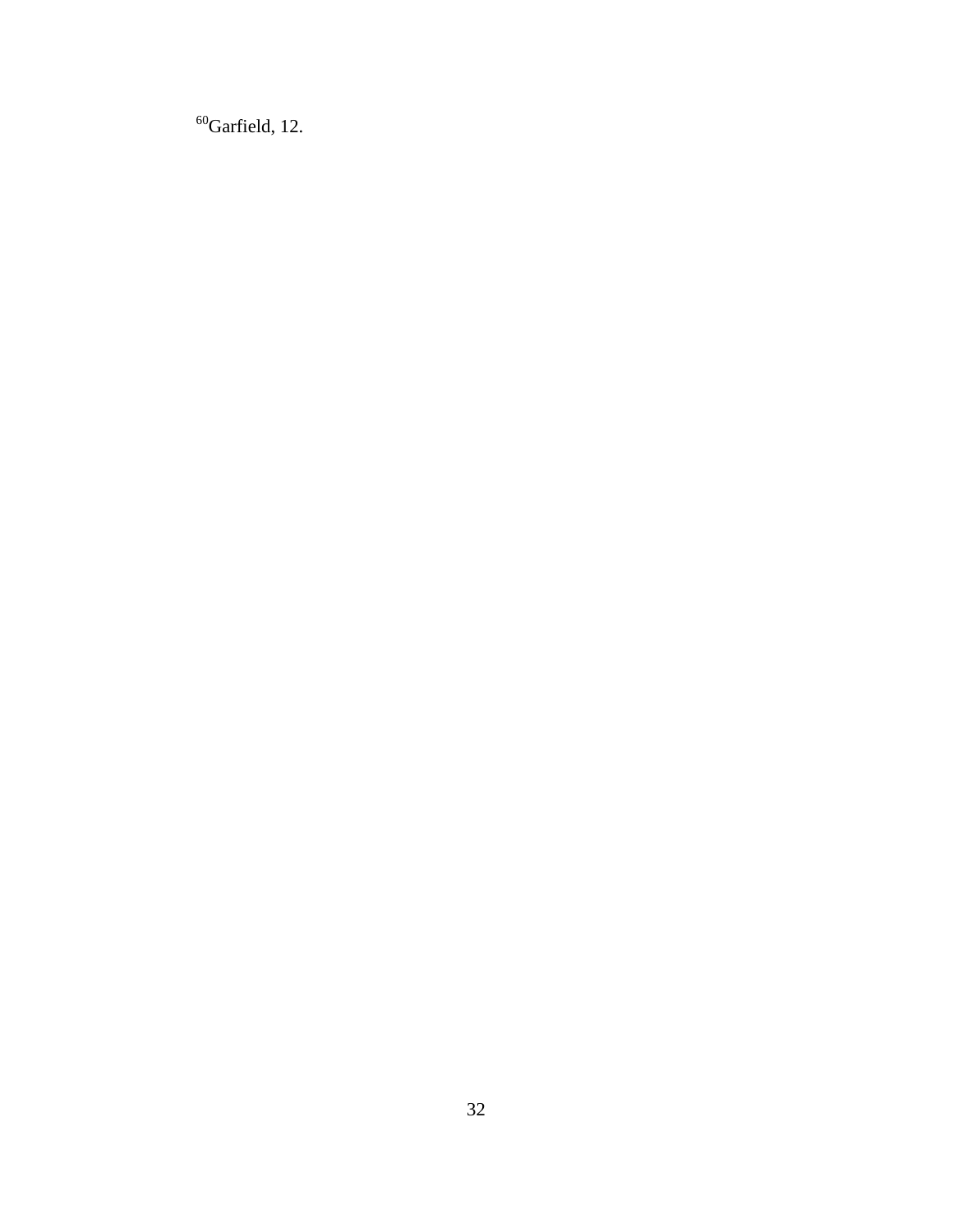Garfield, 12.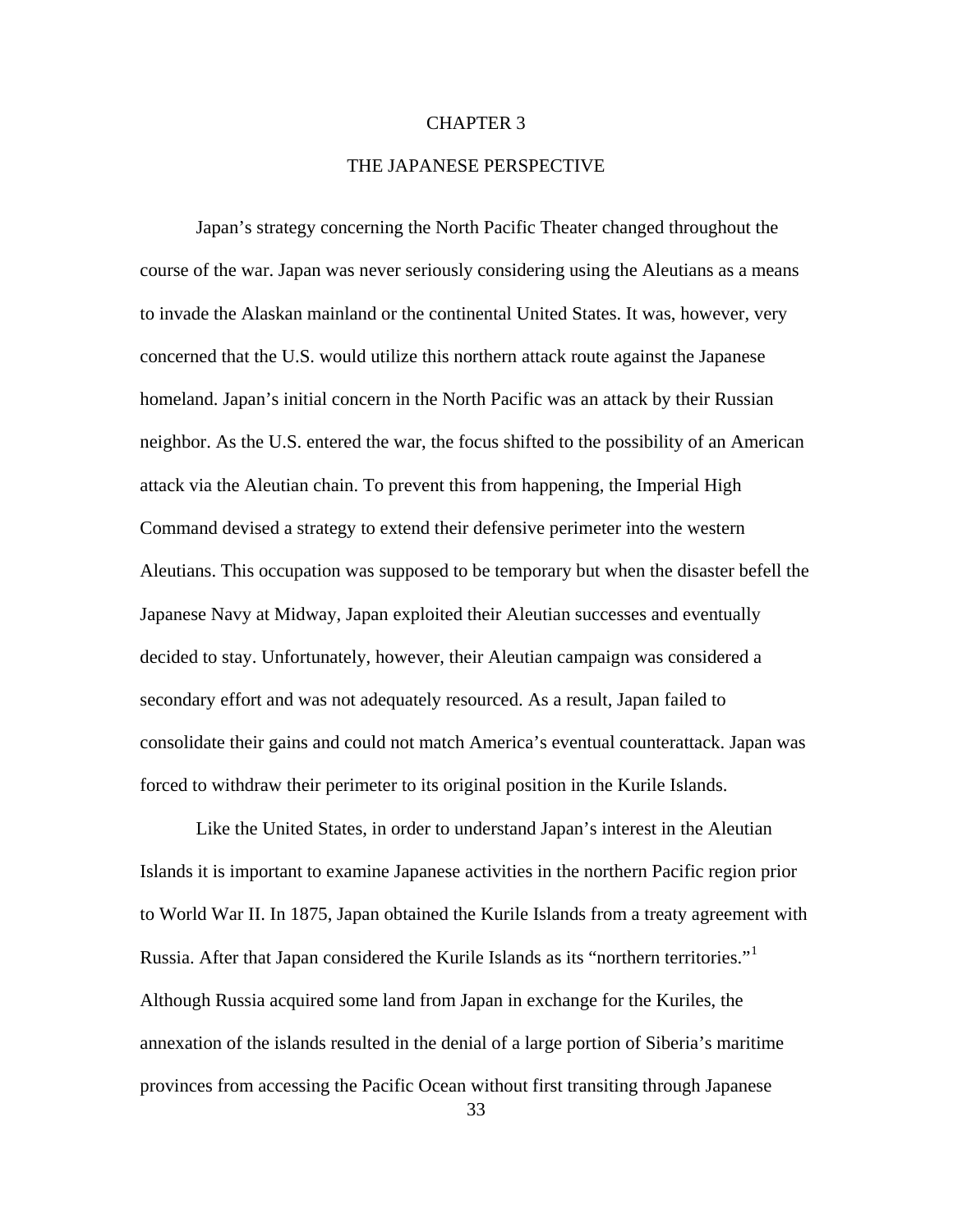## CHAPTER 3

## THE JAPANESE PERSPECTIVE

Japan's strategy concerning the North Pacific Theater changed throughout the course of the war. Japan was never seriously considering using the Aleutians as a means to invade the Alaskan mainland or the continental United States. It was, however, very concerned that the U.S. would utilize this northern attack route against the Japanese homeland. Japan's initial concern in the North Pacific was an attack by their Russian neighbor. As the U.S. entered the war, the focus shifted to the possibility of an American attack via the Aleutian chain. To prevent this from happening, the Imperial High Command devised a strategy to extend their defensive perimeter into the western Aleutians. This occupation was supposed to be temporary but when the disaster befell the Japanese Navy at Midway, Japan exploited their Aleutian successes and eventually decided to stay. Unfortunately, however, their Aleutian campaign was considered a secondary effort and was not adequately resourced. As a result, Japan failed to consolidate their gains and could not match America's eventual counterattack. Japan was forced to withdraw their perimeter to its original position in the Kurile Islands.

Like the United States, in order to understand Japan's interest in the Aleutian Islands it is important to examine Japanese activities in the northern Pacific region prior to World War II. In 1875, Japan obtained the Kurile Islands from a treaty agreement with Russia. After that Japan considered the Kurile Islands as its "northern territories."[1](#page-96-0) Although Russia acquired some land from Japan in exchange for the Kuriles, the annexation of the islands resulted in the denial of a large portion of Siberia's maritime provinces from accessing the Pacific Ocean without first transiting through Japanese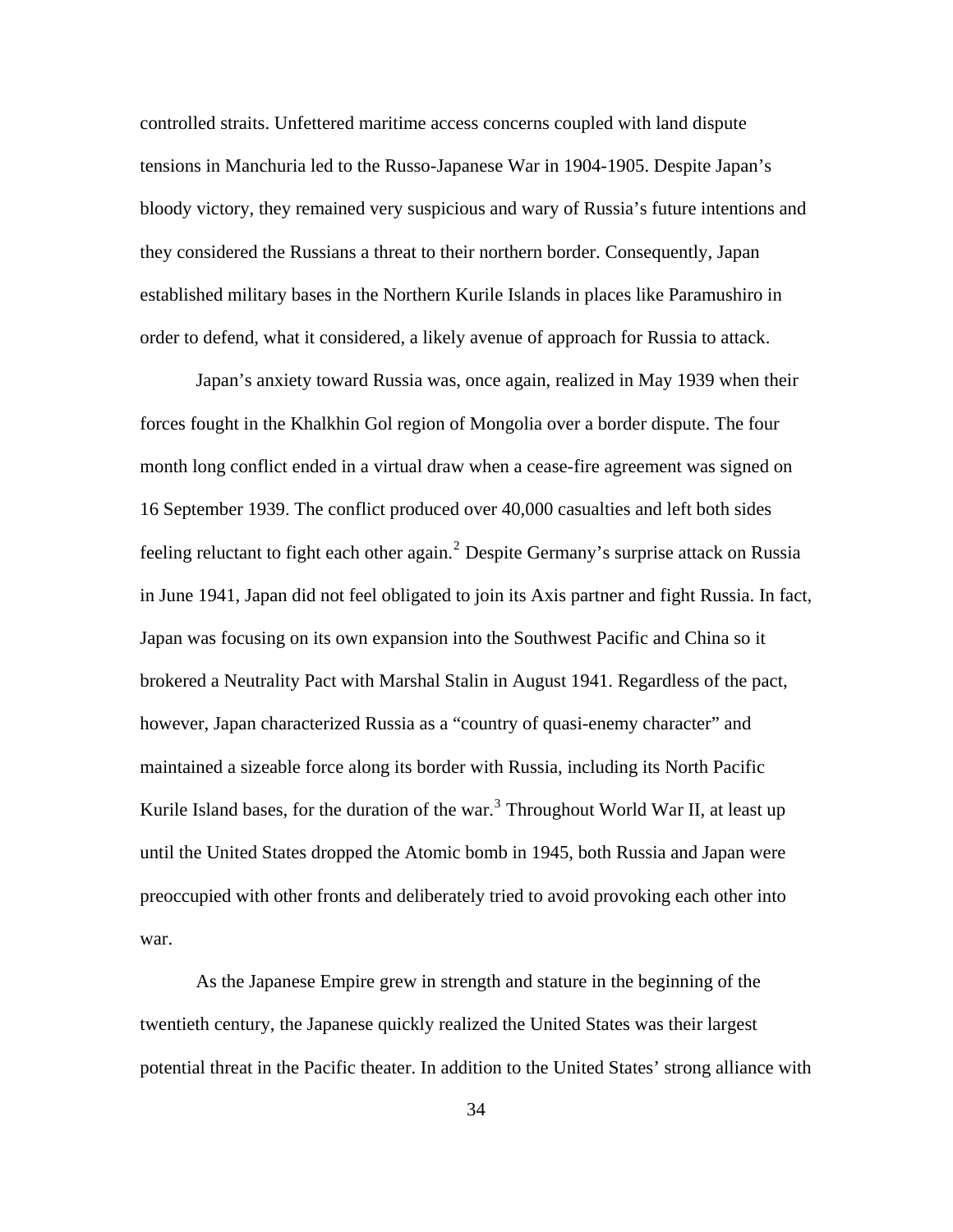controlled straits. Unfettered maritime access concerns coupled with land dispute tensions in Manchuria led to the Russo-Japanese War in 1904-1905. Despite Japan's bloody victory, they remained very suspicious and wary of Russia's future intentions and they considered the Russians a threat to their northern border. Consequently, Japan established military bases in the Northern Kurile Islands in places like Paramushiro in order to defend, what it considered, a likely avenue of approach for Russia to attack.

Japan's anxiety toward Russia was, once again, realized in May 1939 when their forces fought in the Khalkhin Gol region of Mongolia over a border dispute. The four month long conflict ended in a virtual draw when a cease-fire agreement was signed on 16 September 1939. The conflict produced over 40,000 casualties and left both sides feeling reluctant to fight each other again.<sup>[2](#page-96-0)</sup> Despite Germany's surprise attack on Russia in June 1941, Japan did not feel obligated to join its Axis partner and fight Russia. In fact, Japan was focusing on its own expansion into the Southwest Pacific and China so it brokered a Neutrality Pact with Marshal Stalin in August 1941. Regardless of the pact, however, Japan characterized Russia as a "country of quasi-enemy character" and maintained a sizeable force along its border with Russia, including its North Pacific Kurile Island bases, for the duration of the war.<sup>[3](#page-96-0)</sup> Throughout World War II, at least up until the United States dropped the Atomic bomb in 1945, both Russia and Japan were preoccupied with other fronts and deliberately tried to avoid provoking each other into war.

As the Japanese Empire grew in strength and stature in the beginning of the twentieth century, the Japanese quickly realized the United States was their largest potential threat in the Pacific theater. In addition to the United States' strong alliance with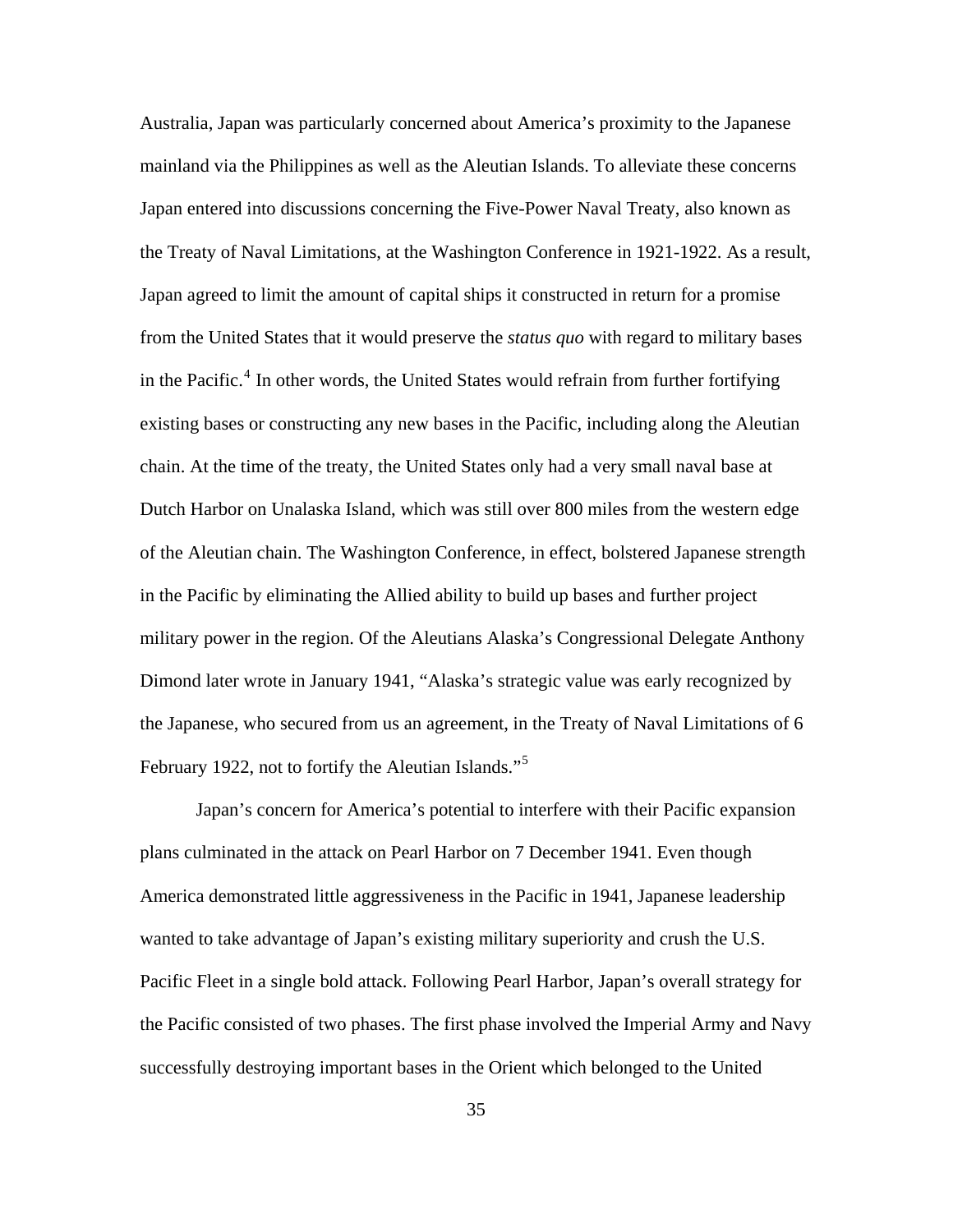Australia, Japan was particularly concerned about America's proximity to the Japanese mainland via the Philippines as well as the Aleutian Islands. To alleviate these concerns Japan entered into discussions concerning the Five-Power Naval Treaty, also known as the Treaty of Naval Limitations, at the Washington Conference in 1921-1922. As a result, Japan agreed to limit the amount of capital ships it constructed in return for a promise from the United States that it would preserve the *status quo* with regard to military bases in the Pacific.<sup>[4](#page-96-0)</sup> In other words, the United States would refrain from further fortifying existing bases or constructing any new bases in the Pacific, including along the Aleutian chain. At the time of the treaty, the United States only had a very small naval base at Dutch Harbor on Unalaska Island, which was still over 800 miles from the western edge of the Aleutian chain. The Washington Conference, in effect, bolstered Japanese strength in the Pacific by eliminating the Allied ability to build up bases and further project military power in the region. Of the Aleutians Alaska's Congressional Delegate Anthony Dimond later wrote in January 1941, "Alaska's strategic value was early recognized by the Japanese, who secured from us an agreement, in the Treaty of Naval Limitations of 6 February 1922, not to fortify the Aleutian Islands."<sup>[5](#page-96-0)</sup>

Japan's concern for America's potential to interfere with their Pacific expansion plans culminated in the attack on Pearl Harbor on 7 December 1941. Even though America demonstrated little aggressiveness in the Pacific in 1941, Japanese leadership wanted to take advantage of Japan's existing military superiority and crush the U.S. Pacific Fleet in a single bold attack. Following Pearl Harbor, Japan's overall strategy for the Pacific consisted of two phases. The first phase involved the Imperial Army and Navy successfully destroying important bases in the Orient which belonged to the United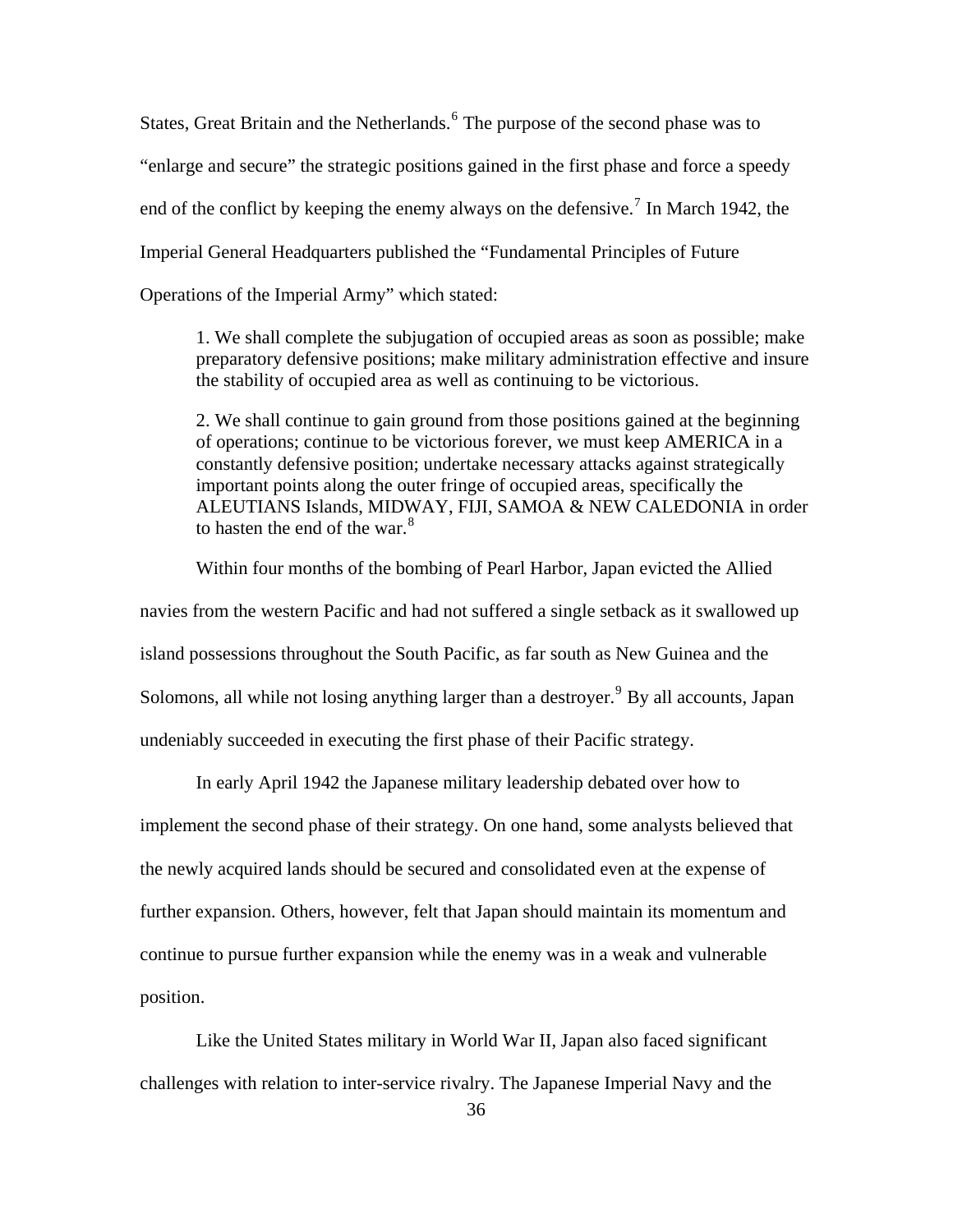States, Great Britain and the Netherlands.<sup>[6](#page-96-0)</sup> The purpose of the second phase was to "enlarge and secure" the strategic positions gained in the first phase and force a speedy end of the conflict by keeping the enemy always on the defensive.<sup>[7](#page-96-0)</sup> In March 1942, the Imperial General Headquarters published the "Fundamental Principles of Future Operations of the Imperial Army" which stated:

1. We shall complete the subjugation of occupied areas as soon as possible; make preparatory defensive positions; make military administration effective and insure the stability of occupied area as well as continuing to be victorious.

2. We shall continue to gain ground from those positions gained at the beginning of operations; continue to be victorious forever, we must keep AMERICA in a constantly defensive position; undertake necessary attacks against strategically important points along the outer fringe of occupied areas, specifically the ALEUTIANS Islands, MIDWAY, FIJI, SAMOA & NEW CALEDONIA in order to hasten the end of the war. $8<sup>8</sup>$  $8<sup>8</sup>$ 

Within four months of the bombing of Pearl Harbor, Japan evicted the Allied navies from the western Pacific and had not suffered a single setback as it swallowed up island possessions throughout the South Pacific, as far south as New Guinea and the Solomons, all while not losing anything larger than a destroyer.<sup>[9](#page-96-0)</sup> By all accounts, Japan undeniably succeeded in executing the first phase of their Pacific strategy.

In early April 1942 the Japanese military leadership debated over how to implement the second phase of their strategy. On one hand, some analysts believed that the newly acquired lands should be secured and consolidated even at the expense of further expansion. Others, however, felt that Japan should maintain its momentum and continue to pursue further expansion while the enemy was in a weak and vulnerable position.

Like the United States military in World War II, Japan also faced significant challenges with relation to inter-service rivalry. The Japanese Imperial Navy and the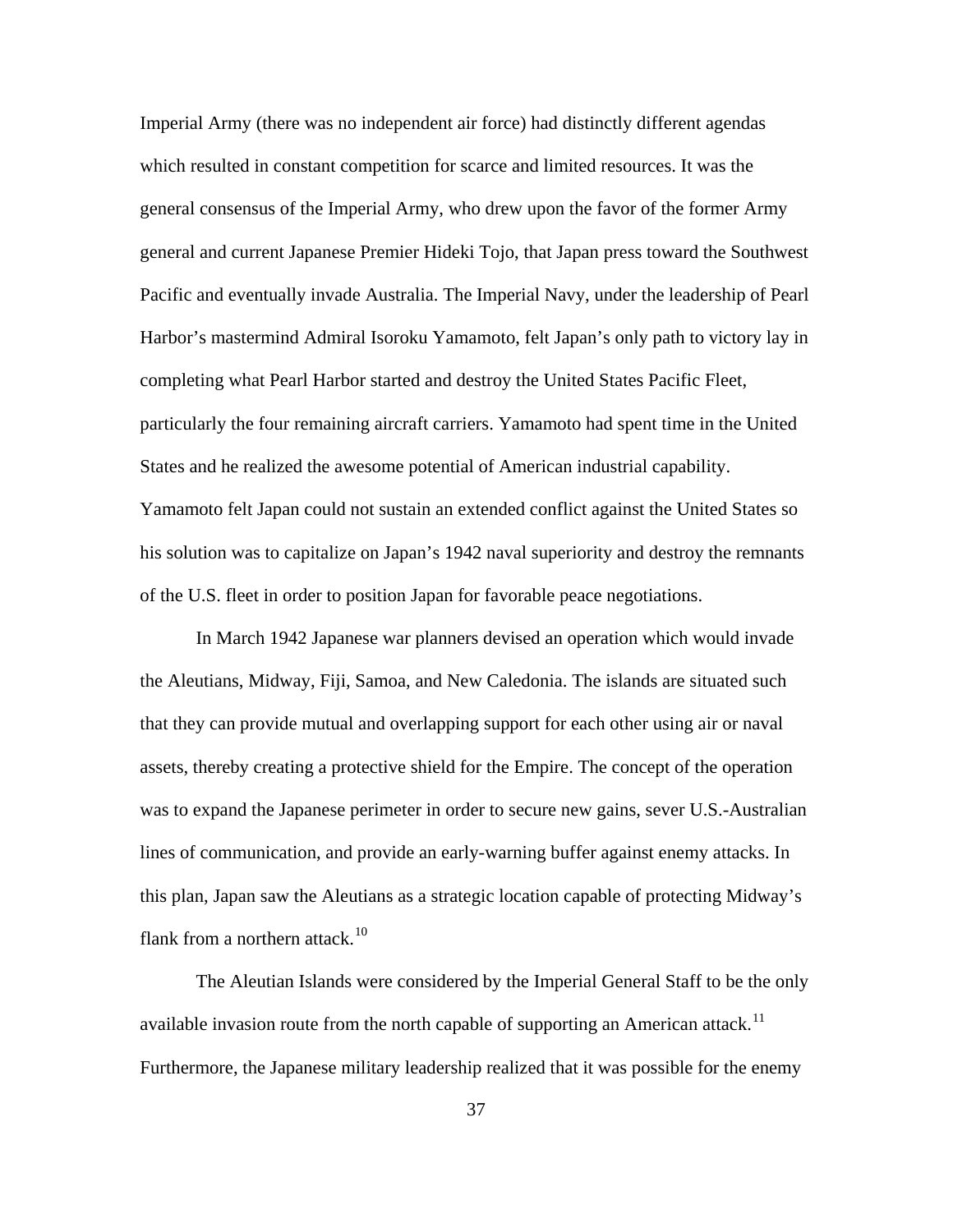Imperial Army (there was no independent air force) had distinctly different agendas which resulted in constant competition for scarce and limited resources. It was the general consensus of the Imperial Army, who drew upon the favor of the former Army general and current Japanese Premier Hideki Tojo, that Japan press toward the Southwest Pacific and eventually invade Australia. The Imperial Navy, under the leadership of Pearl Harbor's mastermind Admiral Isoroku Yamamoto, felt Japan's only path to victory lay in completing what Pearl Harbor started and destroy the United States Pacific Fleet, particularly the four remaining aircraft carriers. Yamamoto had spent time in the United States and he realized the awesome potential of American industrial capability. Yamamoto felt Japan could not sustain an extended conflict against the United States so his solution was to capitalize on Japan's 1942 naval superiority and destroy the remnants of the U.S. fleet in order to position Japan for favorable peace negotiations.

In March 1942 Japanese war planners devised an operation which would invade the Aleutians, Midway, Fiji, Samoa, and New Caledonia. The islands are situated such that they can provide mutual and overlapping support for each other using air or naval assets, thereby creating a protective shield for the Empire. The concept of the operation was to expand the Japanese perimeter in order to secure new gains, sever U.S.-Australian lines of communication, and provide an early-warning buffer against enemy attacks. In this plan, Japan saw the Aleutians as a strategic location capable of protecting Midway's flank from a northern attack.<sup>[10](#page-96-0)</sup>

The Aleutian Islands were considered by the Imperial General Staff to be the only available invasion route from the north capable of supporting an American attack.<sup>[11](#page-96-0)</sup> Furthermore, the Japanese military leadership realized that it was possible for the enemy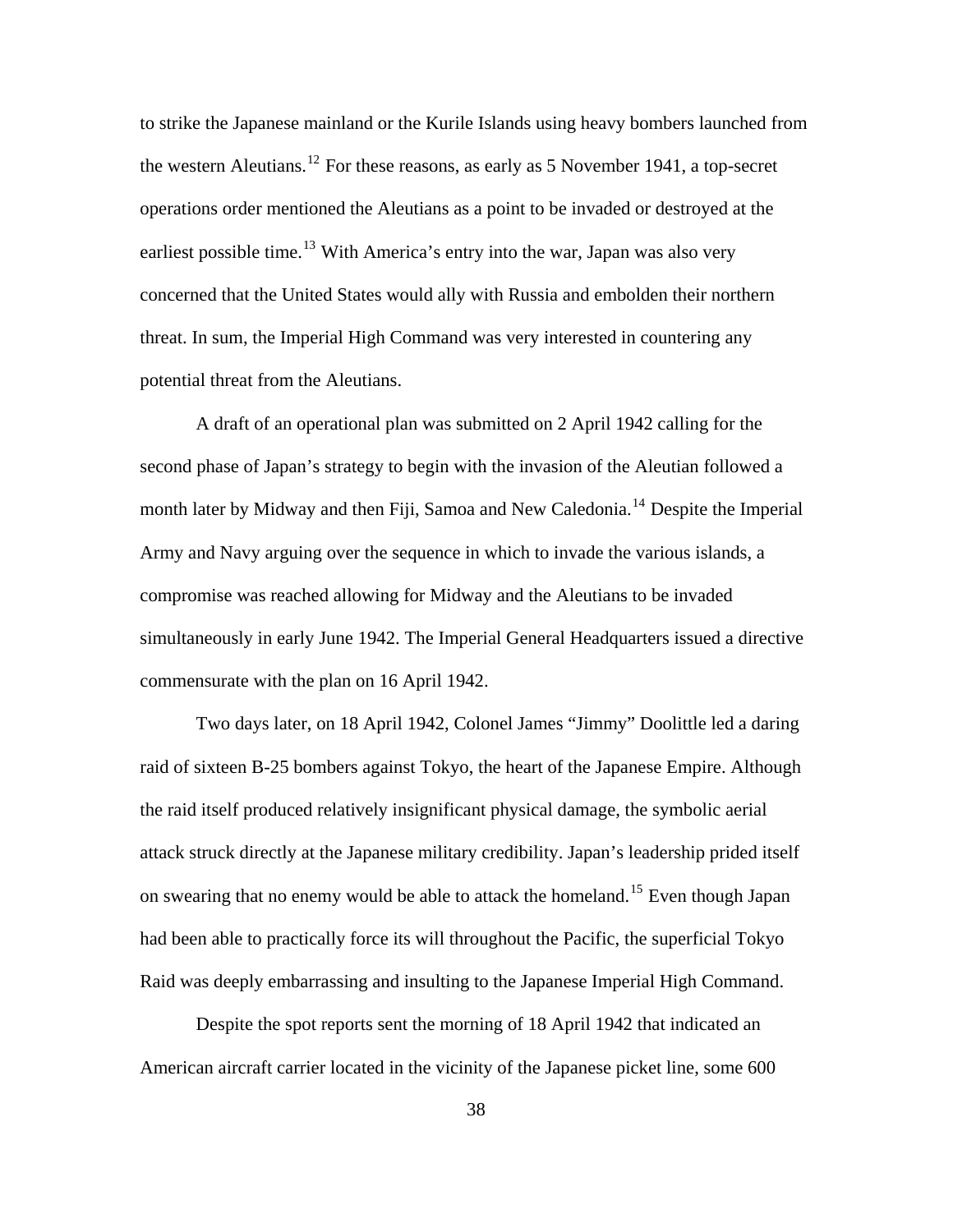to strike the Japanese mainland or the Kurile Islands using heavy bombers launched from the western Aleutians.<sup>[12](#page-96-0)</sup> For these reasons, as early as 5 November 1941, a top-secret operations order mentioned the Aleutians as a point to be invaded or destroyed at the earliest possible time.<sup>[13](#page-96-0)</sup> With America's entry into the war, Japan was also very concerned that the United States would ally with Russia and embolden their northern threat. In sum, the Imperial High Command was very interested in countering any potential threat from the Aleutians.

A draft of an operational plan was submitted on 2 April 1942 calling for the second phase of Japan's strategy to begin with the invasion of the Aleutian followed a month later by Midway and then Fiji, Samoa and New Caledonia.<sup>[14](#page-96-0)</sup> Despite the Imperial Army and Navy arguing over the sequence in which to invade the various islands, a compromise was reached allowing for Midway and the Aleutians to be invaded simultaneously in early June 1942. The Imperial General Headquarters issued a directive commensurate with the plan on 16 April 1942.

Two days later, on 18 April 1942, Colonel James "Jimmy" Doolittle led a daring raid of sixteen B-25 bombers against Tokyo, the heart of the Japanese Empire. Although the raid itself produced relatively insignificant physical damage, the symbolic aerial attack struck directly at the Japanese military credibility. Japan's leadership prided itself on swearing that no enemy would be able to attack the homeland.<sup>[15](#page-96-0)</sup> Even though Japan had been able to practically force its will throughout the Pacific, the superficial Tokyo Raid was deeply embarrassing and insulting to the Japanese Imperial High Command.

Despite the spot reports sent the morning of 18 April 1942 that indicated an American aircraft carrier located in the vicinity of the Japanese picket line, some 600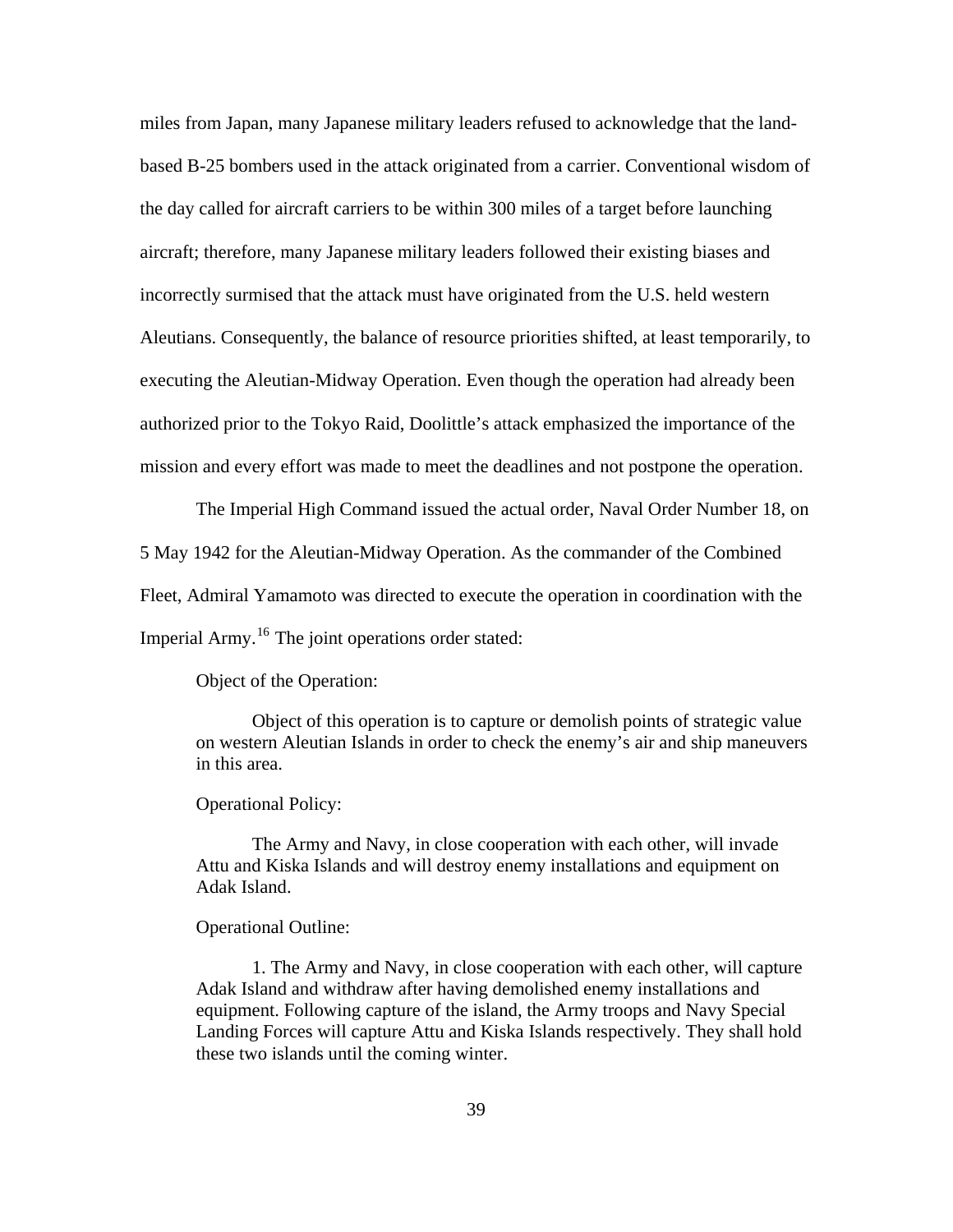miles from Japan, many Japanese military leaders refused to acknowledge that the landbased B-25 bombers used in the attack originated from a carrier. Conventional wisdom of the day called for aircraft carriers to be within 300 miles of a target before launching aircraft; therefore, many Japanese military leaders followed their existing biases and incorrectly surmised that the attack must have originated from the U.S. held western Aleutians. Consequently, the balance of resource priorities shifted, at least temporarily, to executing the Aleutian-Midway Operation. Even though the operation had already been authorized prior to the Tokyo Raid, Doolittle's attack emphasized the importance of the mission and every effort was made to meet the deadlines and not postpone the operation.

The Imperial High Command issued the actual order, Naval Order Number 18, on 5 May 1942 for the Aleutian-Midway Operation. As the commander of the Combined Fleet, Admiral Yamamoto was directed to execute the operation in coordination with the Imperial Army.<sup>[16](#page-96-0)</sup> The joint operations order stated:

Object of the Operation:

 Object of this operation is to capture or demolish points of strategic value on western Aleutian Islands in order to check the enemy's air and ship maneuvers in this area.

Operational Policy:

 The Army and Navy, in close cooperation with each other, will invade Attu and Kiska Islands and will destroy enemy installations and equipment on Adak Island.

Operational Outline:

 1. The Army and Navy, in close cooperation with each other, will capture Adak Island and withdraw after having demolished enemy installations and equipment. Following capture of the island, the Army troops and Navy Special Landing Forces will capture Attu and Kiska Islands respectively. They shall hold these two islands until the coming winter.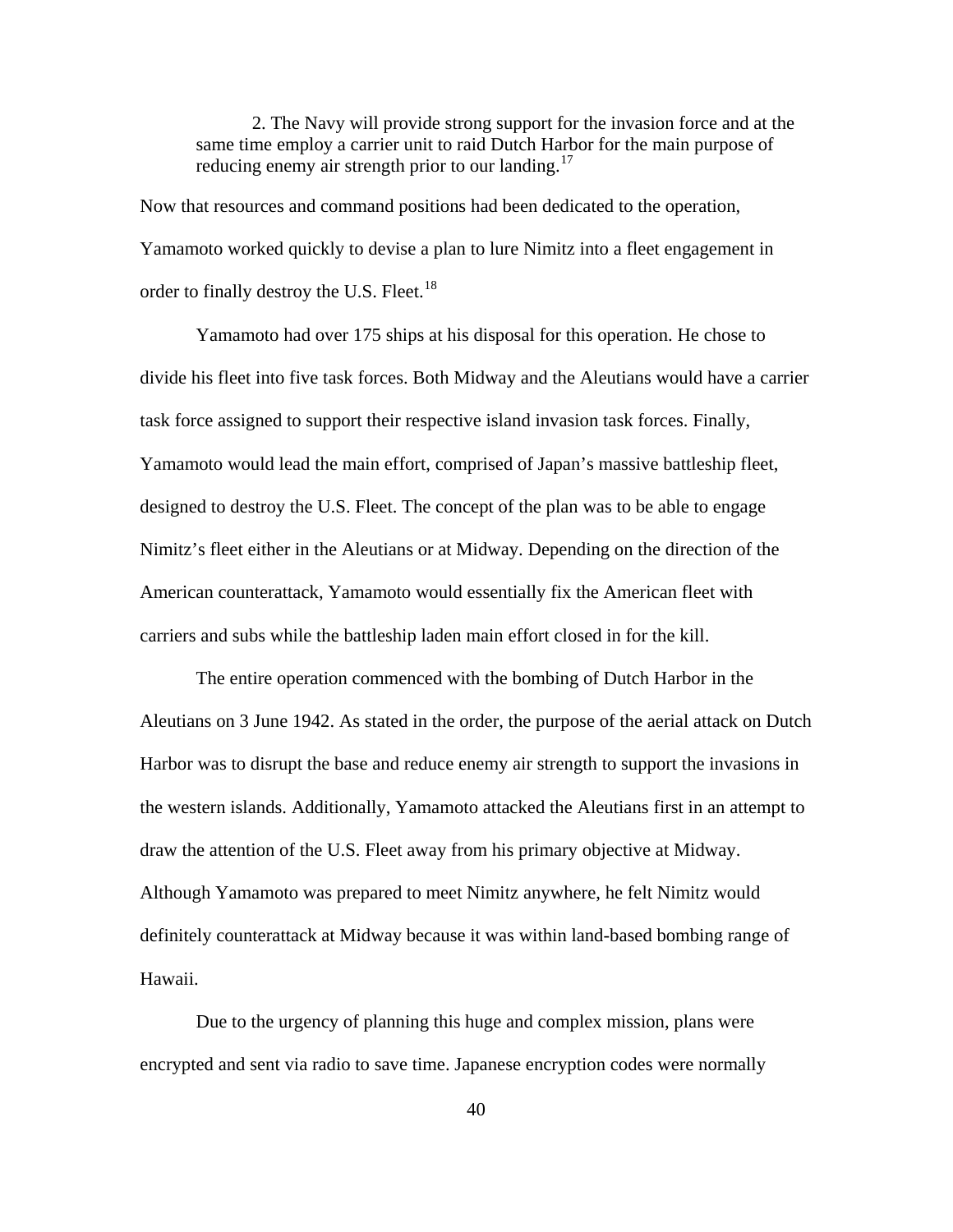2. The Navy will provide strong support for the invasion force and at the same time employ a carrier unit to raid Dutch Harbor for the main purpose of reducing enemy air strength prior to our landing.<sup>[17](#page-96-0)</sup>

Now that resources and command positions had been dedicated to the operation, Yamamoto worked quickly to devise a plan to lure Nimitz into a fleet engagement in order to finally destroy the U.S. Fleet.<sup>[18](#page-96-0)</sup>

Yamamoto had over 175 ships at his disposal for this operation. He chose to divide his fleet into five task forces. Both Midway and the Aleutians would have a carrier task force assigned to support their respective island invasion task forces. Finally, Yamamoto would lead the main effort, comprised of Japan's massive battleship fleet, designed to destroy the U.S. Fleet. The concept of the plan was to be able to engage Nimitz's fleet either in the Aleutians or at Midway. Depending on the direction of the American counterattack, Yamamoto would essentially fix the American fleet with carriers and subs while the battleship laden main effort closed in for the kill.

The entire operation commenced with the bombing of Dutch Harbor in the Aleutians on 3 June 1942. As stated in the order, the purpose of the aerial attack on Dutch Harbor was to disrupt the base and reduce enemy air strength to support the invasions in the western islands. Additionally, Yamamoto attacked the Aleutians first in an attempt to draw the attention of the U.S. Fleet away from his primary objective at Midway. Although Yamamoto was prepared to meet Nimitz anywhere, he felt Nimitz would definitely counterattack at Midway because it was within land-based bombing range of Hawaii.

Due to the urgency of planning this huge and complex mission, plans were encrypted and sent via radio to save time. Japanese encryption codes were normally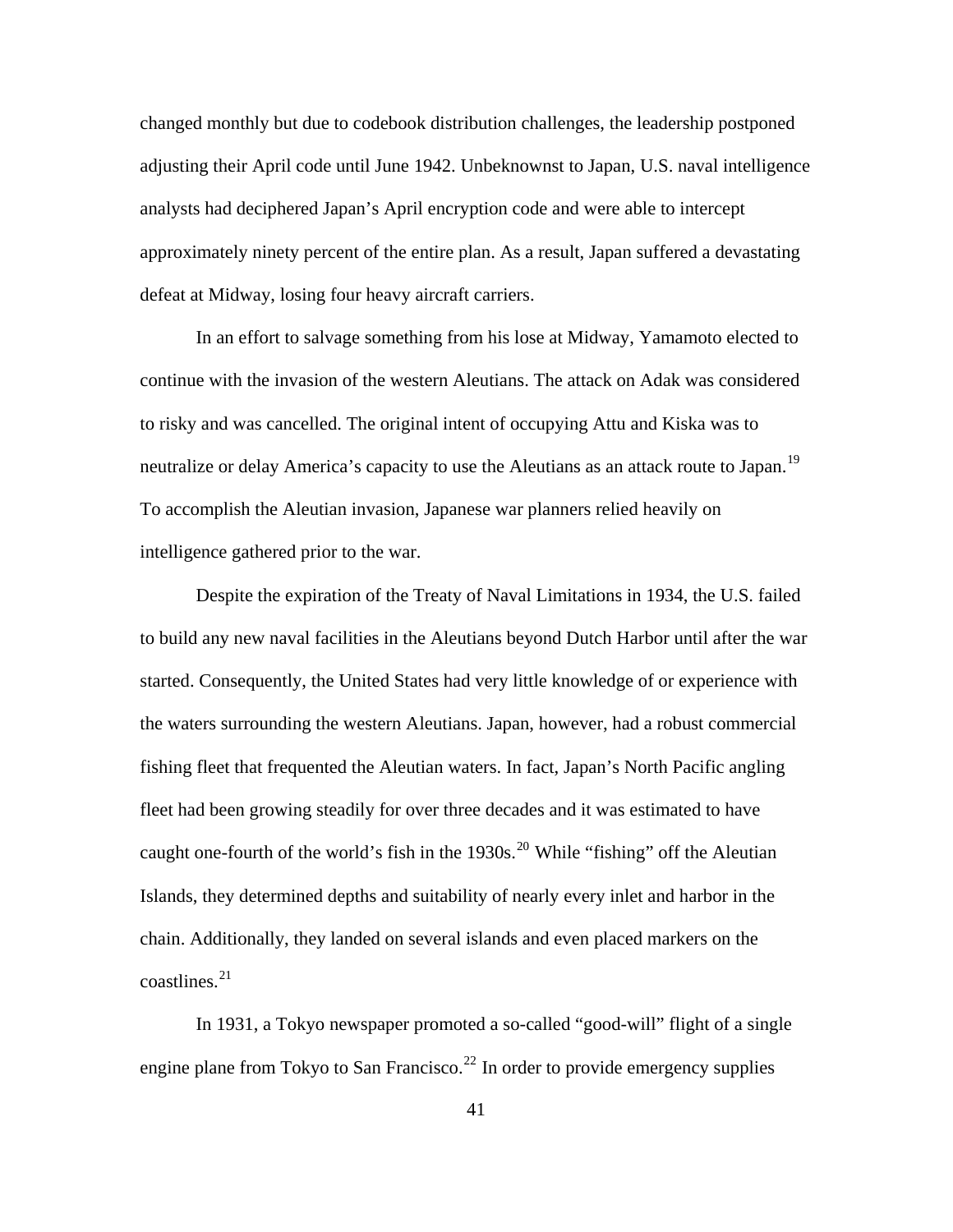changed monthly but due to codebook distribution challenges, the leadership postponed adjusting their April code until June 1942. Unbeknownst to Japan, U.S. naval intelligence analysts had deciphered Japan's April encryption code and were able to intercept approximately ninety percent of the entire plan. As a result, Japan suffered a devastating defeat at Midway, losing four heavy aircraft carriers.

In an effort to salvage something from his lose at Midway, Yamamoto elected to continue with the invasion of the western Aleutians. The attack on Adak was considered to risky and was cancelled. The original intent of occupying Attu and Kiska was to neutralize or delay America's capacity to use the Aleutians as an attack route to Japan.<sup>[19](#page-96-0)</sup> To accomplish the Aleutian invasion, Japanese war planners relied heavily on intelligence gathered prior to the war.

Despite the expiration of the Treaty of Naval Limitations in 1934, the U.S. failed to build any new naval facilities in the Aleutians beyond Dutch Harbor until after the war started. Consequently, the United States had very little knowledge of or experience with the waters surrounding the western Aleutians. Japan, however, had a robust commercial fishing fleet that frequented the Aleutian waters. In fact, Japan's North Pacific angling fleet had been growing steadily for over three decades and it was estimated to have caught one-fourth of the world's fish in the  $1930s$ <sup>[20](#page-96-0)</sup> While "fishing" off the Aleutian Islands, they determined depths and suitability of nearly every inlet and harbor in the chain. Additionally, they landed on several islands and even placed markers on the  $\text{coastlines.}^{21}$  $\text{coastlines.}^{21}$  $\text{coastlines.}^{21}$ 

In 1931, a Tokyo newspaper promoted a so-called "good-will" flight of a single engine plane from Tokyo to San Francisco.<sup>[22](#page-96-0)</sup> In order to provide emergency supplies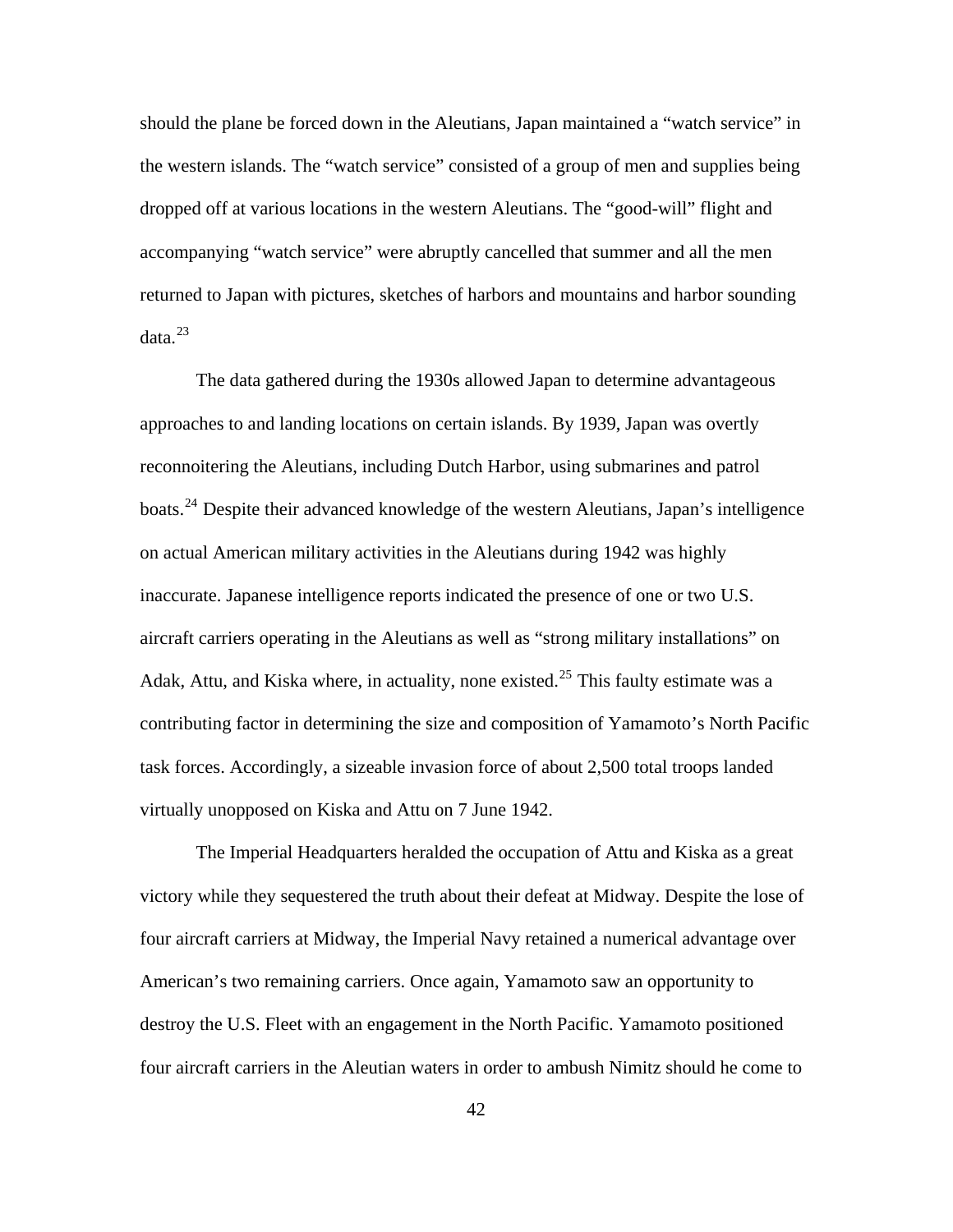should the plane be forced down in the Aleutians, Japan maintained a "watch service" in the western islands. The "watch service" consisted of a group of men and supplies being dropped off at various locations in the western Aleutians. The "good-will" flight and accompanying "watch service" were abruptly cancelled that summer and all the men returned to Japan with pictures, sketches of harbors and mountains and harbor sounding  $data.<sup>23</sup>$  $data.<sup>23</sup>$  $data.<sup>23</sup>$ 

The data gathered during the 1930s allowed Japan to determine advantageous approaches to and landing locations on certain islands. By 1939, Japan was overtly reconnoitering the Aleutians, including Dutch Harbor, using submarines and patrol boats.[24](#page-96-0) Despite their advanced knowledge of the western Aleutians, Japan's intelligence on actual American military activities in the Aleutians during 1942 was highly inaccurate. Japanese intelligence reports indicated the presence of one or two U.S. aircraft carriers operating in the Aleutians as well as "strong military installations" on Adak, Attu, and Kiska where, in actuality, none existed.<sup>[25](#page-96-0)</sup> This faulty estimate was a contributing factor in determining the size and composition of Yamamoto's North Pacific task forces. Accordingly, a sizeable invasion force of about 2,500 total troops landed virtually unopposed on Kiska and Attu on 7 June 1942.

The Imperial Headquarters heralded the occupation of Attu and Kiska as a great victory while they sequestered the truth about their defeat at Midway. Despite the lose of four aircraft carriers at Midway, the Imperial Navy retained a numerical advantage over American's two remaining carriers. Once again, Yamamoto saw an opportunity to destroy the U.S. Fleet with an engagement in the North Pacific. Yamamoto positioned four aircraft carriers in the Aleutian waters in order to ambush Nimitz should he come to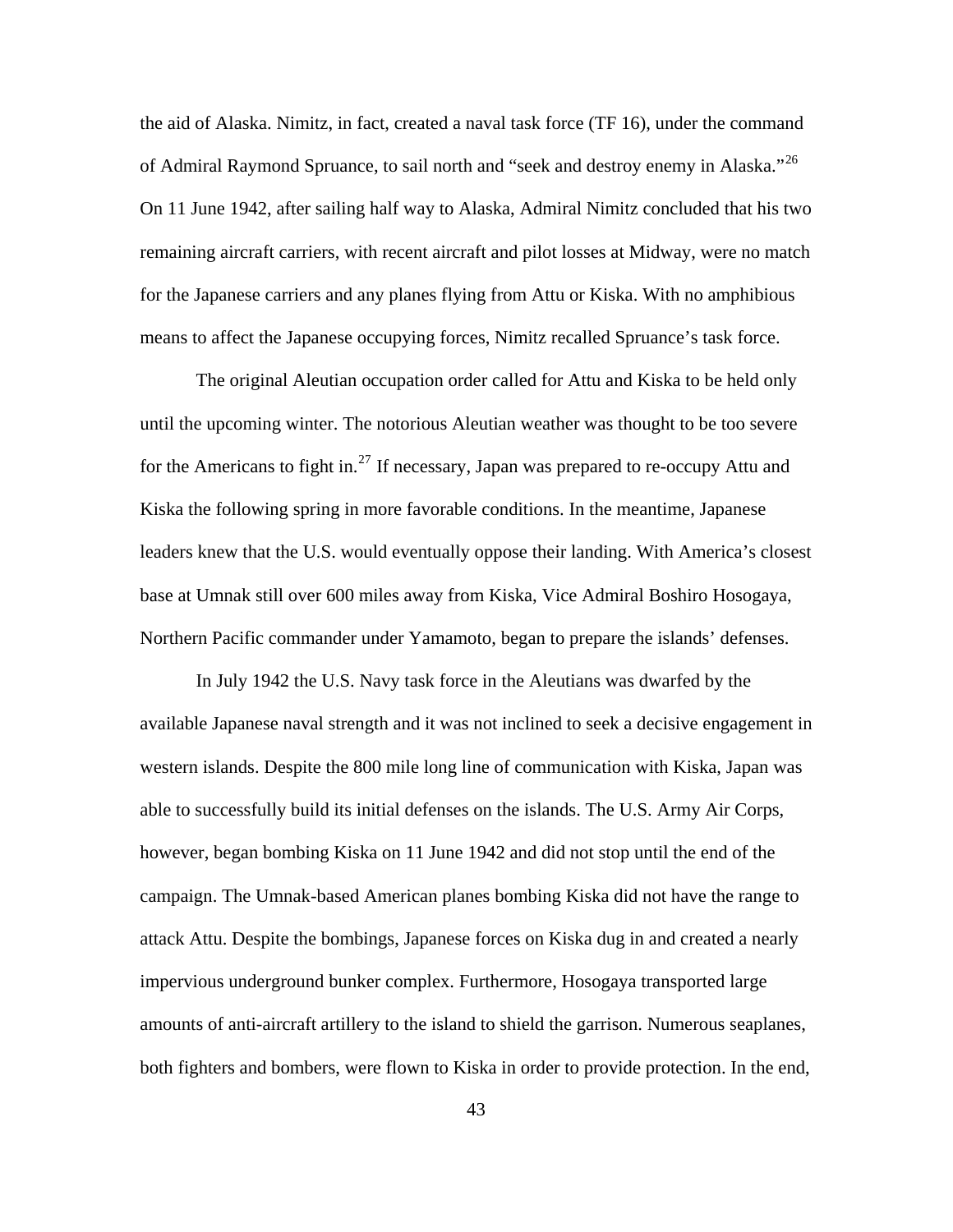the aid of Alaska. Nimitz, in fact, created a naval task force (TF 16), under the command of Admiral Raymond Spruance, to sail north and "seek and destroy enemy in Alaska."<sup>[26](#page-96-0)</sup> On 11 June 1942, after sailing half way to Alaska, Admiral Nimitz concluded that his two remaining aircraft carriers, with recent aircraft and pilot losses at Midway, were no match for the Japanese carriers and any planes flying from Attu or Kiska. With no amphibious means to affect the Japanese occupying forces, Nimitz recalled Spruance's task force.

The original Aleutian occupation order called for Attu and Kiska to be held only until the upcoming winter. The notorious Aleutian weather was thought to be too severe for the Americans to fight in.<sup>[27](#page-96-0)</sup> If necessary, Japan was prepared to re-occupy Attu and Kiska the following spring in more favorable conditions. In the meantime, Japanese leaders knew that the U.S. would eventually oppose their landing. With America's closest base at Umnak still over 600 miles away from Kiska, Vice Admiral Boshiro Hosogaya, Northern Pacific commander under Yamamoto, began to prepare the islands' defenses.

In July 1942 the U.S. Navy task force in the Aleutians was dwarfed by the available Japanese naval strength and it was not inclined to seek a decisive engagement in western islands. Despite the 800 mile long line of communication with Kiska, Japan was able to successfully build its initial defenses on the islands. The U.S. Army Air Corps, however, began bombing Kiska on 11 June 1942 and did not stop until the end of the campaign. The Umnak-based American planes bombing Kiska did not have the range to attack Attu. Despite the bombings, Japanese forces on Kiska dug in and created a nearly impervious underground bunker complex. Furthermore, Hosogaya transported large amounts of anti-aircraft artillery to the island to shield the garrison. Numerous seaplanes, both fighters and bombers, were flown to Kiska in order to provide protection. In the end,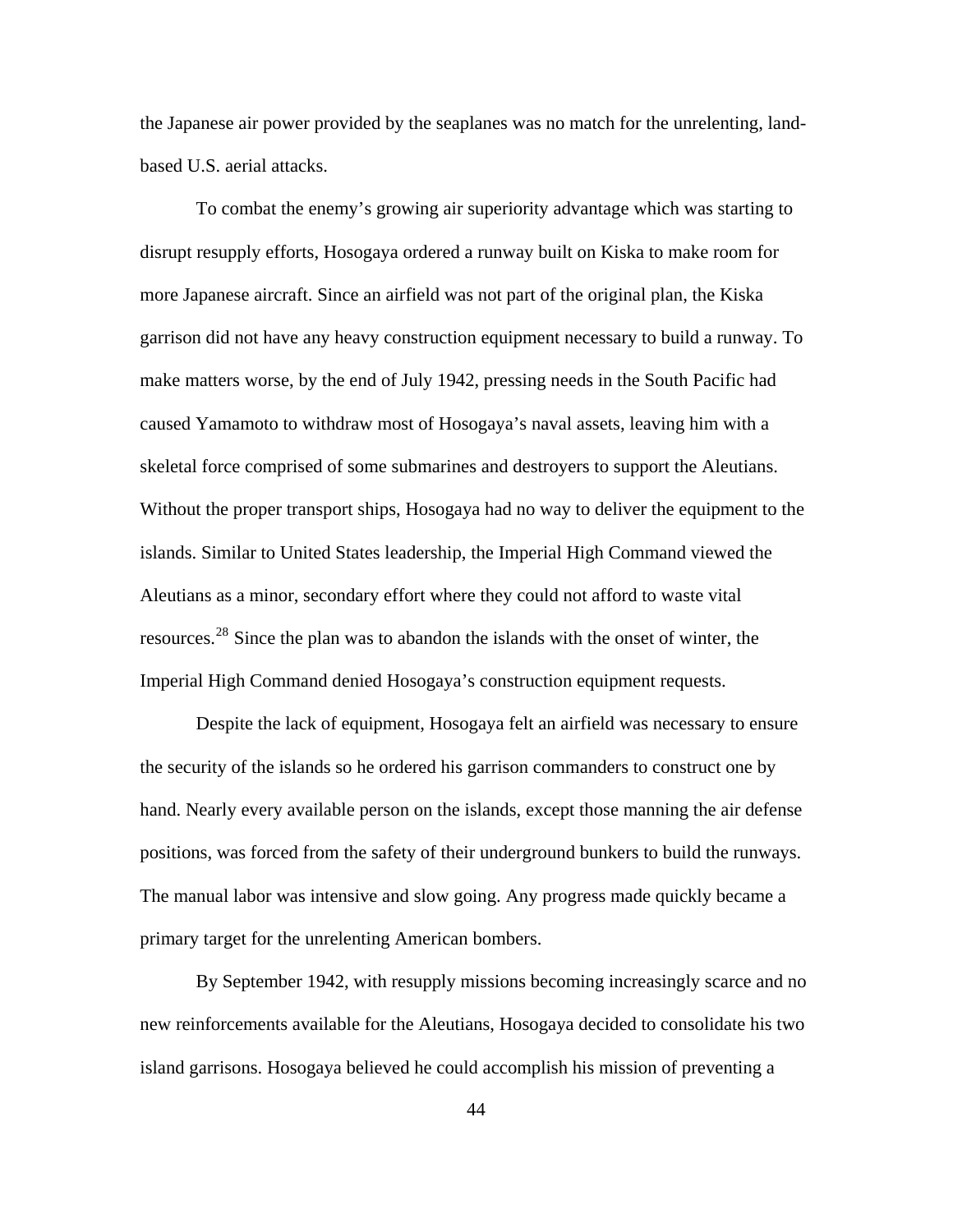the Japanese air power provided by the seaplanes was no match for the unrelenting, landbased U.S. aerial attacks.

To combat the enemy's growing air superiority advantage which was starting to disrupt resupply efforts, Hosogaya ordered a runway built on Kiska to make room for more Japanese aircraft. Since an airfield was not part of the original plan, the Kiska garrison did not have any heavy construction equipment necessary to build a runway. To make matters worse, by the end of July 1942, pressing needs in the South Pacific had caused Yamamoto to withdraw most of Hosogaya's naval assets, leaving him with a skeletal force comprised of some submarines and destroyers to support the Aleutians. Without the proper transport ships, Hosogaya had no way to deliver the equipment to the islands. Similar to United States leadership, the Imperial High Command viewed the Aleutians as a minor, secondary effort where they could not afford to waste vital resources.[28](#page-96-0) Since the plan was to abandon the islands with the onset of winter, the Imperial High Command denied Hosogaya's construction equipment requests.

Despite the lack of equipment, Hosogaya felt an airfield was necessary to ensure the security of the islands so he ordered his garrison commanders to construct one by hand. Nearly every available person on the islands, except those manning the air defense positions, was forced from the safety of their underground bunkers to build the runways. The manual labor was intensive and slow going. Any progress made quickly became a primary target for the unrelenting American bombers.

By September 1942, with resupply missions becoming increasingly scarce and no new reinforcements available for the Aleutians, Hosogaya decided to consolidate his two island garrisons. Hosogaya believed he could accomplish his mission of preventing a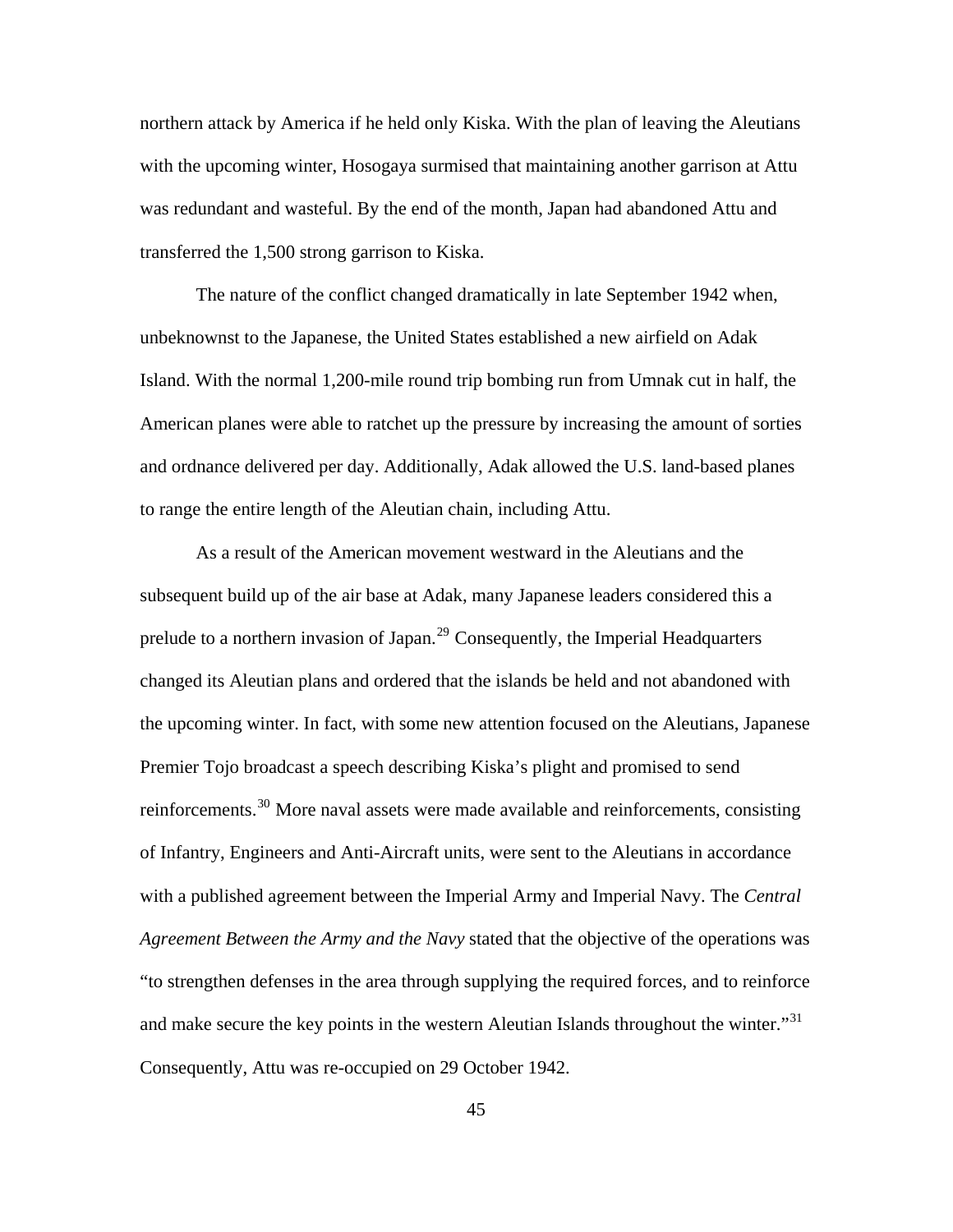northern attack by America if he held only Kiska. With the plan of leaving the Aleutians with the upcoming winter, Hosogaya surmised that maintaining another garrison at Attu was redundant and wasteful. By the end of the month, Japan had abandoned Attu and transferred the 1,500 strong garrison to Kiska.

The nature of the conflict changed dramatically in late September 1942 when, unbeknownst to the Japanese, the United States established a new airfield on Adak Island. With the normal 1,200-mile round trip bombing run from Umnak cut in half, the American planes were able to ratchet up the pressure by increasing the amount of sorties and ordnance delivered per day. Additionally, Adak allowed the U.S. land-based planes to range the entire length of the Aleutian chain, including Attu.

As a result of the American movement westward in the Aleutians and the subsequent build up of the air base at Adak, many Japanese leaders considered this a prelude to a northern invasion of Japan.<sup>[29](#page-96-0)</sup> Consequently, the Imperial Headquarters changed its Aleutian plans and ordered that the islands be held and not abandoned with the upcoming winter. In fact, with some new attention focused on the Aleutians, Japanese Premier Tojo broadcast a speech describing Kiska's plight and promised to send reinforcements.<sup>[30](#page-96-0)</sup> More naval assets were made available and reinforcements, consisting of Infantry, Engineers and Anti-Aircraft units, were sent to the Aleutians in accordance with a published agreement between the Imperial Army and Imperial Navy. The *Central Agreement Between the Army and the Navy* stated that the objective of the operations was "to strengthen defenses in the area through supplying the required forces, and to reinforce and make secure the key points in the western Aleutian Islands throughout the winter."<sup>[31](#page-96-0)</sup> Consequently, Attu was re-occupied on 29 October 1942.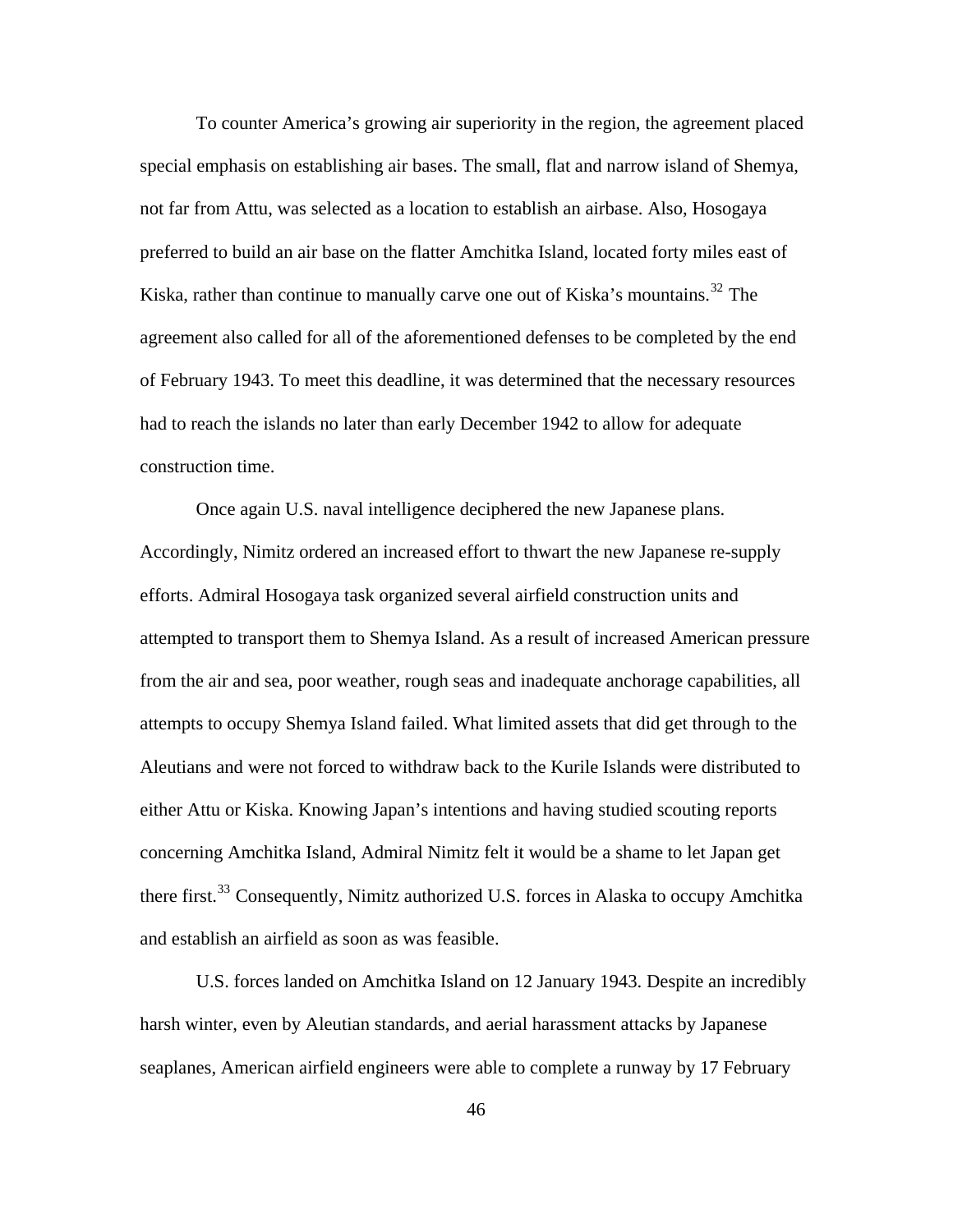To counter America's growing air superiority in the region, the agreement placed special emphasis on establishing air bases. The small, flat and narrow island of Shemya, not far from Attu, was selected as a location to establish an airbase. Also, Hosogaya preferred to build an air base on the flatter Amchitka Island, located forty miles east of Kiska, rather than continue to manually carve one out of Kiska's mountains.<sup>[32](#page-96-0)</sup> The agreement also called for all of the aforementioned defenses to be completed by the end of February 1943. To meet this deadline, it was determined that the necessary resources had to reach the islands no later than early December 1942 to allow for adequate construction time.

Once again U.S. naval intelligence deciphered the new Japanese plans. Accordingly, Nimitz ordered an increased effort to thwart the new Japanese re-supply efforts. Admiral Hosogaya task organized several airfield construction units and attempted to transport them to Shemya Island. As a result of increased American pressure from the air and sea, poor weather, rough seas and inadequate anchorage capabilities, all attempts to occupy Shemya Island failed. What limited assets that did get through to the Aleutians and were not forced to withdraw back to the Kurile Islands were distributed to either Attu or Kiska. Knowing Japan's intentions and having studied scouting reports concerning Amchitka Island, Admiral Nimitz felt it would be a shame to let Japan get there first.<sup>[33](#page-96-0)</sup> Consequently, Nimitz authorized U.S. forces in Alaska to occupy Amchitka and establish an airfield as soon as was feasible.

U.S. forces landed on Amchitka Island on 12 January 1943. Despite an incredibly harsh winter, even by Aleutian standards, and aerial harassment attacks by Japanese seaplanes, American airfield engineers were able to complete a runway by 17 February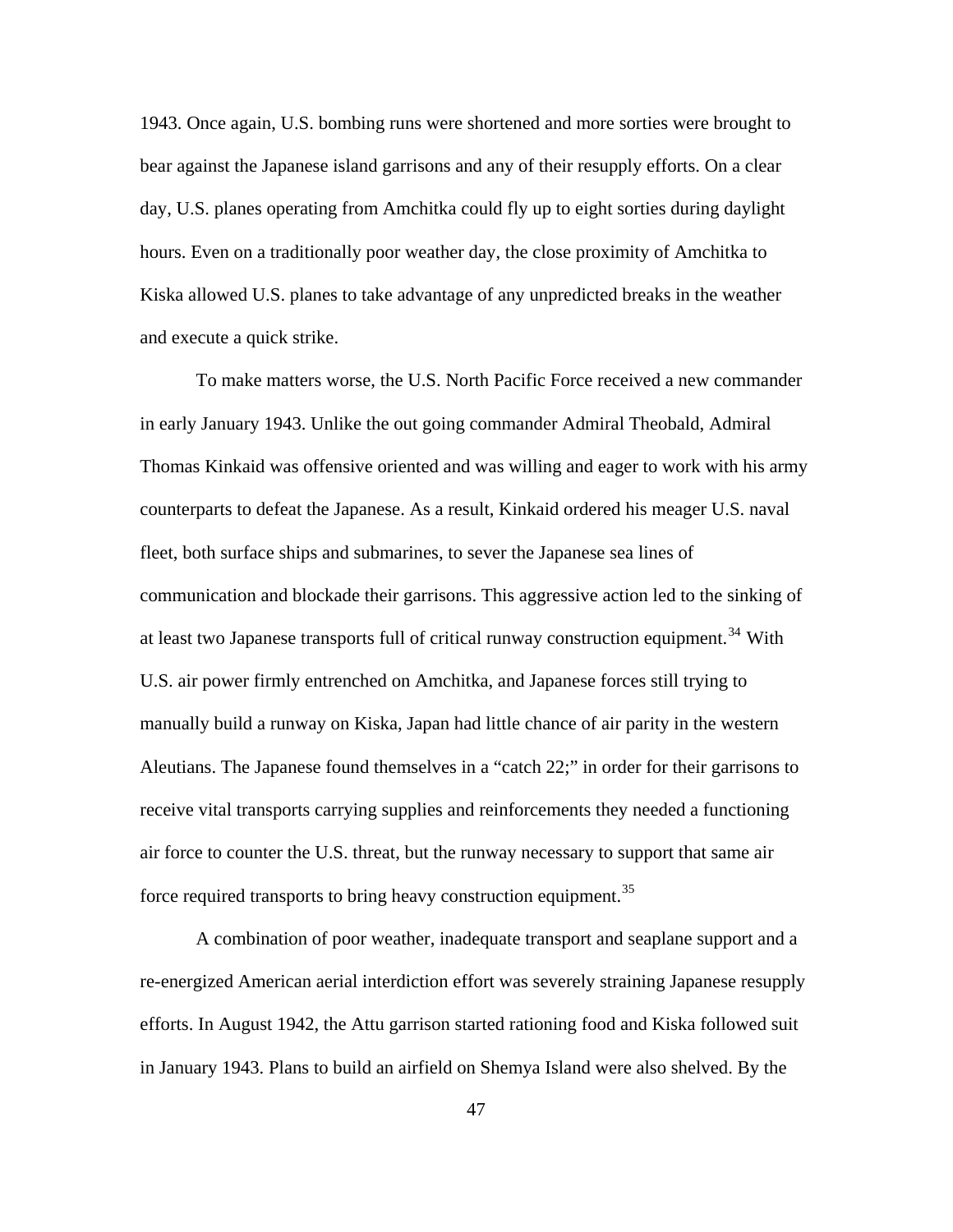1943. Once again, U.S. bombing runs were shortened and more sorties were brought to bear against the Japanese island garrisons and any of their resupply efforts. On a clear day, U.S. planes operating from Amchitka could fly up to eight sorties during daylight hours. Even on a traditionally poor weather day, the close proximity of Amchitka to Kiska allowed U.S. planes to take advantage of any unpredicted breaks in the weather and execute a quick strike.

To make matters worse, the U.S. North Pacific Force received a new commander in early January 1943. Unlike the out going commander Admiral Theobald, Admiral Thomas Kinkaid was offensive oriented and was willing and eager to work with his army counterparts to defeat the Japanese. As a result, Kinkaid ordered his meager U.S. naval fleet, both surface ships and submarines, to sever the Japanese sea lines of communication and blockade their garrisons. This aggressive action led to the sinking of at least two Japanese transports full of critical runway construction equipment.<sup>[34](#page-96-0)</sup> With U.S. air power firmly entrenched on Amchitka, and Japanese forces still trying to manually build a runway on Kiska, Japan had little chance of air parity in the western Aleutians. The Japanese found themselves in a "catch 22;" in order for their garrisons to receive vital transports carrying supplies and reinforcements they needed a functioning air force to counter the U.S. threat, but the runway necessary to support that same air force required transports to bring heavy construction equipment.<sup>[35](#page-96-0)</sup>

A combination of poor weather, inadequate transport and seaplane support and a re-energized American aerial interdiction effort was severely straining Japanese resupply efforts. In August 1942, the Attu garrison started rationing food and Kiska followed suit in January 1943. Plans to build an airfield on Shemya Island were also shelved. By the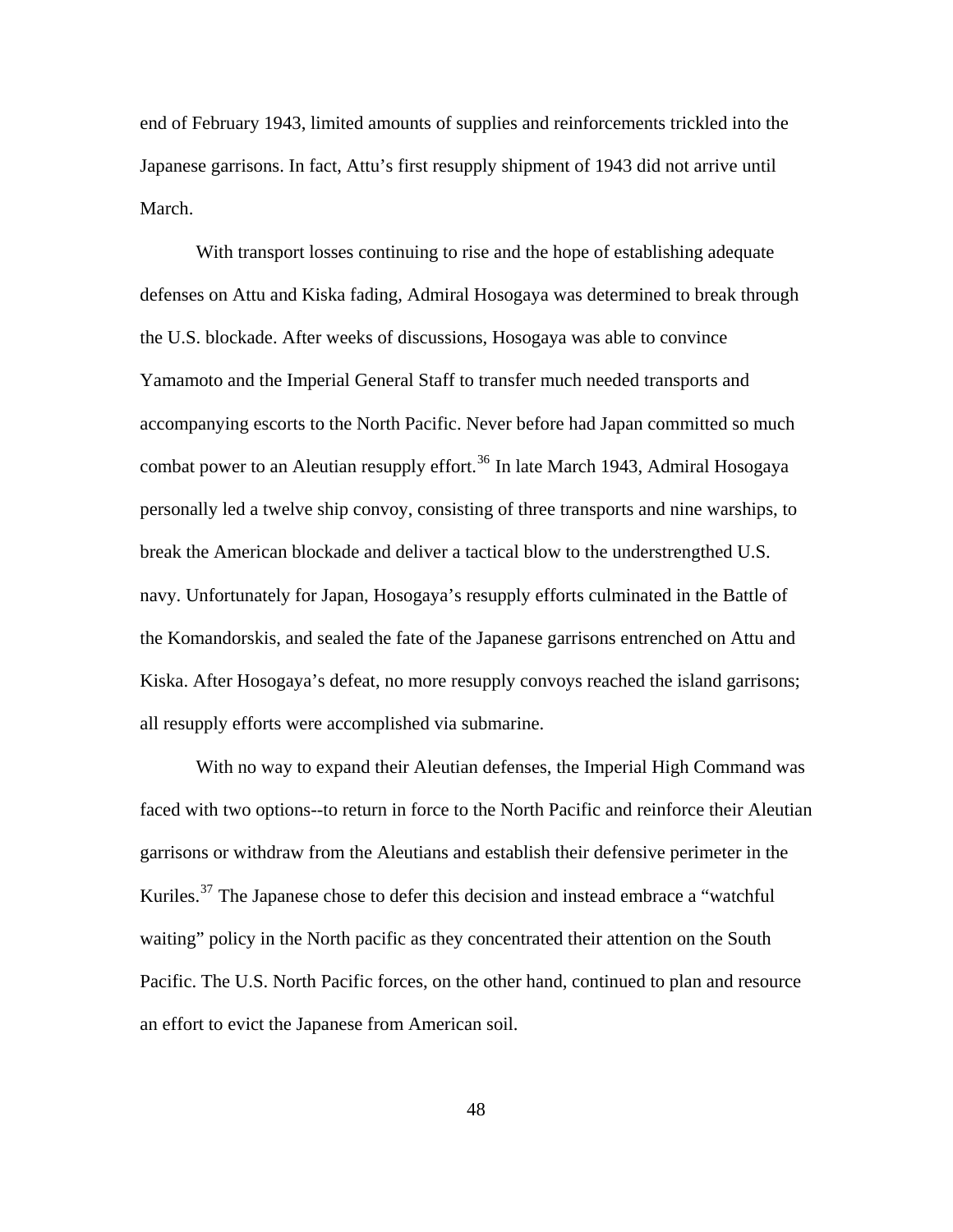end of February 1943, limited amounts of supplies and reinforcements trickled into the Japanese garrisons. In fact, Attu's first resupply shipment of 1943 did not arrive until March.

With transport losses continuing to rise and the hope of establishing adequate defenses on Attu and Kiska fading, Admiral Hosogaya was determined to break through the U.S. blockade. After weeks of discussions, Hosogaya was able to convince Yamamoto and the Imperial General Staff to transfer much needed transports and accompanying escorts to the North Pacific. Never before had Japan committed so much combat power to an Aleutian resupply effort.<sup>[36](#page-96-0)</sup> In late March 1943, Admiral Hosogaya personally led a twelve ship convoy, consisting of three transports and nine warships, to break the American blockade and deliver a tactical blow to the understrengthed U.S. navy. Unfortunately for Japan, Hosogaya's resupply efforts culminated in the Battle of the Komandorskis, and sealed the fate of the Japanese garrisons entrenched on Attu and Kiska. After Hosogaya's defeat, no more resupply convoys reached the island garrisons; all resupply efforts were accomplished via submarine.

With no way to expand their Aleutian defenses, the Imperial High Command was faced with two options--to return in force to the North Pacific and reinforce their Aleutian garrisons or withdraw from the Aleutians and establish their defensive perimeter in the Kuriles.[37](#page-96-0) The Japanese chose to defer this decision and instead embrace a "watchful waiting" policy in the North pacific as they concentrated their attention on the South Pacific. The U.S. North Pacific forces, on the other hand, continued to plan and resource an effort to evict the Japanese from American soil.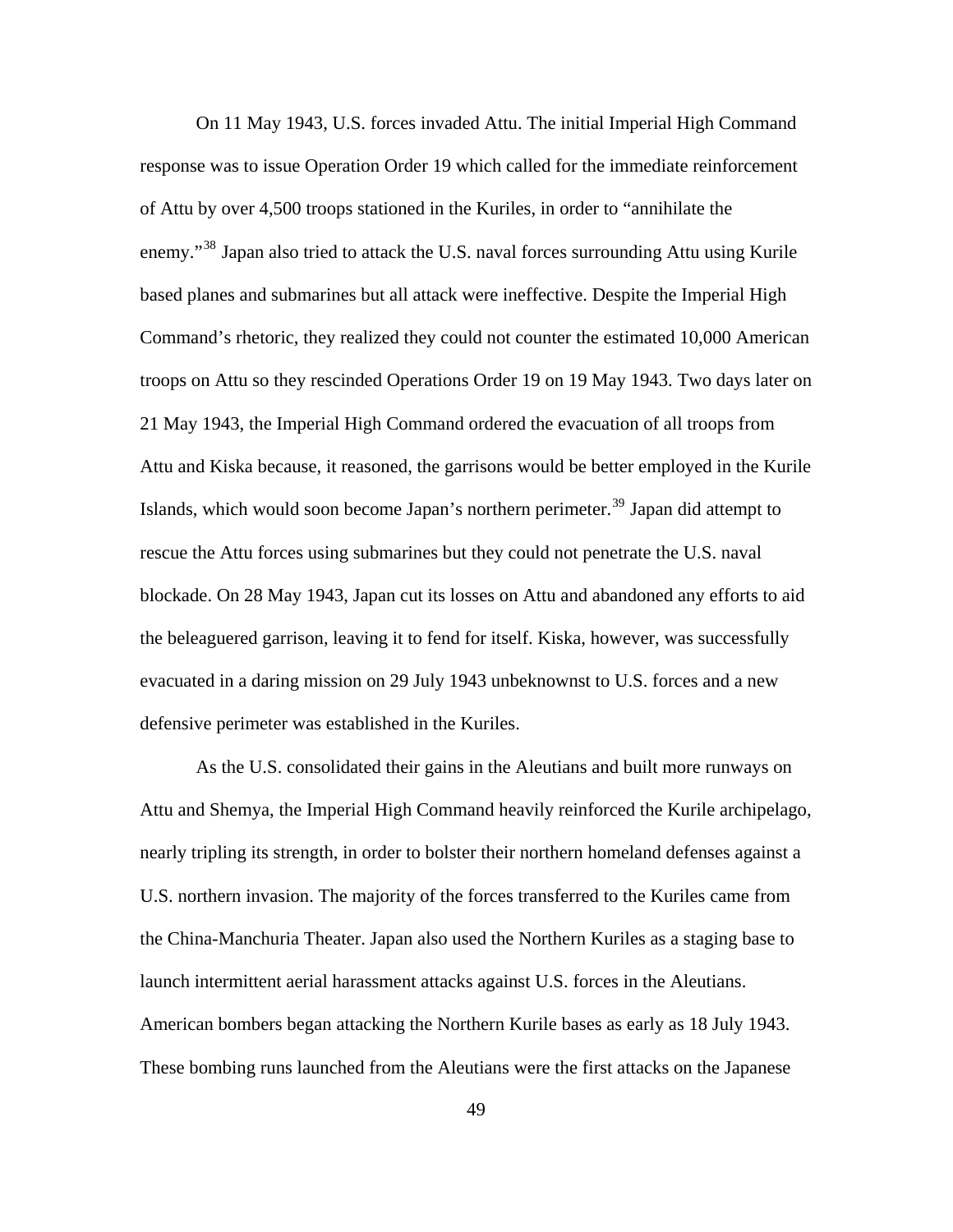On 11 May 1943, U.S. forces invaded Attu. The initial Imperial High Command response was to issue Operation Order 19 which called for the immediate reinforcement of Attu by over 4,500 troops stationed in the Kuriles, in order to "annihilate the enemy."<sup>[38](#page-96-0)</sup> Japan also tried to attack the U.S. naval forces surrounding Attu using Kurile based planes and submarines but all attack were ineffective. Despite the Imperial High Command's rhetoric, they realized they could not counter the estimated 10,000 American troops on Attu so they rescinded Operations Order 19 on 19 May 1943. Two days later on 21 May 1943, the Imperial High Command ordered the evacuation of all troops from Attu and Kiska because, it reasoned, the garrisons would be better employed in the Kurile Islands, which would soon become Japan's northern perimeter.<sup>[39](#page-96-0)</sup> Japan did attempt to rescue the Attu forces using submarines but they could not penetrate the U.S. naval blockade. On 28 May 1943, Japan cut its losses on Attu and abandoned any efforts to aid the beleaguered garrison, leaving it to fend for itself. Kiska, however, was successfully evacuated in a daring mission on 29 July 1943 unbeknownst to U.S. forces and a new defensive perimeter was established in the Kuriles.

As the U.S. consolidated their gains in the Aleutians and built more runways on Attu and Shemya, the Imperial High Command heavily reinforced the Kurile archipelago, nearly tripling its strength, in order to bolster their northern homeland defenses against a U.S. northern invasion. The majority of the forces transferred to the Kuriles came from the China-Manchuria Theater. Japan also used the Northern Kuriles as a staging base to launch intermittent aerial harassment attacks against U.S. forces in the Aleutians. American bombers began attacking the Northern Kurile bases as early as 18 July 1943. These bombing runs launched from the Aleutians were the first attacks on the Japanese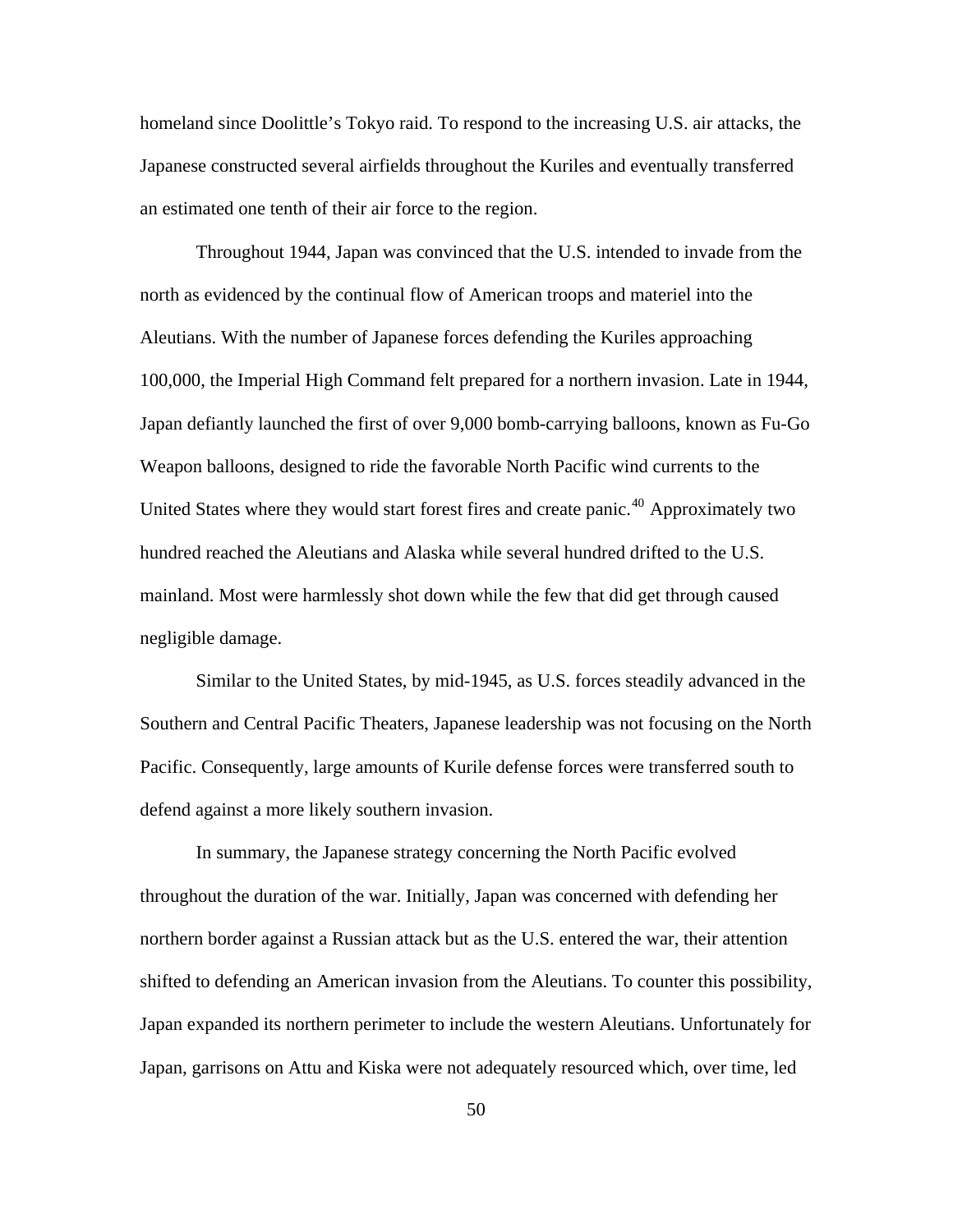homeland since Doolittle's Tokyo raid. To respond to the increasing U.S. air attacks, the Japanese constructed several airfields throughout the Kuriles and eventually transferred an estimated one tenth of their air force to the region.

Throughout 1944, Japan was convinced that the U.S. intended to invade from the north as evidenced by the continual flow of American troops and materiel into the Aleutians. With the number of Japanese forces defending the Kuriles approaching 100,000, the Imperial High Command felt prepared for a northern invasion. Late in 1944, Japan defiantly launched the first of over 9,000 bomb-carrying balloons, known as Fu-Go Weapon balloons, designed to ride the favorable North Pacific wind currents to the United States where they would start forest fires and create panic.<sup>[40](#page-96-0)</sup> Approximately two hundred reached the Aleutians and Alaska while several hundred drifted to the U.S. mainland. Most were harmlessly shot down while the few that did get through caused negligible damage.

Similar to the United States, by mid-1945, as U.S. forces steadily advanced in the Southern and Central Pacific Theaters, Japanese leadership was not focusing on the North Pacific. Consequently, large amounts of Kurile defense forces were transferred south to defend against a more likely southern invasion.

In summary, the Japanese strategy concerning the North Pacific evolved throughout the duration of the war. Initially, Japan was concerned with defending her northern border against a Russian attack but as the U.S. entered the war, their attention shifted to defending an American invasion from the Aleutians. To counter this possibility, Japan expanded its northern perimeter to include the western Aleutians. Unfortunately for Japan, garrisons on Attu and Kiska were not adequately resourced which, over time, led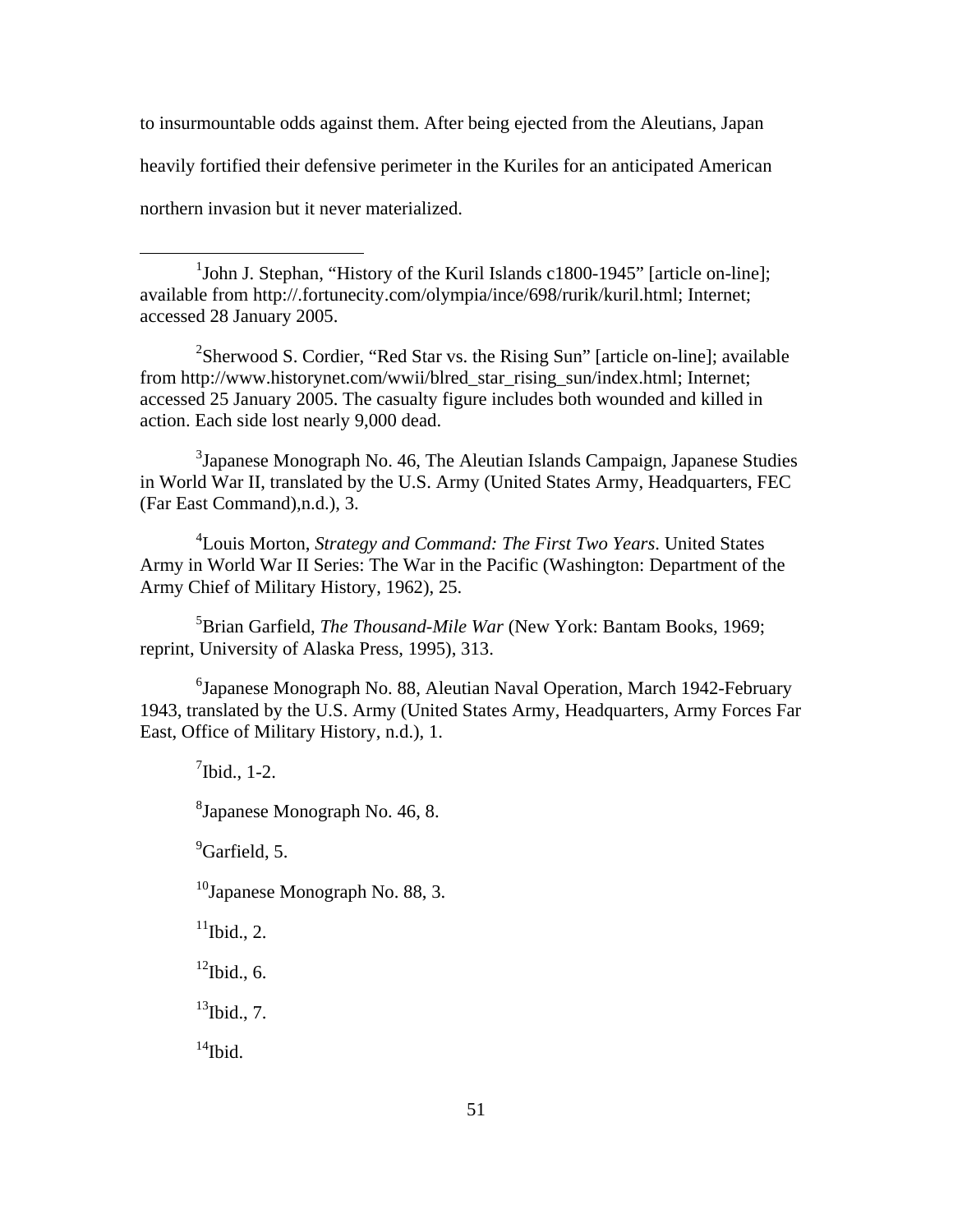to insurmountable odds against them. After being ejected from the Aleutians, Japan heavily fortified their defensive perimeter in the Kuriles for an anticipated American northern invasion but it never materialized.

<sup>2</sup>Sherwood S. Cordier, "Red Star vs. the Rising Sun" [article on-line]; available from http://www.historynet.com/wwii/blred\_star\_rising\_sun/index.html; Internet; accessed 25 January 2005. The casualty figure includes both wounded and killed in action. Each side lost nearly 9,000 dead.

 $3$ Japanese Monograph No. 46, The Aleutian Islands Campaign, Japanese Studies in World War II, translated by the U.S. Army (United States Army, Headquarters, FEC (Far East Command),n.d.), 3.

4 Louis Morton, *Strategy and Command: The First Two Years*. United States Army in World War II Series: The War in the Pacific (Washington: Department of the Army Chief of Military History, 1962), 25.

5 Brian Garfield, *The Thousand-Mile War* (New York: Bantam Books, 1969; reprint, University of Alaska Press, 1995), 313.

<sup>6</sup>Japanese Monograph No. 88, Aleutian Naval Operation, March 1942-February 1943, translated by the U.S. Army (United States Army, Headquarters, Army Forces Far East, Office of Military History, n.d.), 1.

 $\binom{7}{1}$ bid., 1-2.

 $\overline{a}$ 

<sup>8</sup> Japanese Monograph No. 46, 8.

<sup>9</sup>Garfield, 5.

 $10$ Japanese Monograph No. 88, 3.

 $11$ Ibid., 2.

 $12$ Ibid., 6.

 $^{13}$ Ibid., 7.

 $14$ Ibid.

<sup>&</sup>lt;sup>1</sup>John J. Stephan, "History of the Kuril Islands c1800-1945" [article on-line]; available from http://.fortunecity.com/olympia/ince/698/rurik/kuril.html; Internet; accessed 28 January 2005.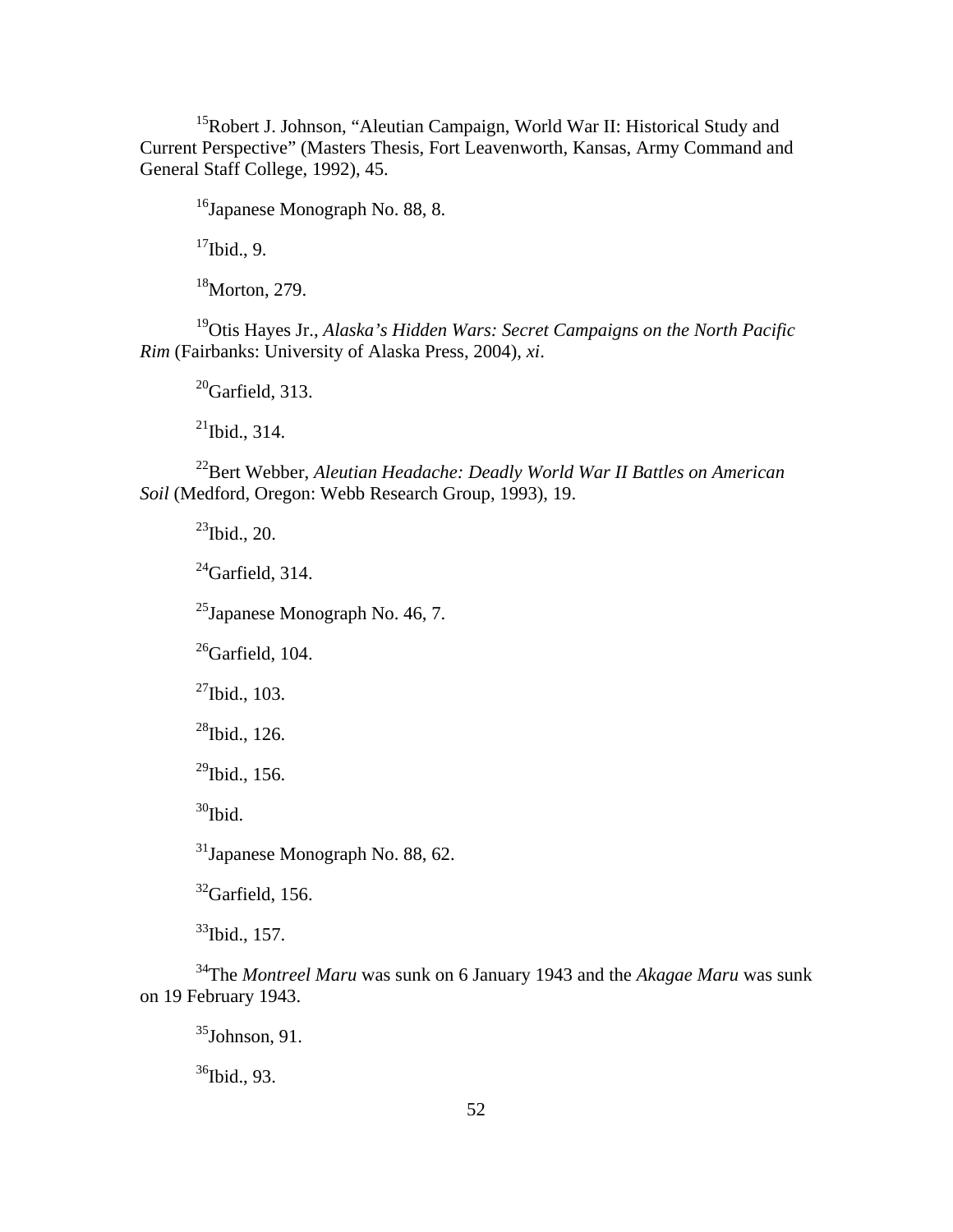<sup>15</sup>Robert J. Johnson, "Aleutian Campaign, World War II: Historical Study and Current Perspective" (Masters Thesis, Fort Leavenworth, Kansas, Army Command and General Staff College, 1992), 45.

16Japanese Monograph No. 88, 8.

 $17$ Ibid., 9.

<sup>18</sup>Morton, 279.

19Otis Hayes Jr., *Alaska's Hidden Wars: Secret Campaigns on the North Pacific Rim* (Fairbanks: University of Alaska Press, 2004), *xi*.

 $^{20}$ Garfield, 313.

 $^{21}$ Ibid., 314.

22Bert Webber, *Aleutian Headache: Deadly World War II Battles on American Soil* (Medford, Oregon: Webb Research Group, 1993), 19.

 $^{23}$ Ibid., 20.

 $^{24}$ Garfield, 314.

 $^{25}$ Japanese Monograph No. 46, 7.

 $^{26}$ Garfield, 104.

 $27$ Ibid., 103.

 $^{28}$ Ibid., 126.

 $^{29}$ Ibid., 156.

 $30$ Ibid.

31Japanese Monograph No. 88, 62.

 $32$ Garfield, 156.

33Ibid., 157.

34The *Montreel Maru* was sunk on 6 January 1943 and the *Akagae Maru* was sunk on 19 February 1943.

 $35$ Johnson, 91.

 $36$ Ibid., 93.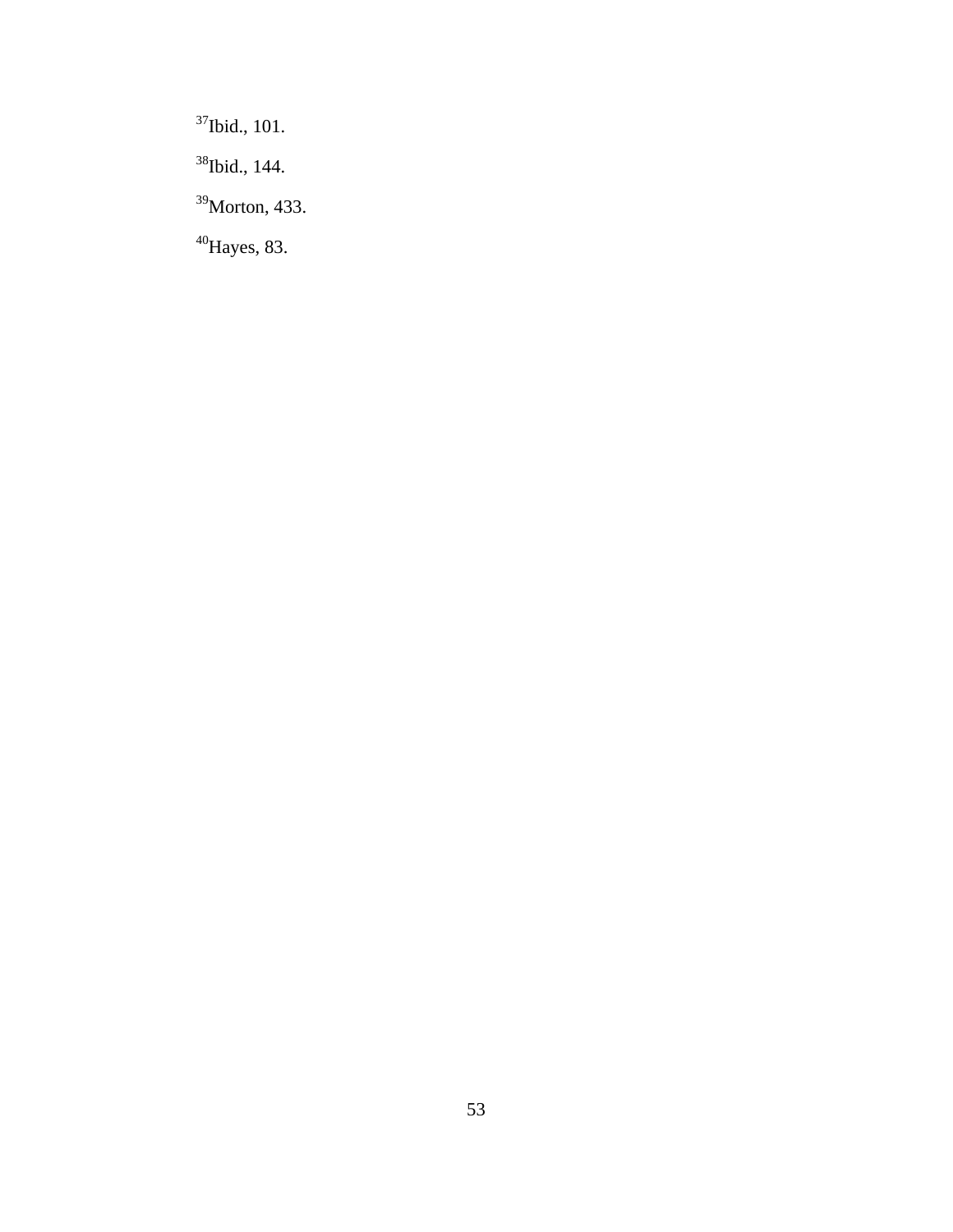37Ibid., 101.

38Ibid., 144.

39Morton, 433.

 $^{40}$ Hayes, 83.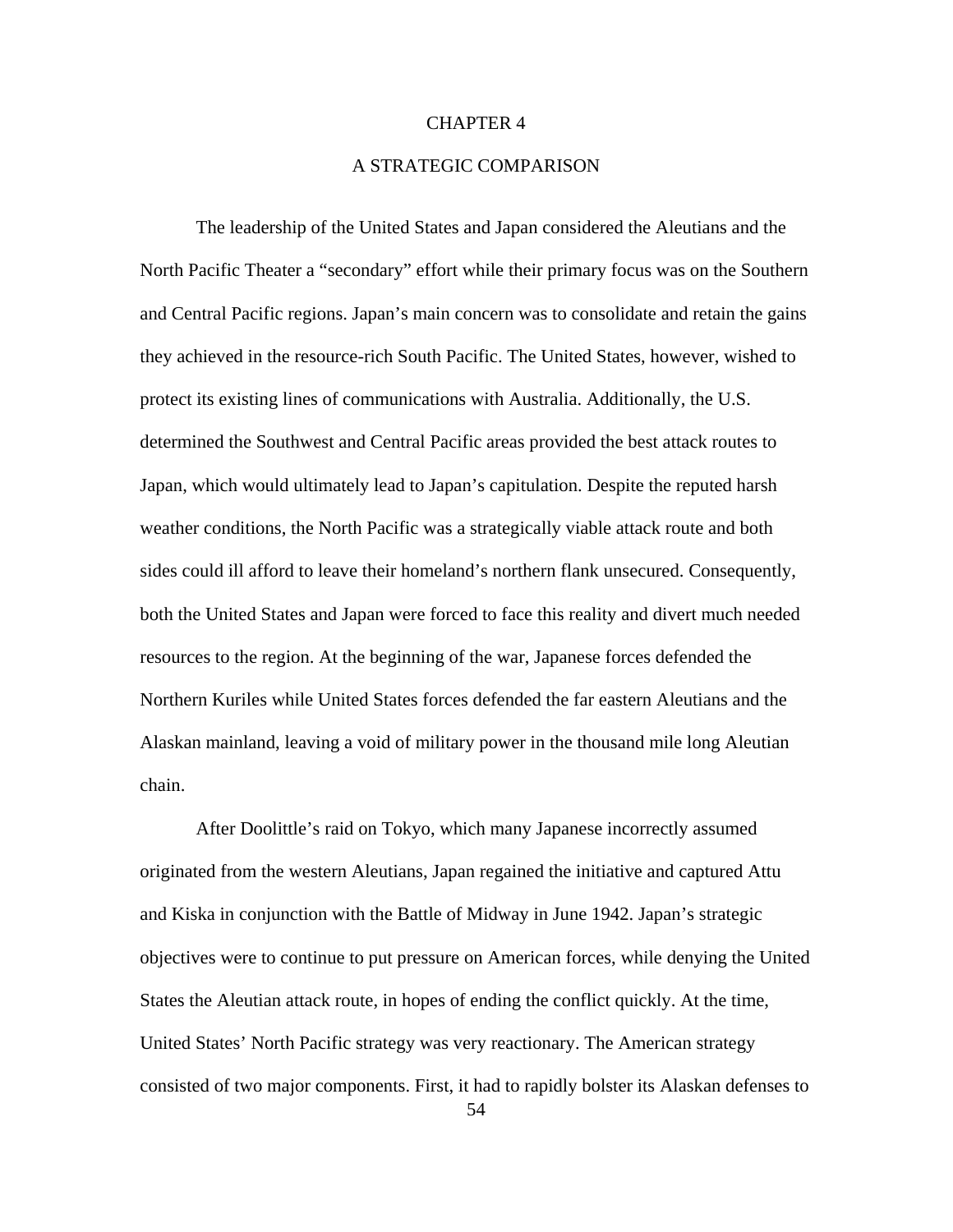## CHAPTER 4

## A STRATEGIC COMPARISON

The leadership of the United States and Japan considered the Aleutians and the North Pacific Theater a "secondary" effort while their primary focus was on the Southern and Central Pacific regions. Japan's main concern was to consolidate and retain the gains they achieved in the resource-rich South Pacific. The United States, however, wished to protect its existing lines of communications with Australia. Additionally, the U.S. determined the Southwest and Central Pacific areas provided the best attack routes to Japan, which would ultimately lead to Japan's capitulation. Despite the reputed harsh weather conditions, the North Pacific was a strategically viable attack route and both sides could ill afford to leave their homeland's northern flank unsecured. Consequently, both the United States and Japan were forced to face this reality and divert much needed resources to the region. At the beginning of the war, Japanese forces defended the Northern Kuriles while United States forces defended the far eastern Aleutians and the Alaskan mainland, leaving a void of military power in the thousand mile long Aleutian chain.

After Doolittle's raid on Tokyo, which many Japanese incorrectly assumed originated from the western Aleutians, Japan regained the initiative and captured Attu and Kiska in conjunction with the Battle of Midway in June 1942. Japan's strategic objectives were to continue to put pressure on American forces, while denying the United States the Aleutian attack route, in hopes of ending the conflict quickly. At the time, United States' North Pacific strategy was very reactionary. The American strategy consisted of two major components. First, it had to rapidly bolster its Alaskan defenses to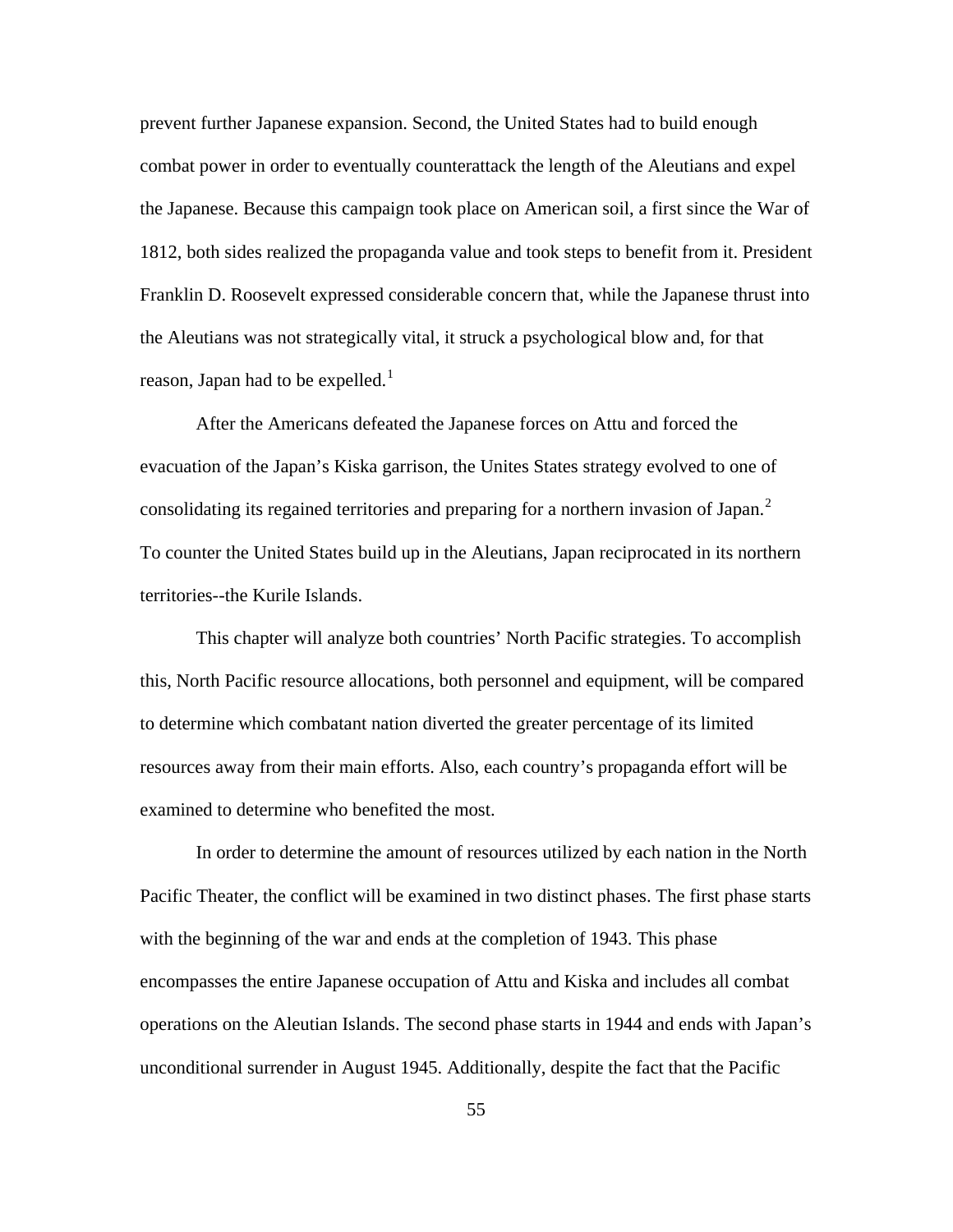prevent further Japanese expansion. Second, the United States had to build enough combat power in order to eventually counterattack the length of the Aleutians and expel the Japanese. Because this campaign took place on American soil, a first since the War of 1812, both sides realized the propaganda value and took steps to benefit from it. President Franklin D. Roosevelt expressed considerable concern that, while the Japanese thrust into the Aleutians was not strategically vital, it struck a psychological blow and, for that reason, Japan had to be expelled.<sup>[1](#page-96-0)</sup>

After the Americans defeated the Japanese forces on Attu and forced the evacuation of the Japan's Kiska garrison, the Unites States strategy evolved to one of consolidating its regained territories and preparing for a northern invasion of Japan. $^2$  $^2$ To counter the United States build up in the Aleutians, Japan reciprocated in its northern territories--the Kurile Islands.

 This chapter will analyze both countries' North Pacific strategies. To accomplish this, North Pacific resource allocations, both personnel and equipment, will be compared to determine which combatant nation diverted the greater percentage of its limited resources away from their main efforts. Also, each country's propaganda effort will be examined to determine who benefited the most.

 In order to determine the amount of resources utilized by each nation in the North Pacific Theater, the conflict will be examined in two distinct phases. The first phase starts with the beginning of the war and ends at the completion of 1943. This phase encompasses the entire Japanese occupation of Attu and Kiska and includes all combat operations on the Aleutian Islands. The second phase starts in 1944 and ends with Japan's unconditional surrender in August 1945. Additionally, despite the fact that the Pacific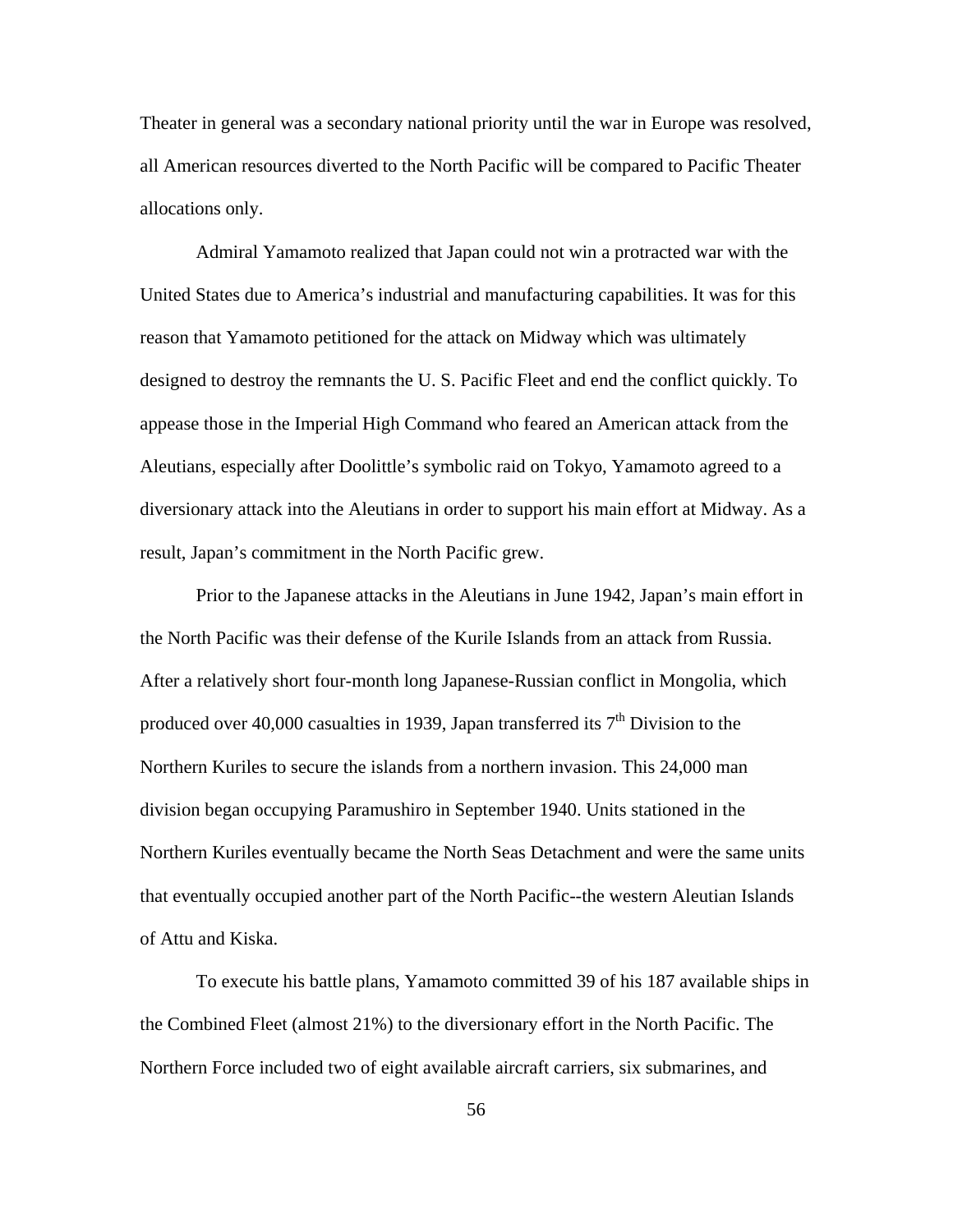Theater in general was a secondary national priority until the war in Europe was resolved, all American resources diverted to the North Pacific will be compared to Pacific Theater allocations only.

 Admiral Yamamoto realized that Japan could not win a protracted war with the United States due to America's industrial and manufacturing capabilities. It was for this reason that Yamamoto petitioned for the attack on Midway which was ultimately designed to destroy the remnants the U. S. Pacific Fleet and end the conflict quickly. To appease those in the Imperial High Command who feared an American attack from the Aleutians, especially after Doolittle's symbolic raid on Tokyo, Yamamoto agreed to a diversionary attack into the Aleutians in order to support his main effort at Midway. As a result, Japan's commitment in the North Pacific grew.

 Prior to the Japanese attacks in the Aleutians in June 1942, Japan's main effort in the North Pacific was their defense of the Kurile Islands from an attack from Russia. After a relatively short four-month long Japanese-Russian conflict in Mongolia, which produced over 40,000 casualties in 1939, Japan transferred its  $7<sup>th</sup>$  Division to the Northern Kuriles to secure the islands from a northern invasion. This 24,000 man division began occupying Paramushiro in September 1940. Units stationed in the Northern Kuriles eventually became the North Seas Detachment and were the same units that eventually occupied another part of the North Pacific--the western Aleutian Islands of Attu and Kiska.

 To execute his battle plans, Yamamoto committed 39 of his 187 available ships in the Combined Fleet (almost 21%) to the diversionary effort in the North Pacific. The Northern Force included two of eight available aircraft carriers, six submarines, and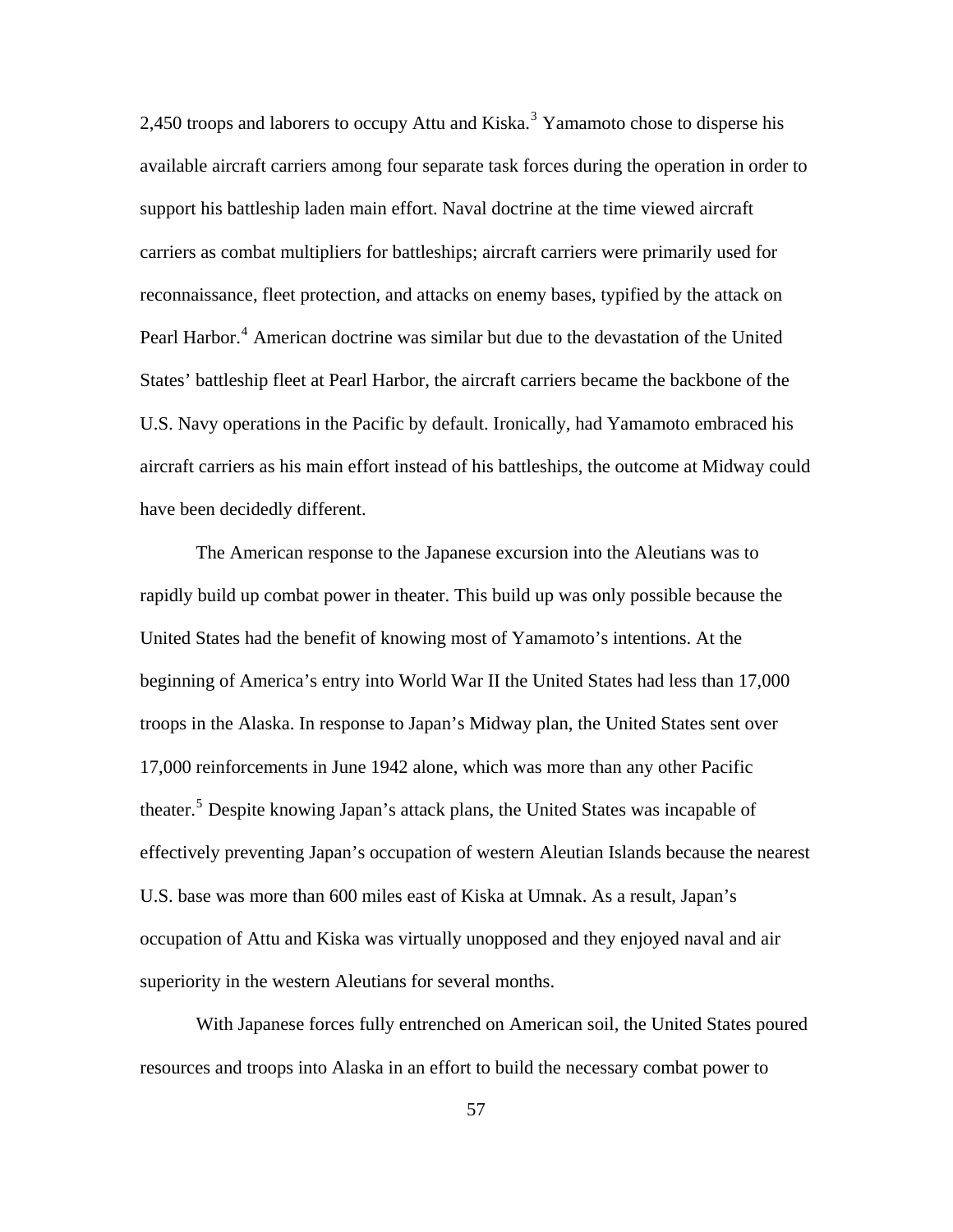2,450 troops and laborers to occupy Attu and Kiska.<sup>[3](#page-96-0)</sup> Yamamoto chose to disperse his available aircraft carriers among four separate task forces during the operation in order to support his battleship laden main effort. Naval doctrine at the time viewed aircraft carriers as combat multipliers for battleships; aircraft carriers were primarily used for reconnaissance, fleet protection, and attacks on enemy bases, typified by the attack on Pearl Harbor.<sup>[4](#page-96-0)</sup> American doctrine was similar but due to the devastation of the United States' battleship fleet at Pearl Harbor, the aircraft carriers became the backbone of the U.S. Navy operations in the Pacific by default. Ironically, had Yamamoto embraced his aircraft carriers as his main effort instead of his battleships, the outcome at Midway could have been decidedly different.

 The American response to the Japanese excursion into the Aleutians was to rapidly build up combat power in theater. This build up was only possible because the United States had the benefit of knowing most of Yamamoto's intentions. At the beginning of America's entry into World War II the United States had less than 17,000 troops in the Alaska. In response to Japan's Midway plan, the United States sent over 17,000 reinforcements in June 1942 alone, which was more than any other Pacific theater.<sup>[5](#page-96-0)</sup> Despite knowing Japan's attack plans, the United States was incapable of effectively preventing Japan's occupation of western Aleutian Islands because the nearest U.S. base was more than 600 miles east of Kiska at Umnak. As a result, Japan's occupation of Attu and Kiska was virtually unopposed and they enjoyed naval and air superiority in the western Aleutians for several months.

 With Japanese forces fully entrenched on American soil, the United States poured resources and troops into Alaska in an effort to build the necessary combat power to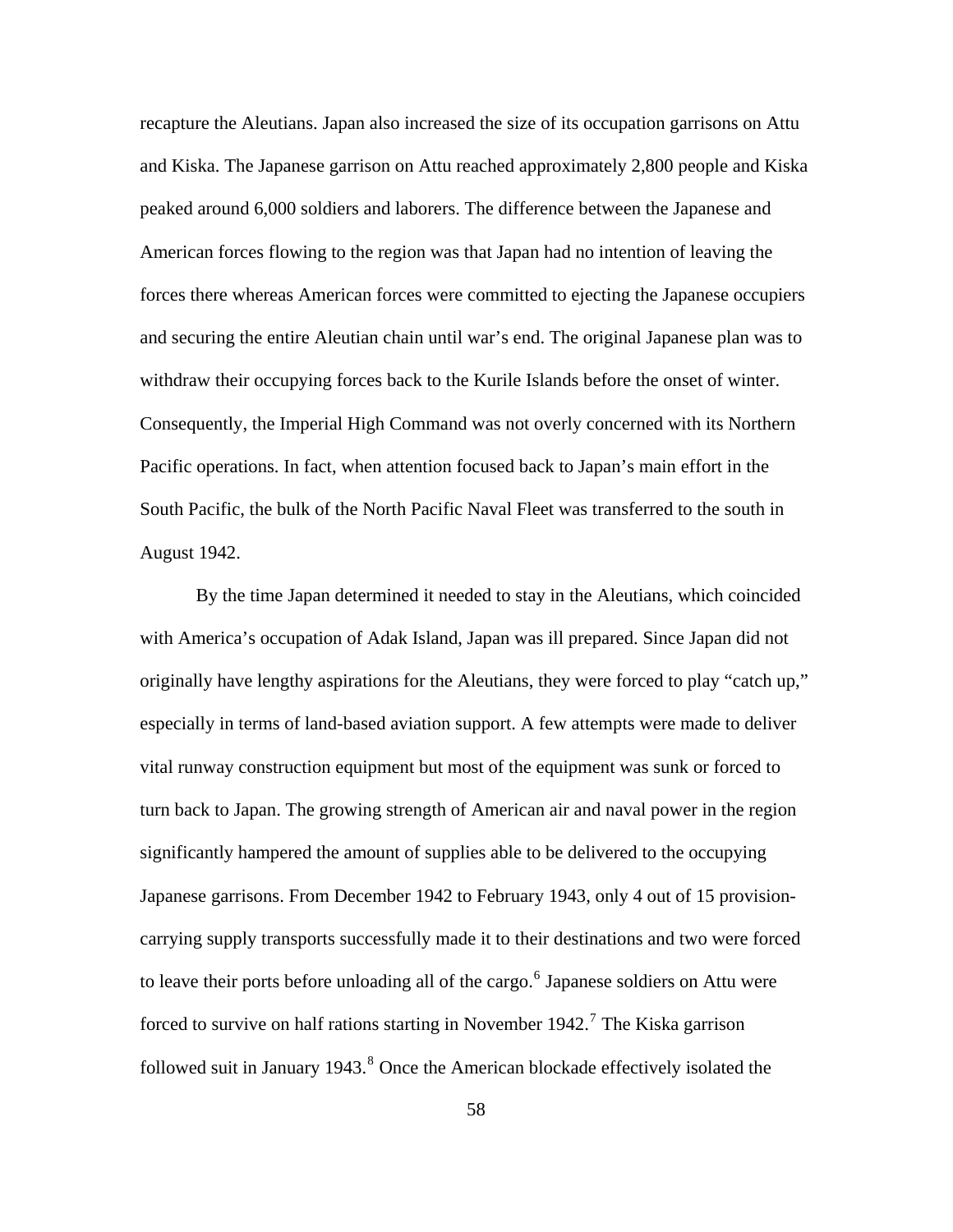recapture the Aleutians. Japan also increased the size of its occupation garrisons on Attu and Kiska. The Japanese garrison on Attu reached approximately 2,800 people and Kiska peaked around 6,000 soldiers and laborers. The difference between the Japanese and American forces flowing to the region was that Japan had no intention of leaving the forces there whereas American forces were committed to ejecting the Japanese occupiers and securing the entire Aleutian chain until war's end. The original Japanese plan was to withdraw their occupying forces back to the Kurile Islands before the onset of winter. Consequently, the Imperial High Command was not overly concerned with its Northern Pacific operations. In fact, when attention focused back to Japan's main effort in the South Pacific, the bulk of the North Pacific Naval Fleet was transferred to the south in August 1942.

 By the time Japan determined it needed to stay in the Aleutians, which coincided with America's occupation of Adak Island, Japan was ill prepared. Since Japan did not originally have lengthy aspirations for the Aleutians, they were forced to play "catch up," especially in terms of land-based aviation support. A few attempts were made to deliver vital runway construction equipment but most of the equipment was sunk or forced to turn back to Japan. The growing strength of American air and naval power in the region significantly hampered the amount of supplies able to be delivered to the occupying Japanese garrisons. From December 1942 to February 1943, only 4 out of 15 provisioncarrying supply transports successfully made it to their destinations and two were forced to leave their ports before unloading all of the cargo.  $6$  Japanese soldiers on Attu were forced to survive on half rations starting in November 1942.<sup>[7](#page-96-0)</sup> The Kiska garrison followed suit in January 1943.<sup>[8](#page-96-0)</sup> Once the American blockade effectively isolated the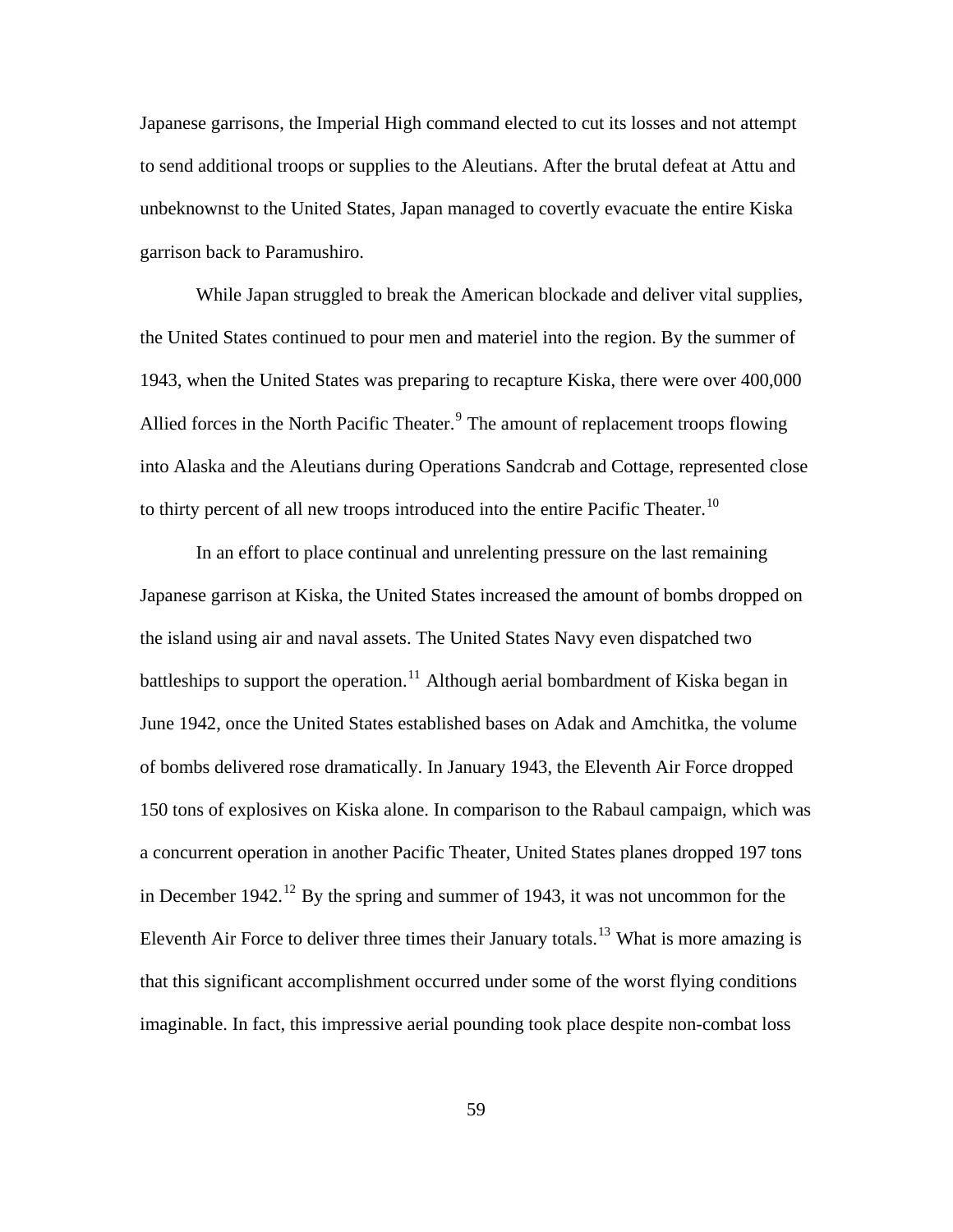Japanese garrisons, the Imperial High command elected to cut its losses and not attempt to send additional troops or supplies to the Aleutians. After the brutal defeat at Attu and unbeknownst to the United States, Japan managed to covertly evacuate the entire Kiska garrison back to Paramushiro.

 While Japan struggled to break the American blockade and deliver vital supplies, the United States continued to pour men and materiel into the region. By the summer of 1943, when the United States was preparing to recapture Kiska, there were over 400,000 Allied forces in the North Pacific Theater.<sup>[9](#page-96-0)</sup> The amount of replacement troops flowing into Alaska and the Aleutians during Operations Sandcrab and Cottage, represented close to thirty percent of all new troops introduced into the entire Pacific Theater.<sup>[10](#page-96-0)</sup>

 In an effort to place continual and unrelenting pressure on the last remaining Japanese garrison at Kiska, the United States increased the amount of bombs dropped on the island using air and naval assets. The United States Navy even dispatched two battleships to support the operation.<sup>[11](#page-96-0)</sup> Although aerial bombardment of Kiska began in June 1942, once the United States established bases on Adak and Amchitka, the volume of bombs delivered rose dramatically. In January 1943, the Eleventh Air Force dropped 150 tons of explosives on Kiska alone. In comparison to the Rabaul campaign, which was a concurrent operation in another Pacific Theater, United States planes dropped 197 tons in December 1942.<sup>[12](#page-96-0)</sup> By the spring and summer of 1943, it was not uncommon for the Eleventh Air Force to deliver three times their January totals.<sup>[13](#page-96-0)</sup> What is more amazing is that this significant accomplishment occurred under some of the worst flying conditions imaginable. In fact, this impressive aerial pounding took place despite non-combat loss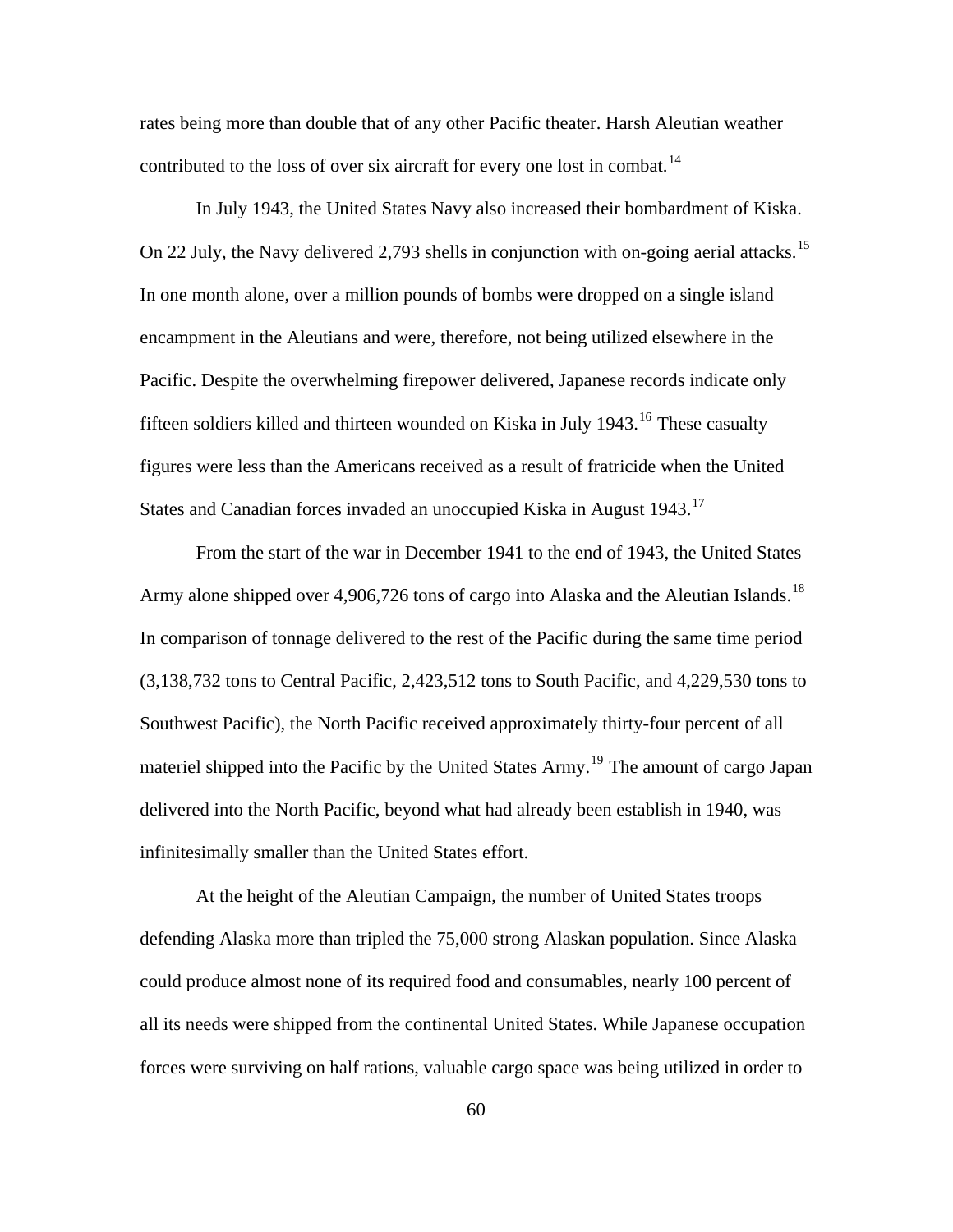rates being more than double that of any other Pacific theater. Harsh Aleutian weather contributed to the loss of over six aircraft for every one lost in combat.<sup>[14](#page-96-0)</sup>

 In July 1943, the United States Navy also increased their bombardment of Kiska. On 22 July, the Navy delivered 2,793 shells in conjunction with on-going aerial attacks.<sup>[15](#page-96-0)</sup> In one month alone, over a million pounds of bombs were dropped on a single island encampment in the Aleutians and were, therefore, not being utilized elsewhere in the Pacific. Despite the overwhelming firepower delivered, Japanese records indicate only fifteen soldiers killed and thirteen wounded on Kiska in July  $1943$ .<sup>[16](#page-96-0)</sup> These casualty figures were less than the Americans received as a result of fratricide when the United States and Canadian forces invaded an unoccupied Kiska in August 1943.<sup>[17](#page-96-0)</sup>

 From the start of the war in December 1941 to the end of 1943, the United States Army alone shipped over 4,906,726 tons of cargo into Alaska and the Aleutian Islands.<sup>[18](#page-96-0)</sup> In comparison of tonnage delivered to the rest of the Pacific during the same time period (3,138,732 tons to Central Pacific, 2,423,512 tons to South Pacific, and 4,229,530 tons to Southwest Pacific), the North Pacific received approximately thirty-four percent of all materiel shipped into the Pacific by the United States Army.<sup>[19](#page-96-0)</sup> The amount of cargo Japan delivered into the North Pacific, beyond what had already been establish in 1940, was infinitesimally smaller than the United States effort.

 At the height of the Aleutian Campaign, the number of United States troops defending Alaska more than tripled the 75,000 strong Alaskan population. Since Alaska could produce almost none of its required food and consumables, nearly 100 percent of all its needs were shipped from the continental United States. While Japanese occupation forces were surviving on half rations, valuable cargo space was being utilized in order to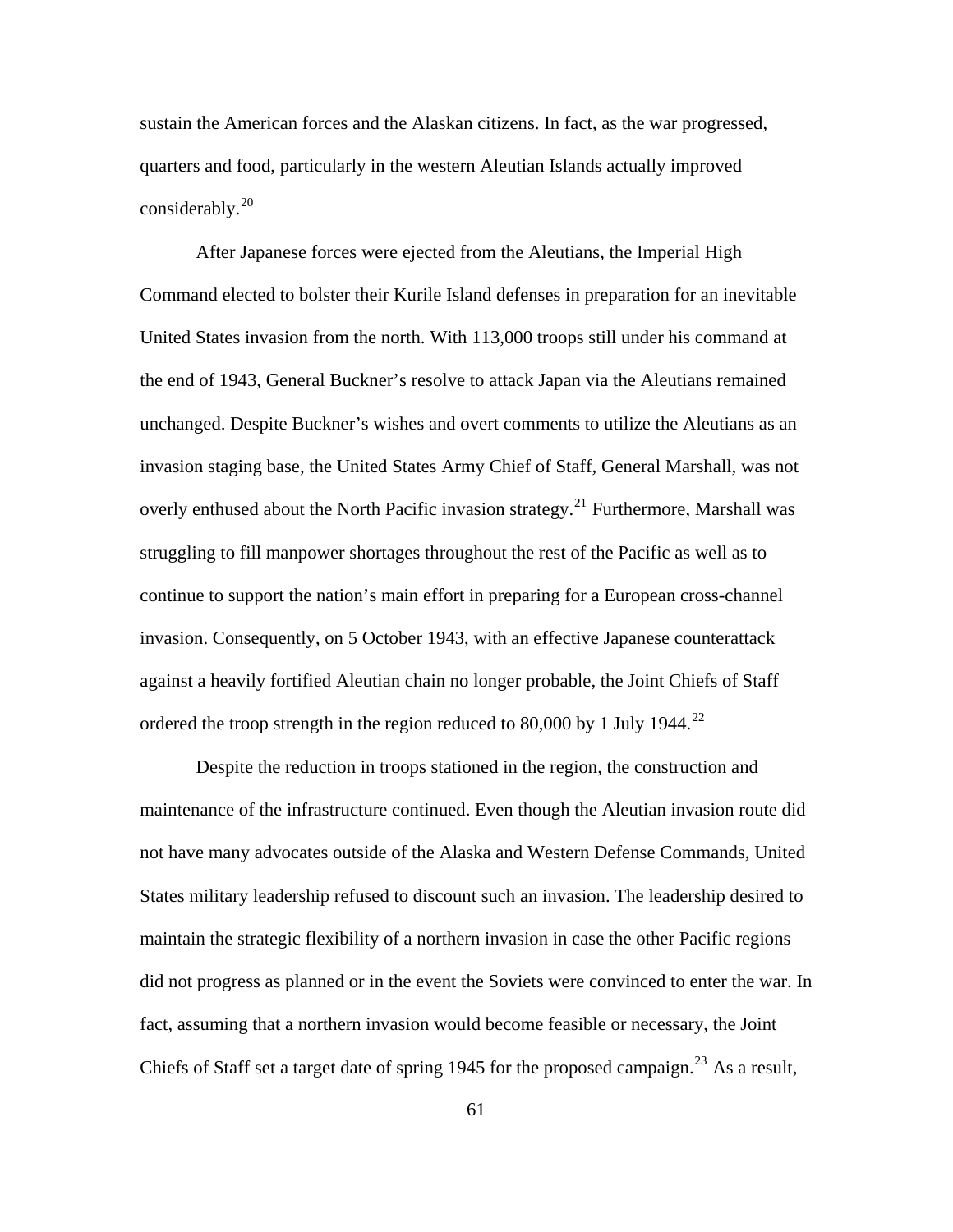sustain the American forces and the Alaskan citizens. In fact, as the war progressed, quarters and food, particularly in the western Aleutian Islands actually improved considerably. $^{20}$  $^{20}$  $^{20}$ 

 After Japanese forces were ejected from the Aleutians, the Imperial High Command elected to bolster their Kurile Island defenses in preparation for an inevitable United States invasion from the north. With 113,000 troops still under his command at the end of 1943, General Buckner's resolve to attack Japan via the Aleutians remained unchanged. Despite Buckner's wishes and overt comments to utilize the Aleutians as an invasion staging base, the United States Army Chief of Staff, General Marshall, was not overly enthused about the North Pacific invasion strategy.<sup>[21](#page-96-0)</sup> Furthermore, Marshall was struggling to fill manpower shortages throughout the rest of the Pacific as well as to continue to support the nation's main effort in preparing for a European cross-channel invasion. Consequently, on 5 October 1943, with an effective Japanese counterattack against a heavily fortified Aleutian chain no longer probable, the Joint Chiefs of Staff ordered the troop strength in the region reduced to 80,000 by 1 July 1944.<sup>[22](#page-96-0)</sup>

 Despite the reduction in troops stationed in the region, the construction and maintenance of the infrastructure continued. Even though the Aleutian invasion route did not have many advocates outside of the Alaska and Western Defense Commands, United States military leadership refused to discount such an invasion. The leadership desired to maintain the strategic flexibility of a northern invasion in case the other Pacific regions did not progress as planned or in the event the Soviets were convinced to enter the war. In fact, assuming that a northern invasion would become feasible or necessary, the Joint Chiefs of Staff set a target date of spring 1945 for the proposed campaign.<sup>[23](#page-96-0)</sup> As a result,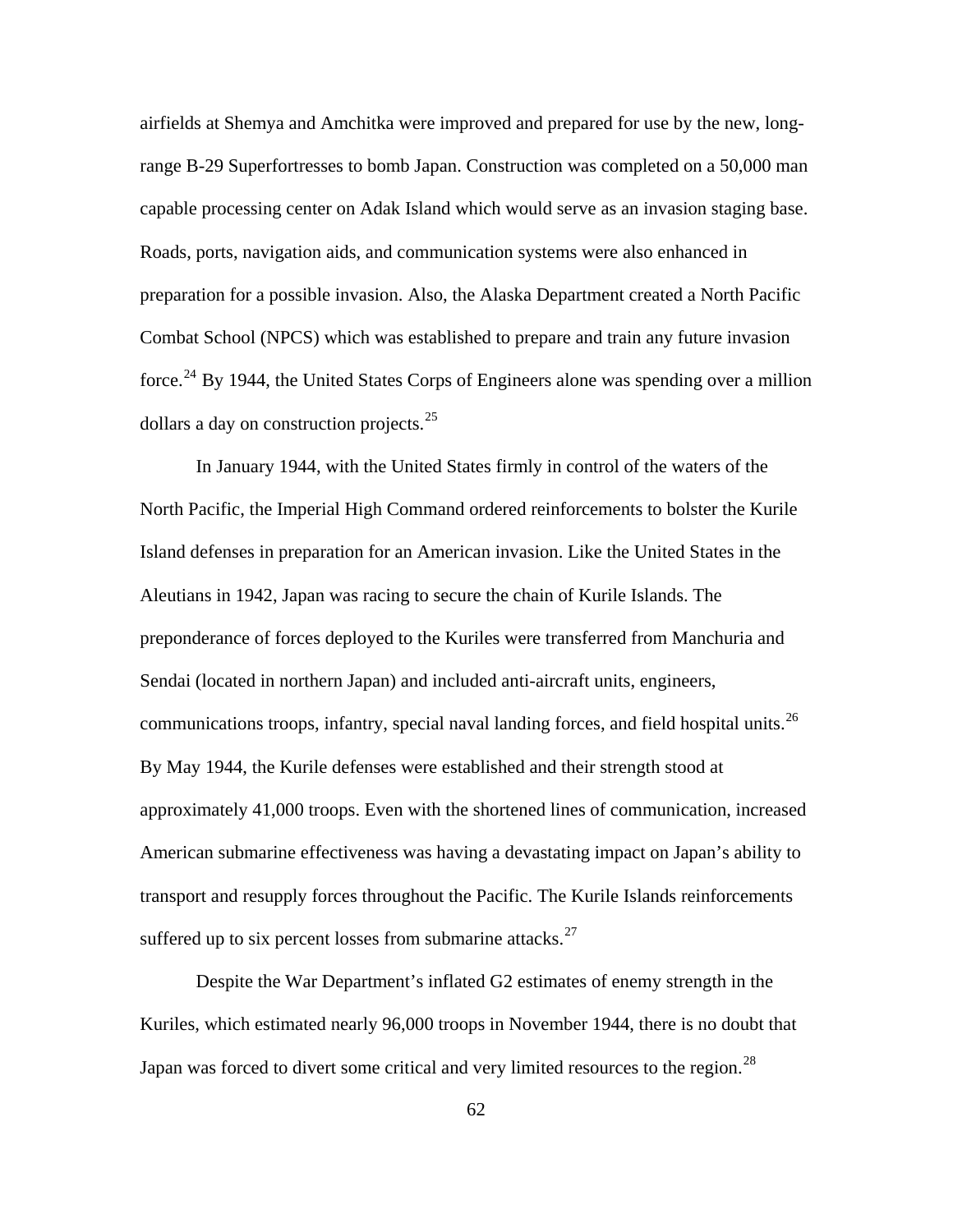airfields at Shemya and Amchitka were improved and prepared for use by the new, longrange B-29 Superfortresses to bomb Japan. Construction was completed on a 50,000 man capable processing center on Adak Island which would serve as an invasion staging base. Roads, ports, navigation aids, and communication systems were also enhanced in preparation for a possible invasion. Also, the Alaska Department created a North Pacific Combat School (NPCS) which was established to prepare and train any future invasion force.<sup>[24](#page-96-0)</sup> By 1944, the United States Corps of Engineers alone was spending over a million dollars a day on construction projects.[25](#page-96-0)

 In January 1944, with the United States firmly in control of the waters of the North Pacific, the Imperial High Command ordered reinforcements to bolster the Kurile Island defenses in preparation for an American invasion. Like the United States in the Aleutians in 1942, Japan was racing to secure the chain of Kurile Islands. The preponderance of forces deployed to the Kuriles were transferred from Manchuria and Sendai (located in northern Japan) and included anti-aircraft units, engineers, communications troops, infantry, special naval landing forces, and field hospital units.<sup>[26](#page-96-0)</sup> By May 1944, the Kurile defenses were established and their strength stood at approximately 41,000 troops. Even with the shortened lines of communication, increased American submarine effectiveness was having a devastating impact on Japan's ability to transport and resupply forces throughout the Pacific. The Kurile Islands reinforcements suffered up to six percent losses from submarine attacks. $27$ 

 Despite the War Department's inflated G2 estimates of enemy strength in the Kuriles, which estimated nearly 96,000 troops in November 1944, there is no doubt that Japan was forced to divert some critical and very limited resources to the region.<sup>[28](#page-96-0)</sup>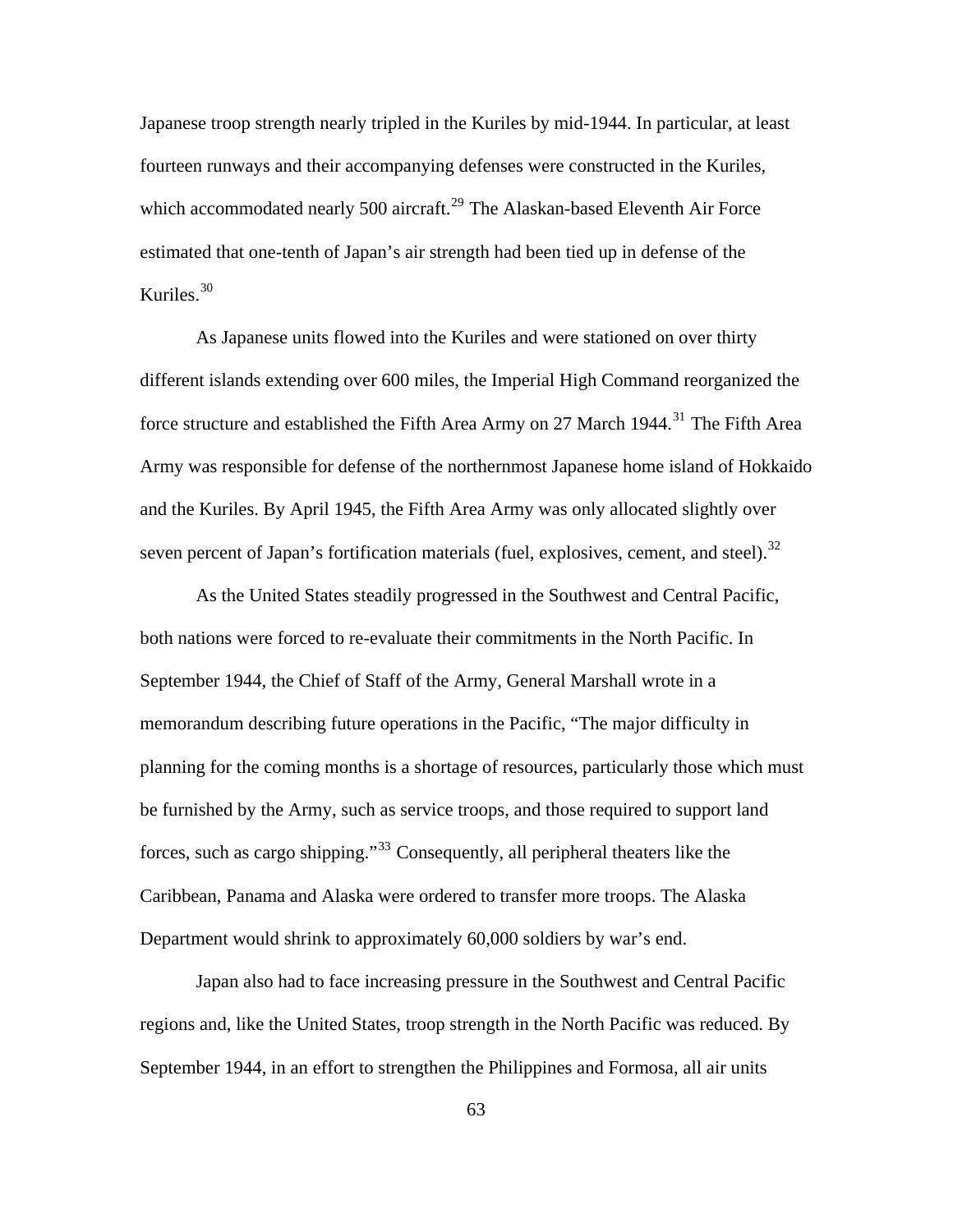Japanese troop strength nearly tripled in the Kuriles by mid-1944. In particular, at least fourteen runways and their accompanying defenses were constructed in the Kuriles, which accommodated nearly 500 aircraft.<sup>[29](#page-96-0)</sup> The Alaskan-based Eleventh Air Force estimated that one-tenth of Japan's air strength had been tied up in defense of the Kuriles. $30$ 

As Japanese units flowed into the Kuriles and were stationed on over thirty different islands extending over 600 miles, the Imperial High Command reorganized the force structure and established the Fifth Area Army on 27 March 1944.<sup>[31](#page-96-0)</sup> The Fifth Area Army was responsible for defense of the northernmost Japanese home island of Hokkaido and the Kuriles. By April 1945, the Fifth Area Army was only allocated slightly over seven percent of Japan's fortification materials (fuel, explosives, cement, and steel).<sup>[32](#page-96-0)</sup>

As the United States steadily progressed in the Southwest and Central Pacific, both nations were forced to re-evaluate their commitments in the North Pacific. In September 1944, the Chief of Staff of the Army, General Marshall wrote in a memorandum describing future operations in the Pacific, "The major difficulty in planning for the coming months is a shortage of resources, particularly those which must be furnished by the Army, such as service troops, and those required to support land forces, such as cargo shipping."[33](#page-96-0) Consequently, all peripheral theaters like the Caribbean, Panama and Alaska were ordered to transfer more troops. The Alaska Department would shrink to approximately 60,000 soldiers by war's end.

Japan also had to face increasing pressure in the Southwest and Central Pacific regions and, like the United States, troop strength in the North Pacific was reduced. By September 1944, in an effort to strengthen the Philippines and Formosa, all air units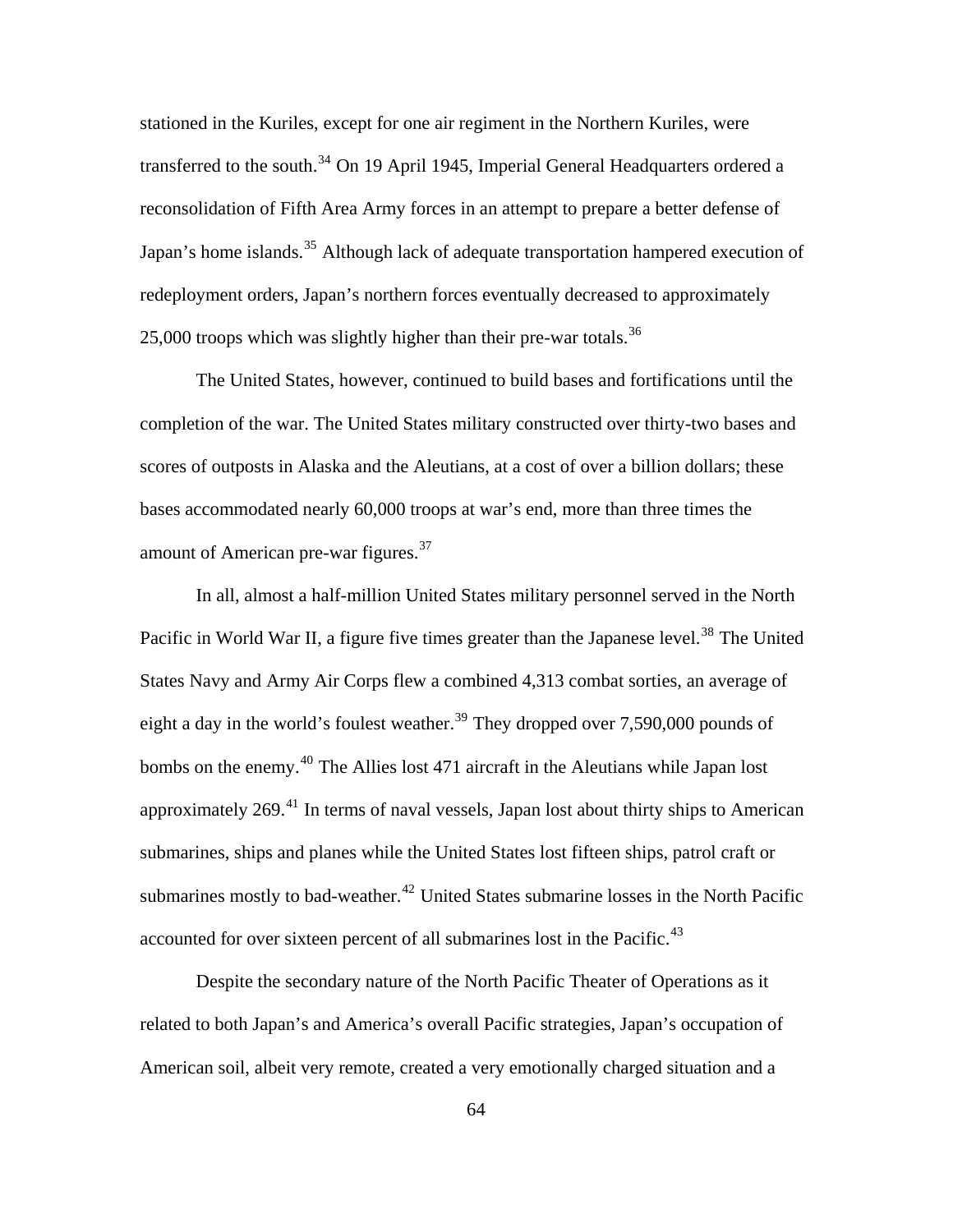stationed in the Kuriles, except for one air regiment in the Northern Kuriles, were transferred to the south.<sup>[34](#page-96-0)</sup> On 19 April 1945, Imperial General Headquarters ordered a reconsolidation of Fifth Area Army forces in an attempt to prepare a better defense of Japan's home islands.<sup>[35](#page-96-0)</sup> Although lack of adequate transportation hampered execution of redeployment orders, Japan's northern forces eventually decreased to approximately 25,000 troops which was slightly higher than their pre-war totals.<sup>[36](#page-96-0)</sup>

 The United States, however, continued to build bases and fortifications until the completion of the war. The United States military constructed over thirty-two bases and scores of outposts in Alaska and the Aleutians, at a cost of over a billion dollars; these bases accommodated nearly 60,000 troops at war's end, more than three times the amount of American pre-war figures.[37](#page-96-0)

 In all, almost a half-million United States military personnel served in the North Pacific in World War II, a figure five times greater than the Japanese level.<sup>[38](#page-96-0)</sup> The United States Navy and Army Air Corps flew a combined 4,313 combat sorties, an average of eight a day in the world's foulest weather.<sup>[39](#page-96-0)</sup> They dropped over 7,590,000 pounds of bombs on the enemy.<sup>[40](#page-96-0)</sup> The Allies lost 471 aircraft in the Aleutians while Japan lost approximately  $269$ <sup>[41](#page-96-0)</sup>. In terms of naval vessels, Japan lost about thirty ships to American submarines, ships and planes while the United States lost fifteen ships, patrol craft or submarines mostly to bad-weather.<sup>[42](#page-96-0)</sup> United States submarine losses in the North Pacific accounted for over sixteen percent of all submarines lost in the Pacific.<sup>[43](#page-96-0)</sup>

 Despite the secondary nature of the North Pacific Theater of Operations as it related to both Japan's and America's overall Pacific strategies, Japan's occupation of American soil, albeit very remote, created a very emotionally charged situation and a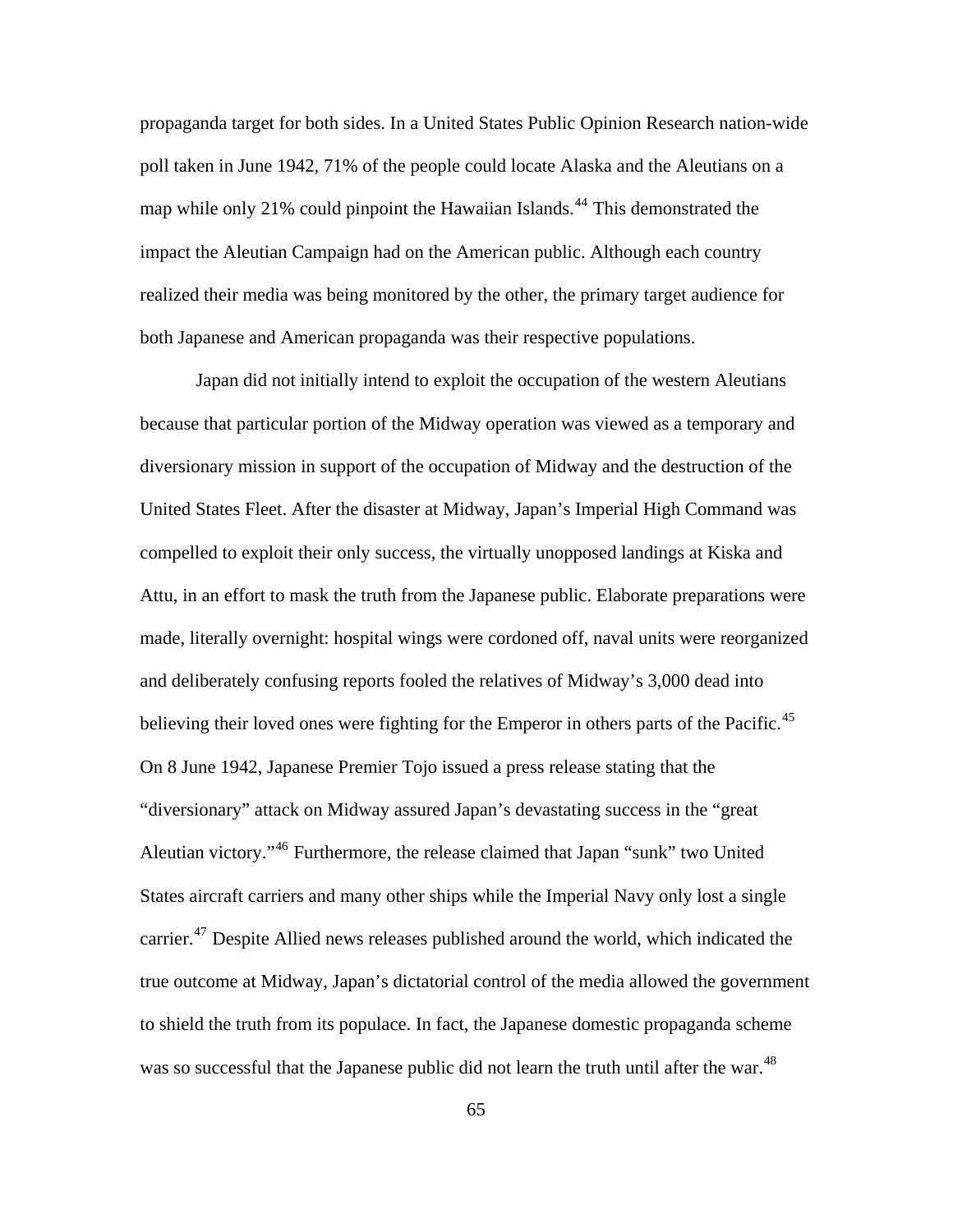propaganda target for both sides. In a United States Public Opinion Research nation-wide poll taken in June 1942, 71% of the people could locate Alaska and the Aleutians on a map while only 21% could pinpoint the Hawaiian Islands.<sup>[44](#page-96-0)</sup> This demonstrated the impact the Aleutian Campaign had on the American public. Although each country realized their media was being monitored by the other, the primary target audience for both Japanese and American propaganda was their respective populations.

 Japan did not initially intend to exploit the occupation of the western Aleutians because that particular portion of the Midway operation was viewed as a temporary and diversionary mission in support of the occupation of Midway and the destruction of the United States Fleet. After the disaster at Midway, Japan's Imperial High Command was compelled to exploit their only success, the virtually unopposed landings at Kiska and Attu, in an effort to mask the truth from the Japanese public. Elaborate preparations were made, literally overnight: hospital wings were cordoned off, naval units were reorganized and deliberately confusing reports fooled the relatives of Midway's 3,000 dead into believing their loved ones were fighting for the Emperor in others parts of the Pacific.<sup>[45](#page-96-0)</sup> On 8 June 1942, Japanese Premier Tojo issued a press release stating that the "diversionary" attack on Midway assured Japan's devastating success in the "great Aleutian victory."<sup>[46](#page-96-0)</sup> Furthermore, the release claimed that Japan "sunk" two United States aircraft carriers and many other ships while the Imperial Navy only lost a single carrier.<sup>[47](#page-96-0)</sup> Despite Allied news releases published around the world, which indicated the true outcome at Midway, Japan's dictatorial control of the media allowed the government to shield the truth from its populace. In fact, the Japanese domestic propaganda scheme was so successful that the Japanese public did not learn the truth until after the war.<sup>[48](#page-96-0)</sup>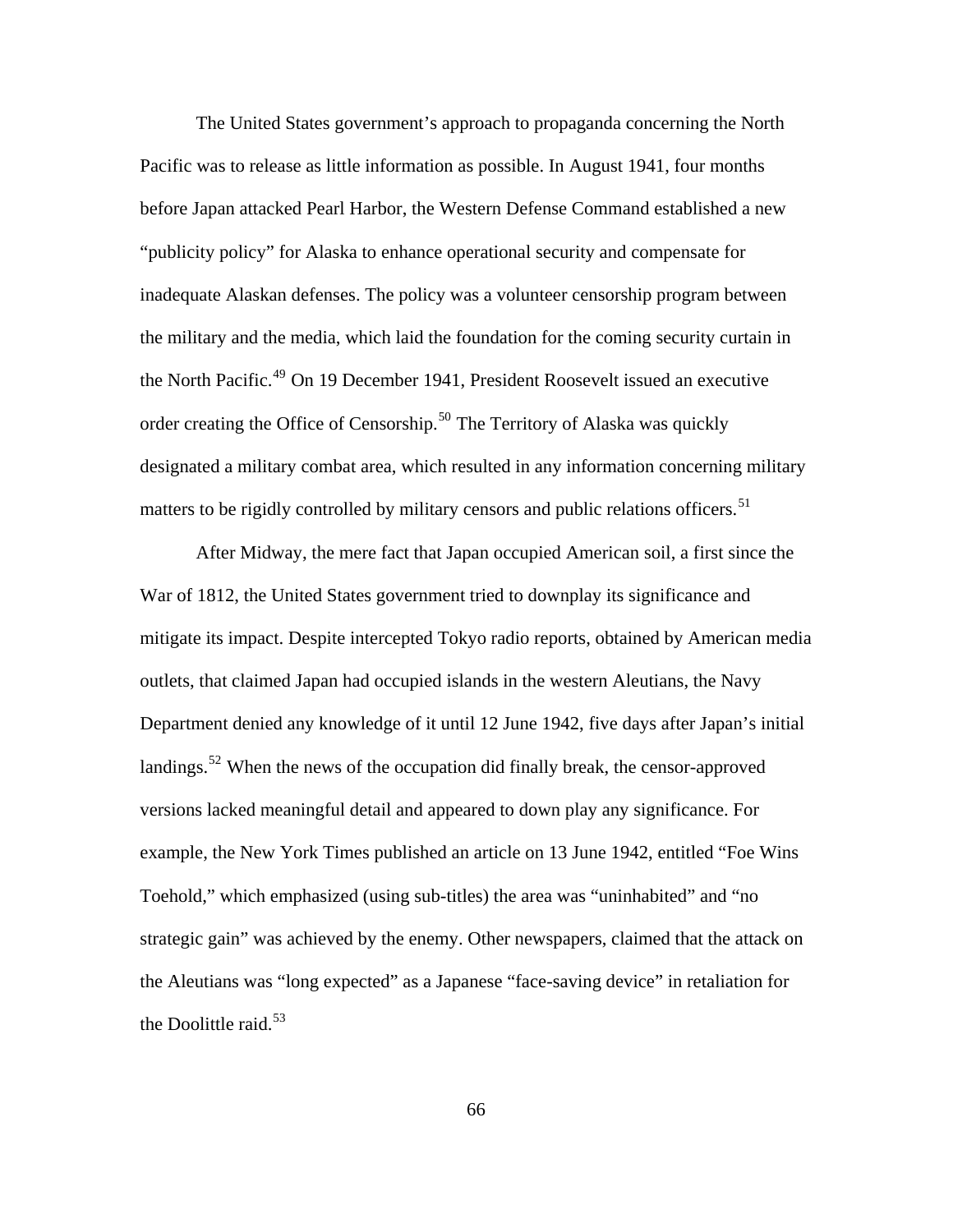The United States government's approach to propaganda concerning the North Pacific was to release as little information as possible. In August 1941, four months before Japan attacked Pearl Harbor, the Western Defense Command established a new "publicity policy" for Alaska to enhance operational security and compensate for inadequate Alaskan defenses. The policy was a volunteer censorship program between the military and the media, which laid the foundation for the coming security curtain in the North Pacific.<sup>[49](#page-96-0)</sup> On 19 December 1941, President Roosevelt issued an executive order creating the Office of Censorship.<sup>[50](#page-96-0)</sup> The Territory of Alaska was quickly designated a military combat area, which resulted in any information concerning military matters to be rigidly controlled by military censors and public relations officers.<sup>[51](#page-96-0)</sup>

After Midway, the mere fact that Japan occupied American soil, a first since the War of 1812, the United States government tried to downplay its significance and mitigate its impact. Despite intercepted Tokyo radio reports, obtained by American media outlets, that claimed Japan had occupied islands in the western Aleutians, the Navy Department denied any knowledge of it until 12 June 1942, five days after Japan's initial landings.<sup>[52](#page-96-0)</sup> When the news of the occupation did finally break, the censor-approved versions lacked meaningful detail and appeared to down play any significance. For example, the New York Times published an article on 13 June 1942, entitled "Foe Wins Toehold," which emphasized (using sub-titles) the area was "uninhabited" and "no strategic gain" was achieved by the enemy. Other newspapers, claimed that the attack on the Aleutians was "long expected" as a Japanese "face-saving device" in retaliation for the Doolittle raid. $53$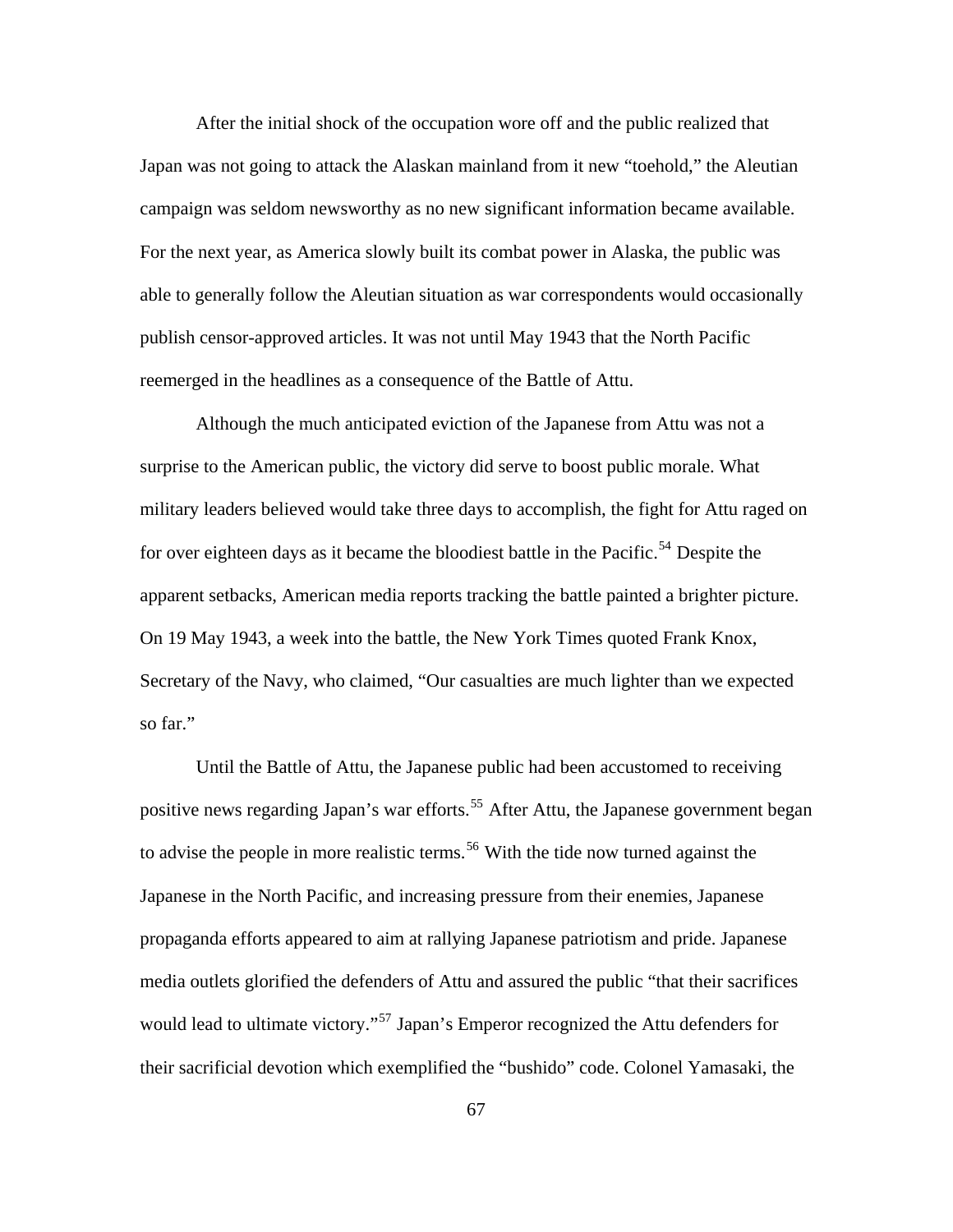After the initial shock of the occupation wore off and the public realized that Japan was not going to attack the Alaskan mainland from it new "toehold," the Aleutian campaign was seldom newsworthy as no new significant information became available. For the next year, as America slowly built its combat power in Alaska, the public was able to generally follow the Aleutian situation as war correspondents would occasionally publish censor-approved articles. It was not until May 1943 that the North Pacific reemerged in the headlines as a consequence of the Battle of Attu.

 Although the much anticipated eviction of the Japanese from Attu was not a surprise to the American public, the victory did serve to boost public morale. What military leaders believed would take three days to accomplish, the fight for Attu raged on for over eighteen days as it became the bloodiest battle in the Pacific.<sup>[54](#page-96-0)</sup> Despite the apparent setbacks, American media reports tracking the battle painted a brighter picture. On 19 May 1943, a week into the battle, the New York Times quoted Frank Knox, Secretary of the Navy, who claimed, "Our casualties are much lighter than we expected so far."

 Until the Battle of Attu, the Japanese public had been accustomed to receiving positive news regarding Japan's war efforts.<sup>[55](#page-96-0)</sup> After Attu, the Japanese government began to advise the people in more realistic terms.<sup>[56](#page-96-0)</sup> With the tide now turned against the Japanese in the North Pacific, and increasing pressure from their enemies, Japanese propaganda efforts appeared to aim at rallying Japanese patriotism and pride. Japanese media outlets glorified the defenders of Attu and assured the public "that their sacrifices would lead to ultimate victory."<sup>[57](#page-96-0)</sup> Japan's Emperor recognized the Attu defenders for their sacrificial devotion which exemplified the "bushido" code. Colonel Yamasaki, the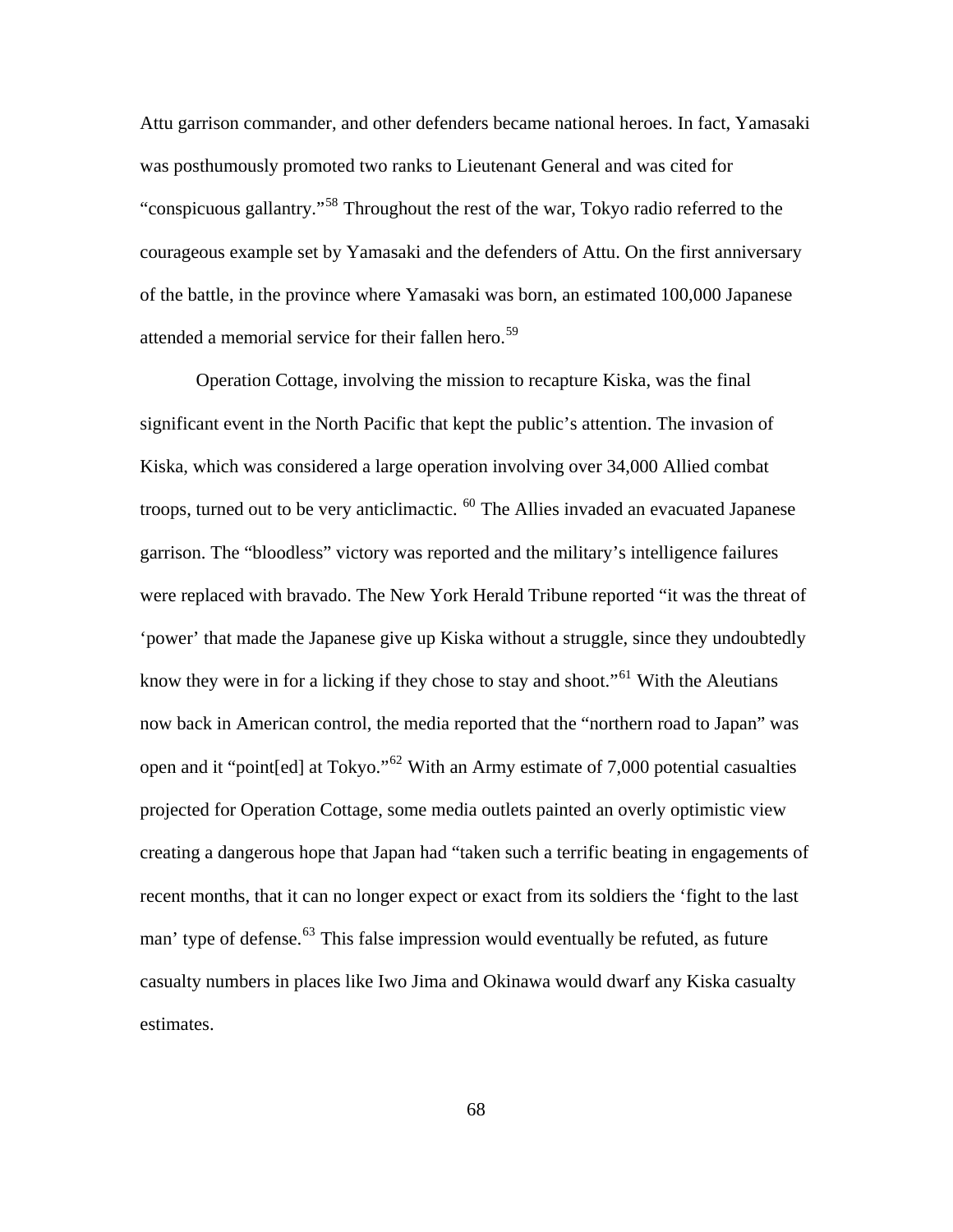Attu garrison commander, and other defenders became national heroes. In fact, Yamasaki was posthumously promoted two ranks to Lieutenant General and was cited for "conspicuous gallantry."[58](#page-96-0) Throughout the rest of the war, Tokyo radio referred to the courageous example set by Yamasaki and the defenders of Attu. On the first anniversary of the battle, in the province where Yamasaki was born, an estimated 100,000 Japanese attended a memorial service for their fallen hero.<sup>[59](#page-96-0)</sup>

 Operation Cottage, involving the mission to recapture Kiska, was the final significant event in the North Pacific that kept the public's attention. The invasion of Kiska, which was considered a large operation involving over 34,000 Allied combat troops, turned out to be very anticlimactic. <sup>[60](#page-96-0)</sup> The Allies invaded an evacuated Japanese garrison. The "bloodless" victory was reported and the military's intelligence failures were replaced with bravado. The New York Herald Tribune reported "it was the threat of 'power' that made the Japanese give up Kiska without a struggle, since they undoubtedly know they were in for a licking if they chose to stay and shoot."<sup>[61](#page-96-0)</sup> With the Aleutians now back in American control, the media reported that the "northern road to Japan" was open and it "point[ed] at Tokyo."[62](#page-96-0) With an Army estimate of 7,000 potential casualties projected for Operation Cottage, some media outlets painted an overly optimistic view creating a dangerous hope that Japan had "taken such a terrific beating in engagements of recent months, that it can no longer expect or exact from its soldiers the 'fight to the last man' type of defense.<sup>[63](#page-96-0)</sup> This false impression would eventually be refuted, as future casualty numbers in places like Iwo Jima and Okinawa would dwarf any Kiska casualty estimates.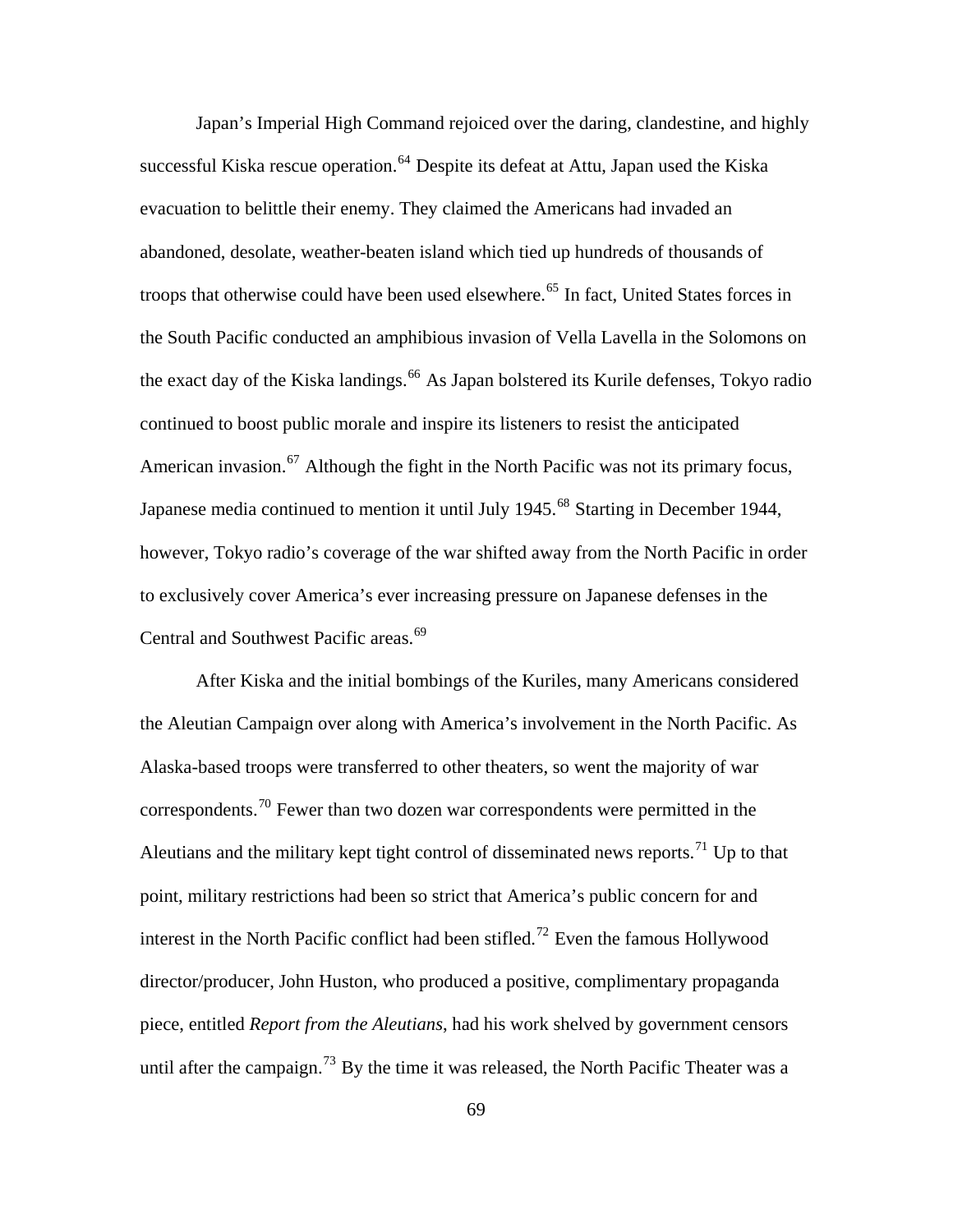Japan's Imperial High Command rejoiced over the daring, clandestine, and highly successful Kiska rescue operation.<sup>[64](#page-96-0)</sup> Despite its defeat at Attu, Japan used the Kiska evacuation to belittle their enemy. They claimed the Americans had invaded an abandoned, desolate, weather-beaten island which tied up hundreds of thousands of troops that otherwise could have been used elsewhere.<sup>[65](#page-96-0)</sup> In fact, United States forces in the South Pacific conducted an amphibious invasion of Vella Lavella in the Solomons on the exact day of the Kiska landings.<sup>[66](#page-96-0)</sup> As Japan bolstered its Kurile defenses, Tokyo radio continued to boost public morale and inspire its listeners to resist the anticipated American invasion.<sup>[67](#page-96-0)</sup> Although the fight in the North Pacific was not its primary focus, Japanese media continued to mention it until July 1945.<sup>[68](#page-96-0)</sup> Starting in December 1944, however, Tokyo radio's coverage of the war shifted away from the North Pacific in order to exclusively cover America's ever increasing pressure on Japanese defenses in the Central and Southwest Pacific areas.<sup>[69](#page-96-0)</sup>

 After Kiska and the initial bombings of the Kuriles, many Americans considered the Aleutian Campaign over along with America's involvement in the North Pacific. As Alaska-based troops were transferred to other theaters, so went the majority of war correspondents.[70](#page-96-0) Fewer than two dozen war correspondents were permitted in the Aleutians and the military kept tight control of disseminated news reports.<sup>[71](#page-96-0)</sup> Up to that point, military restrictions had been so strict that America's public concern for and interest in the North Pacific conflict had been stifled.<sup>[72](#page-96-0)</sup> Even the famous Hollywood director/producer, John Huston, who produced a positive, complimentary propaganda piece, entitled *Report from the Aleutians*, had his work shelved by government censors until after the campaign.<sup>[73](#page-96-0)</sup> By the time it was released, the North Pacific Theater was a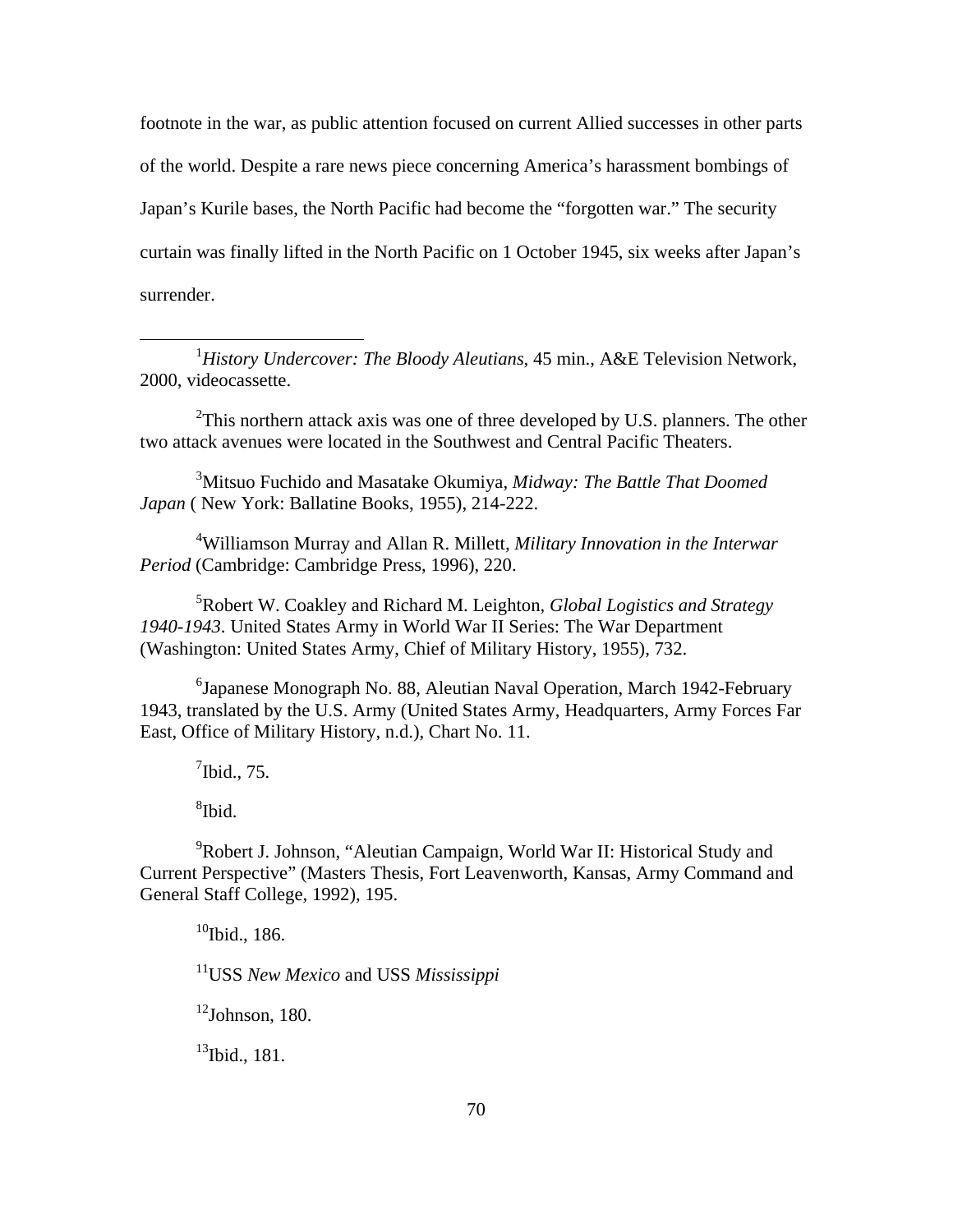footnote in the war, as public attention focused on current Allied successes in other parts of the world. Despite a rare news piece concerning America's harassment bombings of Japan's Kurile bases, the North Pacific had become the "forgotten war." The security curtain was finally lifted in the North Pacific on 1 October 1945, six weeks after Japan's surrender.

<sup>1</sup>History Undercover: The Bloody Aleutians, 45 min., A&E Television Network, 2000, videocassette.

 $2$ This northern attack axis was one of three developed by U.S. planners. The other two attack avenues were located in the Southwest and Central Pacific Theaters.

3 Mitsuo Fuchido and Masatake Okumiya, *Midway: The Battle That Doomed Japan* ( New York: Ballatine Books, 1955), 214-222.

4 Williamson Murray and Allan R. Millett*, Military Innovation in the Interwar Period* (Cambridge: Cambridge Press, 1996), 220.

5 Robert W. Coakley and Richard M. Leighton, *Global Logistics and Strategy 1940-1943*. United States Army in World War II Series: The War Department (Washington: United States Army, Chief of Military History, 1955), 732.

<sup>6</sup>Japanese Monograph No. 88, Aleutian Naval Operation, March 1942-February 1943, translated by the U.S. Army (United States Army, Headquarters, Army Forces Far East, Office of Military History, n.d.), Chart No. 11.

 $<sup>7</sup>$  Ibid., 75.</sup>

8 Ibid.

 $\overline{a}$ 

<sup>9</sup>Robert J. Johnson, "Aleutian Campaign, World War II: Historical Study and Current Perspective" (Masters Thesis, Fort Leavenworth, Kansas, Army Command and General Staff College, 1992), 195.

 $10$ Ibid., 186.

11USS *New Mexico* and USS *Mississippi*

 $12$ Johnson, 180.

<sup>13</sup>Ibid., 181.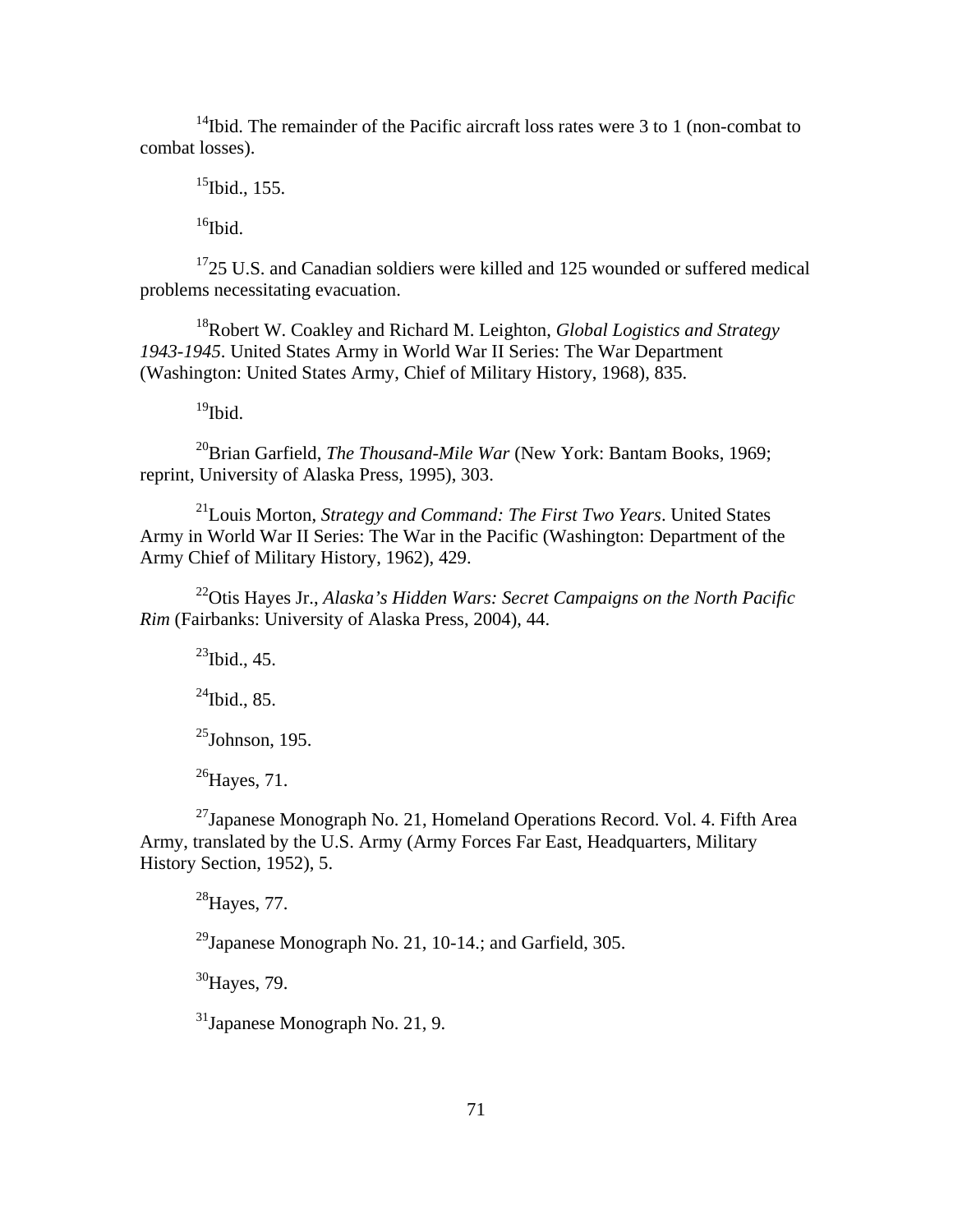<sup>14</sup>Ibid. The remainder of the Pacific aircraft loss rates were 3 to 1 (non-combat to combat losses).

 $15$ Ibid., 155.

 $16$ Ibid.

 $1725$  U.S. and Canadian soldiers were killed and 125 wounded or suffered medical problems necessitating evacuation.

18Robert W. Coakley and Richard M. Leighton, *Global Logistics and Strategy 1943-1945*. United States Army in World War II Series: The War Department (Washington: United States Army, Chief of Military History, 1968), 835.

 $19$ Ibid.

<sup>20</sup>Brian Garfield, *The Thousand-Mile War* (New York: Bantam Books, 1969; reprint, University of Alaska Press, 1995), 303.

21Louis Morton, *Strategy and Command: The First Two Years*. United States Army in World War II Series: The War in the Pacific (Washington: Department of the Army Chief of Military History, 1962), 429.

<sup>22</sup>Otis Hayes Jr., *Alaska's Hidden Wars: Secret Campaigns on the North Pacific Rim* (Fairbanks: University of Alaska Press, 2004), 44.

 $^{23}$ Ibid., 45.

 $^{24}$ Ibid., 85.

 $^{25}$ Johnson, 195.

 $^{26}$ Haves, 71.

 $^{27}$ Japanese Monograph No. 21, Homeland Operations Record. Vol. 4. Fifth Area Army, translated by the U.S. Army (Army Forces Far East, Headquarters, Military History Section, 1952), 5.

 $^{28}$ Hayes, 77.

<sup>29</sup>Japanese Monograph No. 21, 10-14.; and Garfield, 305.

<sup>30</sup>Hayes, 79.

31Japanese Monograph No. 21, 9.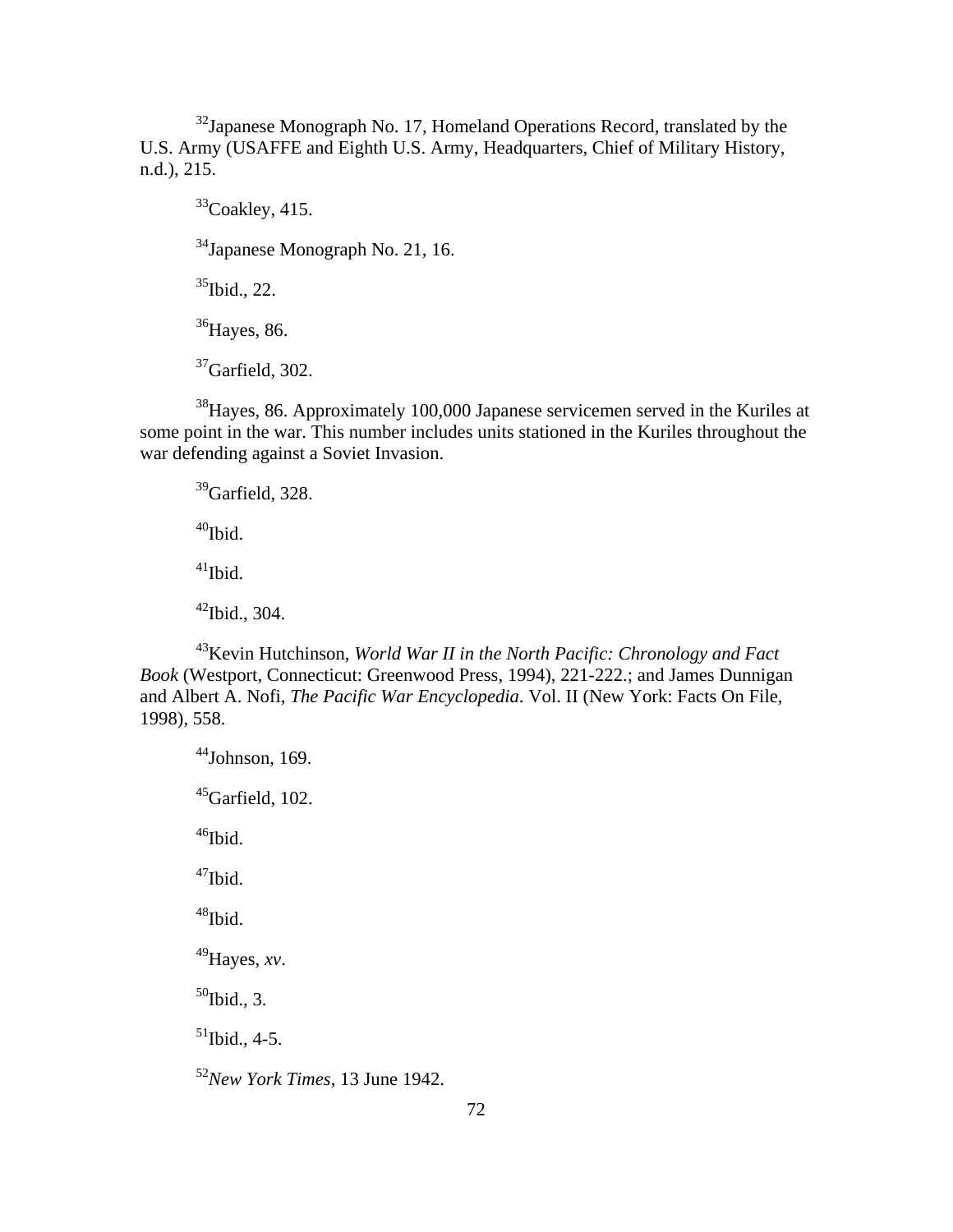$32$ Japanese Monograph No. 17, Homeland Operations Record, translated by the U.S. Army (USAFFE and Eighth U.S. Army, Headquarters, Chief of Military History, n.d.), 215.

 $33$ Coakley, 415.

34Japanese Monograph No. 21, 16.

 $35$ Ibid., 22.

<sup>36</sup>Hayes, 86.

 $37$ Garfield, 302.

38Hayes, 86. Approximately 100,000 Japanese servicemen served in the Kuriles at some point in the war. This number includes units stationed in the Kuriles throughout the war defending against a Soviet Invasion.

 $39$ Garfield, 328.

 $40$ Ibid.

 $^{41}$ Ibid.

 $42$ Ibid., 304.

43Kevin Hutchinson, *World War II in the North Pacific: Chronology and Fact Book* (Westport, Connecticut: Greenwood Press, 1994), 221-222.; and James Dunnigan and Albert A. Nofi, *The Pacific War Encyclopedia*. Vol. II (New York: Facts On File, 1998), 558.

 $44$ Johnson, 169.  $45$ Garfield, 102. <sup>46</sup>Ibid.  $47$ Ibid. <sup>48</sup>Ibid. 49Hayes, *xv*.  $50$ Ibid., 3.  $51$ Ibid., 4-5. <sup>52</sup>*New York Times*, 13 June 1942.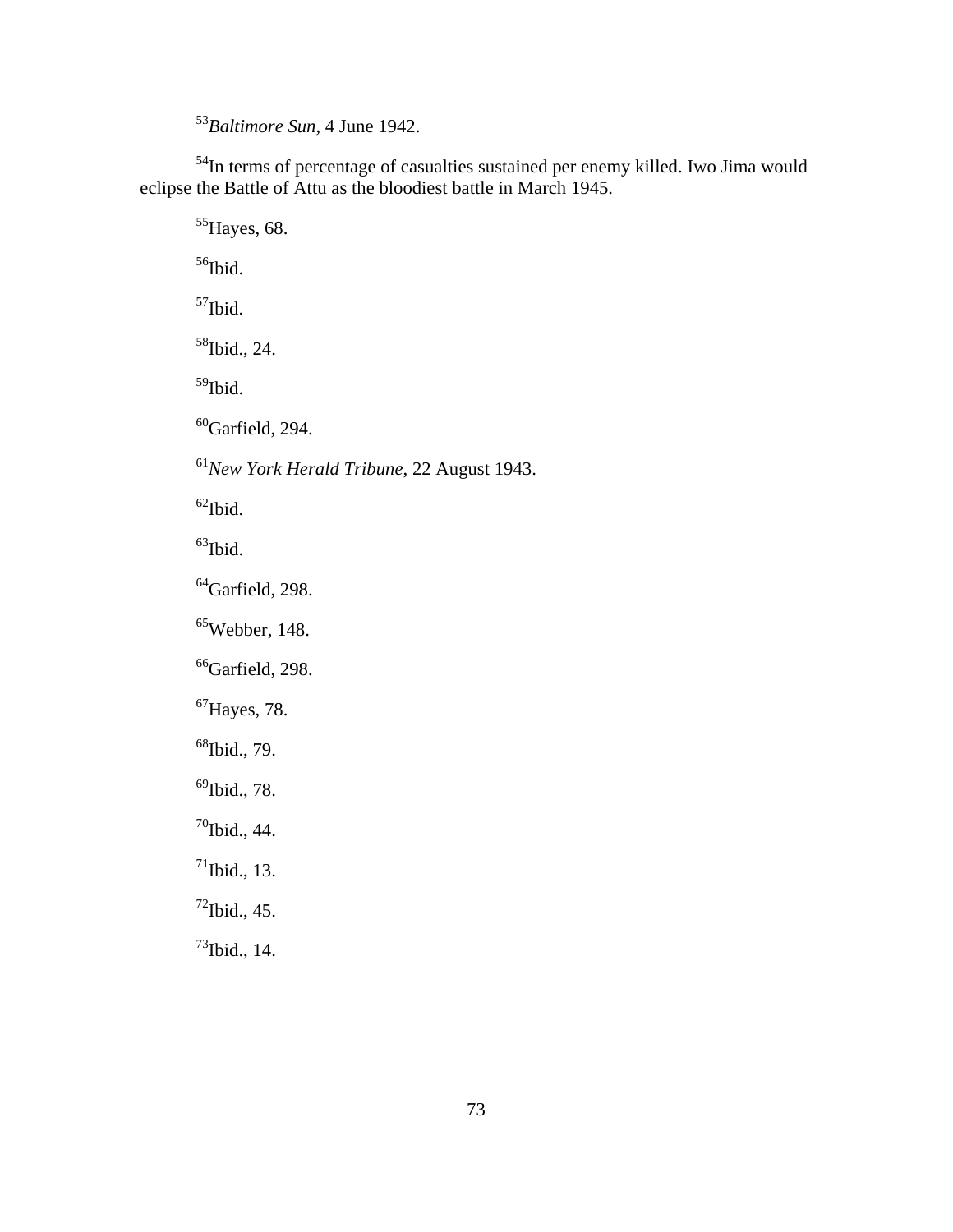<sup>53</sup>*Baltimore Sun*, 4 June 1942.

54In terms of percentage of casualties sustained per enemy killed. Iwo Jima would eclipse the Battle of Attu as the bloodiest battle in March 1945.

<sup>55</sup>Hayes, 68.

<sup>56</sup>Ibid.

57Ibid.

58Ibid., 24.

59Ibid.

 $60$ Garfield, 294.

<sup>61</sup>*New York Herald Tribune*, 22 August 1943.

 $62$ Ibid.

 $63$ Ibid.

 $^{64}$ Garfield, 298.

 $65$ Webber, 148.

 $66$ Garfield, 298.

 ${}^{67}$ Hayes, 78.

68Ibid., 79.

 $^{69}$ Ibid., 78.

 $70$ Ibid., 44.

 $71$ Ibid., 13.

 $^{72}$ Ibid., 45.

 $^{73}$ Ibid., 14.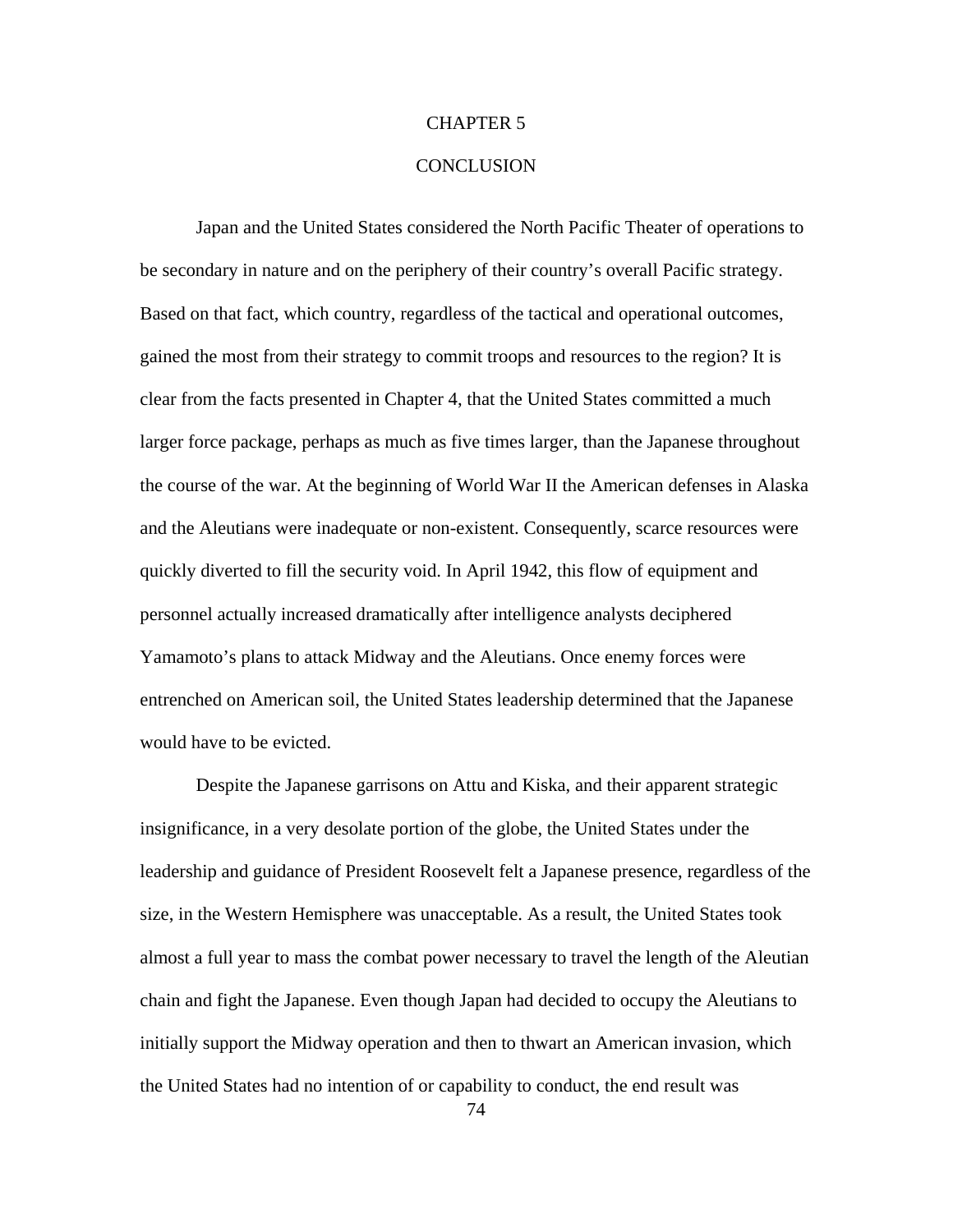### CHAPTER 5

## **CONCLUSION**

Japan and the United States considered the North Pacific Theater of operations to be secondary in nature and on the periphery of their country's overall Pacific strategy. Based on that fact, which country, regardless of the tactical and operational outcomes, gained the most from their strategy to commit troops and resources to the region? It is clear from the facts presented in Chapter 4, that the United States committed a much larger force package, perhaps as much as five times larger, than the Japanese throughout the course of the war. At the beginning of World War II the American defenses in Alaska and the Aleutians were inadequate or non-existent. Consequently, scarce resources were quickly diverted to fill the security void. In April 1942, this flow of equipment and personnel actually increased dramatically after intelligence analysts deciphered Yamamoto's plans to attack Midway and the Aleutians. Once enemy forces were entrenched on American soil, the United States leadership determined that the Japanese would have to be evicted.

Despite the Japanese garrisons on Attu and Kiska, and their apparent strategic insignificance, in a very desolate portion of the globe, the United States under the leadership and guidance of President Roosevelt felt a Japanese presence, regardless of the size, in the Western Hemisphere was unacceptable. As a result, the United States took almost a full year to mass the combat power necessary to travel the length of the Aleutian chain and fight the Japanese. Even though Japan had decided to occupy the Aleutians to initially support the Midway operation and then to thwart an American invasion, which the United States had no intention of or capability to conduct, the end result was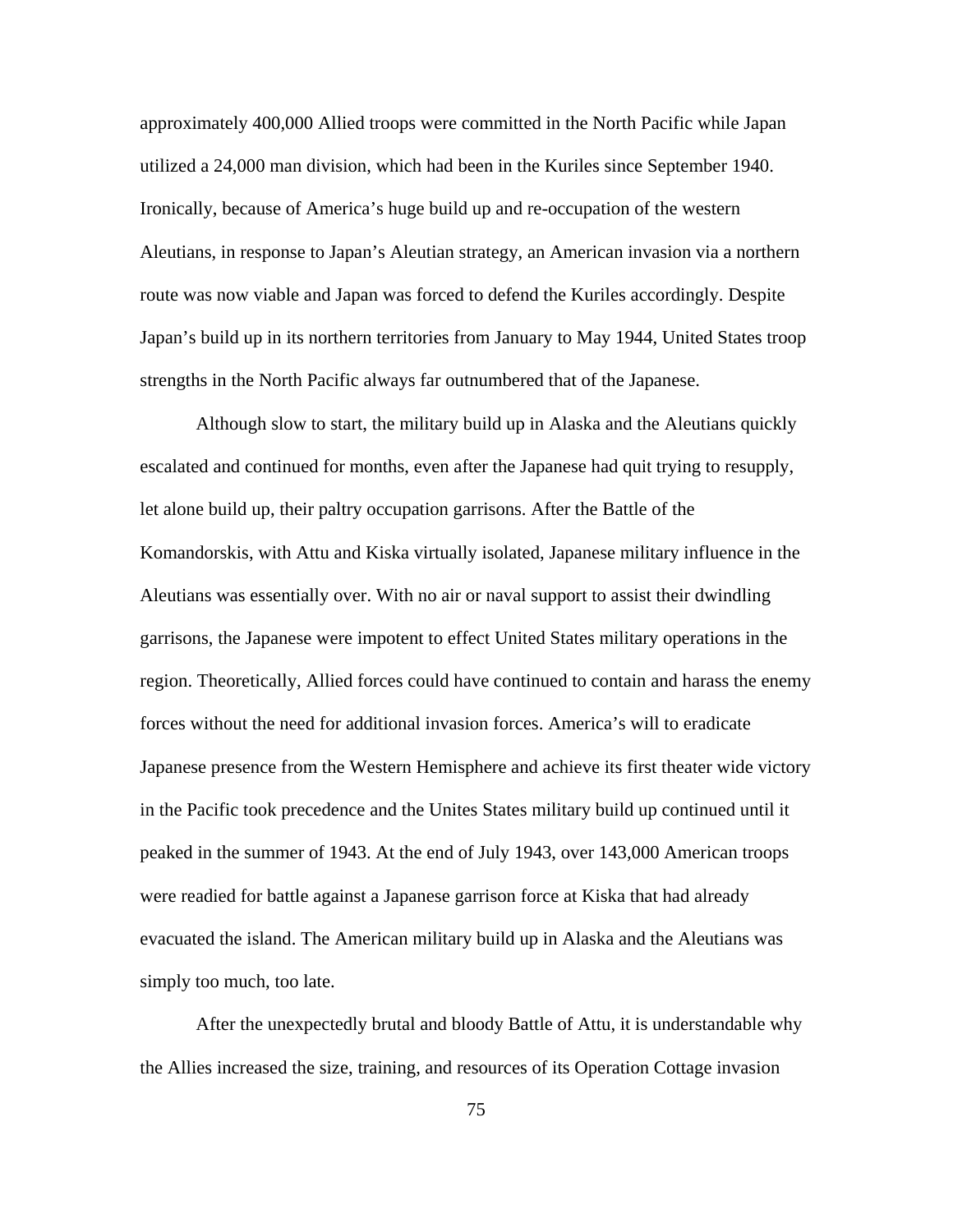approximately 400,000 Allied troops were committed in the North Pacific while Japan utilized a 24,000 man division, which had been in the Kuriles since September 1940. Ironically, because of America's huge build up and re-occupation of the western Aleutians, in response to Japan's Aleutian strategy, an American invasion via a northern route was now viable and Japan was forced to defend the Kuriles accordingly. Despite Japan's build up in its northern territories from January to May 1944, United States troop strengths in the North Pacific always far outnumbered that of the Japanese.

Although slow to start, the military build up in Alaska and the Aleutians quickly escalated and continued for months, even after the Japanese had quit trying to resupply, let alone build up, their paltry occupation garrisons. After the Battle of the Komandorskis, with Attu and Kiska virtually isolated, Japanese military influence in the Aleutians was essentially over. With no air or naval support to assist their dwindling garrisons, the Japanese were impotent to effect United States military operations in the region. Theoretically, Allied forces could have continued to contain and harass the enemy forces without the need for additional invasion forces. America's will to eradicate Japanese presence from the Western Hemisphere and achieve its first theater wide victory in the Pacific took precedence and the Unites States military build up continued until it peaked in the summer of 1943. At the end of July 1943, over 143,000 American troops were readied for battle against a Japanese garrison force at Kiska that had already evacuated the island. The American military build up in Alaska and the Aleutians was simply too much, too late.

After the unexpectedly brutal and bloody Battle of Attu, it is understandable why the Allies increased the size, training, and resources of its Operation Cottage invasion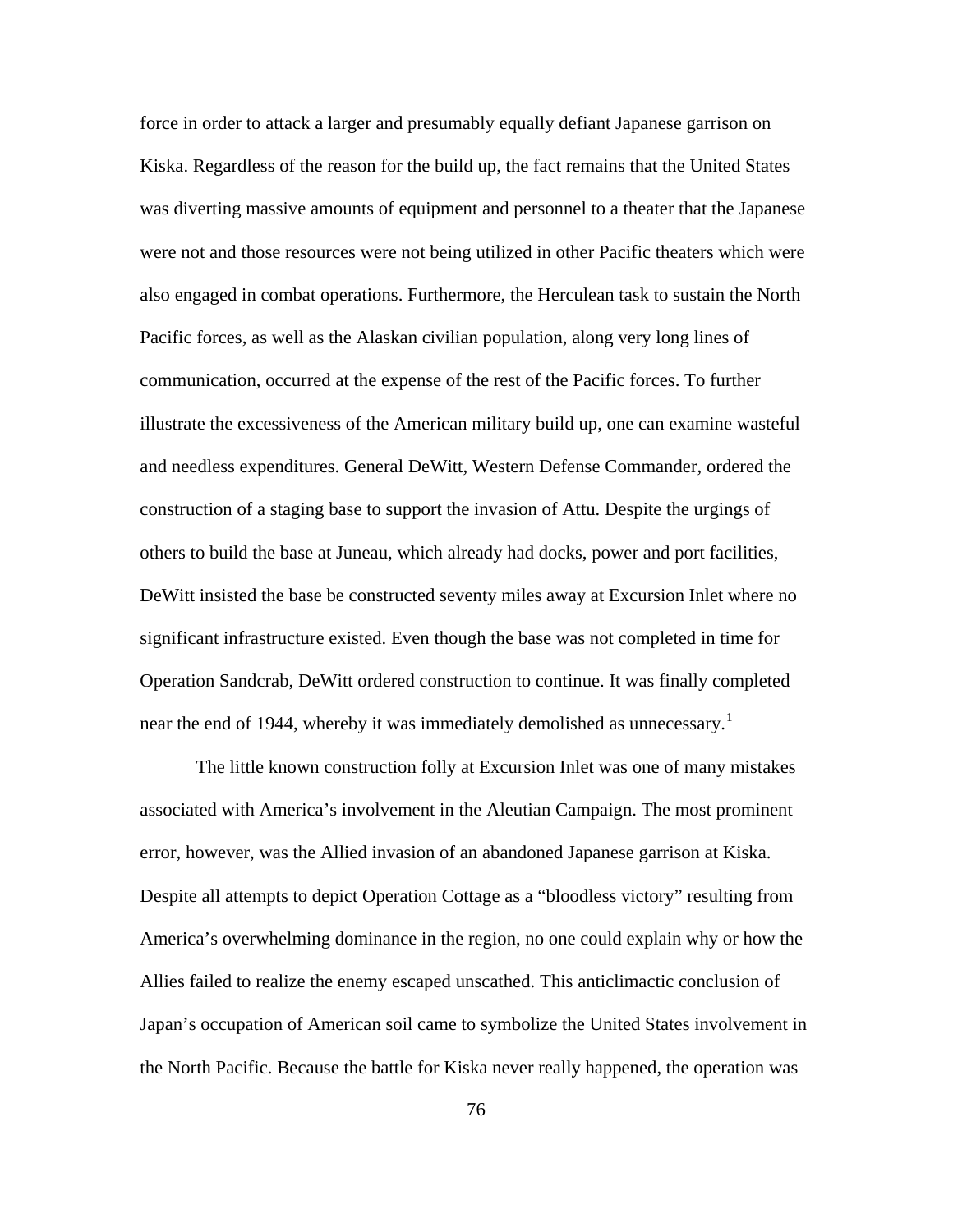force in order to attack a larger and presumably equally defiant Japanese garrison on Kiska. Regardless of the reason for the build up, the fact remains that the United States was diverting massive amounts of equipment and personnel to a theater that the Japanese were not and those resources were not being utilized in other Pacific theaters which were also engaged in combat operations. Furthermore, the Herculean task to sustain the North Pacific forces, as well as the Alaskan civilian population, along very long lines of communication, occurred at the expense of the rest of the Pacific forces. To further illustrate the excessiveness of the American military build up, one can examine wasteful and needless expenditures. General DeWitt, Western Defense Commander, ordered the construction of a staging base to support the invasion of Attu. Despite the urgings of others to build the base at Juneau, which already had docks, power and port facilities, DeWitt insisted the base be constructed seventy miles away at Excursion Inlet where no significant infrastructure existed. Even though the base was not completed in time for Operation Sandcrab, DeWitt ordered construction to continue. It was finally completed near the end of [1](#page-96-1)944, whereby it was immediately demolished as unnecessary.<sup>1</sup>

The little known construction folly at Excursion Inlet was one of many mistakes associated with America's involvement in the Aleutian Campaign. The most prominent error, however, was the Allied invasion of an abandoned Japanese garrison at Kiska. Despite all attempts to depict Operation Cottage as a "bloodless victory" resulting from America's overwhelming dominance in the region, no one could explain why or how the Allies failed to realize the enemy escaped unscathed. This anticlimactic conclusion of Japan's occupation of American soil came to symbolize the United States involvement in the North Pacific. Because the battle for Kiska never really happened, the operation was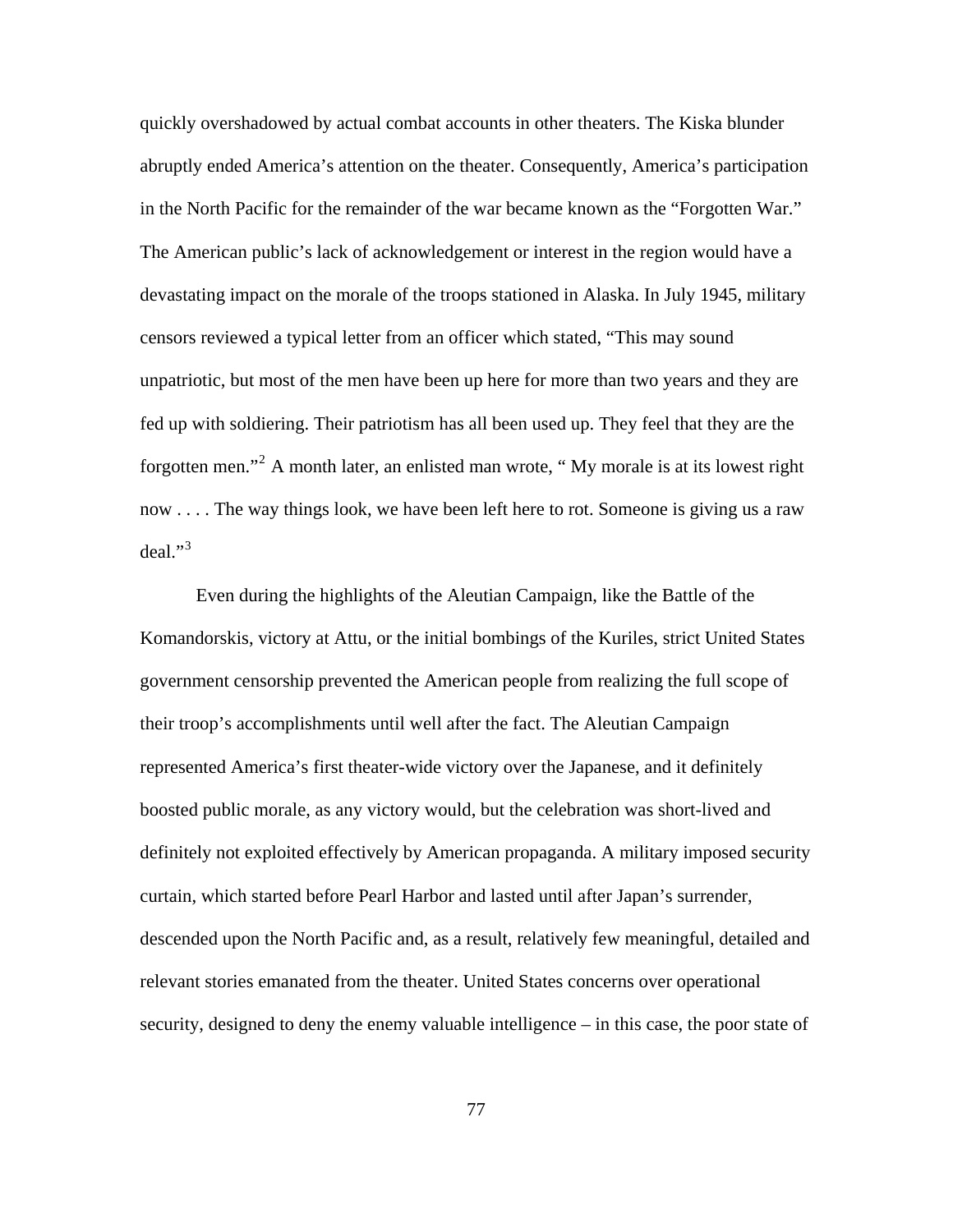quickly overshadowed by actual combat accounts in other theaters. The Kiska blunder abruptly ended America's attention on the theater. Consequently, America's participation in the North Pacific for the remainder of the war became known as the "Forgotten War." The American public's lack of acknowledgement or interest in the region would have a devastating impact on the morale of the troops stationed in Alaska. In July 1945, military censors reviewed a typical letter from an officer which stated, "This may sound unpatriotic, but most of the men have been up here for more than two years and they are fed up with soldiering. Their patriotism has all been used up. They feel that they are the forgotten men."<sup>[2](#page-96-1)</sup> A month later, an enlisted man wrote, "My morale is at its lowest right now . . . . The way things look, we have been left here to rot. Someone is giving us a raw deal." $3$ 

Even during the highlights of the Aleutian Campaign, like the Battle of the Komandorskis, victory at Attu, or the initial bombings of the Kuriles, strict United States government censorship prevented the American people from realizing the full scope of their troop's accomplishments until well after the fact. The Aleutian Campaign represented America's first theater-wide victory over the Japanese, and it definitely boosted public morale, as any victory would, but the celebration was short-lived and definitely not exploited effectively by American propaganda. A military imposed security curtain, which started before Pearl Harbor and lasted until after Japan's surrender, descended upon the North Pacific and, as a result, relatively few meaningful, detailed and relevant stories emanated from the theater. United States concerns over operational security, designed to deny the enemy valuable intelligence – in this case, the poor state of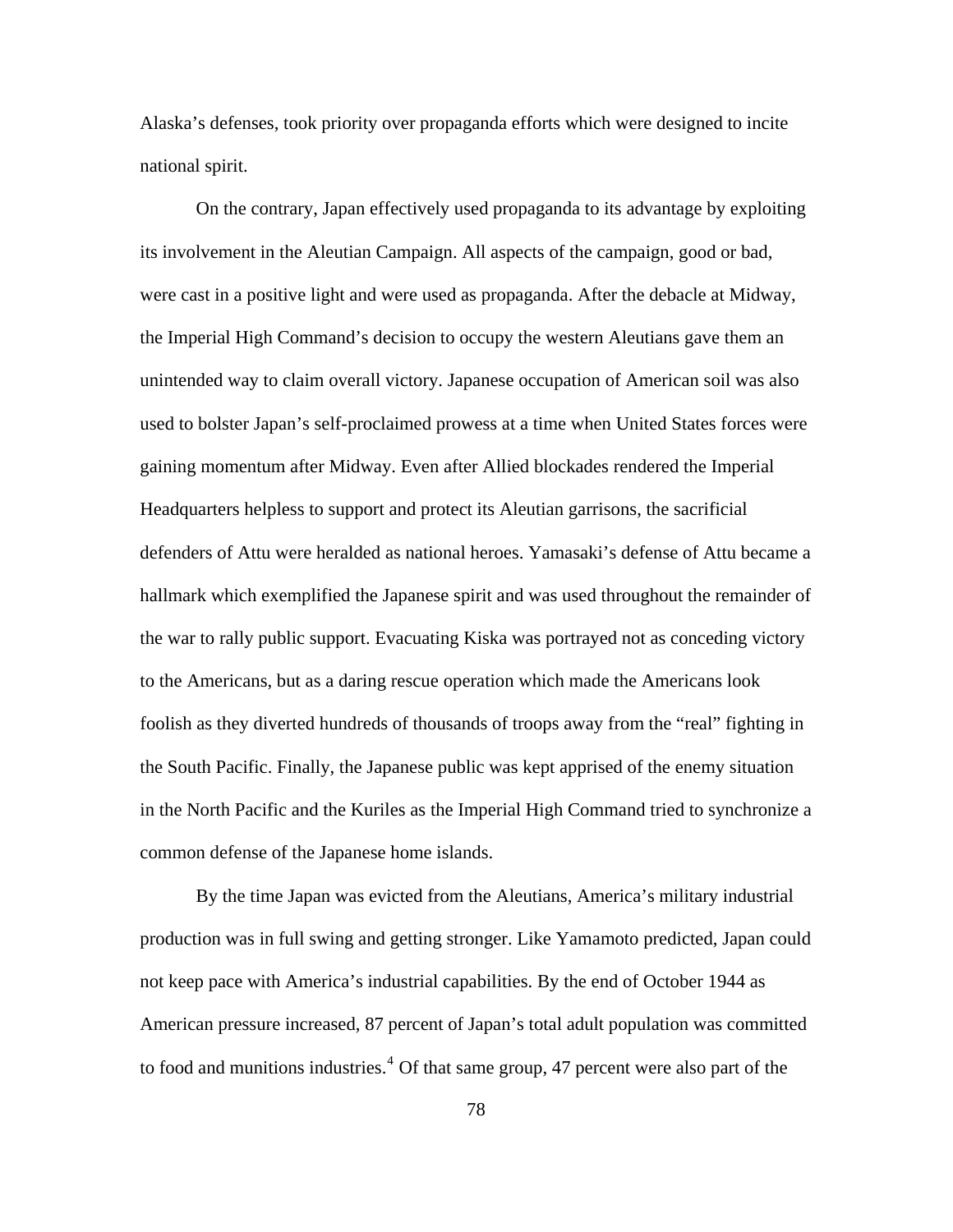Alaska's defenses, took priority over propaganda efforts which were designed to incite national spirit.

On the contrary, Japan effectively used propaganda to its advantage by exploiting its involvement in the Aleutian Campaign. All aspects of the campaign, good or bad, were cast in a positive light and were used as propaganda. After the debacle at Midway, the Imperial High Command's decision to occupy the western Aleutians gave them an unintended way to claim overall victory. Japanese occupation of American soil was also used to bolster Japan's self-proclaimed prowess at a time when United States forces were gaining momentum after Midway. Even after Allied blockades rendered the Imperial Headquarters helpless to support and protect its Aleutian garrisons, the sacrificial defenders of Attu were heralded as national heroes. Yamasaki's defense of Attu became a hallmark which exemplified the Japanese spirit and was used throughout the remainder of the war to rally public support. Evacuating Kiska was portrayed not as conceding victory to the Americans, but as a daring rescue operation which made the Americans look foolish as they diverted hundreds of thousands of troops away from the "real" fighting in the South Pacific. Finally, the Japanese public was kept apprised of the enemy situation in the North Pacific and the Kuriles as the Imperial High Command tried to synchronize a common defense of the Japanese home islands.

By the time Japan was evicted from the Aleutians, America's military industrial production was in full swing and getting stronger. Like Yamamoto predicted, Japan could not keep pace with America's industrial capabilities. By the end of October 1944 as American pressure increased, 87 percent of Japan's total adult population was committed to food and munitions industries.<sup>[4](#page-96-1)</sup> Of that same group, 47 percent were also part of the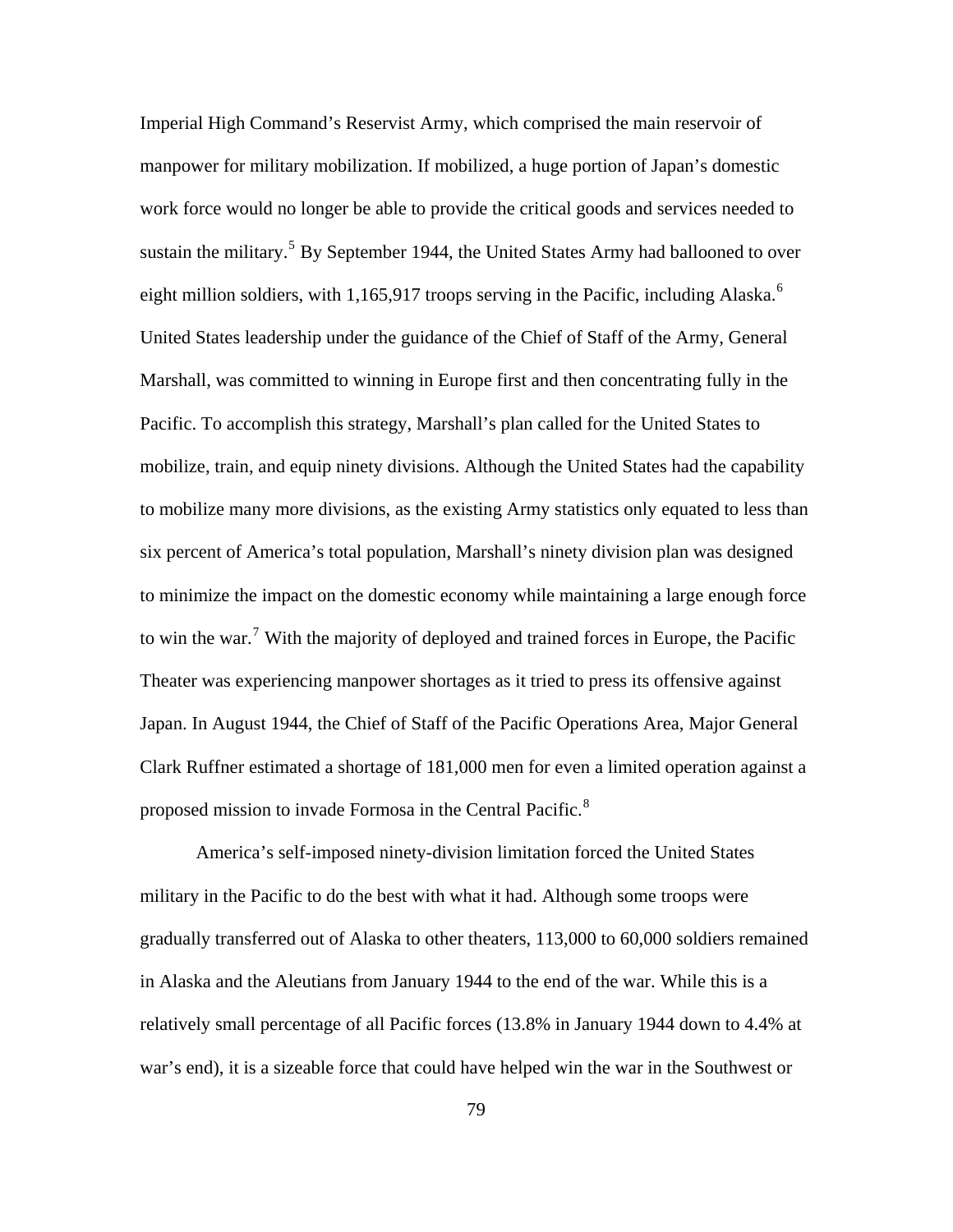Imperial High Command's Reservist Army, which comprised the main reservoir of manpower for military mobilization. If mobilized, a huge portion of Japan's domestic work force would no longer be able to provide the critical goods and services needed to sustain the military.<sup>[5](#page-96-1)</sup> By September 1944, the United States Army had ballooned to over eight million soldiers, with 1,1[6](#page-96-1)5,917 troops serving in the Pacific, including Alaska.<sup>6</sup> United States leadership under the guidance of the Chief of Staff of the Army, General Marshall, was committed to winning in Europe first and then concentrating fully in the Pacific. To accomplish this strategy, Marshall's plan called for the United States to mobilize, train, and equip ninety divisions. Although the United States had the capability to mobilize many more divisions, as the existing Army statistics only equated to less than six percent of America's total population, Marshall's ninety division plan was designed to minimize the impact on the domestic economy while maintaining a large enough force to win the war.<sup>[7](#page-96-1)</sup> With the majority of deployed and trained forces in Europe, the Pacific Theater was experiencing manpower shortages as it tried to press its offensive against Japan. In August 1944, the Chief of Staff of the Pacific Operations Area, Major General Clark Ruffner estimated a shortage of 181,000 men for even a limited operation against a proposed mission to invade Formosa in the Central Pacific.<sup>[8](#page-96-1)</sup>

America's self-imposed ninety-division limitation forced the United States military in the Pacific to do the best with what it had. Although some troops were gradually transferred out of Alaska to other theaters, 113,000 to 60,000 soldiers remained in Alaska and the Aleutians from January 1944 to the end of the war. While this is a relatively small percentage of all Pacific forces (13.8% in January 1944 down to 4.4% at war's end), it is a sizeable force that could have helped win the war in the Southwest or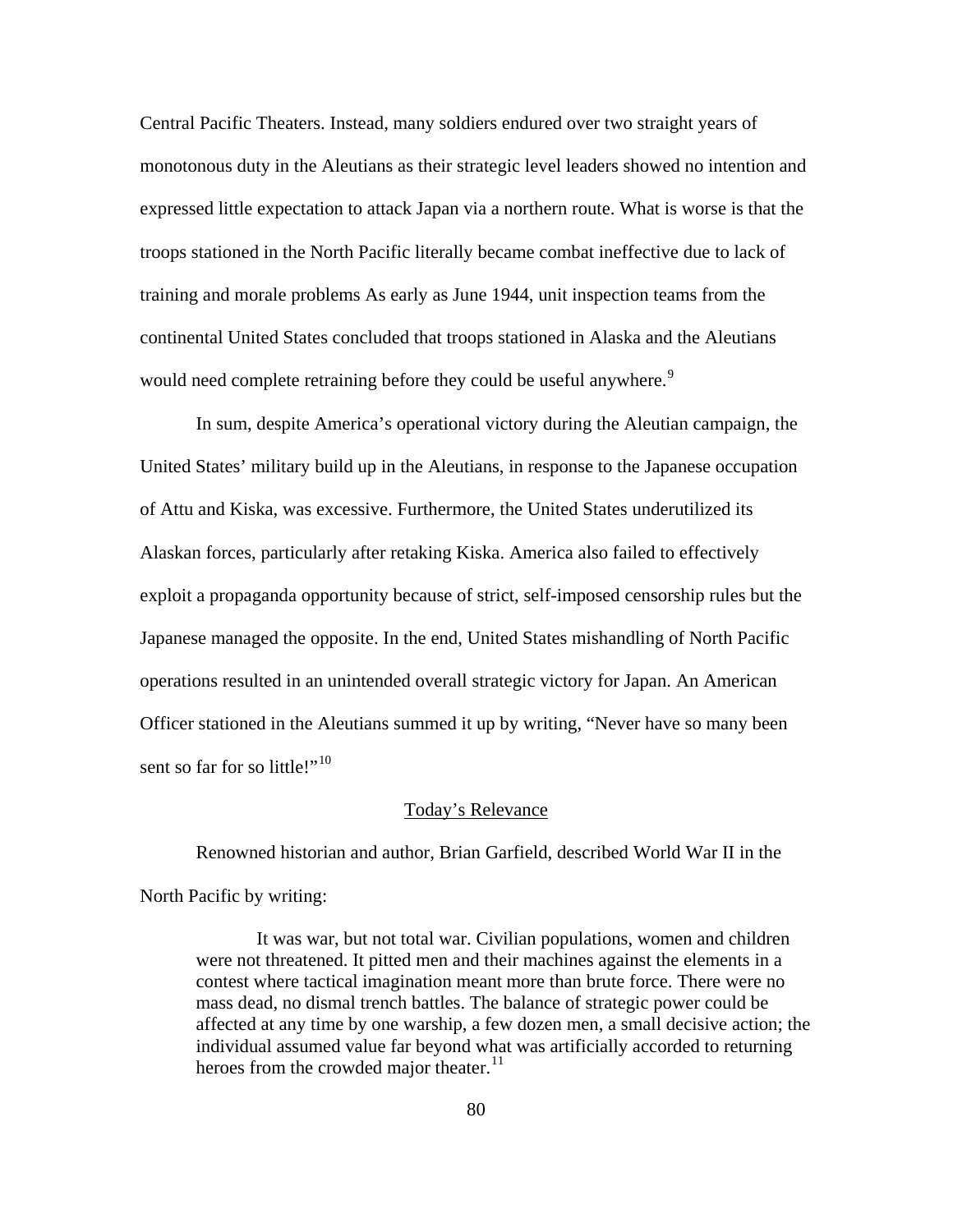Central Pacific Theaters. Instead, many soldiers endured over two straight years of monotonous duty in the Aleutians as their strategic level leaders showed no intention and expressed little expectation to attack Japan via a northern route. What is worse is that the troops stationed in the North Pacific literally became combat ineffective due to lack of training and morale problems As early as June 1944, unit inspection teams from the continental United States concluded that troops stationed in Alaska and the Aleutians would need complete retraining before they could be useful anywhere.<sup>[9](#page-96-1)</sup>

In sum, despite America's operational victory during the Aleutian campaign, the United States' military build up in the Aleutians, in response to the Japanese occupation of Attu and Kiska, was excessive. Furthermore, the United States underutilized its Alaskan forces, particularly after retaking Kiska. America also failed to effectively exploit a propaganda opportunity because of strict, self-imposed censorship rules but the Japanese managed the opposite. In the end, United States mishandling of North Pacific operations resulted in an unintended overall strategic victory for Japan. An American Officer stationed in the Aleutians summed it up by writing, "Never have so many been sent so far for so little!"<sup>[10](#page-96-1)</sup>

#### Today's Relevance

Renowned historian and author, Brian Garfield, described World War II in the North Pacific by writing:

 It was war, but not total war. Civilian populations, women and children were not threatened. It pitted men and their machines against the elements in a contest where tactical imagination meant more than brute force. There were no mass dead, no dismal trench battles. The balance of strategic power could be affected at any time by one warship, a few dozen men, a small decisive action; the individual assumed value far beyond what was artificially accorded to returning heroes from the crowded major theater.<sup>[11](#page-96-1)</sup>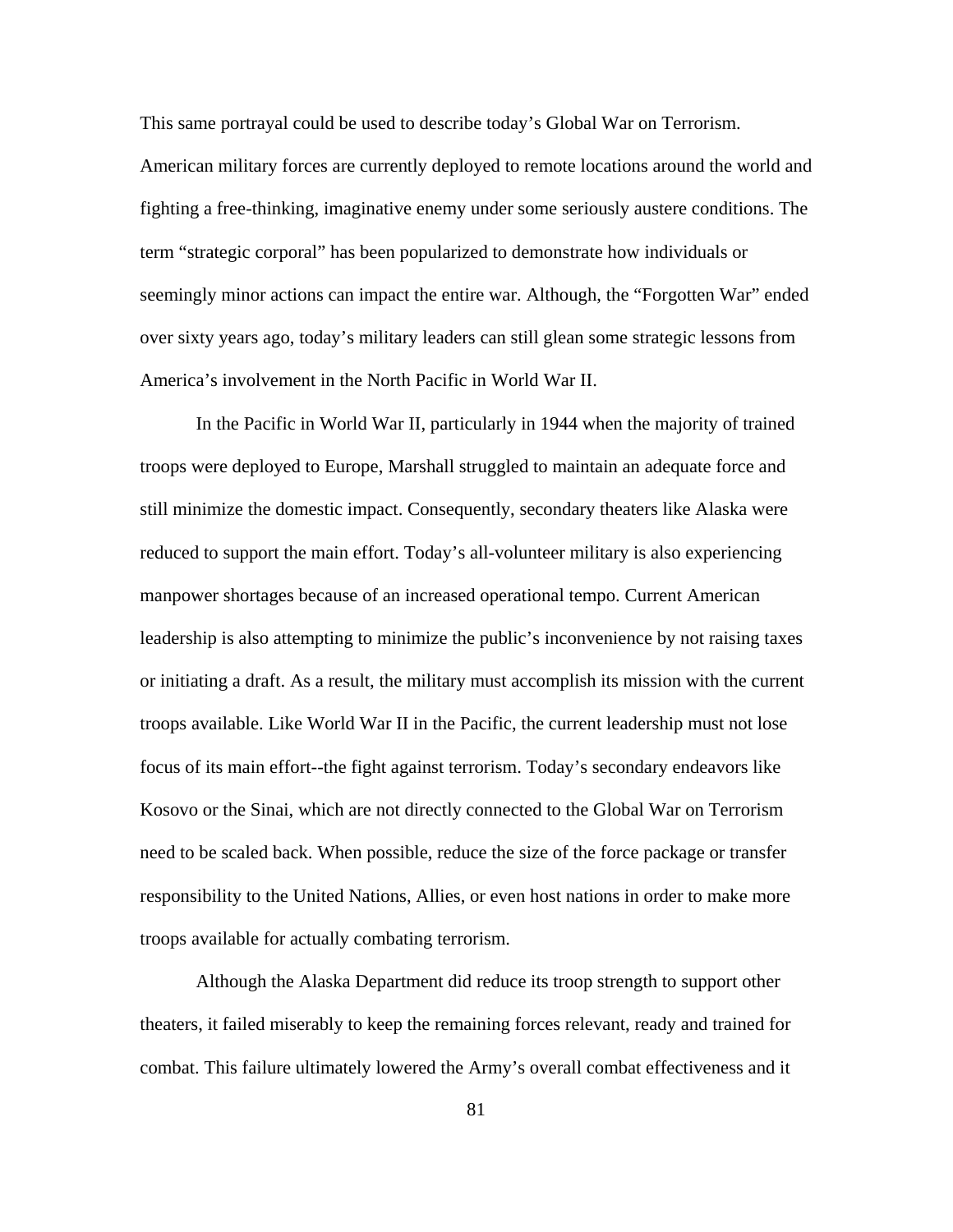This same portrayal could be used to describe today's Global War on Terrorism.

American military forces are currently deployed to remote locations around the world and fighting a free-thinking, imaginative enemy under some seriously austere conditions. The term "strategic corporal" has been popularized to demonstrate how individuals or seemingly minor actions can impact the entire war. Although, the "Forgotten War" ended over sixty years ago, today's military leaders can still glean some strategic lessons from America's involvement in the North Pacific in World War II.

In the Pacific in World War II, particularly in 1944 when the majority of trained troops were deployed to Europe, Marshall struggled to maintain an adequate force and still minimize the domestic impact. Consequently, secondary theaters like Alaska were reduced to support the main effort. Today's all-volunteer military is also experiencing manpower shortages because of an increased operational tempo. Current American leadership is also attempting to minimize the public's inconvenience by not raising taxes or initiating a draft. As a result, the military must accomplish its mission with the current troops available. Like World War II in the Pacific, the current leadership must not lose focus of its main effort--the fight against terrorism. Today's secondary endeavors like Kosovo or the Sinai, which are not directly connected to the Global War on Terrorism need to be scaled back. When possible, reduce the size of the force package or transfer responsibility to the United Nations, Allies, or even host nations in order to make more troops available for actually combating terrorism.

Although the Alaska Department did reduce its troop strength to support other theaters, it failed miserably to keep the remaining forces relevant, ready and trained for combat. This failure ultimately lowered the Army's overall combat effectiveness and it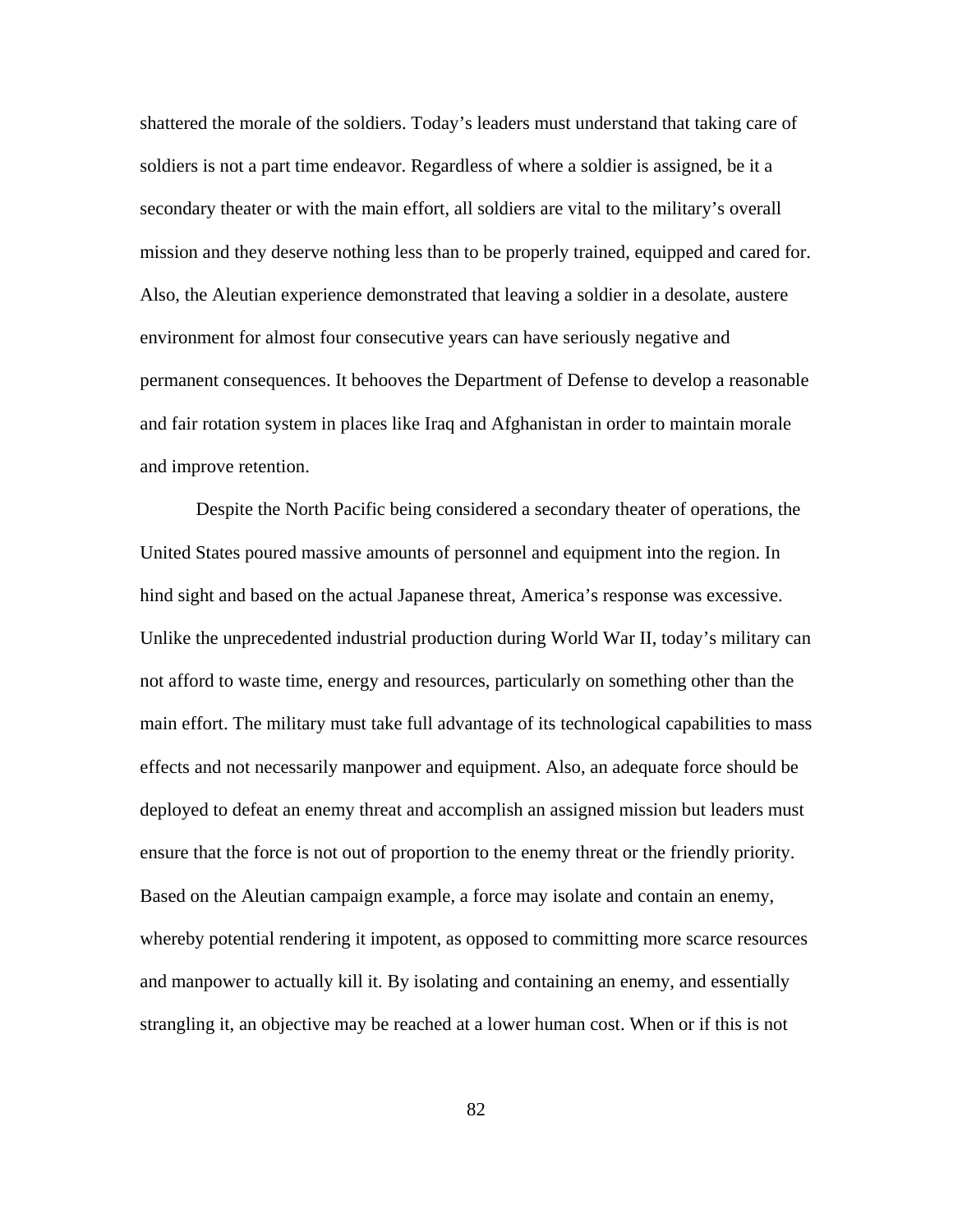shattered the morale of the soldiers. Today's leaders must understand that taking care of soldiers is not a part time endeavor. Regardless of where a soldier is assigned, be it a secondary theater or with the main effort, all soldiers are vital to the military's overall mission and they deserve nothing less than to be properly trained, equipped and cared for. Also, the Aleutian experience demonstrated that leaving a soldier in a desolate, austere environment for almost four consecutive years can have seriously negative and permanent consequences. It behooves the Department of Defense to develop a reasonable and fair rotation system in places like Iraq and Afghanistan in order to maintain morale and improve retention.

Despite the North Pacific being considered a secondary theater of operations, the United States poured massive amounts of personnel and equipment into the region. In hind sight and based on the actual Japanese threat, America's response was excessive. Unlike the unprecedented industrial production during World War II, today's military can not afford to waste time, energy and resources, particularly on something other than the main effort. The military must take full advantage of its technological capabilities to mass effects and not necessarily manpower and equipment. Also, an adequate force should be deployed to defeat an enemy threat and accomplish an assigned mission but leaders must ensure that the force is not out of proportion to the enemy threat or the friendly priority. Based on the Aleutian campaign example, a force may isolate and contain an enemy, whereby potential rendering it impotent, as opposed to committing more scarce resources and manpower to actually kill it. By isolating and containing an enemy, and essentially strangling it, an objective may be reached at a lower human cost. When or if this is not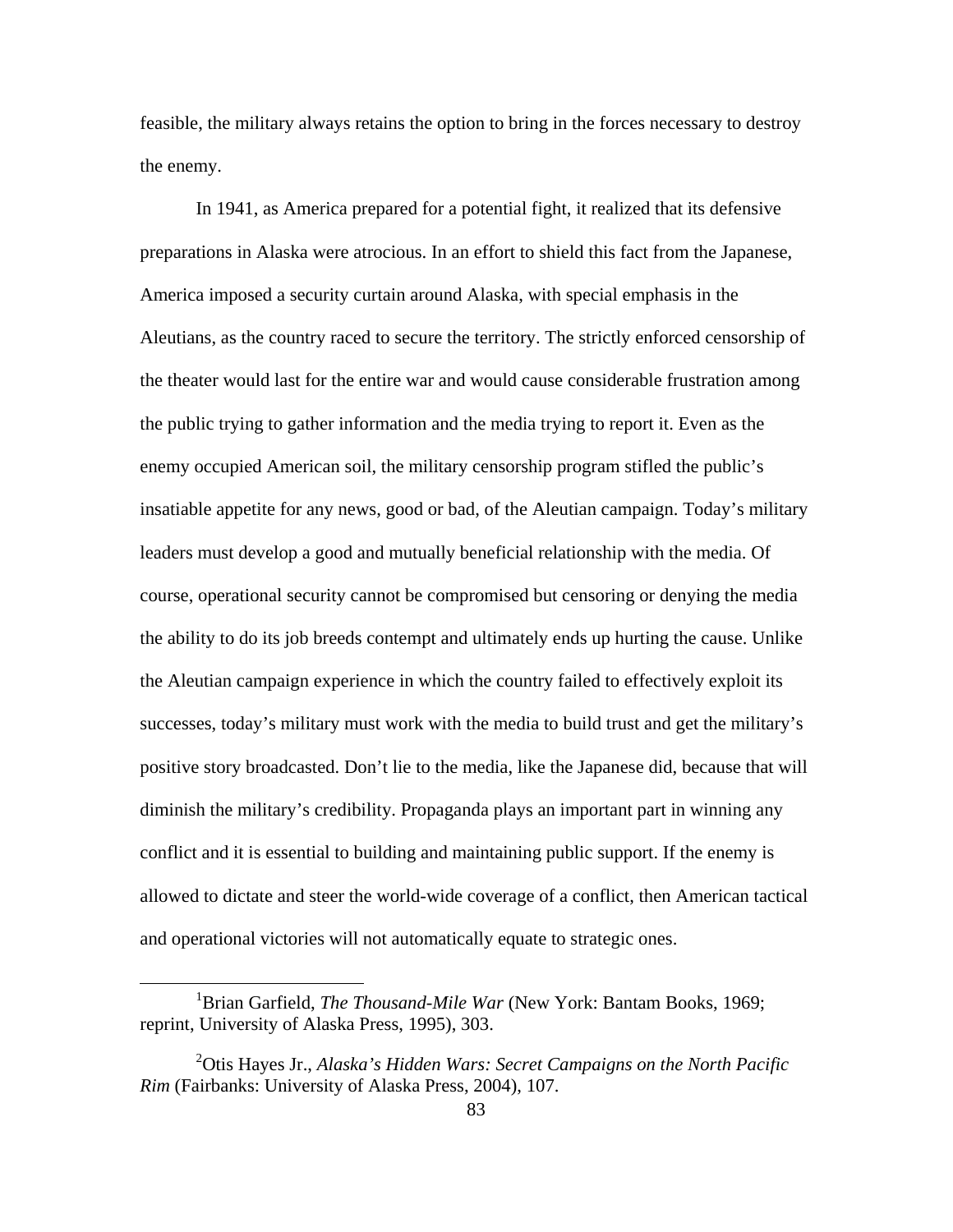feasible, the military always retains the option to bring in the forces necessary to destroy the enemy.

In 1941, as America prepared for a potential fight, it realized that its defensive preparations in Alaska were atrocious. In an effort to shield this fact from the Japanese, America imposed a security curtain around Alaska, with special emphasis in the Aleutians, as the country raced to secure the territory. The strictly enforced censorship of the theater would last for the entire war and would cause considerable frustration among the public trying to gather information and the media trying to report it. Even as the enemy occupied American soil, the military censorship program stifled the public's insatiable appetite for any news, good or bad, of the Aleutian campaign. Today's military leaders must develop a good and mutually beneficial relationship with the media. Of course, operational security cannot be compromised but censoring or denying the media the ability to do its job breeds contempt and ultimately ends up hurting the cause. Unlike the Aleutian campaign experience in which the country failed to effectively exploit its successes, today's military must work with the media to build trust and get the military's positive story broadcasted. Don't lie to the media, like the Japanese did, because that will diminish the military's credibility. Propaganda plays an important part in winning any conflict and it is essential to building and maintaining public support. If the enemy is allowed to dictate and steer the world-wide coverage of a conflict, then American tactical and operational victories will not automatically equate to strategic ones.

 $\overline{a}$ 

<sup>&</sup>lt;sup>1</sup>Brian Garfield, *The Thousand-Mile War* (New York: Bantam Books, 1969; reprint, University of Alaska Press, 1995), 303.

<sup>2</sup> Otis Hayes Jr., *Alaska's Hidden Wars: Secret Campaigns on the North Pacific Rim* (Fairbanks: University of Alaska Press, 2004), 107.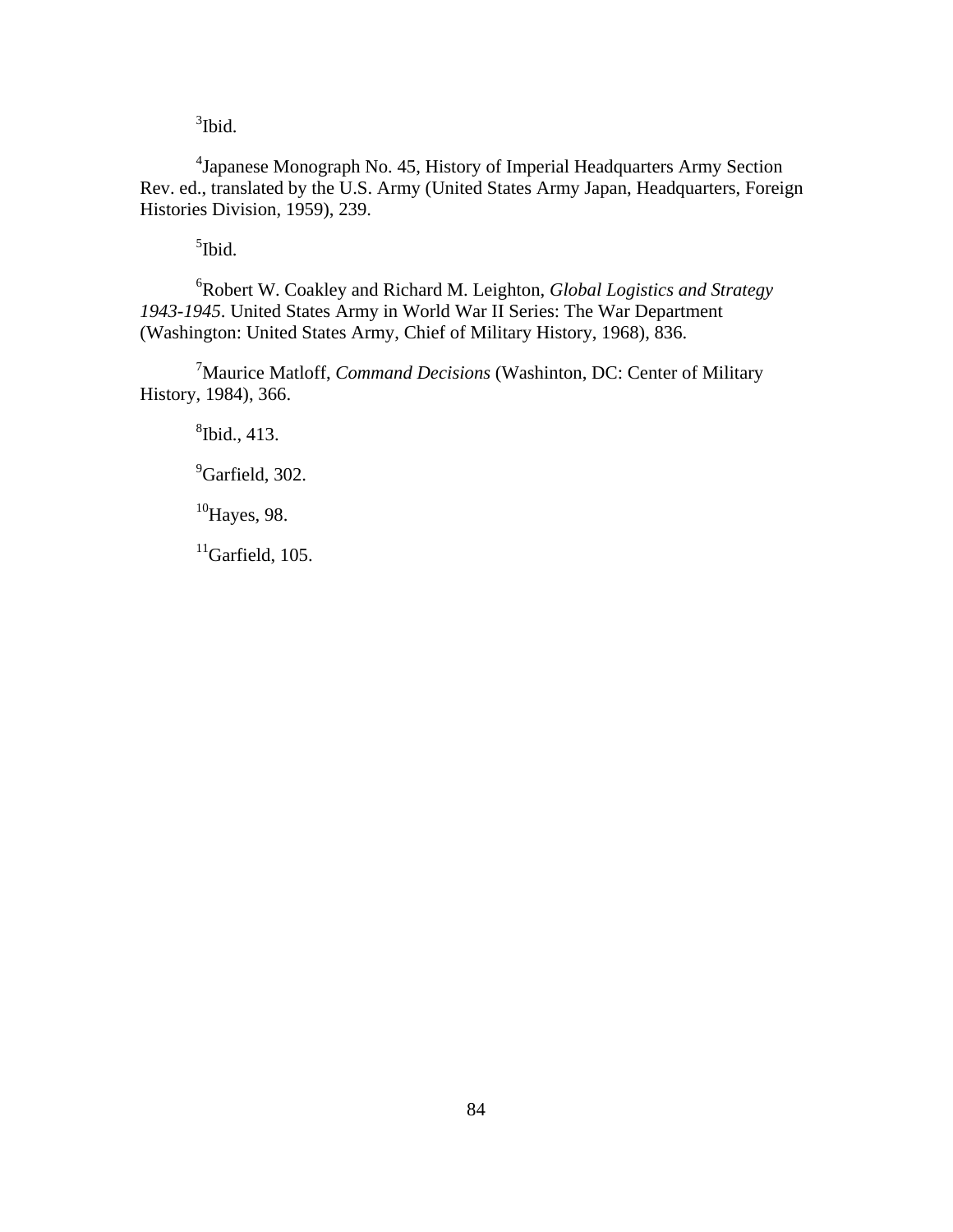<sup>3</sup>Ibid.

<sup>4</sup> Japanese Monograph No. 45, History of Imperial Headquarters Army Section Rev. ed., translated by the U.S. Army (United States Army Japan, Headquarters, Foreign Histories Division, 1959), 239.

<sup>5</sup>Ibid.

6 Robert W. Coakley and Richard M. Leighton, *Global Logistics and Strategy 1943-1945*. United States Army in World War II Series: The War Department (Washington: United States Army, Chief of Military History, 1968), 836.

7 Maurice Matloff, *Command Decisions* (Washinton, DC: Center of Military History, 1984), 366.

8 Ibid., 413.

<sup>9</sup>Garfield, 302.

 $10$ Hayes, 98.

 $11$ Garfield, 105.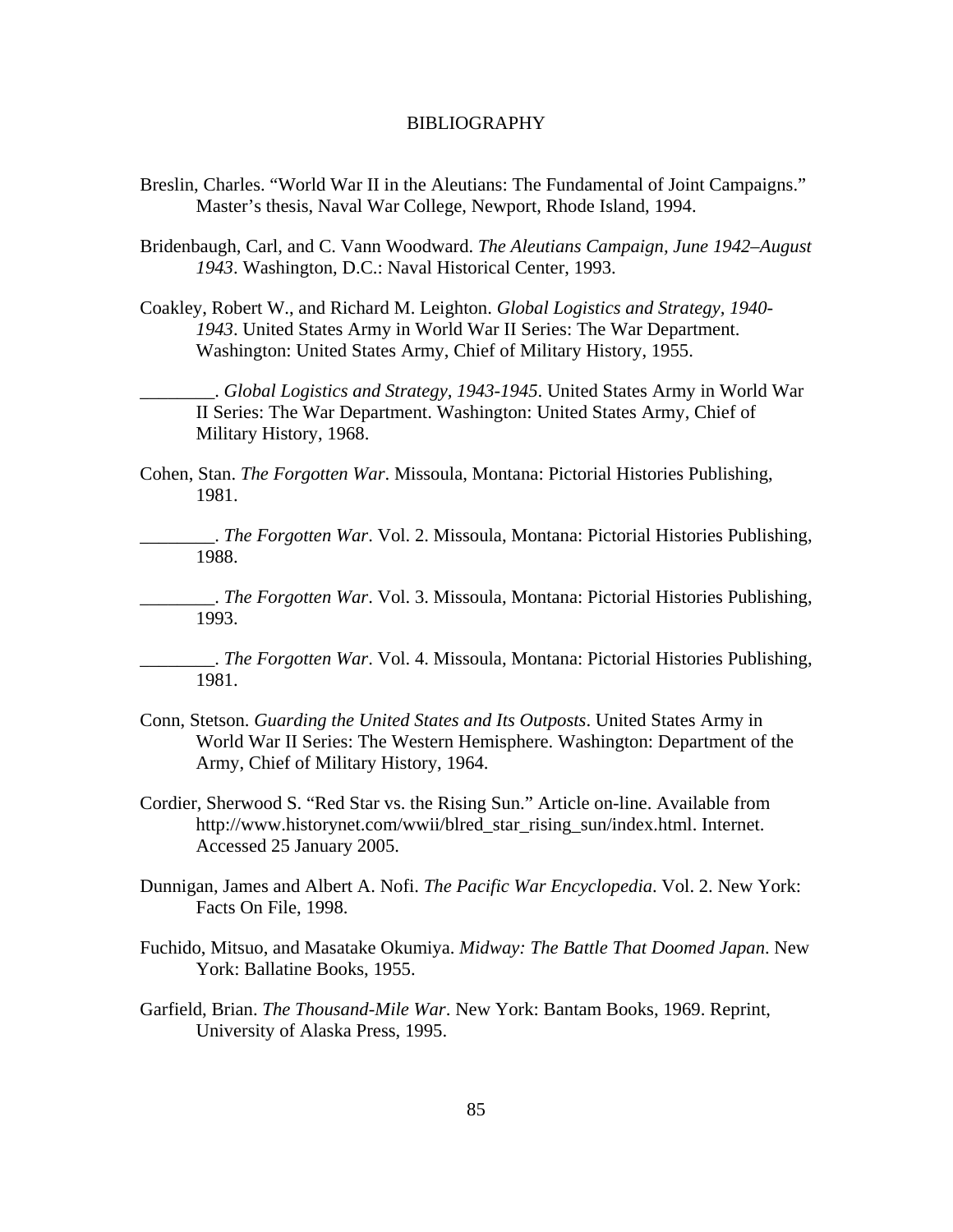#### BIBLIOGRAPHY

- Breslin, Charles. "World War II in the Aleutians: The Fundamental of Joint Campaigns." Master's thesis, Naval War College, Newport, Rhode Island, 1994.
- Bridenbaugh, Carl, and C. Vann Woodward. *The Aleutians Campaign, June 1942–August 1943*. Washington, D.C.: Naval Historical Center, 1993.
- Coakley, Robert W., and Richard M. Leighton. *Global Logistics and Strategy, 1940- 1943*. United States Army in World War II Series: The War Department. Washington: United States Army, Chief of Military History, 1955.

\_\_\_\_\_\_\_\_. *Global Logistics and Strategy, 1943-1945*. United States Army in World War II Series: The War Department. Washington: United States Army, Chief of Military History, 1968.

Cohen, Stan. *The Forgotten War*. Missoula, Montana: Pictorial Histories Publishing, 1981.

\_\_\_\_\_\_\_\_. *The Forgotten War*. Vol. 2. Missoula, Montana: Pictorial Histories Publishing, 1988.

\_\_\_\_\_\_\_\_. *The Forgotten War*. Vol. 3. Missoula, Montana: Pictorial Histories Publishing, 1993.

\_\_\_\_\_\_\_\_. *The Forgotten War*. Vol. 4. Missoula, Montana: Pictorial Histories Publishing, 1981.

- Conn, Stetson. *Guarding the United States and Its Outposts*. United States Army in World War II Series: The Western Hemisphere. Washington: Department of the Army, Chief of Military History, 1964.
- Cordier, Sherwood S. "Red Star vs. the Rising Sun." Article on-line. Available from http://www.historynet.com/wwii/blred\_star\_rising\_sun/index.html. Internet. Accessed 25 January 2005.
- Dunnigan, James and Albert A. Nofi. *The Pacific War Encyclopedia*. Vol. 2. New York: Facts On File, 1998.
- Fuchido, Mitsuo, and Masatake Okumiya. *Midway: The Battle That Doomed Japan*. New York: Ballatine Books, 1955.
- Garfield, Brian. *The Thousand-Mile War*. New York: Bantam Books, 1969. Reprint, University of Alaska Press, 1995.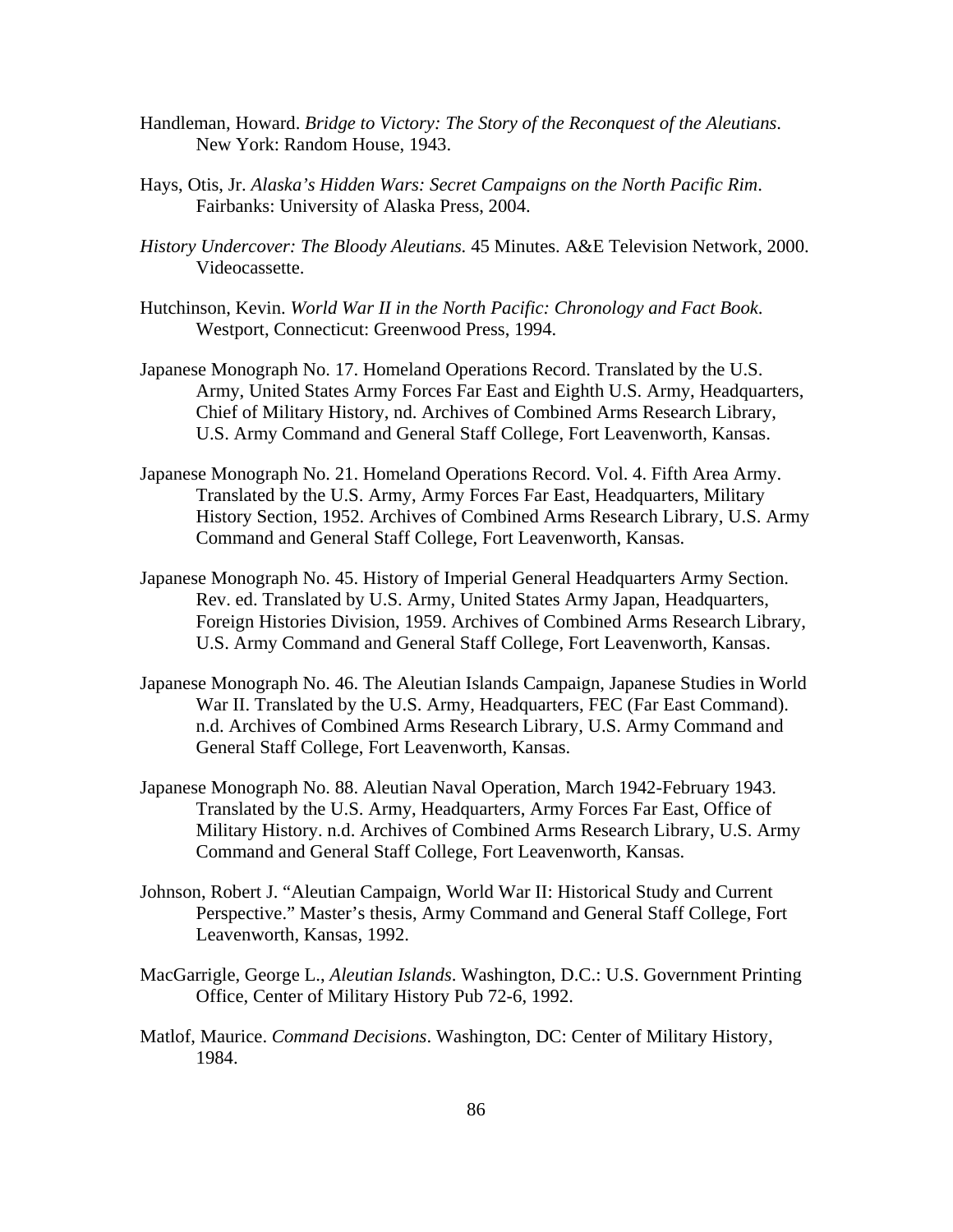- Handleman, Howard. *Bridge to Victory: The Story of the Reconquest of the Aleutians*. New York: Random House, 1943.
- Hays, Otis, Jr. *Alaska's Hidden Wars: Secret Campaigns on the North Pacific Rim*. Fairbanks: University of Alaska Press, 2004.
- *History Undercover: The Bloody Aleutians.* 45 Minutes. A&E Television Network, 2000. Videocassette.
- Hutchinson, Kevin. *World War II in the North Pacific: Chronology and Fact Book*. Westport, Connecticut: Greenwood Press, 1994.
- Japanese Monograph No. 17. Homeland Operations Record. Translated by the U.S. Army, United States Army Forces Far East and Eighth U.S. Army, Headquarters, Chief of Military History, nd. Archives of Combined Arms Research Library, U.S. Army Command and General Staff College, Fort Leavenworth, Kansas.
- Japanese Monograph No. 21. Homeland Operations Record. Vol. 4. Fifth Area Army. Translated by the U.S. Army, Army Forces Far East, Headquarters, Military History Section, 1952. Archives of Combined Arms Research Library, U.S. Army Command and General Staff College, Fort Leavenworth, Kansas.
- Japanese Monograph No. 45. History of Imperial General Headquarters Army Section. Rev. ed. Translated by U.S. Army, United States Army Japan, Headquarters, Foreign Histories Division, 1959. Archives of Combined Arms Research Library, U.S. Army Command and General Staff College, Fort Leavenworth, Kansas.
- Japanese Monograph No. 46. The Aleutian Islands Campaign, Japanese Studies in World War II. Translated by the U.S. Army, Headquarters, FEC (Far East Command). n.d. Archives of Combined Arms Research Library, U.S. Army Command and General Staff College, Fort Leavenworth, Kansas.
- Japanese Monograph No. 88. Aleutian Naval Operation, March 1942-February 1943. Translated by the U.S. Army, Headquarters, Army Forces Far East, Office of Military History. n.d. Archives of Combined Arms Research Library, U.S. Army Command and General Staff College, Fort Leavenworth, Kansas.
- Johnson, Robert J. "Aleutian Campaign, World War II: Historical Study and Current Perspective." Master's thesis, Army Command and General Staff College, Fort Leavenworth, Kansas, 1992.
- MacGarrigle, George L., *Aleutian Islands*. Washington, D.C.: U.S. Government Printing Office, Center of Military History Pub 72-6, 1992.
- Matlof, Maurice. *Command Decisions*. Washington, DC: Center of Military History, 1984.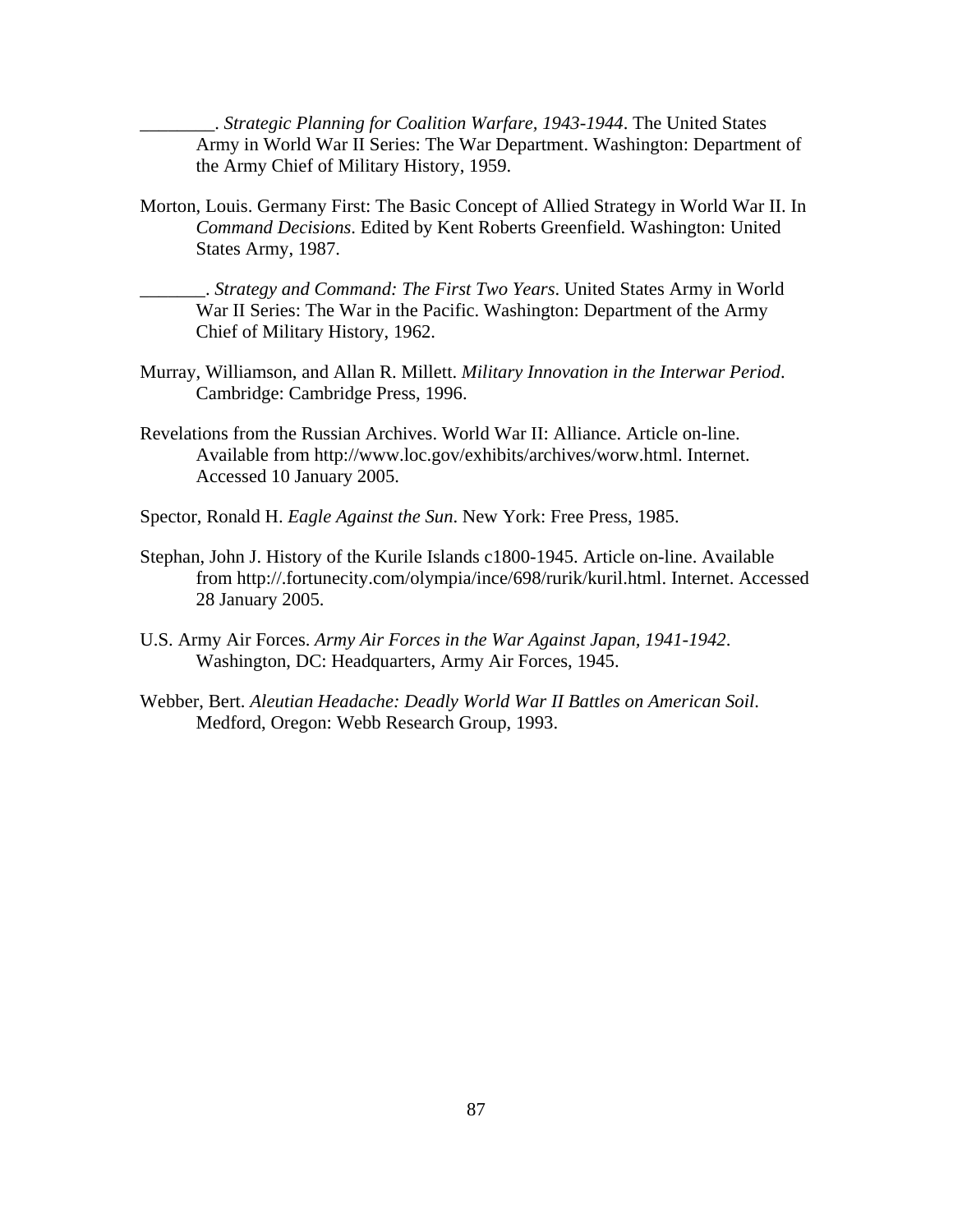\_\_\_\_\_\_\_\_. *Strategic Planning for Coalition Warfare, 1943-1944*. The United States Army in World War II Series: The War Department. Washington: Department of the Army Chief of Military History, 1959.

Morton, Louis. Germany First: The Basic Concept of Allied Strategy in World War II. In *Command Decisions*. Edited by Kent Roberts Greenfield. Washington: United States Army, 1987.

\_\_\_\_\_\_\_. *Strategy and Command: The First Two Years*. United States Army in World War II Series: The War in the Pacific. Washington: Department of the Army Chief of Military History, 1962.

- Murray, Williamson, and Allan R. Millett. *Military Innovation in the Interwar Period*. Cambridge: Cambridge Press, 1996.
- Revelations from the Russian Archives. World War II: Alliance. Article on-line. Available from http://www.loc.gov/exhibits/archives/worw.html. Internet. Accessed 10 January 2005.
- Spector, Ronald H. *Eagle Against the Sun*. New York: Free Press, 1985.
- Stephan, John J. History of the Kurile Islands c1800-1945. Article on-line. Available from http://.fortunecity.com/olympia/ince/698/rurik/kuril.html. Internet. Accessed 28 January 2005.
- U.S. Army Air Forces. *Army Air Forces in the War Against Japan, 1941-1942*. Washington, DC: Headquarters, Army Air Forces, 1945.
- Webber, Bert. *Aleutian Headache: Deadly World War II Battles on American Soil*. Medford, Oregon: Webb Research Group, 1993.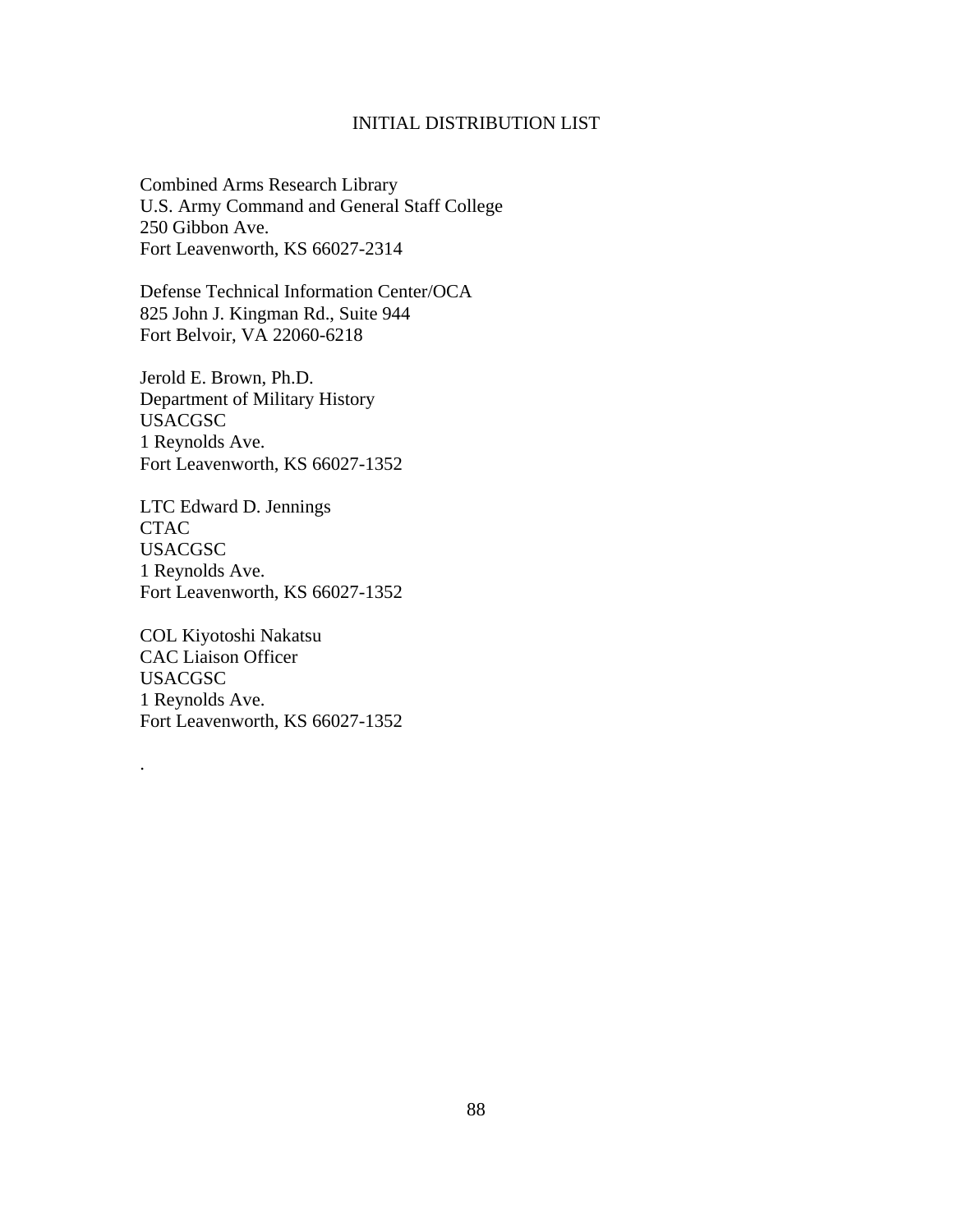## INITIAL DISTRIBUTION LIST

Combined Arms Research Library U.S. Army Command and General Staff College 250 Gibbon Ave. Fort Leavenworth, KS 66027-2314

Defense Technical Information Center/OCA 825 John J. Kingman Rd., Suite 944 Fort Belvoir, VA 22060-6218

Jerold E. Brown, Ph.D. Department of Military History USACGSC 1 Reynolds Ave. Fort Leavenworth, KS 66027-1352

LTC Edward D. Jennings CTAC USACGSC 1 Reynolds Ave. Fort Leavenworth, KS 66027-1352

COL Kiyotoshi Nakatsu CAC Liaison Officer USACGSC 1 Reynolds Ave. Fort Leavenworth, KS 66027-1352

.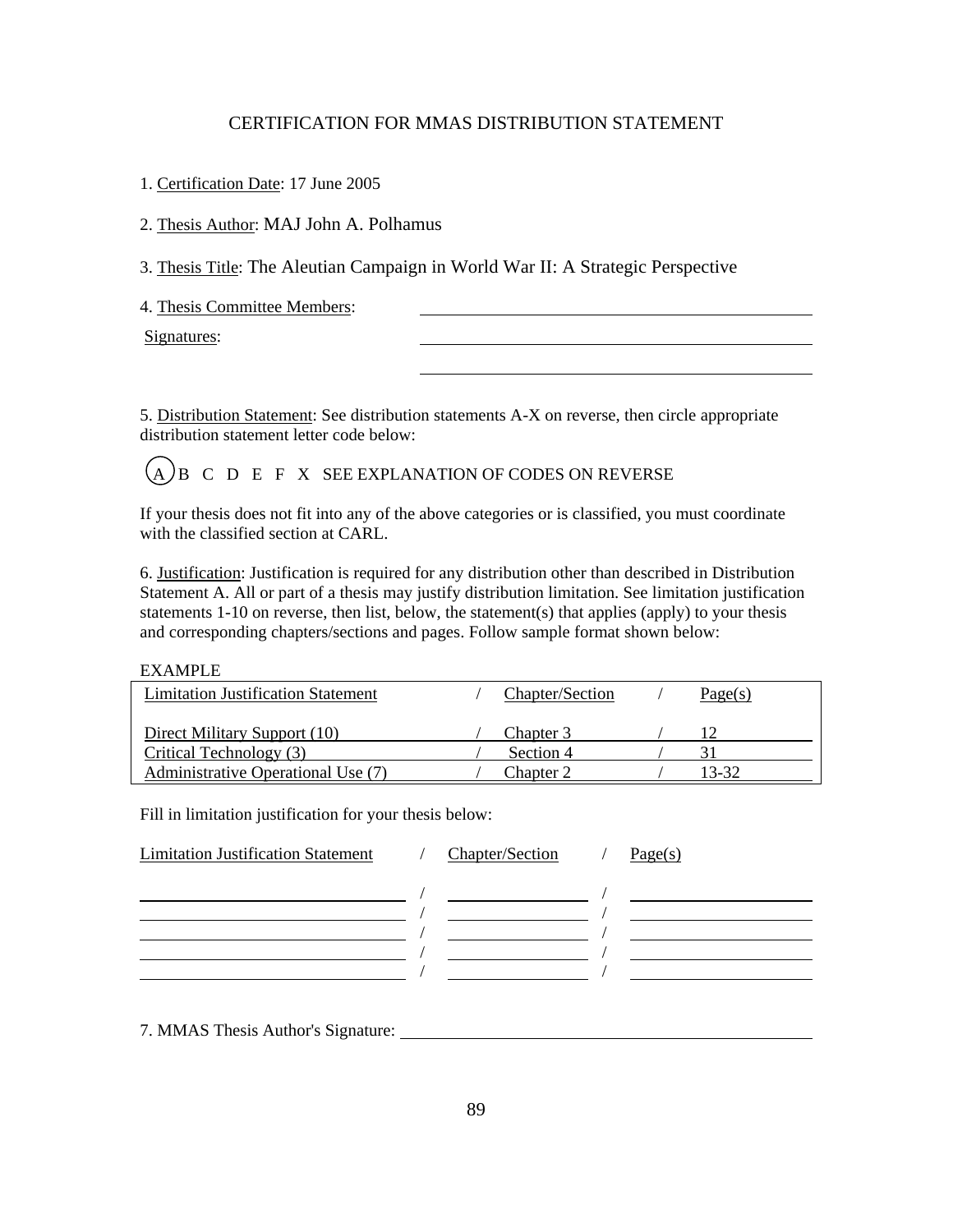# CERTIFICATION FOR MMAS DISTRIBUTION STATEMENT

1. Certification Date: 17 June 2005

2. Thesis Author: MAJ John A. Polhamus

3. Thesis Title: The Aleutian Campaign in World War II: A Strategic Perspective

4. Thesis Committee Members:

Signatures:

5. Distribution Statement: See distribution statements A-X on reverse, then circle appropriate distribution statement letter code below:

 $(A)$ B C D E F X SEE EXPLANATION OF CODES ON REVERSE

If your thesis does not fit into any of the above categories or is classified, you must coordinate with the classified section at CARL.

6. Justification: Justification is required for any distribution other than described in Distribution Statement A. All or part of a thesis may justify distribution limitation. See limitation justification statements 1-10 on reverse, then list, below, the statement(s) that applies (apply) to your thesis and corresponding chapters/sections and pages. Follow sample format shown below:

### EXAMPLE

| <b>Limitation Justification Statement</b> | Chapter/Section | Page(s) |
|-------------------------------------------|-----------------|---------|
| Direct Military Support (10)              | Chapter 3       |         |
| Critical Technology (3)                   | Section 4       |         |
| Administrative Operational Use (7)        | Chapter 2       | 13-32   |

Fill in limitation justification for your thesis below:

| <b>Limitation Justification Statement</b> | Chapter/Section | Page(s) |
|-------------------------------------------|-----------------|---------|
|                                           |                 |         |
|                                           |                 |         |
|                                           |                 |         |
|                                           |                 |         |
|                                           |                 |         |

7. MMAS Thesis Author's Signature: